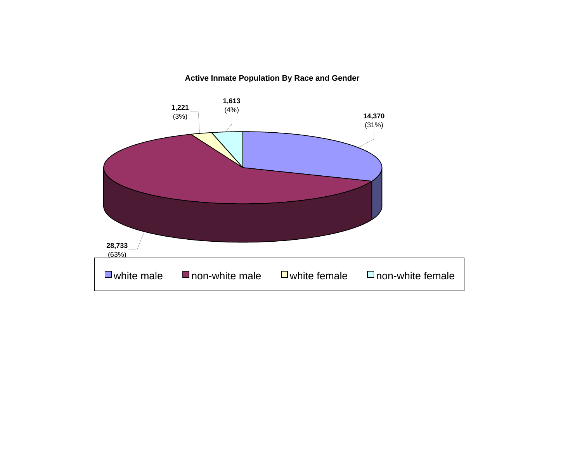### **Active Inmate Population By Race and Gender**

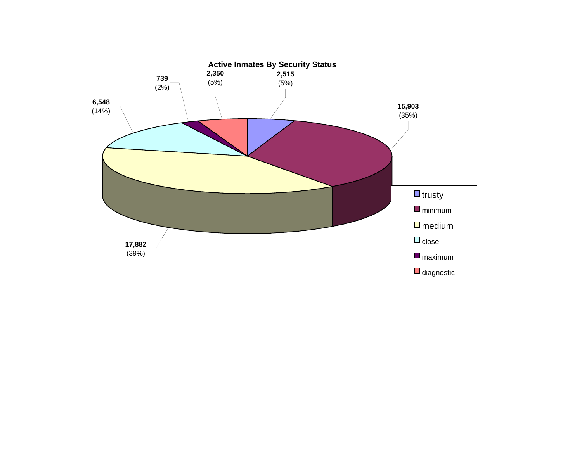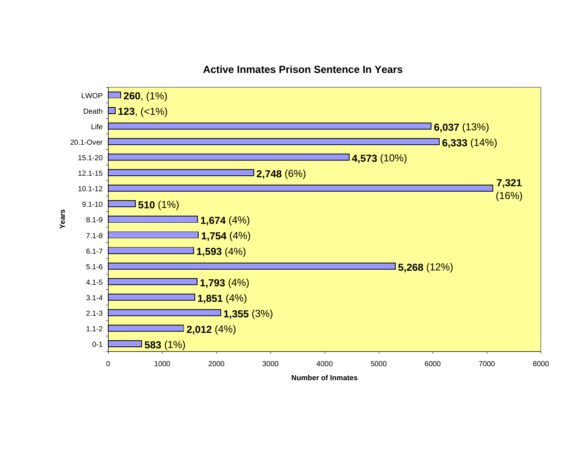

### **Active Inmates Prison Sentence In Years**

**Number of Inmates**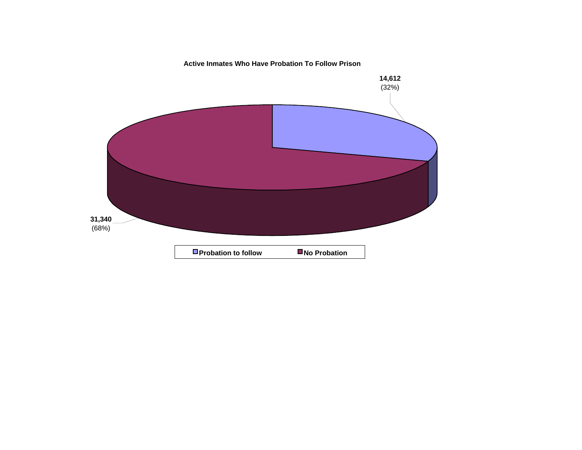#### **Active Inmates Who Have Probation To Follow Prison**

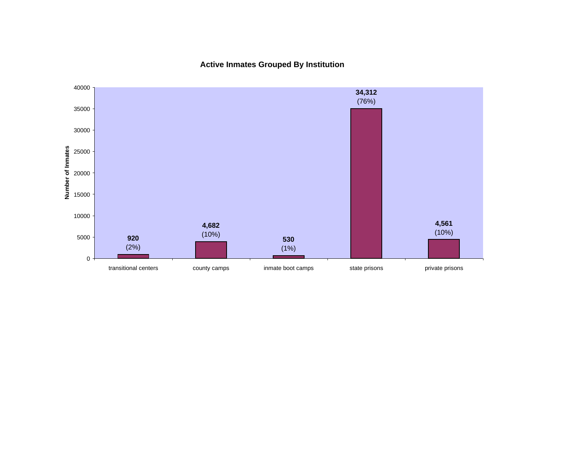**Active Inmates Grouped By Institution**

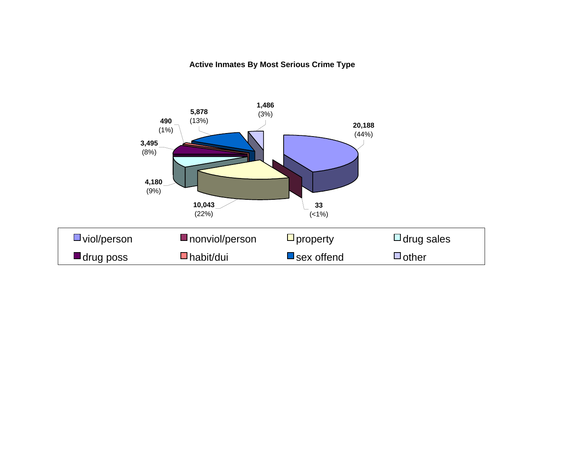### **Active Inmates By Most Serious Crime Type**

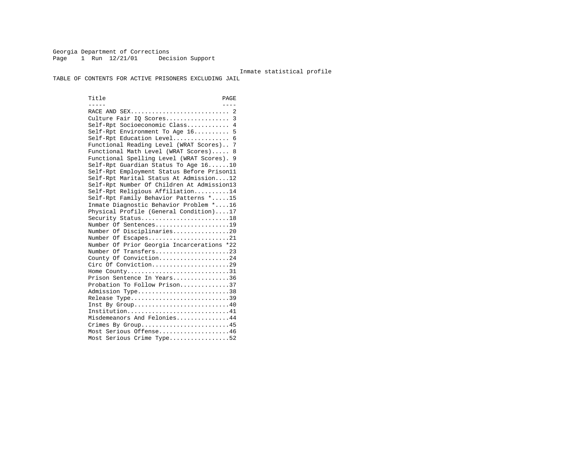Georgia Department of Corrections Page 1 Run  $12/21/01$  Decision Support

#### Inmate statistical profile

TABLE OF CONTENTS FOR ACTIVE PRISONERS EXCLUDING JAIL

Title PAGE ----- ---- RACE AND SEX............................ 2 Culture Fair IQ Scores.................. 3 Self-Rpt Socioeconomic Class............ 4 Self-Rpt Environment To Age 16.......... 5 Self-Rpt Education Level................ 6 Functional Reading Level (WRAT Scores).. 7 Functional Math Level (WRAT Scores)..... 8 Functional Spelling Level (WRAT Scores). 9 Self-Rpt Guardian Status To Age 16......10 Self-Rpt Employment Status Before Prison11 Self-Rpt Marital Status At Admission....12 Self-Rpt Number Of Children At Admission13 Self-Rpt Religious Affiliation..........14 Self-Rpt Family Behavior Patterns \*.....15 Inmate Diagnostic Behavior Problem \*....16 Physical Profile (General Condition)....17 Security Status............................18 Number Of Sentences.....................19 Number Of Disciplinaries................20 Number Of Escapes........................21 Number Of Prior Georgia Incarcerations \*22 Number Of Transfers.....................23 County Of Conviction....................24 Circ Of Conviction......................29 Home County................................31 Prison Sentence In Years................36 Probation To Follow Prison..............37Admission Type.............................38 Release Type...............................39 Inst By Group.............................40 Institution...............................41 Misdemeanors And Felonies...............44 Crimes By Group...........................45 Most Serious Offense....................46 Most Serious Crime Type.................52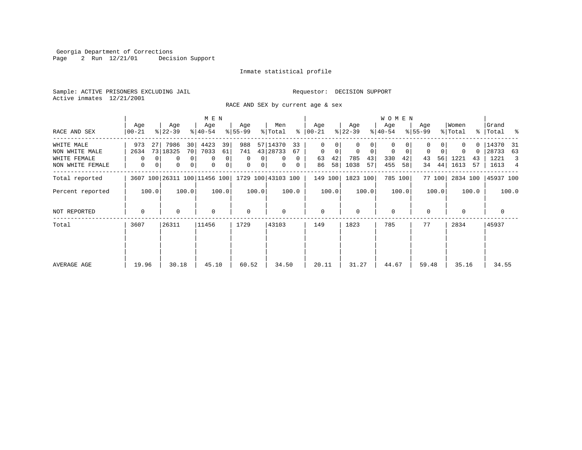Georgia Department of Corrections Page 2 Run 12/21/01 Decision Support

#### Inmate statistical profile

Sample: ACTIVE PRISONERS EXCLUDING JAIL **Requestor: DECISION SUPPORT** Active inmates 12/21/2001

RACE AND SEX by current age & sex

|                                                                  |                             |                                                                                  | M E N                                                  |                                                               |                                                                                   |                                               |                                                            | <b>WOMEN</b>                                              |                                                 |                                                        |                                                                   |
|------------------------------------------------------------------|-----------------------------|----------------------------------------------------------------------------------|--------------------------------------------------------|---------------------------------------------------------------|-----------------------------------------------------------------------------------|-----------------------------------------------|------------------------------------------------------------|-----------------------------------------------------------|-------------------------------------------------|--------------------------------------------------------|-------------------------------------------------------------------|
| RACE AND SEX                                                     | Age<br>$00 - 21$            | Age<br>$ 22-39 $                                                                 | Age<br>$ 40-54 $                                       | Age<br>$ 55-99 $                                              | Men<br>% Total                                                                    | Age<br>$8   00 - 21$                          | Age<br>$ 22-39 $                                           | Age<br>$ 40-54 $                                          | Age<br>$8155 - 99$                              | Women<br>% Total                                       | Grand<br>% Total %                                                |
| WHITE MALE<br>NON WHITE MALE<br>WHITE FEMALE<br>NON WHITE FEMALE | 973<br>27<br>2634<br>0<br>0 | 7986<br>30<br>73 18325<br>70 <br>0 <sup>1</sup><br>0<br>0 <sup>1</sup><br>0<br>0 | 4423<br>39<br>7033<br>61<br>$\mathbf 0$<br>0<br>0<br>0 | 988<br>741<br>0<br>$\Omega$<br>$\mathbf{0}$<br>0 <sup>1</sup> | 57 14370<br>33<br>43 28733<br>67<br>$\mathbf{0}$<br>$\Omega$<br>$\mathbf{0}$<br>0 | 0<br>$\mathbf 0$<br>0<br>42<br>63<br>58<br>86 | 0<br>$\mathbf 0$<br>$\mathbf 0$<br>785<br>43<br>1038<br>57 | $\mathbf 0$<br>0<br>$\mathbf 0$<br>330<br>42<br>455<br>58 | $\Omega$<br>$\mathbf 0$<br>56<br>43<br>44<br>34 | O.<br>$\Omega$<br>$\Omega$<br>1221<br>43<br>57<br>1613 | 14370<br>31<br>28733<br>63<br>1221<br>3<br>1613<br>$\overline{4}$ |
| Total reported                                                   |                             | 3607 100 26311 100 11456 100                                                     |                                                        |                                                               | 1729 100 43103 100                                                                | 149 100                                       | 1823 100                                                   | 785 100                                                   | 77 100                                          | 2834 100                                               | 45937 100                                                         |
| Percent reported                                                 | 100.0                       | 100.0                                                                            | 100.0                                                  | 100.0                                                         | 100.0                                                                             | 100.0                                         | 100.0                                                      | 100.0                                                     | 100.0                                           | 100.0                                                  | 100.0                                                             |
| NOT REPORTED                                                     | $\mathbf 0$                 | 0                                                                                | $\mathbf 0$                                            | 0                                                             | $\Omega$                                                                          | $\mathbf{0}$                                  | $\Omega$                                                   | $\mathbf 0$                                               | $\Omega$                                        | $\Omega$                                               | 0                                                                 |
| Total                                                            | 3607                        | 26311                                                                            | 11456                                                  | 1729                                                          | 43103                                                                             | 149                                           | 1823                                                       | 785                                                       | 77                                              | 2834                                                   | 45937                                                             |
| AVERAGE AGE                                                      | 19.96                       | 30.18                                                                            | 45.10                                                  | 60.52                                                         | 34.50                                                                             | 20.11                                         | 31.27                                                      | 44.67                                                     | 59.48                                           | 35.16                                                  | 34.55                                                             |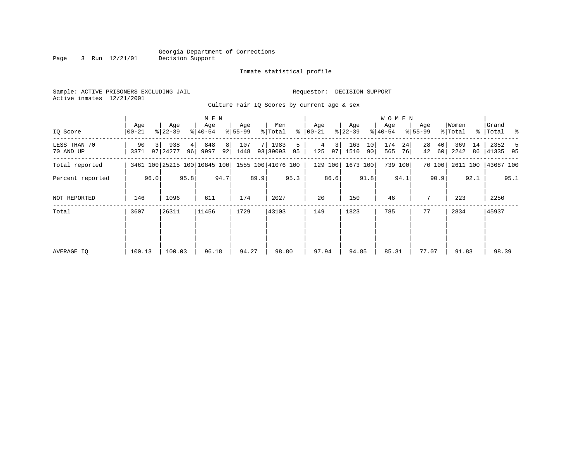Inmate statistical profile

Sample: ACTIVE PRISONERS EXCLUDING JAIL **Requestor: DECISION SUPPORT** Active inmates 12/21/2001

Culture Fair IQ Scores by current age & sex

|                           |                              |      |                   |      | M E N            |          |                  |      |                    |         |                |          |                  |          | W O M E N        |          |                  |                       |                  |          |                      |      |
|---------------------------|------------------------------|------|-------------------|------|------------------|----------|------------------|------|--------------------|---------|----------------|----------|------------------|----------|------------------|----------|------------------|-----------------------|------------------|----------|----------------------|------|
| IQ Score                  | Age<br>$00 - 21$             |      | Age<br>$ 22-39 $  |      | Age<br>$ 40-54 $ |          | Age<br>$8 55-99$ |      | Men<br>% Total     | ႜ       | Age<br>  00-21 |          | Age<br>$ 22-39 $ |          | Age<br>$ 40-54 $ |          | Age<br>$8 55-99$ |                       | Women<br>% Total |          | Grand<br>%   Total % |      |
| LESS THAN 70<br>70 AND UP | 90<br>3371                   |      | 938<br>97   24277 | 4    | 848<br>96 9997   | 8 <br>92 | 107<br>1448      | 7 I  | 1983<br>93 39093   | 5<br>95 | 4<br>125       | 3 <br>97 | 163<br>1510      | 10<br>90 | 174<br>565       | 24<br>76 | 28<br>42         | 40 <sup>1</sup><br>60 | 369<br>2242      | 14<br>86 | 2352<br>41335 95     | -5   |
| Total reported            | 3461 100 25215 100 10845 100 |      |                   |      |                  |          |                  |      | 1555 100 41076 100 |         |                | 129 100  | 1673 100         |          | 739 100          |          |                  | 70 100                | 2611 100         |          | 43687 100            |      |
| Percent reported          |                              | 96.0 |                   | 95.8 |                  | 94.7     |                  | 89.9 |                    | 95.3    |                | 86.6     |                  | 91.8     |                  | 94.1     |                  | 90.9                  |                  | 92.1     |                      | 95.1 |
| NOT REPORTED              | 146                          |      | 1096              |      | 611              |          | 174              |      | 2027               |         | 20             |          | 150              |          | 46               |          | 7                |                       | 223              |          | 2250                 |      |
| Total                     | 3607                         |      | 26311             |      | 11456            |          | 1729             |      | 43103              |         | 149            |          | 1823             |          | 785              |          | 77               |                       | 2834             |          | 45937                |      |
|                           |                              |      |                   |      |                  |          |                  |      |                    |         |                |          |                  |          |                  |          |                  |                       |                  |          |                      |      |
| AVERAGE IQ                | 100.13                       |      | 100.03            |      | 96.18            |          | 94.27            |      | 98.80              |         | 97.94          |          | 94.85            |          | 85.31            |          | 77.07            |                       | 91.83            |          | 98.39                |      |

Page 3 Run 12/21/01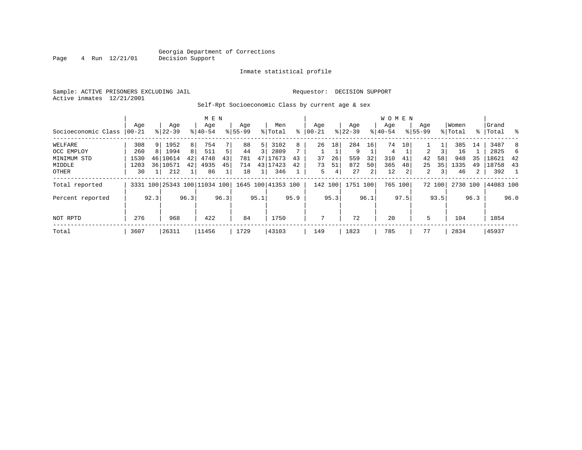#### Georgia Department of Corrections<br>4 Run 12/21/01 Decision Support Page 4 Run 12/21/01 Decision Support

#### Inmate statistical profile

Sample: ACTIVE PRISONERS EXCLUDING JAIL Requestor: DECISION SUPPORT Active inmates 12/21/2001

Self-Rpt Socioeconomic Class by current age & sex

|                     |            |      |                              |      | M E N     |      |             |      |                    |      |          |      |           |      | <b>WOMEN</b> |         |             |        |          |      |           |      |
|---------------------|------------|------|------------------------------|------|-----------|------|-------------|------|--------------------|------|----------|------|-----------|------|--------------|---------|-------------|--------|----------|------|-----------|------|
|                     | Age        |      | Age                          |      | Age       |      | Age         |      | Men                |      | Age      |      | Age       |      | Age          |         | Age         |        | Women    |      | Grand     |      |
| Socioeconomic Class | $ 00 - 21$ |      | $8 22-39$                    |      | $8 40-54$ |      | $8155 - 99$ |      | % Total            | ి    | $ 00-21$ |      | $ 22-39 $ |      | $8 40-54$    |         | $8155 - 99$ |        | % Total  |      | %   Total | ႜ    |
| WELFARE             | 308        | 9    | 1952                         | 8    | 754       |      | 88          | 5    | 3102               | 8    | 26       | 18   | 284       | 16   | 74           | 10      |             |        | 385      | 14   | 3487      | 8    |
| OCC EMPLOY          | 260        |      | 1994                         | 8    | 511       | 5    | 44          |      | 2809               |      |          |      | 9         |      | 4            |         | 2           |        | 16       |      | 2825      | 6    |
| MINIMUM STD         | 1530       |      | 46 10614                     | 42   | 4748      | 43   | 781         | 47   | 17673              | 43   | 37       | 26   | 559       | 32   | 310          | 41      | 42          | 58     | 948      | 35   | 18621     | 42   |
| MIDDLE              | 1203       |      | 36 10571                     | 42   | 4935      | 45   | 714         |      | 43 17423           | 42   | 73       | 51   | 872       | 50   | 365          | 48      | 25          | 35     | 1335     | 49   | 18758     | 43   |
| OTHER               | 30         |      | 212                          |      | 86        |      | 18          |      | 346                |      | 5        | 4    | 27        | 2    | 12           |         | 2           | 3      | 46       | 2    | 392       |      |
| Total reported      |            |      | 3331 100 25343 100 11034 100 |      |           |      |             |      | 1645 100 41353 100 |      | 142 100  |      | 1751 100  |      |              | 765 100 |             | 72 100 | 2730 100 |      | 44083 100 |      |
| Percent reported    |            | 92.3 |                              | 96.3 |           | 96.3 |             | 95.1 |                    | 95.9 |          | 95.3 |           | 96.1 |              | 97.5    |             | 93.5   |          | 96.3 |           | 96.0 |
| NOT RPTD            | 276        |      | 968                          |      | 422       |      | 84          |      | 1750               |      | 7        |      | 72        |      | 20           |         | 5           |        | 104      |      | 1854      |      |
| Total               | 3607       |      | 26311                        |      | 11456     |      | 1729        |      | 43103              |      | 149      |      | 1823      |      | 785          |         | 77          |        | 2834     |      | 45937     |      |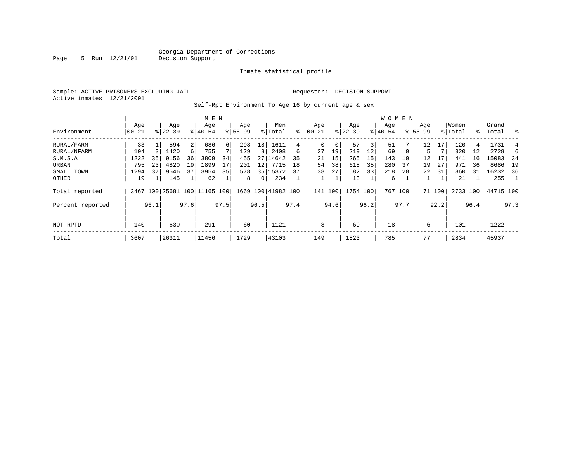Inmate statistical profile

Sample: ACTIVE PRISONERS EXCLUDING JAIL **Requestor: DECISION SUPPORT** Active inmates 12/21/2001

Page  $5$  Run  $12/21/01$ 

Self-Rpt Environment To Age 16 by current age & sex

|                  |                  |      | M E N            |      |                              |          |                    |          |                    |      | W O M E N       |      |                  |      |                  |         |                    |        |                  |      |                 |      |
|------------------|------------------|------|------------------|------|------------------------------|----------|--------------------|----------|--------------------|------|-----------------|------|------------------|------|------------------|---------|--------------------|--------|------------------|------|-----------------|------|
| Environment      | Age<br>$00 - 21$ |      | Age<br>$8 22-39$ |      | Age<br>$8140 - 54$           |          | Age<br>$8155 - 99$ |          | Men<br>% Total     | ፠    | Aqe<br>$ 00-21$ |      | Age<br>$ 22-39 $ |      | Aqe<br>$ 40-54 $ |         | Age<br>$8155 - 99$ |        | Women<br>% Total | ႜၟ   | Grand<br> Total | ွေ   |
| RURAL/FARM       | 33               |      | 594              |      | 686                          | $6 \mid$ | 298                | 18       | 1611               | 4    | $\mathbf 0$     | 0    | 57               | 3    | 51               |         | 12                 | 17     | 120              | 4    | 1731            |      |
| RURAL/NFARM      | 104              |      | 1420             | 6    | 755                          |          | 129                | 8        | 2408               | 6    | 27              | 19   | 219              | 12   | 69               | 9       | 5                  |        | 320              | 12   | 2728            | 6    |
| S.M.S.A          | 1222             | 35   | 9156             | 36   | 3809                         | 34       | 455                | 27       | 14642              | 35   | 21              | 15   | 265              | 15   | 143              | 19      | 12                 | 17     | 441              | 16   | 15083           | - 34 |
| URBAN            | 795              | 23   | 4820             | 19   | 1899                         | 17       | 201                | 12       | 7715               | 18   | 54              | 38   | 618              | 35   | 280              | 37      | 19                 | 27     | 971              | 36   | 8686            | 19   |
| SMALL TOWN       | 1294             | 37   | 9546             | 37   | 3954                         | 35       | 578                | 35       | 15372              | 37   | 38              | 27   | 582              | 33   | 218              | 28      | 22                 | 31     | 860              | 31   | 16232           | 36   |
| OTHER            | 19               |      | 145              |      | 62                           |          | 8                  | $\Omega$ | 234                |      |                 |      | 13               |      | 6                |         |                    |        | 21               |      | 255             |      |
| Total reported   |                  |      |                  |      | 3467 100 25681 100 11165 100 |          |                    |          | 1669 100 41982 100 |      | 141 100         |      | 1754 100         |      |                  | 767 100 |                    | 71 100 | 2733 100         |      | 44715 100       |      |
| Percent reported |                  | 96.1 |                  | 97.6 |                              | 97.5     |                    | 96.5     |                    | 97.4 |                 | 94.6 |                  | 96.2 |                  | 97.7    |                    | 92.2   |                  | 96.4 |                 | 97.3 |
| NOT RPTD         | 140              |      | 630              |      | 291                          |          | 60                 |          | 1121               |      | 8               |      | 69               |      | 18               |         | 6                  |        | 101              |      | 1222            |      |
| Total            | 3607             |      | 26311            |      | 11456                        |          | 1729               |          | 43103              |      | 149             |      | 1823             |      | 785              |         | 77                 |        | 2834             |      | 45937           |      |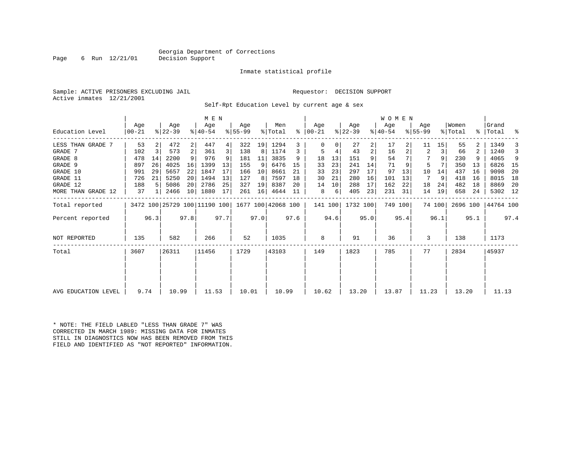Page 6 Run  $12/21/01$ 

#### Inmate statistical profile

Sample: ACTIVE PRISONERS EXCLUDING JAIL Requestor: DECISION SUPPORT Active inmates 12/21/2001

Self-Rpt Education Level by current age & sex

|                     |                 |                |                                                 |      | M E N              |      |                 |      |                |      |                    |      |                  |      | <b>WOMEN</b>     |         |                  |        |                  |      |                   |      |
|---------------------|-----------------|----------------|-------------------------------------------------|------|--------------------|------|-----------------|------|----------------|------|--------------------|------|------------------|------|------------------|---------|------------------|--------|------------------|------|-------------------|------|
| Education Level     | Age<br>$ 00-21$ |                | Age<br>$ 22-39 $                                |      | Age<br>$8140 - 54$ |      | Aqe<br>$ 55-99$ |      | Men<br>% Total | ွေ   | Aqe<br>$ 00 - 21 $ |      | Aqe<br>$ 22-39 $ |      | Aqe<br>$ 40-54 $ |         | Aqe<br>$8 55-99$ |        | Women<br>% Total |      | Grand<br>%  Total | ႜ    |
| LESS THAN GRADE 7   | 53              |                | 472                                             | 2    | 447                | 4    | 322             | 19   | 1294           | 3    | $\Omega$           |      | 27               | 2    | 17               |         | 11               | 15     | 55               |      | 1349              |      |
| GRADE 7             | 102             | $\overline{3}$ | 573                                             | 2    | 361                | 3    | 138             | 8    | 1174           | 3    | 5                  | 4    | 43               | 2    | 16               |         | 2                | 3      | 66               |      | 1240              | 3    |
| GRADE 8             | 478             | 14             | 2200                                            | 9    | 976                |      | 181             | 11   | 3835           | 9    | 18                 | 13   | 151              | 9    | 54               |         |                  |        | 230              |      | 4065              | 9    |
| GRADE 9             | 897             | 26             | 4025                                            | 16   | 1399               | 13   | 155             | 9    | 6476           | 15   | 33                 | 23   | 241              | 14   | 71               |         | 5                |        | 350              | 13   | 6826              | - 15 |
| GRADE 10            | 991             | 29             | 5657                                            | 22   | 1847               | 17   | 166             | 10   | 8661           | 21   | 33                 | 23   | 297              | 17   | 97               | 13      | 10               | 14     | 437              | 16   | 9098              | 20   |
| GRADE 11            | 726             | 21             | 5250                                            | 20   | 1494               | 13   | 127             | 8    | 7597           | 18   | 30                 | 21   | 280              | 16   | 101              | 13      | 7                | 9      | 418              | 16   | 8015              | 18   |
| GRADE 12            | 188             |                | 5086                                            | 20   | 2786               | 25   | 327             | 19   | 8387           | 20   | 14                 | 10   | 288              | 17   | 162              | 22      | 18               | 24     | 482              | 18   | 8869              | -20  |
| MORE THAN GRADE 12  | 37              |                | 2466                                            | 10   | 1880               | 17   | 261             | 16   | 4644           | 11   | 8                  | 6    | 405              | 23   | 231              | 31      | 14               | 19     | 658              | 24   | 5302 12           |      |
| Total reported      |                 |                | 3472 100 25729 100 11190 100 1677 100 42068 100 |      |                    |      |                 |      |                |      | 141 100            |      | 1732 100         |      |                  | 749 100 |                  | 74 100 | 2696 100         |      | 44764 100         |      |
| Percent reported    |                 | 96.3           |                                                 | 97.8 |                    | 97.7 |                 | 97.0 |                | 97.6 |                    | 94.6 |                  | 95.0 |                  | 95.4    |                  | 96.1   |                  | 95.1 |                   | 97.4 |
| <b>NOT REPORTED</b> | 135             |                | 582                                             |      | 266                |      | 52              |      | 1035           |      | 8                  |      | 91               |      | 36               |         | 3                |        | 138              |      | 1173              |      |
| Total               | 3607            |                | 26311                                           |      | 11456              |      | 1729            |      | 43103          |      | 149                |      | 1823             |      | 785              |         | 77               |        | 2834             |      | 45937             |      |
|                     |                 |                |                                                 |      |                    |      |                 |      |                |      |                    |      |                  |      |                  |         |                  |        |                  |      |                   |      |
| AVG EDUCATION LEVEL | 9.74            |                | 10.99                                           |      | 11.53              |      | 10.01           |      | 10.99          |      | 10.62              |      | 13.20            |      | 13.87            |         | 11.23            |        | 13.20            |      | 11.13             |      |

\* NOTE: THE FIELD LABLED "LESS THAN GRADE 7" WAS CORRECTED IN MARCH 1989: MISSING DATA FOR INMATES STILL IN DIAGNOSTICS NOW HAS BEEN REMOVED FROM THIS FIELD AND IDENTIFIED AS "NOT REPORTED" INFORMATION.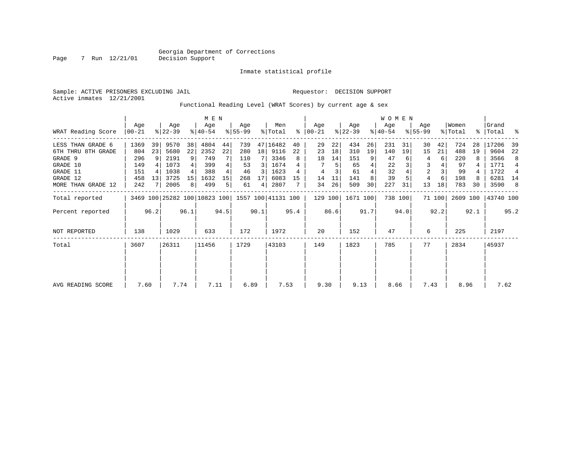Inmate statistical profile

Active inmates 12/21/2001

Sample: ACTIVE PRISONERS EXCLUDING JAIL Requestor: DECISION SUPPORT

Functional Reading Level (WRAT Scores) by current age & sex

|                    |                    |      |                  |      | M E N                        |      |                 |                 |                    |      |                      |      |                  |      | W O M E N        |         |                    |        |                  |      |                 |      |
|--------------------|--------------------|------|------------------|------|------------------------------|------|-----------------|-----------------|--------------------|------|----------------------|------|------------------|------|------------------|---------|--------------------|--------|------------------|------|-----------------|------|
| WRAT Reading Score | Age<br>$ 00 - 21 $ |      | Age<br>$ 22-39 $ |      | Age<br>$ 40-54 $             |      | Age<br>$ 55-99$ |                 | Men<br>% Total     |      | Aqe<br>$8   00 - 21$ |      | Age<br>$ 22-39 $ |      | Age<br>$8 40-54$ |         | Aqe<br>$8155 - 99$ |        | Women<br>% Total | ွေ   | Grand<br> Total | ႜ    |
| LESS THAN GRADE 6  | 1369               | 39   | 9570             | 38   | 4804                         | 44   | 739             |                 | 47 16482           | 40   | 29                   | 22   | 434              | 26   | 231              | 31      | 30                 | 42     | 724              | 28   | 17206           | 39   |
| 6TH THRU 8TH GRADE | 804                | 23   | 5680             | 22   | 2352                         | 22   | 280             | 18 <sup>1</sup> | 9116               | 22   | 23                   | 18   | 310              | 19   | 140              | 19      | 15                 | 21     | 488              | 19   | 9604            | 22   |
| GRADE 9            | 296                | -9   | 2191             | 9    | 749                          |      | 110             |                 | 3346               | 8    | 18                   | 14   | 151              | 9    | 47               |         | 4                  | 6      | 220              |      | 3566            | 8    |
| GRADE 10           | 149                |      | 1073             |      | 399                          | 4    | 53              | 3               | 1674               |      |                      | 5    | 65               |      | 22               |         | 3                  |        | 97               |      | 1771            | 4    |
| GRADE 11           | 151                |      | 1038             |      | 388                          | 4    | 46              | 3               | 1623               | 4    | 4                    |      | 61               |      | 32               |         | $\overline{2}$     |        | 99               |      | 1722            | 4    |
| GRADE 12           | 458                | 13   | 3725             | 15   | 1632                         | 15   | 268             | 17              | 6083               | 15   | 14                   | 11   | 141              |      | 39               |         | 4                  | 6      | 198              | 8    | 6281            | 14   |
| MORE THAN GRADE 12 | 242                |      | 2005             | 8    | 499                          | 5    | 61              | 4               | 2807               |      | 34                   | 26   | 509              | 30   | 227              | 31      | 13                 | 18     | 783              | 30   | 3590            | 8    |
| Total reported     |                    |      |                  |      | 3469 100 25282 100 10823 100 |      |                 |                 | 1557 100 41131 100 |      | 129 100              |      | 1671 100         |      |                  | 738 100 |                    | 71 100 | 2609 100         |      | 43740 100       |      |
| Percent reported   |                    | 96.2 |                  | 96.1 |                              | 94.5 |                 | 90.1            |                    | 95.4 |                      | 86.6 |                  | 91.7 |                  | 94.0    |                    | 92.2   |                  | 92.1 |                 | 95.2 |
| NOT REPORTED       | 138                |      | 1029             |      | 633                          |      | 172             |                 | 1972               |      | 20                   |      | 152              |      | 47               |         | 6                  |        | 225              |      | 2197            |      |
| Total              | 3607               |      | 26311            |      | 11456                        |      | 1729            |                 | 43103              |      | 149                  |      | 1823             |      | 785              |         | 77                 |        | 2834             |      | 45937           |      |
|                    |                    |      |                  |      |                              |      |                 |                 |                    |      |                      |      |                  |      |                  |         |                    |        |                  |      |                 |      |
|                    |                    |      |                  |      |                              |      |                 |                 |                    |      |                      |      |                  |      |                  |         |                    |        |                  |      |                 |      |
| AVG READING SCORE  | 7.60               |      | 7.74             |      | 7.11                         |      | 6.89            |                 | 7.53               |      | 9.30                 |      | 9.13             |      | 8.66             |         | 7.43               |        | 8.96             |      | 7.62            |      |

Page 7 Run 12/21/01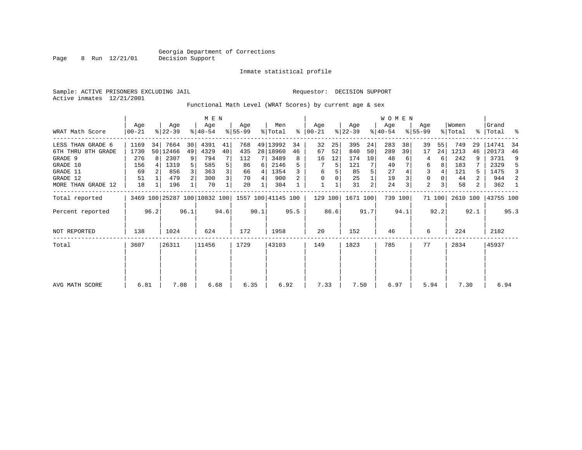#### Georgia Department of Corrections<br>Page 8 Run 12/21/01 Decision Support Page 8 Page 8 Running

Inmate statistical profile

Sample: ACTIVE PRISONERS EXCLUDING JAIL **Requestor: DECISION SUPPORT** 

Active inmates 12/21/2001

#### Functional Math Level (WRAT Scores) by current age & sex

|                     | M E N           |      |                  |                 |                              |      |                  |      |                    |              |                    |      |                  |                | WOMEN            |         |                    |        |                  |      |                    |      |
|---------------------|-----------------|------|------------------|-----------------|------------------------------|------|------------------|------|--------------------|--------------|--------------------|------|------------------|----------------|------------------|---------|--------------------|--------|------------------|------|--------------------|------|
| WRAT Math Score     | Age<br>$ 00-21$ |      | Age<br>$ 22-39 $ |                 | Age<br>$8 40-54$             |      | Aqe<br>$ 55-99 $ |      | Men<br>% Total     | $\approx$    | Aqe<br>$ 00 - 21 $ |      | Age<br>$ 22-39 $ |                | Age<br>$ 40-54 $ |         | Aqe<br>$8155 - 99$ |        | Women<br>% Total |      | Grand<br>%   Total | - 옹  |
| LESS THAN GRADE 6   | 1169            | 34   | 7664             | 30 <sup>1</sup> | 4391                         | 41   | 768              |      | 49 13992           | 34           | 32                 | 25   | 395              | 24             | 283              | 38      | 39                 | 55     | 749              | 29   | 14741              | 34   |
| 6TH THRU 8TH GRADE  | 1730            |      | 50 12466         | 49              | 4329                         | 40   | 435              |      | 28   18960         | 46           | 67                 | 52   | 840              | 50             | 289              | 39      | 17                 | 24     | 1213             | 46   | 20173              | 46   |
| GRADE 9             | 276             |      | 2307             | 9               | 794                          |      | 112              |      | 3489               | 8            | 16                 | 12   | 174              | 10             | 48               |         | 4                  | 6      | 242              | 9    | 3731               | 9    |
| GRADE 10            | 156             |      | 1319             | 5               | 585                          | 5    | 86               | 6    | 2146               |              |                    |      | 121              | 7              | 49               |         | 6                  | 8      | 183              |      | 2329               | 5    |
| GRADE 11            | 69              |      | 856              |                 | 363                          | 3    | 66               | 4    | 1354               |              | 6                  |      | 85               |                | 27               |         |                    |        | 121              |      | 1475               | 3    |
| GRADE 12            | 51              |      | 479              | 2               | 300                          | 3    | 70               | 4    | 900                | $\mathbf{2}$ | $\Omega$           |      | 25               |                | 19               |         | 0                  |        | 44               | 2    | 944                | 2    |
| MORE THAN GRADE 12  | 18              |      | 196              |                 | 70                           |      | 20               |      | 304                |              |                    |      | 31               | $\overline{a}$ | 24               | 3       | $\overline{a}$     |        | 58               | 2    | 362                | - 1  |
| Total reported      |                 |      |                  |                 | 3469 100 25287 100 10832 100 |      |                  |      | 1557 100 41145 100 |              | 129 100            |      | 1671 100         |                |                  | 739 100 |                    | 71 100 | 2610 100         |      | 43755 100          |      |
| Percent reported    |                 | 96.2 |                  | 96.1            |                              | 94.6 |                  | 90.1 |                    | 95.5         |                    | 86.6 |                  | 91.7           |                  | 94.1    |                    | 92.2   |                  | 92.1 |                    | 95.3 |
| <b>NOT REPORTED</b> | 138             |      | 1024             |                 | 624                          |      | 172              |      | 1958               |              | 20                 |      | 152              |                | 46               |         | 6                  |        | 224              |      | 2182               |      |
| Total               | 3607            |      | 26311            |                 | 11456                        |      | 1729             |      | 43103              |              | 149                |      | 1823             |                | 785              |         | 77                 |        | 2834             |      | 45937              |      |
|                     |                 |      |                  |                 |                              |      |                  |      |                    |              |                    |      |                  |                |                  |         |                    |        |                  |      |                    |      |
|                     |                 |      |                  |                 |                              |      |                  |      |                    |              |                    |      |                  |                |                  |         |                    |        |                  |      |                    |      |
| AVG MATH SCORE      | 6.81            |      | 7.08             |                 | 6.68                         |      | 6.35             |      | 6.92               |              | 7.33               |      | 7.50             |                | 6.97             |         | 5.94               |        | 7.30             |      | 6.94               |      |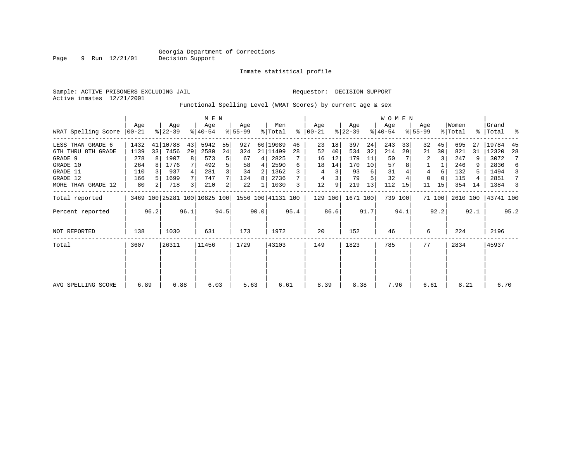### Inmate statistical profile

| Sample: ACTIVE PRISONERS EXCLUDING JAIL |                                                              |  |  | Requestor: DECISION SUPPORT |  |  |
|-----------------------------------------|--------------------------------------------------------------|--|--|-----------------------------|--|--|
| Active inmates 12/21/2001               |                                                              |  |  |                             |  |  |
|                                         | Functional Spelling Level (WRAT Scores) by current age & sex |  |  |                             |  |  |

|                     |       |                |                                                 |      | M E N     |                |           |      |          |      |          |      |           |      | WOMEN     |         |             |          |          |      |           |      |
|---------------------|-------|----------------|-------------------------------------------------|------|-----------|----------------|-----------|------|----------|------|----------|------|-----------|------|-----------|---------|-------------|----------|----------|------|-----------|------|
|                     | Aqe   |                | Age                                             |      | Age       |                | Age       |      | Men      |      | Aqe      |      | Age       |      | Age       |         | Age         |          | Women    |      | Grand     |      |
| WRAT Spelling Score | 00-21 |                | $ 22-39 $                                       |      | $8 40-54$ |                | $ 55-99 $ |      | % Total  | ႜ    | $ 00-21$ |      | $ 22-39 $ |      | $8 40-54$ |         | $8155 - 99$ |          | % Total  |      | %   Total | ႜ    |
| LESS THAN GRADE 6   | 1432  |                | 41 10788                                        | 43   | 5942      | 55             | 927       |      | 60 19089 | 46   | 23       | 18   | 397       | 24   | 243       | 33      | 32          | 45       | 695      | 27   | 19784     | -45  |
| 6TH THRU 8TH GRADE  | 1139  | 33             | 7456                                            | 29   | 2580      | 24             | 324       |      | 21 11499 | 28   | 52       | 40   | 534       | 32   | 214       | 29      | 21          | 30       | 821      | 31   | 12320     | -28  |
| GRADE 9             | 278   |                | 1907                                            |      | 573       | 5              | 67        | 4 I  | 2825     |      | 16       | 12   | 179       | -11  | 50        |         | 2           |          | 247      |      | 3072      | 7    |
| GRADE 10            | 264   |                | 1776                                            |      | 492       | 5              | 58        |      | 2590     | 6    | 18       | 14   | 170       | 10   | 57        |         |             |          | 246      | 9    | 2836      | 6    |
| GRADE 11            | 110   |                | 937                                             |      | 281       | $\overline{3}$ | 34        | 2    | 1362     |      | 4        | 3    | 93        | 6    | 31        |         | 4           | 6        | 132      | 5.   | 1494      | 3    |
| GRADE 12            | 166   |                | 1699                                            |      | 747       | 7 <sup>1</sup> | 124       | 8    | 2736     |      | 4        | 3    | 79        |      | 32        |         | $\mathbf 0$ | $\Omega$ | 115      | 4    | 2851      | 7    |
| MORE THAN GRADE 12  | 80    | 2 <sub>1</sub> | 718                                             | 3    | 210       | $\overline{2}$ | 22        |      | 1030     | 3    | 12       | 9    | 219       | 13   | 112       | 15      | 11          | 15       | 354      | 14   | 1384      | 3    |
| Total reported      |       |                | 3469 100 25281 100 10825 100 1556 100 41131 100 |      |           |                |           |      |          |      | 129 100  |      | 1671 100  |      |           | 739 100 |             | 71 100   | 2610 100 |      | 43741 100 |      |
| Percent reported    |       | 96.2           |                                                 | 96.1 |           | 94.5           |           | 90.0 |          | 95.4 |          | 86.6 |           | 91.7 |           | 94.1    |             | 92.2     |          | 92.1 |           | 95.2 |
| <b>NOT REPORTED</b> | 138   |                | 1030                                            |      | 631       |                | 173       |      | 1972     |      | 20       |      | 152       |      | 46        |         | 6           |          | 224      |      | 2196      |      |
| Total               | 3607  |                | 26311                                           |      | 11456     |                | 1729      |      | 43103    |      | 149      |      | 1823      |      | 785       |         | 77          |          | 2834     |      | 45937     |      |
|                     |       |                |                                                 |      |           |                |           |      |          |      |          |      |           |      |           |         |             |          |          |      |           |      |
|                     |       |                |                                                 |      |           |                |           |      |          |      |          |      |           |      |           |         |             |          |          |      |           |      |
| AVG SPELLING SCORE  | 6.89  |                | 6.88                                            |      | 6.03      |                | 5.63      |      | 6.61     |      | 8.39     |      | 8.38      |      | 7.96      |         | 6.61        |          | 8.21     |      | 6.70      |      |

Page 9 Run 12/21/01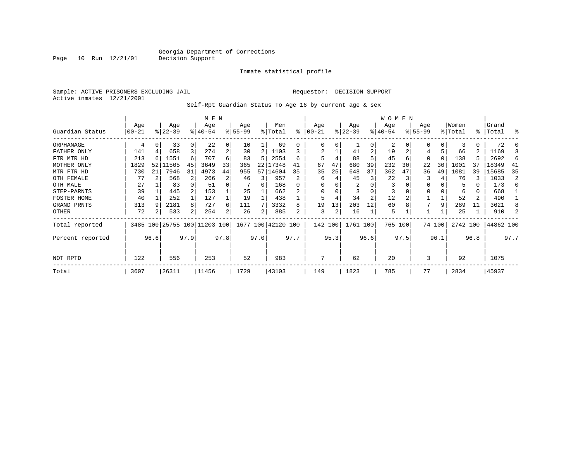Inmate statistical profile

Sample: ACTIVE PRISONERS EXCLUDING JAIL Requestor: DECISION SUPPORT Active inmates 12/21/2001

Self-Rpt Guardian Status To Age 16 by current age & sex

|                  |            |          |                              |      | M E N     |                |           |      |                    |      |          |      |           |                | <b>WOMEN</b> |      |             |          |          |      |           |      |
|------------------|------------|----------|------------------------------|------|-----------|----------------|-----------|------|--------------------|------|----------|------|-----------|----------------|--------------|------|-------------|----------|----------|------|-----------|------|
|                  | Age        |          | Age                          |      | Age       |                | Age       |      | Men                |      | Age      |      | Age       |                | Age          |      | Age         |          | Women    |      | Grand     |      |
| Guardian Status  | $ 00 - 21$ |          | $ 22-39$                     |      | $ 40-54 $ |                | $8 55-99$ |      | % Total            | ႜ    | $ 00-21$ |      | $ 22-39 $ |                | $ 40-54 $    |      | $8155 - 99$ |          | % Total  |      | %   Total | ႜ    |
| ORPHANAGE        | 4          | $\Omega$ | 33                           |      | 22        | 0              | 10        |      | 69                 | U    | $\left($ | U    |           | 0              | 2            |      |             | 0        |          | 0    | 72        |      |
| FATHER ONLY      | 141        |          | 658                          |      | 274       | $\overline{a}$ | 30        | 2    | 1103               |      | 2        |      | 41        | 2              | 19           |      |             |          | 66       | 2    | 1169      |      |
| FTR MTR HD       | 213        |          | 1551                         | 6    | 707       | 6              | 83        | 5    | 2554               | 6    | 5        |      | 88        |                | 45           | 6    | $\Omega$    | $\Omega$ | 138      | 5    | 2692      | 6    |
| MOTHER ONLY      | 1829       | 52       | 11505                        | 45   | 3649      | 33             | 365       |      | 22   17348         | 41   | 67       | 47   | 680       | 39             | 232          | 30   | 22          | 30       | 1001     | 37   | 18349     | -41  |
| MTR FTR HD       | 730        | 21       | 7946                         | 31   | 4973      | 44             | 955       |      | 57 14604           | 35   | 35       | 25   | 648       | 37             | 362          | 47   | 36          | 49       | 1081     | 39   | 15685     | 35   |
| OTH FEMALE       | 77         |          | 568                          |      | 266       | 2              | 46        | 3    | 957                |      | 6        |      | 45        | 3              | 22           |      | 3           |          | 76       | 3    | 1033      | 2    |
| OTH MALE         | 27         |          | 83                           |      | 51        | 0              |           | 0    | 168                |      | $\Omega$ |      | 2         |                | 3            |      |             |          | 5        | 0    | 173       | n    |
| STEP-PARNTS      | 39         |          | 445                          |      | 153       |                | 25        |      | 662                |      | $\Omega$ | 0    |           | 0              | 3            |      | $\Omega$    |          | 6        | 0    | 668       |      |
| FOSTER HOME      | 40         |          | 252                          |      | 127       |                | 19        |      | 438                |      | 5        |      | 34        | $\overline{2}$ | 12           |      |             |          | 52       | 2    | 490       |      |
| GRAND PRNTS      | 313        |          | 2181                         | 8    | 727       | 6              | 111       |      | 3332               | 8    | 19       | 13   | 203       | 12             | 60           |      |             | 9        | 289      | 11   | 3621      | 8    |
| OTHER            | 72         |          | 533                          | 2    | 254       | 2              | 26        | 2    | 885                | 2    | 3        | 2    | 16        |                | 5            |      |             |          | 25       |      | 910       |      |
| Total reported   |            |          | 3485 100 25755 100 11203 100 |      |           |                |           |      | 1677 100 42120 100 |      | 142 100  |      | 1761 100  |                | 765 100      |      |             | 74 100   | 2742 100 |      | 44862 100 |      |
| Percent reported |            | 96.6     |                              | 97.9 |           | 97.8           |           | 97.0 |                    | 97.7 |          | 95.3 |           | 96.6           |              | 97.5 |             | 96.1     |          | 96.8 |           | 97.7 |
| NOT RPTD         | 122        |          | 556                          |      | 253       |                | 52        |      | 983                |      |          |      | 62        |                | 20           |      | 3           |          | 92       |      | 1075      |      |
| Total            | 3607       |          | 26311                        |      | 11456     |                | 1729      |      | 43103              |      | 149      |      | 1823      |                | 785          |      | 77          |          | 2834     |      | 45937     |      |

Page 10 Run 12/21/01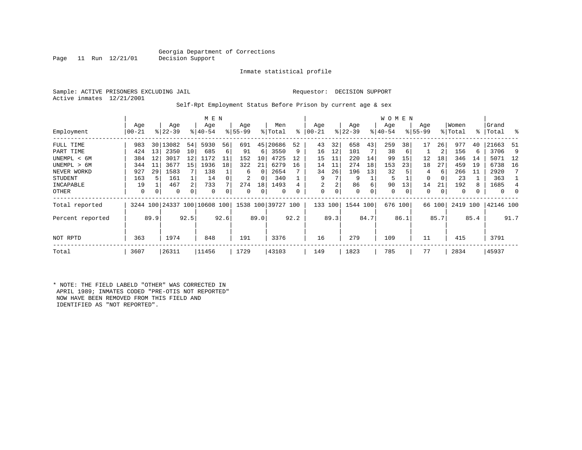Inmate statistical profile

Active inmates 12/21/2001

Page 11 Run  $12/21/01$ 

#### Sample: ACTIVE PRISONERS EXCLUDING JAIL Requestor: DECISION SUPPORT

Self-Rpt Employment Status Before Prison by current age & sex

|                  |           |      |             |                | M E N                        |      |           |          |                    |      |          |      |           |      | W O M E N |         |             |        |          |      |           |      |
|------------------|-----------|------|-------------|----------------|------------------------------|------|-----------|----------|--------------------|------|----------|------|-----------|------|-----------|---------|-------------|--------|----------|------|-----------|------|
|                  | Age       |      | Age         |                | Age                          |      | Age       |          | Men                |      | Age      |      | Age       |      | Age       |         | Age         |        | Women    |      | Grand     |      |
| Employment       | $00 - 21$ |      | $8122 - 39$ |                | $8140 - 54$                  |      | $8 55-99$ |          | % Total            | ి    | $ 00-21$ |      | $ 22-39 $ |      | $ 40-54 $ |         | $8155 - 99$ |        | % Total  | %    | 'Total    | ိ    |
| FULL TIME        | 983       | 30   | 13082       | 54             | 5930                         | 56   | 691       | 45       | 20686              | 52   | 43       | 32   | 658       | 43   | 259       | 38      | 17          | 26     | 977      | 40   | 21663     | -51  |
| PART TIME        | 424       | 13   | 2350        | 10             | 685                          | 6    | 91        | 6        | 3550               | 9    | 16       | 12   | 101       |      | 38        | 6       |             | 2      | 156      | 6    | 3706      | 9    |
| UNEMPL < 6M      | 384       | 12   | 3017        | 12             | 1172                         | 11   | 152       | 10       | 4725               | 12   | 15       | 11   | 220       | 14   | 99        | 15      | 12          | 18     | 346      | 14   | 5071      | 12   |
| UNEMPL > 6M      | 344       | 11   | 3677        | 15             | 1936                         | 18   | 322       | 21       | 6279               | 16   | 14       | 11   | 274       | 18   | 153       | 23      | 18          | 27     | 459      | 19   | 6738      | 16   |
| NEVER WORKD      | 927       | 29   | 1583        |                | 138                          |      | 6         | $\Omega$ | 2654               |      | 34       | 26   | 196       | 13   | 32        |         | 4           | 6      | 266      | 11   | 2920      |      |
| <b>STUDENT</b>   | 163       |      | 161         |                | 14                           |      | 2         | 0        | 340                |      | 9        |      | 9         |      | 5         |         | 0           |        | 23       |      | 363       |      |
| INCAPABLE        | 19        |      | 467         | $\overline{2}$ | 733                          |      | 274       | 18       | 1493               |      | 2        | 2    | 86        | 6    | 90        | 13      | 14          | 21     | 192      | 8    | 1685      |      |
| OTHER            | 0         | 0    | 0           | 0              | 0                            |      | 0         | 0        | 0                  | 0    | 0        | 0    | 0         | 0    | 0         | 0       | 0           | 0      | 0        |      | 0         | 0    |
| Total reported   |           |      |             |                | 3244 100 24337 100 10608 100 |      |           |          | 1538 100 39727 100 |      | 133 100  |      | 1544 100  |      |           | 676 100 |             | 66 100 | 2419 100 |      | 42146 100 |      |
| Percent reported |           | 89.9 |             | 92.5           |                              | 92.6 |           | 89.0     |                    | 92.2 |          | 89.3 |           | 84.7 |           | 86.1    |             | 85.7   |          | 85.4 |           | 91.7 |
| NOT RPTD         | 363       |      | 1974        |                | 848                          |      | 191       |          | 3376               |      | 16       |      | 279       |      | 109       |         | 11          |        | 415      |      | 3791      |      |
| Total            | 3607      |      | 26311       |                | 11456                        |      | 1729      |          | 43103              |      | 149      |      | 1823      |      | 785       |         | 77          |        | 2834     |      | 45937     |      |

\* NOTE: THE FIELD LABELD "OTHER" WAS CORRECTED IN APRIL 1989; INMATES CODED "PRE-OTIS NOT REPORTED" NOW HAVE BEEN REMOVED FROM THIS FIELD AND IDENTIFIED AS "NOT REPORTED".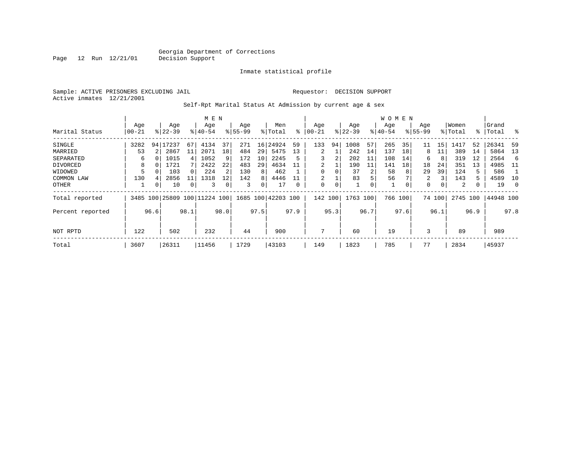Inmate statistical profile

Sample: ACTIVE PRISONERS EXCLUDING JAIL Requestor: DECISION SUPPORT Active inmates 12/21/2001

Self-Rpt Marital Status At Admission by current age & sex

|                  | M E N     |      |             |                |                     |              |           |      |                    |      |          |      |           |      | W O M E N |      |             |        |          |      |           |      |
|------------------|-----------|------|-------------|----------------|---------------------|--------------|-----------|------|--------------------|------|----------|------|-----------|------|-----------|------|-------------|--------|----------|------|-----------|------|
|                  | Age       |      | Age         |                | Age                 |              | Age       |      | Men                |      | Age      |      | Age       |      | Age       |      | Age         |        | Women    |      | Grand     |      |
| Marital Status   | $00 - 21$ |      | $8122 - 39$ |                | $8140 - 54$         |              | $8 55-99$ |      | % Total            | ႜ    | $ 00-21$ |      | $ 22-39 $ |      | $ 40-54$  |      | $8155 - 99$ |        | % Total  |      | %   Total | ိ    |
| SINGLE           | 3282      |      | 94   17237  | 67             | 4134                | 37           | 271       | 16   | 24924              | 59   | 133      | 94   | 1008      | 57   | 265       | 35   | 11          | 15     | 1417     | 52   | 26341     | -59  |
| MARRIED          | 53        |      | 2867        | 11             | 2071                | 18           | 484       | 29   | 5475               | 13   | 2        |      | 242       | 14   | 137       | 18   | 8           | 11     | 389      | 14   | 5864      | 13   |
| SEPARATED        | 6         |      | 1015        | 4              | 1052                | 9            | 172       | 10   | 2245               | 5    | 3        | 2    | 202       | 11   | 108       | 14   | 6           | 8      | 319      | 12   | 2564      | -6   |
| DIVORCED         | 8         | 0    | 1721        |                | 2422                | 22           | 483       | 29   | 4634               | 11   | 2        |      | 190       | 11   | 141       | 18   | 18          | 24     | 351      | 13   | 4985      | - 11 |
| WIDOWED          |           |      | 103         | 0              | 224                 |              | 130       | 8    | 462                |      | 0        | 0    | 37        | 2    | 58        | 8    | 29          | 39     | 124      | 5.   | 586       |      |
| COMMON LAW       | 130       | 4    | 2856        | 11             | 1318                | 12           | 142       | 8    | 4446               | 11   | 2        |      | 83        | 5    | 56        |      | 2           | 3      | 143      | 5    | 4589      | 10   |
| OTHER            |           | 0    | 10          | $\overline{0}$ | 3                   | $\mathbf{0}$ | 3         | 0    | 17                 | 0    | 0        | 0    |           | 0    | 1         | 0    | 0           | 0      | 2        | 0    | 19        | - 0  |
| Total reported   | 3485      |      |             |                | 100 25809 100 11224 | 100          |           |      | 1685 100 42203 100 |      | 142      | 100  | 1763 100  |      | 766 100   |      |             | 74 100 | 2745 100 |      | 44948 100 |      |
| Percent reported |           | 96.6 |             | 98.1           |                     | 98.0         |           | 97.5 |                    | 97.9 |          | 95.3 |           | 96.7 |           | 97.6 |             | 96.1   |          | 96.9 |           | 97.8 |
|                  |           |      |             |                |                     |              |           |      |                    |      |          |      |           |      |           |      |             |        |          |      |           |      |
| NOT RPTD         | 122       |      | 502         |                | 232                 |              | 44        |      | 900                |      | 7        |      | 60        |      | 19        |      | 3           |        | 89       |      | 989       |      |
| Total            | 3607      |      | 26311       |                | 11456               |              | 1729      |      | 43103              |      | 149      |      | 1823      |      | 785       |      | 77          |        | 2834     |      | 45937     |      |

Page 12 Run 12/21/01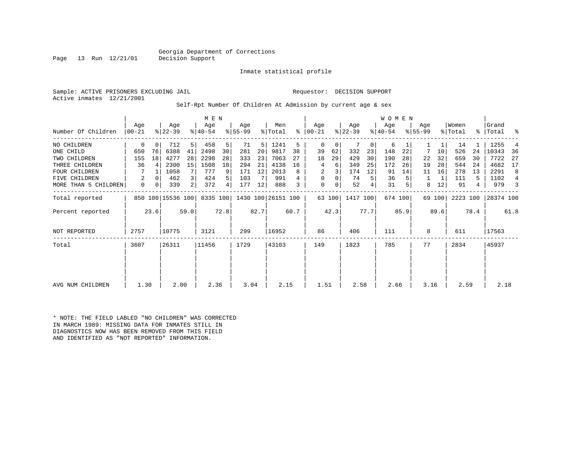Page 13 Run  $12/21/01$ 

Inmate statistical profile

Sample: ACTIVE PRISONERS EXCLUDING JAIL Requestor: DECISION SUPPORT Active inmates 12/21/2001

Self-Rpt Number Of Children At Admission by current age & sex

|                      |                  |      |                   |                | M E N            |      |                  |      |                    |      |                    |        |                  |      | <b>WOMEN</b>     |         |                    |        |                  |      |                |                |
|----------------------|------------------|------|-------------------|----------------|------------------|------|------------------|------|--------------------|------|--------------------|--------|------------------|------|------------------|---------|--------------------|--------|------------------|------|----------------|----------------|
| Number Of Children   | Aqe<br>$00 - 21$ |      | Age<br>$ 22-39 $  |                | Age<br>$8 40-54$ |      | Aqe<br>$ 55-99 $ |      | Men<br>% Total     | ి    | Aqe<br>$ 00 - 21 $ |        | Age<br>$ 22-39 $ |      | Age<br>$ 40-54 $ |         | Aqe<br>$8155 - 99$ |        | Women<br>% Total | ႜ    | Grand<br>Total | ႜ              |
|                      |                  |      |                   |                |                  |      |                  |      |                    |      |                    |        |                  |      |                  |         |                    |        |                  |      |                |                |
| NO CHILDREN          | 0                |      | 712               | 5              | 458              | 5    | 71               | 5    | 1241               | 5    | $\mathbf 0$        | 0      |                  | 0    | 6                |         |                    |        | 14               |      | 1255           | 4              |
| ONE CHILD            | 650              | 76   | 6388              | 41             | 2498             | 30   | 281              | 20   | 9817               | 38   | 39                 | 62     | 332              | 23   | 148              | 22      | 7                  | 10     | 526              | 24   | 10343          | 36             |
| TWO CHILDREN         | 155              | 18   | 4277              | 28             | 2298             | 28   | 333              | 23   | 7063               | 27   | 18                 | 29     | 429              | 30   | 190              | 28      | 22                 | 32     | 659              | 30   | 7722           | 27             |
| THREE CHILDREN       | 36               |      | 2300              | 15             | 1508             | 18   | 294              | 21   | 4138               | 16   | 4                  | 6      | 349              | 25   | 172              | 26      | 19                 | 28     | 544              | 24   | 4682           | 17             |
| <b>FOUR CHILDREN</b> |                  |      | 1058              |                | 777              | 9    | 171              | 12   | 2013               | 8    | 2                  |        | 174              | 12   | 91               | 14      | 11                 | 16     | 278              | 13   | 2291           | 8              |
| FIVE CHILDREN        |                  |      | 462               | 3              | 424              | 5    | 103              |      | 991                |      | $\mathbf 0$        | 0      | 74               | 5    | 36               |         |                    |        | 111              | 5    | 1102           | $\overline{4}$ |
| MORE THAN 5 CHILDREN | 0                |      | 339               | $\overline{a}$ | 372              | 4    | 177              | 12   | 888                |      | $\mathbf 0$        | 0      | 52               | 4    | 31               |         | 8                  | 12     | 91               | 4    | 979            | 3              |
| Total reported       |                  |      | 850 100 15536 100 |                | 8335 100         |      |                  |      | 1430 100 26151 100 |      |                    | 63 100 | 1417 100         |      |                  | 674 100 |                    | 69 100 | 2223 100         |      | 28374 100      |                |
| Percent reported     |                  | 23.6 |                   | 59.0           |                  | 72.8 |                  | 82.7 |                    | 60.7 |                    | 42.3   |                  | 77.7 |                  | 85.9    |                    | 89.6   |                  | 78.4 |                | 61.8           |
| NOT REPORTED         | 2757             |      | 10775             |                | 3121             |      | 299              |      | 16952              |      | 86                 |        | 406              |      | 111              |         | 8                  |        | 611              |      | 17563          |                |
| Total                | 3607             |      | 26311             |                | 11456            |      | 1729             |      | 43103              |      | 149                |        | 1823             |      | 785              |         | 77                 |        | 2834             |      | 45937          |                |
|                      |                  |      |                   |                |                  |      |                  |      |                    |      |                    |        |                  |      |                  |         |                    |        |                  |      |                |                |
|                      |                  |      |                   |                |                  |      |                  |      |                    |      |                    |        |                  |      |                  |         |                    |        |                  |      |                |                |
| AVG NUM CHILDREN     | 1.30             |      | 2.00              |                | 2.36             |      | 3.04             |      | 2.15               |      | 1.51               |        | 2.58             |      | 2.66             |         | 3.16               |        | 2.59             |      | 2.18           |                |

\* NOTE: THE FIELD LABLED "NO CHILDREN" WAS CORRECTED IN MARCH 1989: MISSING DATA FOR INMATES STILL IN DIAGNOSTICS NOW HAS BEEN REMOVED FROM THIS FIELD AND IDENTIFIED AS "NOT REPORTED" INFORMATION.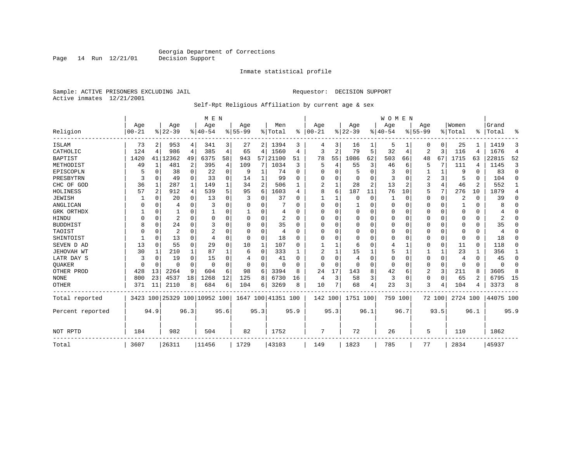Inmate statistical profile

Sample: ACTIVE PRISONERS EXCLUDING JAIL **Requestor: DECISION SUPPORT** Active inmates 12/21/2001

Self-Rpt Religious Affiliation by current age & sex

|                  |           |          |                |          | M E N                        |                |             |                |                    |              |              |                |                       |                | <b>WOMEN</b> |          |             |                |          |                |           |                |
|------------------|-----------|----------|----------------|----------|------------------------------|----------------|-------------|----------------|--------------------|--------------|--------------|----------------|-----------------------|----------------|--------------|----------|-------------|----------------|----------|----------------|-----------|----------------|
|                  | Age       |          | Age            |          | Age                          |                | Age         |                | Men                |              | Age          |                | Age                   |                | Age          |          | Age         |                | Women    |                | Grand     |                |
| Religion         | $00 - 21$ |          | $8 22-39$      |          | $8 40-54$                    |                | $8155 - 99$ |                | % Total            | ∻            | $ 00 - 21$   |                | $\frac{8}{6}$   22-39 |                | $8 40-54$    |          | $8155 - 99$ |                | % Total  | $\frac{1}{6}$  | Total     | ៖              |
| <b>ISLAM</b>     | 73        | 2        | 953            | 4        | 341                          | 3              | 27          | 2              | 1394               | 3            |              | 3              | 16                    |                | 5            |          | 0           | 0              | 25       |                | 1419      | 3              |
| CATHOLIC         | 124       | 4        | 986            | 4        | 385                          | $\overline{4}$ | 65          | 4              | 1560               | 4            | 3            | $\overline{a}$ | 79                    | 5              | 32           | 4        | 2           | 3              | 116      | 4              | 1676      | $\overline{4}$ |
| <b>BAPTIST</b>   | 1420      | 41       | 12362          | 49       | 6375                         | 58             | 943         | 57             | 21100              | 51           | 78           | 55             | 1086                  | 62             | 503          | 66       | 48          | 67             | 1715     | 63             | 22815     | 52             |
| METHODIST        | 49        | 1        | 481            | 2        | 395                          | 4              | 109         | 7              | 1034               | 3            | 5            | 4              | 55                    | 3              | 46           | 6        | 5           |                | 111      | 4              | 1145      | 3              |
| EPISCOPLN        | 5         | $\Omega$ | 38             | 0        | 22                           | 0              | 9           | 1              | 74                 | 0            |              |                | 5                     | $\Omega$       | 3            | $\Omega$ |             | 1              | 9        | O              | 83        | $\Omega$       |
| PRESBYTRN        | 3         | $\Omega$ | 49             | $\Omega$ | 33                           | 0              | 14          | 1              | 99                 | $\Omega$     |              |                | $\Omega$              | $\Omega$       | 3            | $\Omega$ | 2           | 3              | 5        | 0              | 104       | $\Omega$       |
| CHC OF GOD       | 36        | 1        | 287            | 1        | 149                          | 1              | 34          | $\overline{2}$ | 506                | 1            | 2            |                | 28                    | $\overline{a}$ | 13           | 2        | 3           | 4              | 46       | $\overline{2}$ | 552       | 1              |
| HOLINESS         | 57        | 2        | 912            | 4        | 539                          | 5              | 95          | 6              | 1603               | 4            | 8            | 6              | 187                   | 11             | 76           | 10       | 5           | 7              | 276      | 10             | 1879      | 4              |
| <b>JEWISH</b>    |           | 0        | 20             | $\Omega$ | 13                           | 0              | 3           | 0              | 37                 | $\Omega$     |              |                | $\Omega$              | 0              |              | $\Omega$ | 0           | 0              | 2        | O              | 39        | $\Omega$       |
| ANGLICAN         | 0         | $\Omega$ | 4              | $\Omega$ | 3                            | 0              | O           | 0              |                    | $\Omega$     | <sup>0</sup> | O              |                       | U              | $\Omega$     | n        | 0           | 0              |          | O              |           | $\Omega$       |
| GRK ORTHDX       |           | $\Omega$ |                | 0        |                              | 0              | ำ           | 0              | 4                  | <sup>0</sup> |              |                | $\Omega$              | U              | O            | n        | 0           | 0              | $\Omega$ | 0              |           | $\Omega$       |
| HINDU            |           | 0        | 2              | O        | 0                            | 0              | O           | 0              | 2                  | $\Omega$     |              |                | $\Omega$              | U              |              | O        | U           | 0              | O        | U              |           | ∩              |
| <b>BUDDHIST</b>  | 8         | $\Omega$ | 24             | 0        | 3                            | 0              | O           | 0              | 35                 | $\Omega$     |              |                | O                     | U              |              | O        |             | 0              |          | O              | 35        | $\Omega$       |
| TAOIST           |           | 0        | $\overline{2}$ | U        | $\overline{2}$               | 0              | O           | $\Omega$       | 4                  | $\Omega$     |              |                | $\Omega$              | U              |              | n        | U           | 0              | O        | U              |           | ∩              |
| SHINTOIST        |           | $\Omega$ | 13             | $\Omega$ | $\overline{4}$               | $\Omega$       | $\Omega$    | $\Omega$       | 18                 | $\Omega$     | ∩            |                | $\Omega$              | U              |              | $\cap$   | U           | $\Omega$       | ∩        | 0              | 18        | ∩              |
| SEVEN D AD       | 13        | 0        | 55             | $\Omega$ | 29                           | $\Omega$       | 10          | $\mathbf{1}$   | 107                | $\Omega$     |              |                | 6                     | U              |              |          | 0           | $\Omega$       | 11       | 0              | 118       | $\Omega$       |
| JEHOVAH WT       | 30        |          | 210            | 1        | 87                           |                | 6           | 0              | 333                |              |              |                | 15                    |                |              |          |             | 1              | 23       |                | 356       | 1              |
| LATR DAY S       | 3         | 0        | 19             | $\Omega$ | 15                           | 0              |             | 0              | 41                 | $\Omega$     | ∩            |                | 4                     | U              | n            | 0        | 0           | 0              | 4        | 0              | 45        | 0              |
| <b>OUAKER</b>    | $\Omega$  | $\Omega$ | $\Omega$       | 0        | $\mathbf 0$                  | 0              | $\Omega$    | 0              | 0                  | $\Omega$     | <sup>0</sup> | $\Omega$       | $\Omega$              | U              | $\Omega$     | n        | 0           | $\Omega$       | $\Omega$ | $\Omega$       | O         | $\Omega$       |
| OTHER PROD       | 428       | 13       | 2264           | 9        | 604                          | 6              | 98          | 6              | 3394               | 8            | 24           | 17             | 143                   | 8              | 42           | 6        | 2           | 3 <sup>1</sup> | 211      | 8              | 3605      | 8              |
| <b>NONE</b>      | 800       | 23       | 4537           | 18       | 1268                         | 12             | 125         | 8              | 6730               | 16           | 4            | 3              | 58                    | 3              | 3            | 0        | 0           | $\Omega$       | 65       | $\mathfrak{D}$ | 6795      | 15             |
| OTHER            | 371       | 11       | 2110           | 8        | 684                          | 6              | 104         | 6              | 3269               | 8            | 10           |                | 68                    | 4              | 23           | 3        | 3           | 4              | 104      | 4              | 3373      | 8              |
| Total reported   |           |          |                |          | 3423 100 25329 100 10952 100 |                |             |                | 1647 100 41351 100 |              | 142 100      |                | 1751 100              |                | 759 100      |          |             | 72 100         | 2724 100 |                | 44075 100 |                |
| Percent reported |           | 94.9     |                | 96.3     |                              | 95.6           |             | 95.3           |                    | 95.9         |              | 95.3           |                       | 96.1           |              | 96.7     |             | 93.5           |          | 96.1           |           | 95.9           |
| NOT RPTD         | 184       |          | 982            |          | 504                          |                | 82          |                | 1752               |              | 7            |                | 72                    |                | 26           |          | 5           |                | 110      |                | 1862      |                |
| Total            | 3607      |          | 26311          |          | 11456                        |                | 1729        |                | 43103              |              | 149          |                | 1823                  |                | 785          |          | 77          |                | 2834     |                | 45937     |                |

Page 14 Run 12/21/01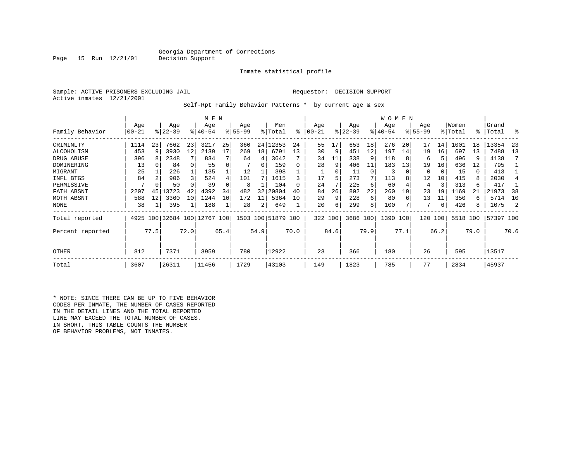Inmate statistical profile

Sample: ACTIVE PRISONERS EXCLUDING JAIL Requestor: DECISION SUPPORT Active inmates 12/21/2001

Page  $15$  Run  $12/21/01$ 

Self-Rpt Family Behavior Patterns \* by current age & sex

|                   |                  |                |                         |      | M E N              |      |                  |          |                    |      |                |      |                 |      | W O M E N          |      |                  |      |                  |      |                |      |
|-------------------|------------------|----------------|-------------------------|------|--------------------|------|------------------|----------|--------------------|------|----------------|------|-----------------|------|--------------------|------|------------------|------|------------------|------|----------------|------|
| Family Behavior   | Age<br>$00 - 21$ |                | Age<br>$8 22-39$        |      | Age<br>$8140 - 54$ |      | Age<br>$8 55-99$ |          | Men<br>% Total     | °≈   | Age<br>  00-21 |      | Age<br>$ 22-39$ |      | Age<br>$8140 - 54$ |      | Age<br>$8 55-99$ |      | Women<br>% Total | °≈   | Grand<br>Total | ႜ    |
| CRIMINLTY         | 1114             | 23             | 7662                    | 23   | 3217               | 25   | 360              |          | 24 12353           | 24   | 55             | 17   | 653             | 18   | 276                | 20   | 17               | 14   | 1001             | 18   | 13354          | -23  |
| ALCOHOLISM        | 453              | 9              | 3930                    | 12   | 2139               | 17   | 269              | 18       | 6791               | 13   | 30             | 9    | 451             | 12   | 197                | 14   | 19               | 16   | 697              | 13   | 7488           | 13   |
| DRUG ABUSE        | 396              | 8              | 2348                    |      | 834                |      | 64               | 4        | 3642               |      | 34             | 11   | 338             | 9    | 118                |      | 6                | 5    | 496              | 9    | 4138           |      |
| <b>DOMINERING</b> | 13               |                | 84                      |      | 55                 | 0    |                  | $\Omega$ | 159                |      | 28             | 9    | 406             | 11   | 183                | 13   | 19               | 16   | 636              | 12   | 795            |      |
| MIGRANT           | 25               |                | 226                     |      | 135                |      | 12               |          | 398                |      |                | 0    | 11              | 0    | 3                  |      | 0                | 0    | 15               | 0    | 413            |      |
| INFL BTGS         | 84               | $\mathfrak{D}$ | 906                     |      | 524                | 4    | 101              |          | 1615               |      | 17             | 5    | 273             |      | 113                |      | 12               | 10   | 415              | 8    | 2030           |      |
| PERMISSIVE        |                  |                | 50                      |      | 39                 |      | 8                |          | 104                |      | 24             |      | 225             | 6    | 60                 |      | 4                | 3    | 313              | 6    | 417            |      |
| FATH ABSNT        | 2207             | 45             | 13723                   | 42   | 4392               | 34   | 482              | 32       | 20804              | 40   | 84             | 26   | 802             | 22   | 260                | 19   | 23               | 19   | 1169             | 21   | 21973          | 38   |
| MOTH ABSNT        | 588              | 12             | 3360                    | 10   | 1244               | 10   | 172              | 11       | 5364               | 10   | 29             | 9    | 228             | 6    | 80                 | 6    | 13               | 11   | 350              | 6    | 5714           | 10   |
| <b>NONE</b>       | 38               |                | 395                     |      | 188                | 1    | 28               | 2        | 649                |      | 20             | 6    | 299             | 8    | 100                |      |                  | 6    | 426              | 8    | 1075           |      |
| Total reported    | 4925             |                | 100 32684 100 12767 100 |      |                    |      |                  |          | 1503 100 51879 100 |      | 322 100        |      | 3686 100        |      | 1390 100           |      | 120              | 100  | 5518 100         |      | 57397 100      |      |
| Percent reported  |                  | 77.5           |                         | 72.0 |                    | 65.4 |                  | 54.9     |                    | 70.0 |                | 84.6 |                 | 79.9 |                    | 77.1 |                  | 66.2 |                  | 79.0 |                | 70.6 |
| OTHER             | 812              |                | 7371                    |      | 3959               |      | 780              |          | 12922              |      | 23             |      | 366             |      | 180                |      | 26               |      | 595              |      | 13517          |      |
| Total             | 3607             |                | 26311                   |      | 11456              |      | 1729             |          | 43103              |      | 149            |      | 1823            |      | 785                |      | 77               |      | 2834             |      | 45937          |      |

\* NOTE: SINCE THERE CAN BE UP TO FIVE BEHAVIOR CODES PER INMATE, THE NUMBER OF CASES REPORTED IN THE DETAIL LINES AND THE TOTAL REPORTED LINE MAY EXCEED THE TOTAL NUMBER OF CASES. IN SHORT, THIS TABLE COUNTS THE NUMBER OF BEHAVIOR PROBLEMS, NOT INMATES.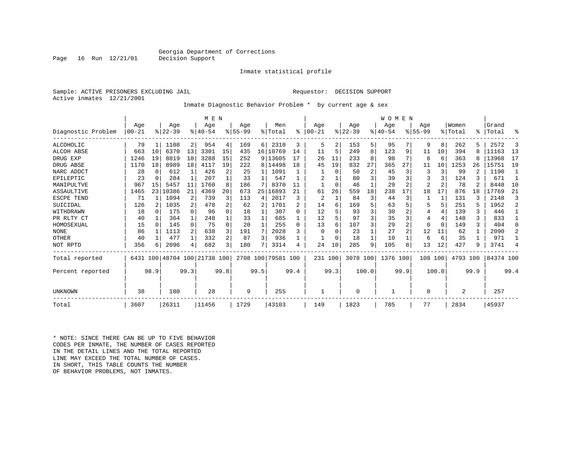Inmate statistical profile

Sample: ACTIVE PRISONERS EXCLUDING JAIL Requestor: DECISION SUPPORT Active inmates 12/21/2001

Inmate Diagnostic Behavior Problem \* by current age & sex

|                    |            |          |          |              | M E N                        |          |             |              |                    |          |                |          |           |                | WOMEN    |      |                |                |                |      |           |                |
|--------------------|------------|----------|----------|--------------|------------------------------|----------|-------------|--------------|--------------------|----------|----------------|----------|-----------|----------------|----------|------|----------------|----------------|----------------|------|-----------|----------------|
|                    | Age        |          | Age      |              | Age                          |          | Aqe         |              | Men                |          | Age            |          | Age       |                | Aqe      |      | Aqe            |                | Women          |      | Grand     |                |
| Diagnostic Problem | $100 - 21$ |          | $ 22-39$ |              | $8 40-54$                    |          | $8155 - 99$ |              | % Total            | ፠        | $00 - 21$      |          | $ 22-39 $ |                | $ 40-54$ |      | $8155 - 99$    |                | % Total        | °≈   | Total     | ႜ              |
| ALCOHOLIC          | 79         |          | 1108     | 2            | 954                          | 4        | 169         | 6            | 2310               | 3        | 5              | 2        | 153       | 5              | 95       |      | 9              | 8              | 262            |      | 2572      | 3              |
| ALCOH ABSE         | 663        | 10       | 6370     | 13           | 3301                         | 15       | 435         |              | 16 10769           | 14       | 11             | 5        | 249       | 8              | 123      | 9    | 11             | 10             | 394            |      | 11163     | 13             |
| DRUG EXP           | 1246       | 19       | 8819     | 18           | 3288                         | 15       | 252         |              | 9 13605            | 17       | 26             | 11       | 233       | 8              | 98       | 7    | 6              | 6              | 363            |      | 13968     | 17             |
| DRUG ABSE          | 1170       | 18       | 8989     | 18           | 4117                         | 19       | 222         |              | 8 14498            | 18       | 45             | 19       | 832       | 27             | 365      | 27   | 11             | 10             | 1253           | 26   | 15751     | 19             |
| NARC ADDCT         | 28         | $\Omega$ | 612      | $\mathbf{1}$ | 426                          | 2        | 25          | 1            | 1091               |          |                | $\Omega$ | 50        | $\overline{2}$ | 45       | 3    | 3              | 3              | 99             |      | 1190      | $\overline{1}$ |
| EPILEPTIC          | 23         | $\Omega$ | 284      | $\mathbf{1}$ | 207                          |          | 33          | 1            | 547                |          | 2              |          | 80        | 3              | 39       | 3    | 3              | ζ              | 124            |      | 671       | -1             |
| MANIPULTVE         | 967        | 15       | 5457     | 11           | 1760                         | 8        | 186         |              | 8370               |          |                | $\Omega$ | 46        |                | 29       |      | $\overline{2}$ | $\overline{c}$ | 78             |      | 8448      | 10             |
| ASSAULTIVE         | 1465       | 23       | 10386    | 21           | 4369                         | 20       | 673         | 25           | 16893              | 21       | 61             | 26       | 559       | 18             | 238      | 17   | 18             | 17             | 876            | 18   | 17769     | 21             |
| ESCPE TEND         | 71         |          | 1094     | 2            | 739                          | 3        | 113         | 4            | 2017               | ς        | $\overline{2}$ |          | 84        | 3              | 44       | 3    |                |                | 131            |      | 2148      | 3              |
| SUICIDAL           | 126        | 2        | 1035     | 2            | 478                          | 2        | 62          | 2            | 1701               |          | 14             | 6        | 169       | 5              | 63       |      | 5              | 5              | 251            |      | 1952      | 2              |
| WITHDRAWN          | 18         | $\Omega$ | 175      | $\Omega$     | 96                           | 0        | 18          | 1            | 307                | $\Omega$ | 12             |          | 93        | 3              | 30       |      | 4              | $\overline{4}$ | 139            | 3    | 446       | $\mathbf{1}$   |
| PR RLTY CT         | 40         |          | 364      | $\mathbf{1}$ | 248                          |          | 33          | 1            | 685                |          | 12             |          | 97        | 3              | 35       | 3    | 4              | 4              | 148            | ζ    | 833       | 1              |
| HOMOSEXUAL         | 15         | $\Omega$ | 145      | $\Omega$     | 75                           | $\Omega$ | 20          | $\mathbf{1}$ | 255                | $\Omega$ | 13             | 6        | 107       | 3              | 29       |      | $\Omega$       | $\Omega$       | 149            | 3    | 404       | $\Omega$       |
| <b>NONE</b>        | 86         |          | 1113     | 2            | 638                          | 3        | 191         | 7            | 2028               | 3        | $\Omega$       |          | 23        |                | 27       |      | 12             | 11             | 62             |      | 2090      | 2              |
| OTHER              | 40         |          | 477      | $\mathbf{1}$ | 332                          | 2        | 87          | 3            | 936                |          |                |          | 18        |                | 10       |      | 6              | 6              | 35             |      | 971       |                |
| NOT RPTD           | 356        | 6        | 2096     | 4            | 682                          | 3        | 180         |              | 3314               | 4        | 24             | 10       | 285       | 9              | 105      | 8    | 13             | 12             | 427            |      | 3741      | 4              |
| Total reported     |            |          |          |              | 6431 100 48704 100 21738 100 |          |             |              | 2708 100 79581 100 |          | 231 100        |          | 3078 100  |                | 1376 100 |      | 108 100        |                | 4793 100       |      | 84374 100 |                |
| Percent reported   |            | 98.9     |          | 99.3         |                              | 99.8     |             | 99.5         |                    | 99.4     |                | 99.3     |           | 100.0          |          | 99.9 |                | 100.0          |                | 99.9 |           | 99.4           |
| UNKNOWN            | 38         |          | 180      |              | 28                           |          | 9           |              | 255                |          |                |          | $\Omega$  |                |          |      | 0              |                | $\overline{2}$ |      | 257       |                |
| Total              | 3607       |          | 26311    |              | 11456                        |          | 1729        |              | 43103              |          | 149            |          | 1823      |                | 785      |      | 77             |                | 2834           |      | 45937     |                |

\* NOTE: SINCE THERE CAN BE UP TO FIVE BEHAVIOR CODES PER INMATE, THE NUMBER OF CASES REPORTED IN THE DETAIL LINES AND THE TOTAL REPORTED LINE MAY EXCEED THE TOTAL NUMBER OF CASES.IN SHORT, THIS TABLE COUNTS THE NUMBER OF BEHAVIOR PROBLEMS, NOT INMATES.

Page  $16$  Run  $12/21/01$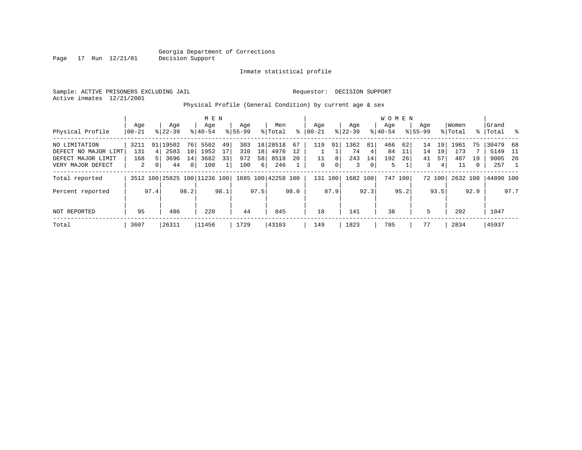Inmate statistical profile

Sample: ACTIVE PRISONERS EXCLUDING JAIL Requestor: DECISION SUPPORT Active inmates 12/21/2001

Page 17 Run 12/21/01

Physical Profile (General Condition) by current age & sex

|                      |                 |      |                  |              | M E N                        |      |                    |                 |                    |      |                  |      |                  |                | <b>WOMEN</b>     |         |                    |        |                  |      |                    |      |
|----------------------|-----------------|------|------------------|--------------|------------------------------|------|--------------------|-----------------|--------------------|------|------------------|------|------------------|----------------|------------------|---------|--------------------|--------|------------------|------|--------------------|------|
| Physical Profile     | Age<br>$ 00-21$ |      | Age<br>$8 22-39$ |              | Age<br>$8 40-54$             |      | Age<br>$8155 - 99$ |                 | Men<br>% Total     | ∻    | Aqe<br>$00 - 21$ |      | Aqe<br>$ 22-39 $ |                | Aqe<br>$8 40-54$ |         | Age<br>$8155 - 99$ |        | Women<br>% Total |      | Grand<br>%   Total | - 옹  |
|                      |                 |      |                  |              |                              |      |                    |                 |                    |      |                  |      |                  |                |                  |         |                    |        |                  |      |                    |      |
| NO LIMITATION        | 3211            | 91   | 19502            | 76           | 5502                         | 49   | 303                |                 | 18 28518           | 67   | 119              | 91   | 1362             | 81             | 466              | 62      | 14                 | 19     | 1961             | 75   | 30479              | 68   |
| DEFECT NO MAJOR LIMT | 131             | 4 I  | 2583             | 10           | 1952                         | 17   | 310                | 18 <sup>1</sup> | 4976               | 12   |                  |      | 74               | $\vert$ 4      | 84               | 11      | 14                 | 19     | 173              |      | 5149               | - 11 |
| DEFECT MAJOR LIMIT   | 168             |      | 3696             | 14           | 3682                         | 33   | 972                | 58              | 8518               | 20   |                  | 8    | 243              | 14             | 192              | 26      | 41                 | 57     | 487              | 19   | 9005               | -20  |
| VERY MAJOR DEFECT    | 2               |      | 44               | $\mathbf{0}$ | 100                          |      | 100                | 6               | 246                |      | $\mathbf{0}$     | 0    | 3                | $\overline{0}$ | 5                |         | 3                  | 4      | 11               | 0    | 257                |      |
| Total reported       |                 |      |                  |              | 3512 100 25825 100 11236 100 |      |                    |                 | 1685 100 42258 100 |      | 131 100          |      | 1682 100         |                |                  | 747 100 |                    | 72 100 | 2632 100         |      | 44890 100          |      |
| Percent reported     |                 | 97.4 |                  | 98.2         |                              | 98.1 |                    | 97.5            |                    | 98.0 |                  | 87.9 |                  | 92.3           |                  | 95.2    |                    | 93.5   |                  | 92.9 |                    | 97.7 |
| NOT REPORTED         | 95              |      | 486              |              | 220                          |      | 44                 |                 | 845                |      | 18               |      | 141              |                | 38               |         | 5                  |        | 202              |      | 1047               |      |
| Total                | 3607            |      | 26311            |              | 11456                        |      | 1729               |                 | 43103              |      | 149              |      | 1823             |                | 785              |         | 77                 |        | 2834             |      | 45937              |      |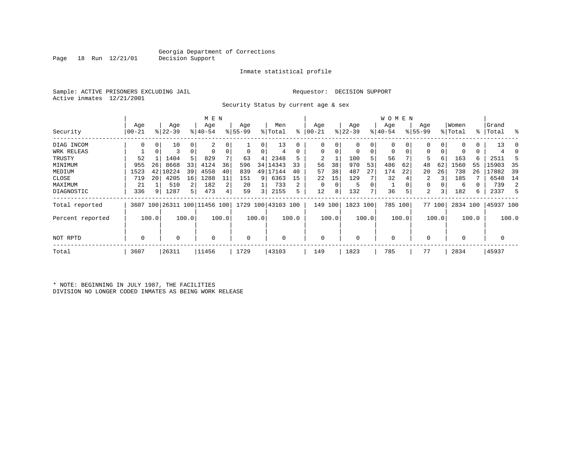Inmate statistical profile

Sample: ACTIVE PRISONERS EXCLUDING JAIL Requestor: DECISION SUPPORT Active inmates 12/21/2001

Security Status by current age & sex

|                  |             |       |           |             | M E N                        |       |          |       |                    |       |            |       |             |       | W O M E N   |          |             |        |             |       |           |       |
|------------------|-------------|-------|-----------|-------------|------------------------------|-------|----------|-------|--------------------|-------|------------|-------|-------------|-------|-------------|----------|-------------|--------|-------------|-------|-----------|-------|
|                  | Age         |       | Age       |             | Age                          |       | Age      |       | Men                |       | Age        |       | Age         |       | Age         |          | Age         |        | Women       |       | Grand     |       |
| Security         | 00-21       |       | $ 22-39 $ |             | $ 40-54$                     |       | $ 55-99$ |       | % Total            | ి     | $ 00 - 21$ |       | $ 22-39 $   |       | $ 40-54 $   |          | $8155 - 99$ |        | % Total     |       | %   Total | ႜ     |
| DIAG INCOM       | $\Omega$    | 0     | 10        | 0           | 2                            |       |          | 0     | 13                 | 0     |            | 0     | $\mathbf 0$ | 0     | $\mathbf 0$ | 0        | 0           |        |             | 0     | 13        | - ()  |
| WRK RELEAS       |             | 0     | 3         | $\mathbf 0$ |                              |       | 0        | 0     | 4                  | 0     | $\Omega$   | 0     | $\mathbf 0$ | 0     | $\mathbf 0$ | $\Omega$ | $\Omega$    |        |             | 0     |           |       |
| TRUSTY           | 52          |       | 1404      | 5           | 829                          |       | 63       | 4     | 2348               | 5     | 2          |       | 100         | 5     | 56          |          | 5           | 6      | 163         | 6     | 2511      |       |
| MINIMUM          | 955         | 26    | 8668      | 33          | 4124                         | 36    | 596      | 34    | 14343              | 33    | 56         | 38    | 970         | 53    | 486         | 62       | 48          | 62     | 1560        | 55    | 15903     | 35    |
| MEDIUM           | 1523        | 42    | 10224     | 39          | 4558                         | 40    | 839      | 49    | 17144              | 40    | 57         | 38    | 487         | 27    | 174         | 22       | 20          | 26     | 738         | 26    | 17882     | 39    |
| CLOSE            | 719         | 20    | 4205      | 16          | 1288                         | 11    | 151      | 9     | 6363               | 15    | 22         | 15    | 129         |       | 32          |          | 2           |        | 185         |       | 6548      | 14    |
| MAXIMUM          | 21          |       | 510       | 2           | 182                          | 2     | 20       |       | 733                | 2     |            | 0     | 5           | 0     |             |          | $\Omega$    |        | 6           | 0     | 739       | 2     |
| DIAGNOSTIC       | 336         | 9     | 1287      | 5           | 473                          |       | 59       | 3     | 2155               |       | 12         | 8     | 132         | 7     | 36          | 5        | 2           | 3      | 182         | 6     | 2337      | 5     |
| Total reported   |             |       |           |             | 3607 100 26311 100 11456 100 |       |          |       | 1729 100 43103 100 |       | 149        | 100   | 1823 100    |       | 785 100     |          |             | 77 100 | 2834 100    |       | 45937 100 |       |
| Percent reported |             | 100.0 |           | 100.0       |                              | 100.0 |          | 100.0 |                    | 100.0 |            | 100.0 |             | 100.0 |             | 100.0    |             | 100.0  |             | 100.0 |           | 100.0 |
| NOT RPTD         | $\mathbf 0$ |       | 0         |             | $\Omega$                     |       | 0        |       | 0                  |       | $\Omega$   |       | 0           |       | $\mathbf 0$ |          | $\Omega$    |        | $\mathbf 0$ |       | 0         |       |
| Total            | 3607        |       | 26311     |             | 11456                        |       | 1729     |       | 43103              |       | 149        |       | 1823        |       | 785         |          | 77          |        | 2834        |       | 45937     |       |

\* NOTE: BEGINNING IN JULY 1987, THE FACILITIES DIVISION NO LONGER CODED INMATES AS BEING WORK RELEASE

Page 18 Run 12/21/01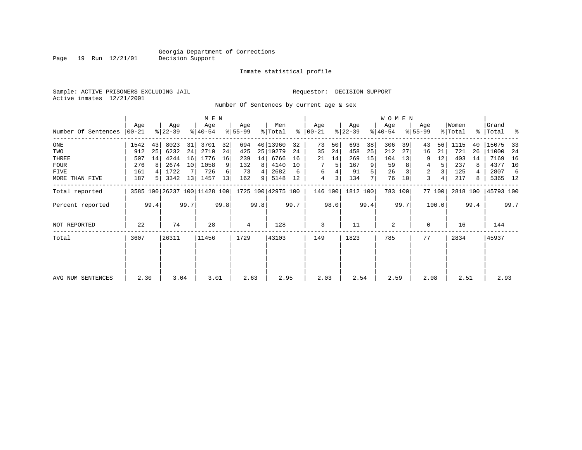Inmate statistical profile

Sample: ACTIVE PRISONERS EXCLUDING JAIL Requestor: DECISION SUPPORT Active inmates 12/21/2001

Page 19 Run 12/21/01

Number Of Sentences by current age & sex

|                     |                  |                |                              |      | M E N            |      |                    |      |                    |      |                      |      |                  |      | <b>WOMEN</b>     |         |                    |        |                  |      |                    |      |
|---------------------|------------------|----------------|------------------------------|------|------------------|------|--------------------|------|--------------------|------|----------------------|------|------------------|------|------------------|---------|--------------------|--------|------------------|------|--------------------|------|
| Number Of Sentences | Age<br>$ 00-21 $ |                | Age<br>$ 22-39 $             |      | Age<br>$ 40-54 $ |      | Age<br>$8155 - 99$ |      | Men<br>% Total     |      | Age<br>$8   00 - 21$ |      | Age<br>$ 22-39 $ |      | Age<br>$8 40-54$ |         | Age<br>$8155 - 99$ |        | Women<br>% Total |      | Grand<br>%   Total | ႜ    |
|                     |                  |                |                              |      |                  |      |                    |      |                    |      |                      |      |                  |      |                  |         |                    |        |                  |      |                    |      |
| ONE                 | 1542             | 43             | 8023                         | 31   | 3701             | 32   | 694                |      | 40 13960           | 32   | 73                   | 50   | 693              | 38   | 306              | 39      | 43                 | 56     | 1115             | 40   | 15075              | 33   |
| TWO                 | 912              | 25             | 6232                         | 24   | 2710             | 24   | 425                |      | 25 10279           | 24   | 35                   | 24   | 458              | 25   | 212              | 27      | 16                 | 21     | 721              | 26   | 11000              | 24   |
| THREE               | 507              | 14             | 4244                         | 16   | 1776             | 16   | 239                | 14   | 6766               | 16   | 21                   | 14   | 269              | 15   | 104              | 13      | 9                  | 12     | 403              | 14   | 7169               | 16   |
| <b>FOUR</b>         | 276              |                | 2674                         | 10   | 1058             | 9    | 132                | 8    | 4140               | 10   |                      | 5    | 167              | 9    | 59               |         | 4                  | 5.     | 237              | 8    | 4377               | 10   |
| FIVE                | 161              |                | 1722                         |      | 726              | 6    | 73                 | 4    | 2682               | 6    | 6                    |      | 91               | 5    | 26               |         | 2                  |        | 125              |      | 2807               | -6   |
| MORE THAN FIVE      | 187              | 5 <sup>1</sup> | 3342                         | 13   | 1457             | 13   | 162                | 9    | 5148               | 12   | $\overline{4}$       | 3    | 134              | 7    | 76               | 10      | 3                  | 4      | 217              | 8    | 5365 12            |      |
| Total reported      |                  |                | 3585 100 26237 100 11428 100 |      |                  |      |                    |      | 1725 100 42975 100 |      | 146 100              |      | 1812 100         |      |                  | 783 100 |                    | 77 100 | 2818 100         |      | 45793 100          |      |
| Percent reported    |                  | 99.4           |                              | 99.7 |                  | 99.8 |                    | 99.8 |                    | 99.7 |                      | 98.0 |                  | 99.4 |                  | 99.7    |                    | 100.0  |                  | 99.4 |                    | 99.7 |
| NOT REPORTED        | 22               |                | 74                           |      | 28               |      | 4                  |      | 128                |      | 3                    |      | 11               |      | 2                |         | $\Omega$           |        | 16               |      | 144                |      |
| Total               | 3607             |                | 26311                        |      | 11456            |      | 1729               |      | 43103              |      | 149                  |      | 1823             |      | 785              |         | 77                 |        | 2834             |      | 45937              |      |
|                     |                  |                |                              |      |                  |      |                    |      |                    |      |                      |      |                  |      |                  |         |                    |        |                  |      |                    |      |
| AVG NUM SENTENCES   | 2.30             |                | 3.04                         |      | 3.01             |      | 2.63               |      | 2.95               |      | 2.03                 |      | 2.54             |      | 2.59             |         | 2.08               |        | 2.51             |      | 2.93               |      |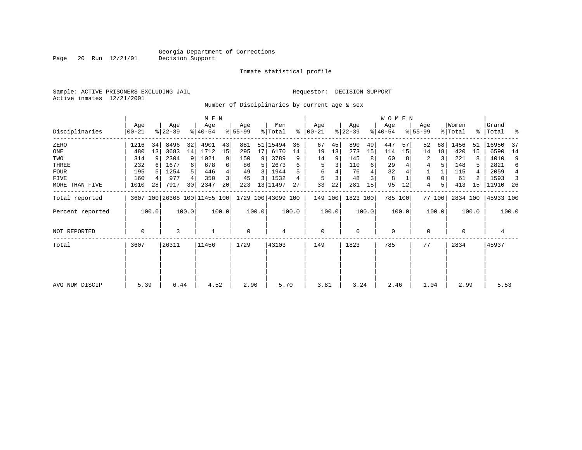Inmate statistical profile

Sample: ACTIVE PRISONERS EXCLUDING JAIL Requestor: DECISION SUPPORT Active inmates 12/21/2001

Page 20 Run 12/21/01

Number Of Disciplinaries by current age & sex

|                  |                  |       |                  |       | M E N                        |       |                  |       |                            |       |                  |       |                  |       | <b>WOMEN</b>     |       |                  |        |                  |       |                    |       |
|------------------|------------------|-------|------------------|-------|------------------------------|-------|------------------|-------|----------------------------|-------|------------------|-------|------------------|-------|------------------|-------|------------------|--------|------------------|-------|--------------------|-------|
| Disciplinaries   | Age<br>$00 - 21$ |       | Age<br>$ 22-39 $ |       | Age<br>$ 40-54 $             |       | Age<br>$ 55-99 $ |       | Men<br>$\frac{1}{2}$ Total | ႜ     | Age<br>$ 00-21 $ |       | Age<br>$ 22-39 $ |       | Age<br>$ 40-54 $ |       | Age<br>$8 55-99$ |        | Women<br>% Total |       | Grand<br>%   Total | နွ    |
| ZERO             | 1216             | 34    | 8496             | 32    | 4901                         | 43    | 881              | 51    | 15494                      | 36    | 67               | 45    | 890              | 49    | 447              | 57    | 52               | 68     | 1456             | 51    | 16950              | 37    |
| ONE              | 480              | 13    | 3683             | 14    | 1712                         | 15    | 295              | 17    | 6170                       | 14    | 19               | 13    | 273              | 15    | 114              | 15    | 14               | 18     | 420              | 15    | 6590               | 14    |
| TWO              | 314              | 9     | 2304             | 9     | 1021                         | 9     | 150              | 9     | 3789                       | 9     | 14               | 9     | 145              | 8     | 60               |       | 2                |        | 221              | 8     | 4010               | 9     |
| THREE            | 232              |       | 1677             |       | 678                          | 6     | 86               | 5     | 2673                       |       | 5                |       | 110              | 6     | 29               |       | 4                |        | 148              | 5     | 2821               | 6     |
| <b>FOUR</b>      | 195              |       | 1254             |       | 446                          | 4     | 49               | 3     | 1944                       |       | 6                |       | 76               |       | 32               |       |                  |        | 115              |       | 2059               | 4     |
| <b>FIVE</b>      | 160              |       | 977              | 4     | 350                          | 3     | 45               | 3     | 1532                       |       | 5                |       | 48               | 3     | 8                |       | 0                |        | 61               |       | 1593               | 3     |
| MORE THAN FIVE   | 1010             | 28    | 7917             | 30    | 2347                         | 20    | 223              |       | 13 11497                   | 27    | 33               | 22    | 281              | 15    | 95               | 12    | 4                | 5      | 413              | 15    | 11910              | 26    |
| Total reported   |                  |       |                  |       | 3607 100 26308 100 11455 100 |       |                  |       | 1729 100 43099 100         |       | 149 100          |       | 1823 100         |       | 785 100          |       |                  | 77 100 | 2834 100         |       | 45933 100          |       |
| Percent reported |                  | 100.0 |                  | 100.0 |                              | 100.0 |                  | 100.0 |                            | 100.0 |                  | 100.0 |                  | 100.0 |                  | 100.0 |                  | 100.0  |                  | 100.0 |                    | 100.0 |
| NOT REPORTED     | 0                |       | 3                |       |                              |       | 0                |       | 4                          |       | 0                |       | $\mathbf 0$      |       | $\mathbf 0$      |       | 0                |        | $\mathbf 0$      |       | 4                  |       |
| Total            | 3607             |       | 26311            |       | 11456                        |       | 1729             |       | 43103                      |       | 149              |       | 1823             |       | 785              |       | 77               |        | 2834             |       | 45937              |       |
|                  |                  |       |                  |       |                              |       |                  |       |                            |       |                  |       |                  |       |                  |       |                  |        |                  |       |                    |       |
|                  |                  |       |                  |       |                              |       |                  |       |                            |       |                  |       |                  |       |                  |       |                  |        |                  |       |                    |       |
| AVG NUM DISCIP   | 5.39             |       | 6.44             |       | 4.52                         |       | 2.90             |       | 5.70                       |       | 3.81             |       | 3.24             |       | 2.46             |       | 1.04             |        | 2.99             |       | 5.53               |       |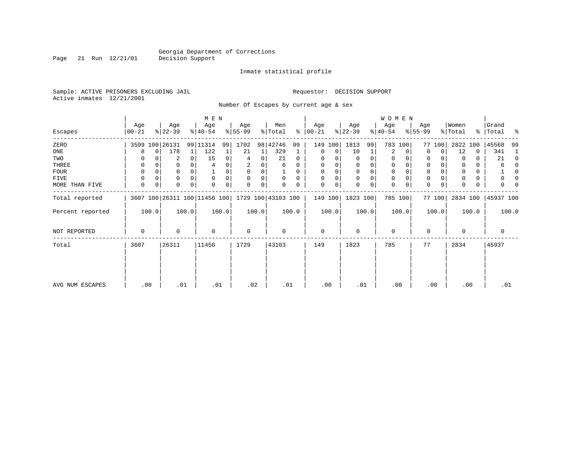Page 21 Run 12/21/01

#### Inmate statistical profile

Sample: ACTIVE PRISONERS EXCLUDING JAIL Requestor: DECISION SUPPORT Active inmates 12/21/2001

Number Of Escapes by current age & sex

|                  |                  |          |                  |          | M E N                                           |       |                 |       |                |          |                   |       |                  |          | WOMEN            |       |                  |        |                  |          |                 |          |
|------------------|------------------|----------|------------------|----------|-------------------------------------------------|-------|-----------------|-------|----------------|----------|-------------------|-------|------------------|----------|------------------|-------|------------------|--------|------------------|----------|-----------------|----------|
| Escapes          | Age<br>$00 - 21$ |          | Age<br>$ 22-39 $ |          | Age<br>$ 40-54 $                                |       | Age<br>$ 55-99$ |       | Men<br>% Total | ႜ        | Age<br>$ 00 - 21$ |       | Age<br>$ 22-39 $ |          | Age<br>$ 40-54 $ |       | Age<br>$ 55-99 $ |        | Women<br>% Total | ႜ        | Grand<br> Total | ႜ        |
| ZERO             |                  |          | 3599 100 26131   |          | 99 11314                                        | 99    | 1702            |       | 98 42746       | 99       | 149               | 100   | 1813             | 99       | 783 100          |       |                  | 77 100 | 2822             | 100      | 45568           | 99       |
| ONE              | 8                | $\Omega$ | 178              | 1        | 122                                             |       | 21              |       | 329            |          | 0                 | 0     | 10               |          | 2                | 0     | 0                | 0      | 12               | 0        | 341             | -1       |
| TWO              |                  |          | 2                | $\Omega$ | 15                                              | 0     | 4               | 0     | 21             | $\Omega$ | 0                 |       |                  | O        | 0                |       | 0                |        | $\Omega$         | 0        | 21              | $\Omega$ |
| THREE            | 0                |          |                  |          | 4                                               |       | 2               | 0     | 6              |          | 0                 |       |                  |          | 0                |       | $\mathbf 0$      |        |                  | 0        | 6               |          |
| <b>FOUR</b>      | $\Omega$         |          |                  |          |                                                 | 0     | $\Omega$        | 0     |                | 0        | $\Omega$          | 0     |                  | $\Omega$ | $\Omega$         |       | $\mathbf 0$      |        |                  | $\Omega$ |                 |          |
| FIVE             | $\Omega$         |          | 0                |          | $\mathbf 0$                                     | 0     | $\Omega$        | 0     | $\Omega$       | 0        | $\Omega$          | 0     |                  | $\Omega$ | 0                |       | $\mathbf 0$      |        |                  | 0        |                 |          |
| MORE THAN FIVE   | $\mathbf 0$      | 0        | 0                | 0        | $\Omega$                                        | 0     | $\Omega$        | 0     | 0              |          | $\mathbf 0$       | 0     |                  | $\Omega$ | 0                |       | $\mathbf 0$      | 0      | U                | 0        |                 |          |
| Total reported   |                  |          |                  |          | 3607 100 26311 100 11456 100 1729 100 43103 100 |       |                 |       |                |          | 149 100           |       | 1823 100         |          | 785 100          |       |                  | 77 100 | 2834 100         |          | 45937 100       |          |
| Percent reported |                  | 100.0    |                  | 100.0    |                                                 | 100.0 |                 | 100.0 |                | 100.0    |                   | 100.0 |                  | 100.0    |                  | 100.0 |                  | 100.0  |                  | 100.0    |                 | 100.0    |
| NOT REPORTED     | $\Omega$         |          | $\Omega$         |          | $\mathbf 0$                                     |       | 0               |       | 0              |          | 0                 |       | $\Omega$         |          | $\mathbf 0$      |       | 0                |        | $\Omega$         |          | 0               |          |
| Total            | 3607             |          | 26311            |          | 11456                                           |       | 1729            |       | 43103          |          | 149               |       | 1823             |          | 785              |       | 77               |        | 2834             |          | 45937           |          |
|                  |                  |          |                  |          |                                                 |       |                 |       |                |          |                   |       |                  |          |                  |       |                  |        |                  |          |                 |          |
| AVG NUM ESCAPES  |                  | .00      | .01              |          | .01                                             |       | .02             |       | .01            |          | .00               |       | .01              |          | .00              |       |                  | .00    | .00              |          | .01             |          |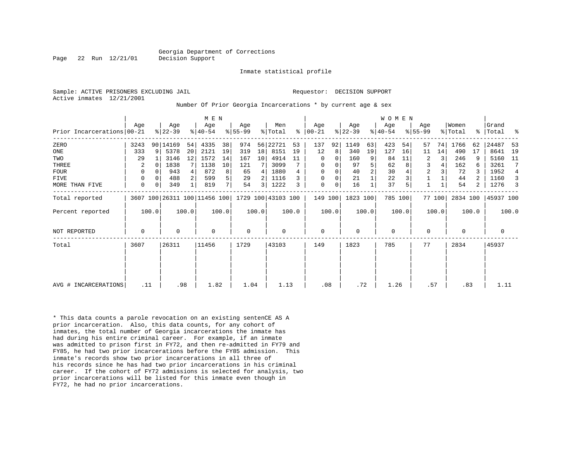#### Georgia Department of Corrections Page 22 Run 12/21/01 Decision Support

Inmate statistical profile

Sample: ACTIVE PRISONERS EXCLUDING JAIL **Requestor: DECISION SUPPORT** Active inmates 12/21/2001

#### Number Of Prior Georgia Incarcerations \* by current age & sex

|                            |             |          |                  |       | M E N            |       |                  |                 |                                                 |       |                    |          |                  |       | W O M E N        |       |                    |        |                  |       |                 |       |
|----------------------------|-------------|----------|------------------|-------|------------------|-------|------------------|-----------------|-------------------------------------------------|-------|--------------------|----------|------------------|-------|------------------|-------|--------------------|--------|------------------|-------|-----------------|-------|
| Prior Incarcerations 00-21 | Age         |          | Age<br>$ 22-39 $ |       | Age<br>$ 40-54 $ |       | Age<br>$8 55-99$ |                 | Men<br>% Total                                  | ႜ     | Age<br>$ 00 - 21 $ |          | Age<br>$ 22-39 $ |       | Age<br>$ 40-54 $ |       | Age<br>$8155 - 99$ |        | Women<br>% Total | ႜႜ    | Grand<br> Total | ႜ     |
| ZERO                       | 3243        |          | 90 14169         | 54    | 4335             | 38    | 974              |                 | 56 22721                                        | 53    | 137                | 92       | 1149             | 63    | 423              | 54    | 57                 | 74     | 1766             | 62    | 24487           | 53    |
| ONE                        | 333         | 9        | 5378             | 20    | 2121             | 19    | 319              | 18 <sup>1</sup> | 8151                                            | 19    | 12                 | 8        | 340              | 19    | 127              | 16    | 11                 | 14     | 490              | 17    | 8641            | 19    |
| TWO                        | 29          |          | 3146             | 12    | 1572             | 14    | 167              | 10 <sub>1</sub> | 4914                                            | 11    | 0                  | $\Omega$ | 160              | 9     | 84               | 11    | 2                  | 3      | 246              | 9     | 5160            | 11    |
| THREE                      | 2           | $\Omega$ | 1838             |       | 1138             | 10    | 121              |                 | 3099                                            |       | 0                  | 0        | 97               |       | 62               |       | 3                  |        | 162              | 6     | 3261            | 7     |
| <b>FOUR</b>                | $\Omega$    |          | 943              |       | 872              | 8     | 65               | 4 <sup>1</sup>  | 1880                                            |       | $\Omega$           |          | 40               |       | 30               |       | $\overline{2}$     |        | 72               | 3     | 1952            | 4     |
| <b>FIVE</b>                | 0           |          | 488              |       | 599              | 5     | 29               |                 | 1116                                            |       | 0                  | 0        | 21               |       | 22               |       |                    |        | 44               |       | 1160            | 3     |
| MORE THAN FIVE             | 0           | 0        | 349              |       | 819              | 7     | 54               | $\overline{3}$  | 1222                                            |       | 0                  | 0        | 16               |       | 37               |       |                    |        | 54               | 2     | 1276            | 3     |
| Total reported             |             |          |                  |       |                  |       |                  |                 | 3607 100 26311 100 11456 100 1729 100 43103 100 |       | 149 100            |          | 1823 100         |       | 785 100          |       |                    | 77 100 | 2834 100         |       | 45937 100       |       |
| Percent reported           |             | 100.0    |                  | 100.0 |                  | 100.0 |                  | 100.0           |                                                 | 100.0 |                    | 100.0    |                  | 100.0 |                  | 100.0 |                    | 100.0  |                  | 100.0 |                 | 100.0 |
| NOT REPORTED               | $\mathbf 0$ |          | $\Omega$         |       | $\Omega$         |       | $\mathbf 0$      |                 | 0                                               |       | 0                  |          | $\Omega$         |       | $\mathbf 0$      |       | $\mathbf 0$        |        | $\Omega$         |       | 0               |       |
| Total                      | 3607        |          | 26311            |       | 11456            |       | 1729             |                 | 43103                                           |       | 149                |          | 1823             |       | 785              |       | 77                 |        | 2834             |       | 45937           |       |
|                            |             |          |                  |       |                  |       |                  |                 |                                                 |       |                    |          |                  |       |                  |       |                    |        |                  |       |                 |       |
|                            |             |          |                  |       |                  |       |                  |                 |                                                 |       |                    |          |                  |       |                  |       |                    |        |                  |       |                 |       |
| AVG # INCARCERATIONS       | .11         |          |                  | .98   | 1.82             |       | 1.04             |                 | 1.13                                            |       | .08                |          | .72              |       | 1.26             |       | .57                |        | .83              |       | 1.11            |       |

\* This data counts a parole revocation on an existing sentenCE AS A prior incarceration. Also, this data counts, for any cohort of inmates, the total number of Georgia incarcerations the inmate has had during his entire criminal career. For example, if an inmate was admitted to prison first in FY72, and then re-admitted in FY79 and FY85, he had two prior incarcerations before the FY85 admission. This inmate's records show two prior incarcerations in all three of his records since he has had two prior incarcerations in his criminal career. If the cohort of FY72 admissions is selected for analysis, two prior incarcerations will be listed for this inmate even though in FY72, he had no prior incarcerations.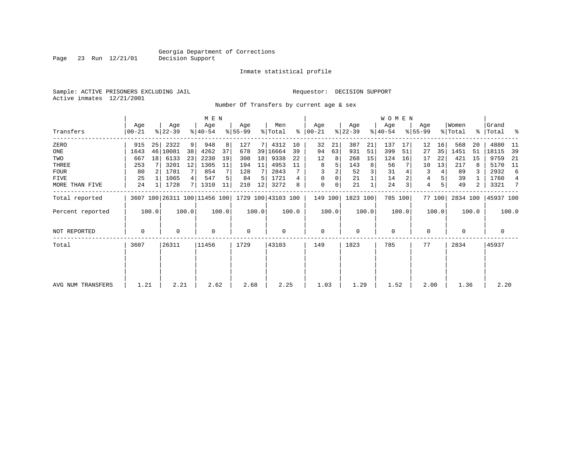Inmate statistical profile

Sample: ACTIVE PRISONERS EXCLUDING JAIL Requestor: DECISION SUPPORT Active inmates 12/21/2001

Page 23 Run 12/21/01

Number Of Transfers by current age & sex

|                   |                |       |                  |                | M E N                        |       |                  |       |                    |       |                 |       |                  |       | <b>WOMEN</b>     |       |                  |        |                  |       |                      |                |
|-------------------|----------------|-------|------------------|----------------|------------------------------|-------|------------------|-------|--------------------|-------|-----------------|-------|------------------|-------|------------------|-------|------------------|--------|------------------|-------|----------------------|----------------|
| Transfers         | Age<br>  00-21 |       | Age<br>$ 22-39 $ |                | Age<br>$8 40-54$             |       | Age<br>$ 55-99 $ |       | Men<br>% Total     | ႜႂ    | Age<br>$ 00-21$ |       | Age<br>$ 22-39 $ |       | Age<br>$ 40-54 $ |       | Age<br>$8 55-99$ |        | Women<br>% Total |       | Grand<br>%   Total % |                |
| ZERO              | 915            | 25    | 2322             | $\overline{9}$ | 948                          | 8     | 127              |       | 4312               | 10    | 32              | 21    | 387              | 21    | 137              | 17    | 12               | 16     | 568              | 20    | 4880                 | -11            |
| ONE               | 1643           | 46    | 10081            | 38             | 4262                         | 37    | 678              |       | 39 16664           | 39    | 94              | 63    | 931              | 51    | 399              | 51    | 27               | 35     | 1451             | 51    | 18115                | 39             |
| TWO               | 667            | 18    | 6133             | 23             | 2230                         | 19    | 308              | 18    | 9338               | 22    | 12              | 8     | 268              | 15    | 124              | 16    | 17               | 22     | 421              | 15    | 9759                 | -21            |
| THREE             | 253            |       | 3201             | 12             | 1305                         | 11    | 194              | 11    | 4953               | 11    | 8               | 5     | 143              | 8     | 56               |       | 10               | 13     | 217              | 8     | 5170                 | - 11           |
| <b>FOUR</b>       | 80             |       | 1781             | 7 I            | 854                          |       | 128              |       | 2843               |       |                 |       | 52               | 3     | 31               |       | 3                | 4      | 89               |       | 2932                 | 6              |
| FIVE              | 25             |       | 1065             | 4              | 547                          |       | 84               | 5     | 1721               |       | 0               |       | 21               |       | 14               |       | 4                |        | 39               |       | 1760                 | $\overline{4}$ |
| MORE THAN FIVE    | 24             |       | 1728             | 7              | 1310                         | 11    | 210              | 12    | 3272               | 8     | 0               | 0     | 21               |       | 24               |       | 4                | 5      | 49               | 2     | 3321                 | 7              |
| Total reported    |                |       |                  |                | 3607 100 26311 100 11456 100 |       |                  |       | 1729 100 43103 100 |       | 149 100         |       | 1823 100         |       | 785 100          |       |                  | 77 100 | 2834 100         |       | 45937 100            |                |
| Percent reported  |                | 100.0 |                  | 100.0          |                              | 100.0 |                  | 100.0 |                    | 100.0 |                 | 100.0 |                  | 100.0 |                  | 100.0 |                  | 100.0  |                  | 100.0 |                      | 100.0          |
| NOT REPORTED      | 0              |       | 0                |                | $\mathbf 0$                  |       | 0                |       | 0                  |       | 0               |       | $\mathbf 0$      |       | $\mathbf 0$      |       | $\Omega$         |        | 0                |       | 0                    |                |
| Total             | 3607           |       | 26311            |                | 11456                        |       | 1729             |       | 43103              |       | 149             |       | 1823             |       | 785              |       | 77               |        | 2834             |       | 45937                |                |
|                   |                |       |                  |                |                              |       |                  |       |                    |       |                 |       |                  |       |                  |       |                  |        |                  |       |                      |                |
|                   |                |       |                  |                |                              |       |                  |       |                    |       |                 |       |                  |       |                  |       |                  |        |                  |       |                      |                |
| AVG NUM TRANSFERS | 1.21           |       | 2.21             |                | 2.62                         |       | 2.68             |       | 2.25               |       | 1.03            |       | 1.29             |       | 1.52             |       | 2.00             |        | 1.36             |       | 2.20                 |                |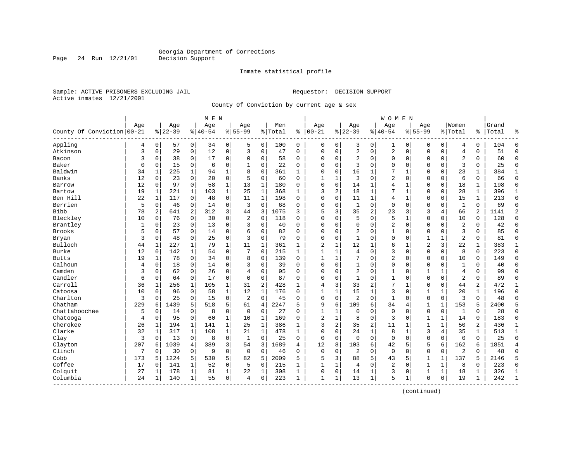Inmate statistical profile

Sample: ACTIVE PRISONERS EXCLUDING JAIL **Requestor: DECISION SUPPORT** Active inmates 12/21/2001

Page 24 Run 12/21/01

County Of Conviction by current age & sex

|                            |             |                |           |              | M E N    |              |             |                |         |              |                |   |                |              | W O M E N      |              |                |              |                |              |       |                |
|----------------------------|-------------|----------------|-----------|--------------|----------|--------------|-------------|----------------|---------|--------------|----------------|---|----------------|--------------|----------------|--------------|----------------|--------------|----------------|--------------|-------|----------------|
|                            | Age         |                | Age       |              | Age      |              | Age         |                | Men     |              | Age            |   | Age            |              | Age            |              | Age            |              | Women          |              | Grand |                |
| County Of Conviction 00-21 |             |                | $8 22-39$ |              | $ 40-54$ |              | $8155 - 99$ |                | % Total | ి            | $ 00-21$       |   | $ 22-39$       |              | $ 40-54$       |              | $8155 - 99$    |              | % Total        | ి            | Total | န္             |
| Appling                    | 4           | 0              | 57        | 0            | 34       | 0            | 5           | 0              | 100     | 0            | 0              | 0 | 3              | 0            | 1              | 0            | 0              | 0            | 4              | 0            | 104   | $\Omega$       |
| Atkinson                   | 3           | $\mathbf 0$    | 29        | 0            | 12       | 0            | 3           | $\mathbf 0$    | 47      | 0            | 0              | 0 | 2              | 0            | 2              | 0            | $\Omega$       | 0            | $\overline{4}$ | 0            | 51    | $\Omega$       |
| Bacon                      | 3           | $\Omega$       | 38        | $\mathbf 0$  | 17       | $\mathbf 0$  | $\Omega$    | $\mathbf 0$    | 58      | $\Omega$     | $\Omega$       | 0 | $\overline{2}$ | $\Omega$     | 0              | $\mathbf 0$  | $\Omega$       | $\Omega$     | $\overline{2}$ | $\Omega$     | 60    | $\Omega$       |
| Baker                      | $\mathbf 0$ | $\Omega$       | 15        | $\mathbf 0$  | 6        | $\mathsf 0$  | 1           | $\mathbf 0$    | 22      | $\Omega$     | $\Omega$       | 0 | 3              | $\Omega$     | 0              | $\Omega$     | $\Omega$       | $\Omega$     | 3              | 0            | 25    | $\Omega$       |
| Baldwin                    | 34          | $\mathbf{1}$   | 225       | 1            | 94       | 1            | 8           | $\mathbf 0$    | 361     | $\mathbf{1}$ | $\Omega$       | 0 | 16             | 1            | 7              | $\mathbf{1}$ | $\Omega$       | $\Omega$     | 23             | $\mathbf{1}$ | 384   | 1              |
| Banks                      | 12          | 0              | 23        | 0            | 20       | $\mathbf 0$  | 5           | $\mathbf 0$    | 60      | 0            | $\mathbf{1}$   | 1 | 3              | $\Omega$     | 2              | $\mathbf 0$  | $\Omega$       | 0            | 6              | 0            | 66    | $\Omega$       |
| Barrow                     | 12          | $\mathbf 0$    | 97        | $\mathbf 0$  | 58       | $\mathbf 1$  | 13          | 1              | 180     | 0            | 0              | 0 | 14             | 1            | 4              | 1            | 0              | 0            | 18             | 1            | 198   | $\Omega$       |
| Bartow                     | 19          | $\mathbf{1}$   | 221       | $\mathbf 1$  | 103      | $\mathbf{1}$ | 25          | $\mathbf{1}$   | 368     | $\mathbf{1}$ | 3              | 2 | 18             | 1            | 7              | $\mathbf{1}$ | $\Omega$       | 0            | 28             | $\mathbf{1}$ | 396   | $\mathbf{1}$   |
| Ben Hill                   | 22          | $\mathbf{1}$   | 117       | $\mathbf 0$  | 48       | $\mathbf 0$  | 11          | $\mathbf{1}$   | 198     | $\Omega$     | $\Omega$       | 0 | 11             | 1            | 4              | 1            | $\Omega$       | 0            | 15             | $\mathbf{1}$ | 213   | $\Omega$       |
| Berrien                    | 5           | 0              | 46        | $\mathbf 0$  | 14       | $\mathbf 0$  | 3           | $\mathbf 0$    | 68      | 0            | 0              | 0 | 1              | 0            | 0              | $\mathbf 0$  | 0              | 0            | 1              | 0            | 69    | $\Omega$       |
| <b>Bibb</b>                | 78          | $\overline{2}$ | 641       | 2            | 312      | 3            | 44          | 3              | 1075    | 3            | 5              | 3 | 35             | 2            | 23             | 3            | 3              | 4            | 66             | 2            | 1141  | $\overline{2}$ |
| Bleckley                   | 10          | $\Omega$       | 76        | $\mathbf 0$  | 30       | $\mathbf 0$  | 2           | $\mathbf 0$    | 118     | $\Omega$     | $\Omega$       | 0 | 5              | $\Omega$     | 5              | $\mathbf{1}$ | $\Omega$       | $\Omega$     | 10             | $\Omega$     | 128   | $\Omega$       |
| Brantley                   | 1           | 0              | 23        | $\mathbf 0$  | 13       | $\mathsf 0$  | 3           | $\mathbf 0$    | 40      | 0            | $\Omega$       | 0 | $\Omega$       | 0            | 2              | $\mathbf 0$  | $\Omega$       | $\Omega$     | $\overline{a}$ | 0            | 42    | $\Omega$       |
| <b>Brooks</b>              | 5           | 0              | 57        | 0            | 14       | 0            | 6           | $\mathbf 0$    | 82      | $\Omega$     | $\Omega$       | 0 | $\overline{2}$ | $\Omega$     | 1              | $\Omega$     | $\Omega$       | 0            | 3              | 0            | 85    | $\Omega$       |
| Bryan                      | 3           | 0              | 48        | $\mathbf 0$  | 25       | $\mathbf 0$  | 3           | 0              | 79      | 0            | $\Omega$       | 0 | $\mathbf{1}$   | $\Omega$     | 0              | $\mathbf 0$  | 1              | 1            | $\overline{2}$ | 0            | 81    | $\Omega$       |
| Bulloch                    | 44          | $\mathbf{1}$   | 227       | 1            | 79       | $\mathbf 1$  | 11          | $\mathbf{1}$   | 361     | 1            | $\overline{2}$ | 1 | 12             | 1            | б              | $\mathbf{1}$ | $\overline{2}$ | 3            | 22             | 1            | 383   | 1              |
| <b>Burke</b>               | 12          | 0              | 142       | 1            | 54       | 0            | 7           | $\mathbf 0$    | 215     | $\mathbf{1}$ | $\mathbf{1}$   | 1 | 4              | $\Omega$     | 3              | $\Omega$     | $\Omega$       | 0            | 8              | 0            | 223   | $\Omega$       |
| <b>Butts</b>               | 19          | 1              | 78        | 0            | 34       | $\mathbf 0$  | 8           | $\mathbf 0$    | 139     | $\Omega$     | $\mathbf{1}$   | 1 | 7              | $\Omega$     | $\overline{2}$ | $\Omega$     | $\Omega$       | $\Omega$     | 10             | 0            | 149   | $\Omega$       |
| Calhoun                    | 4           | 0              | 18        | $\mathbf 0$  | 14       | $\mathbf 0$  | 3           | 0              | 39      | 0            | 0              | 0 |                | 0            | 0              | $\mathbf 0$  | 0              | 0            | 1              | 0            | 40    | $\Omega$       |
| Camden                     | 3           | $\mathbf 0$    | 62        | $\mathbf 0$  | 26       | $\mathbf 0$  | 4           | $\mathbf 0$    | 95      | $\Omega$     | 0              | 0 | $\overline{2}$ | $\Omega$     | $\mathbf{1}$   | $\Omega$     | $\mathbf{1}$   | $\mathbf{1}$ | $\overline{4}$ | 0            | 99    | $\Omega$       |
| Candler                    | 6           | $\mathbf 0$    | 64        | $\mathbf 0$  | 17       | $\mathbf 0$  | $\Omega$    | $\mathbf 0$    | 87      | $\Omega$     | $\Omega$       | 0 | $\mathbf{1}$   | $\Omega$     | $\mathbf{1}$   | $\Omega$     | $\Omega$       | 0            | $\overline{2}$ | 0            | 89    | $\Omega$       |
| Carroll                    | 36          | 1              | 256       | 1            | 105      | $\mathbf 1$  | 31          | $\overline{c}$ | 428     | 1            | 4              | 3 | 33             | 2            | 7              | 1            | 0              | 0            | 44             | 2            | 472   | 1              |
| Catoosa                    | 10          | 0              | 96        | $\mathbf 0$  | 58       | $\mathbf 1$  | 12          | 1              | 176     | 0            | $\mathbf{1}$   | 1 | 15             | 1            | 3              | $\mathbf 0$  | 1              | 1            | 20             | 1            | 196   | $\mathbf 0$    |
| Charlton                   | 3           | $\Omega$       | 25        | $\mathbf 0$  | 15       | $\mathbf 0$  | 2           | $\mathbf 0$    | 45      | $\Omega$     | $\Omega$       | 0 | $\overline{2}$ | $\Omega$     | $\mathbf{1}$   | $\Omega$     | $\Omega$       | $\Omega$     | 3              | $\Omega$     | 48    | $\Omega$       |
| Chatham                    | 229         | 6              | 1439      | 5            | 518      | 5            | 61          | $\overline{4}$ | 2247    | 5            | 9              | 6 | 109            | 6            | 34             | 4            | 1              | 1            | 153            | 5            | 2400  | 5              |
| Chattahoochee              | 5           | 0              | 14        | 0            | 8        | $\mathsf 0$  | $\mathbf 0$ | $\mathbf 0$    | 27      | 0            | $\mathbf{1}$   | 1 | $\mathbf 0$    | 0            | $\Omega$       | $\mathbf 0$  | $\Omega$       | 0            | $\mathbf{1}$   | 0            | 28    | $\Omega$       |
| Chatooga                   | 4           | $\mathbf 0$    | 95        | $\mathbf 0$  | 60       | $\mathbf{1}$ | 10          | 1              | 169     | 0            | $\overline{2}$ | 1 | 8              | 0            | 3              | $\Omega$     | $\mathbf{1}$   | 1            | 14             | 0            | 183   | $\Omega$       |
| Cherokee                   | 26          | $\mathbf{1}$   | 194       | $\mathbf{1}$ | 141      | $\mathbf 1$  | 25          | $\mathbf{1}$   | 386     | 1            | 3              | 2 | 35             | 2            | 11             | 1            | $\mathbf{1}$   | 1            | 50             | 2            | 436   | $\mathbf{1}$   |
| Clarke                     | 32          | 1              | 317       | 1            | 108      | $\mathbf 1$  | 21          | 1              | 478     | $\mathbf{1}$ | $\Omega$       | 0 | 24             | 1            | 8              | 1            | 3              | 4            | 35             | 1            | 513   | 1              |
| Clay                       | 3           | $\Omega$       | 13        | 0            | 8        | $\mathbf 0$  | 1           | $\mathbf 0$    | 25      | $\Omega$     | $\Omega$       | 0 | $\Omega$       | $\Omega$     | $\mathbf 0$    | $\Omega$     | $\Omega$       | 0            | $\mathbf 0$    | $\Omega$     | 25    | $\Omega$       |
| Clayton                    | 207         | 6              | 1039      | 4            | 389      | 3            | 54          | 3              | 1689    | 4            | 12             | 8 | 103            | 6            | 42             | 5            | 5              | 6            | 162            | 6            | 1851  | $\overline{4}$ |
| Clinch                     | 7           | $\Omega$       | 30        | $\mathbf 0$  | 9        | $\mathbf 0$  | $\mathbf 0$ | $\mathbf 0$    | 46      | 0            | $\mathbf 0$    | 0 | 2              | $\Omega$     | $\mathbf{0}$   | $\mathbf 0$  | $\Omega$       | $\mathbf 0$  | 2              | $\Omega$     | 48    | $\Omega$       |
| Cobb                       | 173         | 5              | 1224      | 5            | 530      | 5            | 82          | 5              | 2009    | 5            | 5              | 3 | 88             | 5            | 43             | 5            | 1              | 1            | 137            | 5            | 2146  | 5              |
| Coffee                     | 17          | 0              | 141       | 1            | 52       | 0            | 5           | 0              | 215     | 1            | $\mathbf{1}$   | 1 | 4              | 0            | 2              | $\mathbf 0$  | $\mathbf{1}$   | 1            | 8              | 0            | 223   | $\Omega$       |
| Colquit                    | 27          | 1              | 178       | 1            | 81       | $\mathbf 1$  | 22          | 1              | 308     | 1            | 0              | 0 | 14             | 1            | 3              | $\mathbf 0$  | 1              | 1            | 18             | 1            | 326   | $\mathbf{1}$   |
| Columbia                   | 24          | 1              | 140       | $\mathbf{1}$ | 55       | $\mathbf 0$  | 4           | $\mathbf 0$    | 223     | $\mathbf{1}$ | $\mathbf{1}$   | 1 | 13             | $\mathbf{1}$ | 5              | $\mathbf{1}$ | $\Omega$       | 0            | 19             | $\mathbf{1}$ | 242   | $\mathbf{1}$   |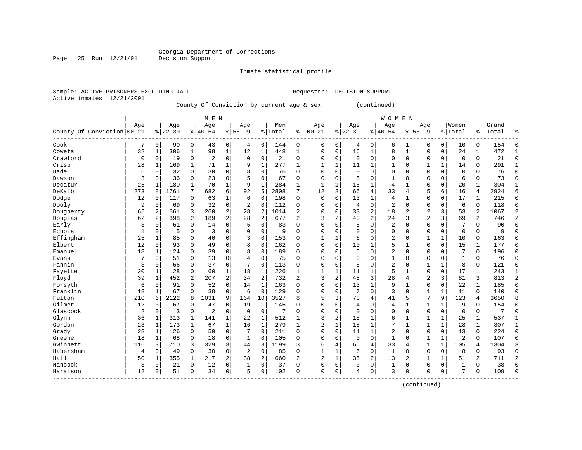Inmate statistical profile

Sample: ACTIVE PRISONERS EXCLUDING JAIL Requestor: DECISION SUPPORT

Active inmates 12/21/2001

Page 25 Run 12/21/01

County Of Conviction by current age & sex (continued)

|                            |                |              |           |             | M E N          |             |                |                |           |                |                |              |           |                | <b>WOMEN</b>   |              |                |              |                |               |       |                |
|----------------------------|----------------|--------------|-----------|-------------|----------------|-------------|----------------|----------------|-----------|----------------|----------------|--------------|-----------|----------------|----------------|--------------|----------------|--------------|----------------|---------------|-------|----------------|
|                            | Aqe            |              | Age       |             | Age            |             | Age            |                | Men       |                | Age            |              | Age       |                | Age            |              | Age            |              | Women          |               | Grand |                |
| County Of Conviction 00-21 |                |              | $8 22-39$ |             | $8 40-54$      |             | $8155 - 99$    |                | %   Total | ి              | $00 - 21$      | %            | $22 - 39$ |                | $8140 - 54$    |              | $8155 - 99$    |              | % Total        | $\frac{1}{6}$ | Total | န္             |
| Cook                       |                | 0            | 90        | $\mathbf 0$ | 43             | 0           | 4              | $\mathbf 0$    | 144       | 0              | 0              | 0            | 4         | 0              | 6              |              | $\Omega$       | 0            | 10             | 0             | 154   | $\Omega$       |
| Coweta                     | 32             | 1            | 306       | $\mathbf 1$ | 98             | $\mathbf 1$ | 12             | $\mathbf 1$    | 448       | $\mathbf{1}$   | 0              | 0            | 16        | $\mathbf{1}$   | 8              | 1            | $\Omega$       | 0            | 24             | $\mathbf{1}$  | 472   | $\mathbf{1}$   |
| Crawford                   | $\mathbf 0$    | $\Omega$     | 19        | 0           | $\overline{2}$ | $\mathbf 0$ | $\Omega$       | $\mathbf 0$    | 21        | $\Omega$       | $\Omega$       | $\Omega$     | $\Omega$  | $\Omega$       | 0              | $\Omega$     | $\Omega$       | $\Omega$     | $\overline{0}$ | $\Omega$      | 21    | $\Omega$       |
| Crisp                      | 28             | 1            | 169       | 1           | 71             | $\mathbf 1$ | 9              | $\mathbf 1$    | 277       | $\mathbf{1}$   | -1             | $\mathbf{1}$ | 11        | 1              | 1              | $\mathbf 0$  | 1              | 1            | 14             | 0             | 291   | $\mathbf{1}$   |
| Dade                       | 6              | 0            | 32        | $\mathbf 0$ | 30             | $\mathbf 0$ | 8              | $\mathbf 0$    | 76        | $\Omega$       | $\Omega$       | 0            | $\Omega$  | $\Omega$       | 0              | $\Omega$     | $\Omega$       | $\Omega$     | $\Omega$       | O             | 76    | $\Omega$       |
| Dawson                     | 3              | $\Omega$     | 36        | 0           | 23             | $\mathbf 0$ | 5              | $\mathbf 0$    | 67        | $\Omega$       | $\Omega$       | $\Omega$     | 5         | $\Omega$       | 1              | $\Omega$     | $\Omega$       | $\Omega$     | 6              | $\Omega$      | 73    | $\Omega$       |
| Decatur                    | 25             | 1            | 180       | 1           | 70             | $\mathbf 1$ | 9              | 1              | 284       | 1              | $\mathbf{1}$   | 1            | 15        | 1              | 4              | $\mathbf{1}$ | $\Omega$       | 0            | 20             | 1             | 304   | $\mathbf{1}$   |
| DeKalb                     | 273            | 8            | 1761      | 7           | 682            | 6           | 92             | 5              | 2808      | 7              | 12             | 8            | 66        | $\overline{4}$ | 33             | 4            | 5              | 6            | 116            | 4             | 2924  | 6              |
| Dodge                      | 12             | 0            | 117       | 0           | 63             | 1           | 6              | $\mathbf 0$    | 198       | $\Omega$       | $\mathbf 0$    | 0            | 13        | 1              | $\overline{4}$ |              | $\Omega$       | 0            | 17             | 1             | 215   | $\mathbf 0$    |
| Dooly                      | 9              | 0            | 69        | 0           | 32             | 0           | $\overline{2}$ | $\mathbf 0$    | 112       | 0              | C              | $\Omega$     | 4         | $\mathbf 0$    | 2              | $\Omega$     | $\Omega$       | 0            | 6              | $\Omega$      | 118   | $\Omega$       |
| Dougherty                  | 65             | 2            | 661       | 3           | 260            | 2           | 28             | $\overline{2}$ | 1014      | $\overline{2}$ | $\Omega$       | $\Omega$     | 33        | $\overline{2}$ | 18             | 2            | $\overline{2}$ | 3            | 53             | 2             | 1067  | 2              |
| Douglas                    | 62             | 2            | 398       | 2           | 189            | 2           | 28             | $\overline{2}$ | 677       | 2              | 3              | 2            | 40        | $\overline{2}$ | 24             | 3            | 2              | 3            | 69             | 2             | 746   | $\overline{2}$ |
| Early                      | 3              | $\Omega$     | 61        | $\mathbf 0$ | 14             | $\mathbf 0$ | 5              | $\mathbf 0$    | 83        | $\Omega$       | 0              | 0            | 5         | $\mathbf 0$    | 2              | $\Omega$     | $\Omega$       | 0            | 7              | 0             | 90    | $\Omega$       |
| Echols                     | 1              | 0            | 5         | 0           | 3              | $\mathbf 0$ | 0              | $\mathbf 0$    | 9         | $\Omega$       | $\Omega$       | 0            | $\Omega$  | $\Omega$       | 0              | $\Omega$     | $\Omega$       | 0            | $\mathbf 0$    | 0             | 9     | $\cap$         |
| Effingham                  | 25             | 1            | 85        | 0           | 40             | $\mathbf 0$ | 3              | $\mathbf 0$    | 153       | $\Omega$       | $\mathbf{1}$   | 1            | 6         | $\Omega$       | $\overline{2}$ | 0            | 1              | $\mathbf{1}$ | 10             | 0             | 163   | $\Omega$       |
| Elbert                     | 12             | $\Omega$     | 93        | 0           | 49             | $\mathbf 0$ | 8              | $\mathbf 0$    | 162       | $\Omega$       | $\Omega$       | $\Omega$     | 10        | 1              | 5              | 1            | $\Omega$       | $\Omega$     | 15             | 1             | 177   | $\Omega$       |
| Emanuel                    | 18             | 1            | 124       | 0           | 39             | $\mathbf 0$ | 8              | $\mathbf 0$    | 189       | $\Omega$       | 0              | $\Omega$     | 5         | $\Omega$       | 2              | $\Omega$     | $\Omega$       | $\Omega$     | 7              | 0             | 196   | $\Omega$       |
| Evans                      | 7              | 0            | 51        | 0           | 13             | $\mathbf 0$ | 4              | $\mathbf 0$    | 75        | 0              | 0              | $\Omega$     | $\Omega$  | $\Omega$       | 1              | $\Omega$     | $\Omega$       | $\Omega$     | $\mathbf{1}$   | 0             | 76    | $\Omega$       |
| Fannin                     | 3              | $\Omega$     | 66        | 0           | 37             | $\mathbf 0$ | 7              | $\mathbf 0$    | 113       | $\Omega$       | $\Omega$       | $\Omega$     | 5         | $\Omega$       | 2              | 0            | $\mathbf{1}$   | $\mathbf{1}$ | 8              | $\Omega$      | 121   | $\Omega$       |
| Fayette                    | 20             | 1            | 128       | 0           | 60             | 1           | 18             | 1              | 226       | $\mathbf{1}$   | -1             | 1            | 11        | 1              | 5              | 1            | $\Omega$       | $\Omega$     | 17             | $\mathbf{1}$  | 243   | 1              |
| Floyd                      | 39             | $\mathbf{1}$ | 452       | 2           | 207            | 2           | 34             | $\overline{2}$ | 732       | $\overline{a}$ | 3              | 2            | 48        | $\overline{3}$ | 28             | 4            | $\overline{2}$ | 3            | 81             | 3             | 813   | $\overline{2}$ |
| Forsyth                    | 6              | $\Omega$     | 91        | 0           | 52             | $\mathbf 0$ | 14             | $\mathbf{1}$   | 163       | $\Omega$       | 0              | 0            | 13        | $\mathbf{1}$   | 9              | $\mathbf{1}$ | $\mathbf 0$    | $\Omega$     | 22             | $\mathbf{1}$  | 185   | $\Omega$       |
| Franklin                   | 18             | 1            | 67        | 0           | 38             | $\mathbf 0$ | 6              | $\mathbf 0$    | 129       | $\Omega$       | $\Omega$       | 0            | 7         | $\mathbf 0$    | 3              | $\mathbf 0$  | $\mathbf{1}$   | 1            | 11             | 0             | 140   | $\Omega$       |
| Fulton                     | 210            | 6            | 2122      | 8           | 1031           | 9           | 164            | 10             | 3527      | 8              | 5              | 3            | 70        | 4              | 41             | 5            | 7              | 9            | 123            | 4             | 3650  |                |
| Gilmer                     | 12             | 0            | 67        | 0           | 47             | $\mathbf 0$ | 19             | $\mathbf 1$    | 145       | $\Omega$       | $\Omega$       | 0            | 4         | $\Omega$       | 4              | 1            | $\mathbf{1}$   | 1            | 9              | 0             | 154   | $\Omega$       |
| Glascock                   | 2              | 0            | 3         | 0           | $\overline{2}$ | 0           | 0              | $\mathbf 0$    | 7         | 0              | $\Omega$       | 0            | $\Omega$  | $\mathbf 0$    | 0              | $\Omega$     | $\Omega$       | 0            | $\mathbf 0$    | 0             |       | $\Omega$       |
| Glynn                      | 36             |              | 313       | 1           | 141            | 1           | 22             | 1              | 512       | 1              | 3              | 2            | 15        | 1              | 6              | 1            | $\mathbf{1}$   |              | 25             | 1             | 537   | 1              |
| Gordon                     | 23             |              | 173       | 1           | 67             | $\mathbf 1$ | 16             | 1              | 279       | $\mathbf{1}$   | 2              | $\mathbf{1}$ | 18        | 1              | 7              | $\mathbf{1}$ | $\mathbf{1}$   | $\mathbf{1}$ | 28             | 1             | 307   | $\mathbf{1}$   |
| Grady                      | 28             | 1            | 126       | $\Omega$    | 50             | $\Omega$    | 7              | $\Omega$       | 211       | $\Omega$       | $\Omega$       | $\Omega$     | 11        | $\mathbf{1}$   | $\overline{2}$ | $\Omega$     | $\Omega$       | $\Omega$     | 13             | $\Omega$      | 224   | $\Omega$       |
| Greene                     | 18             | 1            | 68        | $\mathbf 0$ | 18             | $\mathbf 0$ | $\mathbf{1}$   | $\Omega$       | 105       | $\Omega$       | $\Omega$       | $\Omega$     | $\Omega$  | $\Omega$       | $\mathbf{1}$   | $\Omega$     | $\mathbf{1}$   | 1            | $\overline{2}$ | $\Omega$      | 107   | $\Omega$       |
| Gwinnett                   | 116            | 3            | 710       | 3           | 329            | 3           | 44             | 3              | 1199      | 3              | 6              | 4            | 65        | $\overline{4}$ | 33             | 4            | 1              | 1            | 105            | 4             | 1304  | 3              |
| Habersham                  | $\overline{4}$ | 0            | 49        | 0           | 30             | $\mathbf 0$ | 2              | $\mathbf 0$    | 85        | $\Omega$       | $\mathbf{1}$   | $\mathbf 1$  | 6         | $\mathbf 0$    | $\mathbf{1}$   | $\Omega$     | $\Omega$       | 0            | 8              | 0             | 93    | $\Omega$       |
| Hall                       | 50             | 1            | 355       | 1           | 217            | 2           | 38             | 2              | 660       | $\overline{a}$ | $\overline{a}$ | $\mathbf{1}$ | 35        | $\overline{2}$ | 13             | 2            | $\mathbf{1}$   | 1            | 51             | 2             | 711   | $\overline{2}$ |
| Hancock                    | 3              | $\Omega$     | 21        | 0           | 12             | $\mathbf 0$ | 1              | $\mathbf 0$    | 37        | $\Omega$       | $\Omega$       | 0            | $\Omega$  | 0              | 1              | $\Omega$     | $\Omega$       | $\Omega$     | 1              | 0             | 38    | $\Omega$       |
| Haralson                   | 12             | $\Omega$     | 51        | 0           | 34             | 0           | 5              | $\mathbf 0$    | 102       | $\Omega$       | $\Omega$       | 0            | 4         | 0              | 3              | $\Omega$     | $\Omega$       | 0            | 7              | 0             | 109   | $\Omega$       |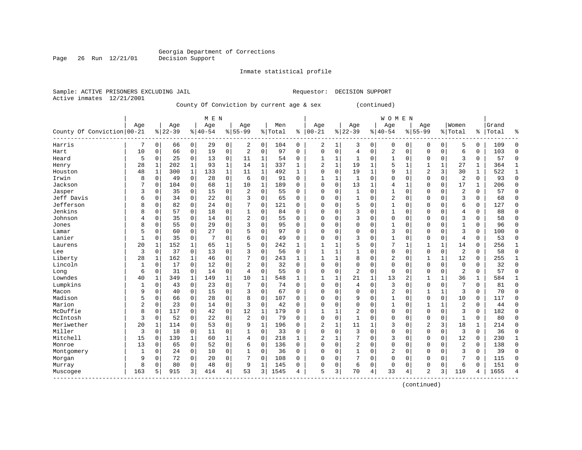Inmate statistical profile

Sample: ACTIVE PRISONERS EXCLUDING JAIL Requestor: DECISION SUPPORT

Active inmates 12/21/2001

Page 26 Run 12/21/01

#### County Of Conviction by current age & sex (continued)

|                                                  |                |              |           |              | M E N     |              |                |              |         |              |                |             |                |               | <b>WOMEN</b>   |                |                |              |                |              |       |              |
|--------------------------------------------------|----------------|--------------|-----------|--------------|-----------|--------------|----------------|--------------|---------|--------------|----------------|-------------|----------------|---------------|----------------|----------------|----------------|--------------|----------------|--------------|-------|--------------|
|                                                  | Age            |              | Age       |              | Age       |              | Age            |              | Men     |              | Age            |             | Age            |               | Age            |                | Age            |              | Women          |              | Grand |              |
| County Of Conviction 00-21                       |                |              | $8 22-39$ |              | $8 40-54$ |              | $8155 - 99$    |              | % Total | ి            | $ 00 - 21$     | %           | $ 22 - 39$     | $\frac{1}{6}$ | $ 40 - 54$     |                | $8155 - 99$    |              | % Total        | ႜႜ           | Total | ిక           |
| Harris                                           | 7              | 0            | 66        | 0            | 29        | 0            | 2              | 0            | 104     | 0            | 2              | 1           | 3              | 0             | 0              | 0              | 0              | 0            | 5              | 0            | 109   | $\Omega$     |
| Hart                                             | 10             | $\Omega$     | 66        | $\mathbf 0$  | 19        | $\mathbf 0$  | $\overline{2}$ | $\Omega$     | 97      | $\Omega$     | $\mathbf 0$    | $\mathbf 0$ | 4              | $\mathbf 0$   | $\overline{c}$ | $\mathbf 0$    | 0              | $\Omega$     | 6              | $\Omega$     | 103   | $\Omega$     |
| Heard                                            | 5              | 0            | 25        | $\mathbf 0$  | 13        | 0            | 11             | 1            | 54      | 0            | $\mathbf{1}$   | 1           | 1              | 0             | 1              | 0              | 0              | 0            | 3              | $\Omega$     | 57    | $\mathbf 0$  |
| Henry                                            | 28             | 1            | 202       | 1            | 93        | $\mathbf 1$  | 14             | $\mathbf{1}$ | 337     | 1            | 2              | $\mathbf 1$ | 19             | 1             | 5              | 1              | 1              | 1            | 27             | 1            | 364   | 1            |
| Houston                                          | 48             | $\mathbf{1}$ | 300       | $\mathbf 1$  | 133       | $\mathbf{1}$ | 11             | $\mathbf{1}$ | 492     | $\mathbf{1}$ | $\Omega$       | 0           | 19             | $\mathbf{1}$  | 9              | $\mathbf{1}$   | 2              | 3            | 30             | $\mathbf{1}$ | 522   | $\mathbf{1}$ |
| Irwin                                            | 8              | $\mathbf 0$  | 49        | $\mathbf 0$  | 28        | 0            | 6              | $\mathbf 0$  | 91      | $\Omega$     | 1              | $\mathbf 1$ | $\mathbf{1}$   | $\mathbf 0$   | O              | $\mathbf 0$    | $\mathbf 0$    | 0            | $\overline{c}$ | $\Omega$     | 93    | $\mathbf 0$  |
| Jackson                                          | 7              | 0            | 104       | $\mathbf 0$  | 68        | $\mathbf{1}$ | 10             | 1            | 189     | $\Omega$     | $\mathbf 0$    | $\mathbf 0$ | 13             | $\mathbf{1}$  | 4              | 1              | 0              | 0            | 17             | 1            | 206   | $\mathbf 0$  |
| Jasper                                           | 3              | 0            | 35        | $\mathbf 0$  | 15        | $\mathbf 0$  | 2              | 0            | 55      | 0            | $\Omega$       | $\Omega$    | 1              | 0             |                | $\mathbf 0$    | 0              | $\Omega$     | 2              | $\Omega$     | 57    | $\mathbf 0$  |
| Jeff Davis                                       | 6              | 0            | 34        | 0            | 22        | 0            | 3              | $\Omega$     | 65      | 0            | $\Omega$       | $\Omega$    | $\mathbf{1}$   | $\Omega$      | $\overline{2}$ | $\mathbf 0$    | 0              | 0            | 3              | 0            | 68    | $\mathbf 0$  |
| Jefferson                                        | 8              | $\Omega$     | 82        | 0            | 24        | $\mathbf 0$  |                | $\mathbf 0$  | 121     | 0            | $\Omega$       | O           | 5              | 0             |                | $\mathbf 0$    | 0              | $\Omega$     | 6              | $\Omega$     | 127   | $\Omega$     |
| Jenkins                                          | 8              | $\Omega$     | 57        | $\Omega$     | 18        | $\mathbf 0$  |                | $\Omega$     | 84      | $\Omega$     | $\Omega$       | $\Omega$    | 3              | O             | 1              | $\Omega$       | 0              | $\Omega$     | $\overline{4}$ | $\Omega$     | 88    | $\Omega$     |
| Johnson                                          | 4              | 0            | 35        | 0            | 14        | 0            | 2              | $\Omega$     | 55      | $\Omega$     | $\Omega$       | $\Omega$    | 3              | 0             | $\Omega$       | $\Omega$       | 0              | $\Omega$     | 3              | $\Omega$     | 58    | $\Omega$     |
| Jones                                            | 8              | $\mathbf 0$  | 55        | $\mathbf 0$  | 29        | 0            | 3              | $\mathbf 0$  | 95      | $\Omega$     | $\Omega$       | $\Omega$    | $\Omega$       | $\Omega$      | 1              | $\mathbf 0$    | 0              | $\Omega$     |                | 0            | 96    | $\mathbf 0$  |
| Lamar                                            | 5              | 0            | 60        | 0            | 27        | 0            | 5              | $\mathbf 0$  | 97      | 0            | $\Omega$       | 0           | 0              | 0             | 3              | $\mathbf 0$    | 0              | 0            | 3              | $\mathbf 0$  | 100   | $\mathbf 0$  |
| Lanier                                           | $\mathbf{1}$   | 0            | 35        | $\mathbf 0$  | 7         | $\mathbf 0$  | 6              | $\mathbf 0$  | 49      | $\Omega$     | $\Omega$       | 0           | 3              | 0             | 1              | 0              | 0              | 0            | $\overline{4}$ | $\Omega$     | 53    | $\mathbf 0$  |
| Laurens                                          | 20             | 1            | 152       | 1            | 65        | $\mathbf 1$  | 5              | 0            | 242     | 1            | $\mathbf{1}$   | 1           | 5              | 0             | 7              | 1              | 1              | 1            | 14             | $\Omega$     | 256   | $\mathbf{1}$ |
| Lee                                              | 3              | 0            | 37        | 0            | 13        | $\mathbf 0$  | 3              | 0            | 56      | $\Omega$     | 1              | 1           | $\mathbf{1}$   | 0             | $\Omega$       | 0              | 0              | 0            | $\overline{2}$ | $\Omega$     | 58    | $\mathbf 0$  |
| Liberty                                          | 28             | 1            | 162       | 1            | 46        | 0            |                | $\mathbf 0$  | 243     | $\mathbf{1}$ |                | 1           | 8              | $\Omega$      | 2              | $\mathbf 0$    | 1              | 1            | 12             | $\Omega$     | 255   | 1            |
| Lincoln                                          | 1              | 0            | 17        | 0            | 12        | $\mathbf 0$  | 2              | $\mathbf 0$  | 32      | $\Omega$     | $\Omega$       | $\Omega$    | $\Omega$       | 0             | $\Omega$       | $\mathbf 0$    | 0              | 0            | $\Omega$       | $\Omega$     | 32    | $\Omega$     |
| Long                                             | 6              | $\Omega$     | 31        | $\Omega$     | 14        | 0            | $\overline{4}$ | $\Omega$     | 55      | $\Omega$     | $\Omega$       | $\Omega$    | $\overline{a}$ | $\mathbf 0$   | $\Omega$       | $\Omega$       | 0              | 0            | $\overline{2}$ | $\Omega$     | 57    | $\Omega$     |
| Lowndes                                          | 40             | 1            | 349       | $\mathbf{1}$ | 149       | $\mathbf 1$  | 10             | $\mathbf{1}$ | 548     | $\mathbf{1}$ | 1              | 1           | 21             | $\mathbf{1}$  | 13             | $\overline{2}$ |                | $\mathbf{1}$ | 36             | 1            | 584   | 1            |
| Lumpkins                                         | 1              | 0            | 43        | $\mathbf 0$  | 23        | $\mathbf 0$  | 7              | $\mathbf 0$  | 74      | 0            | 0              | $\Omega$    | 4              | $\mathbf 0$   | 3              | $\mathbf 0$    | 0              | 0            | 7              | 0            | 81    | $\mathbf 0$  |
| Macon                                            | 9              | $\Omega$     | 40        | $\mathbf 0$  | 15        | $\mathbf 0$  | 3              | $\mathbf 0$  | 67      | $\Omega$     | $\Omega$       | $\Omega$    | $\Omega$       | $\mathbf 0$   | $\overline{c}$ | $\mathbf 0$    | 1              | $\mathbf{1}$ | 3              | $\Omega$     | 70    | $\mathbf 0$  |
| Madison                                          | 5              | 0            | 66        | 0            | 28        | $\mathbf 0$  | 8              | $\mathbf 0$  | 107     | $\Omega$     | $\Omega$       | 0           | 9              | $\mathbf 0$   |                | $\mathbf 0$    | 0              | 0            | 10             | $\Omega$     | 117   | $\Omega$     |
| Marion                                           | $\overline{a}$ | 0            | 23        | 0            | 14        | $\mathbf 0$  | 3              | $\Omega$     | 42      | $\Omega$     | $\Omega$       | $\Omega$    | $\Omega$       | 0             | 1              | $\mathbf 0$    | 1              | 1            | $\overline{c}$ | $\Omega$     | 44    | $\mathbf 0$  |
| McDuffie                                         | 8              | 0            | 117       | 0            | 42        | 0            | 12             | 1            | 179     | $\Omega$     | $\mathbf{1}$   | 1           | 2              | 0             | $\Omega$       | 0              | 0              | 0            | 3              | 0            | 182   | 0            |
| McIntosh                                         | 3              | 0            | 52        | 0            | 22        | 0            | $\overline{c}$ | 0            | 79      | $\Omega$     | $\Omega$       | 0           | $\mathbf{1}$   | 0             | $\Omega$       | $\mathbf 0$    | 0              | 0            | $\mathbf{1}$   | $\Omega$     | 80    | 0            |
| Meriwether                                       | 20             | 1            | 114       | 0            | 53        | $\mathbf 0$  | 9              | 1            | 196     | U            | $\overline{2}$ | 1           | 11             | 1             | 3              | $\mathbf 0$    | $\overline{2}$ | 3            | 18             |              | 214   | $\mathbf 0$  |
| Miller                                           | 3              | 0            | 18        | 0            | 11        | $\mathbf 0$  |                | $\mathbf 0$  | 33      | 0            | $\Omega$       | 0           | 3              | $\Omega$      | $\Omega$       | $\mathbf 0$    | 0              | 0            | 3              | $\Omega$     | 36    | $\mathbf 0$  |
| Mitchell                                         | 15             | 0            | 139       | 1            | 60        | 1            | 4              | $\Omega$     | 218     | 1            | $\overline{2}$ | 1           | 7              | $\Omega$      | 3              | $\Omega$       | 0              | 0            | 12             | 0            | 230   | $\mathbf{1}$ |
| Monroe                                           | 13             | $\Omega$     | 65        | 0            | 52        | $\mathbf 0$  | 6              | $\Omega$     | 136     | $\Omega$     | $\Omega$       | $\Omega$    | 2              | 0             | $\Omega$       | $\Omega$       | 0              | $\Omega$     | $\overline{2}$ | $\Omega$     | 138   | $\mathbf 0$  |
| Montgomery                                       | 1              | $\Omega$     | 24        | $\mathbf 0$  | 10        | 0            | 1              | $\mathbf 0$  | 36      | $\Omega$     | $\Omega$       | $\Omega$    | $\mathbf{1}$   | $\Omega$      | 2              | $\mathbf 0$    | 0              | $\Omega$     | 3              | $\Omega$     | 39    | $\mathbf 0$  |
| Morgan                                           | 9              | 0            | 72        | 0            | 20        | 0            |                | 0            | 108     | $\Omega$     | 0              | 0           |                | 0             | 0              | 0              | 0              | 0            | 7              | 0            | 115   | 0            |
| Murray                                           | 8              | 0            | 80        | 0            | 48        | 0            | 9              | $\mathbf{1}$ | 145     | 0            | $\Omega$       | 0           | 6              | $\mathsf 0$   | $\Omega$       | 0              | 0              | 0            | 6              | $\Omega$     | 151   | $\Omega$     |
| Muscogee<br>$\cdots \cdots \cdots \cdots \cdots$ | 163            | 5            | 915       | 3            | 414       | 4            | 53             | 3            | 1545    | 4            | 5              | 3           | 70             | 4             | 33             | 4              | 2              | 3            | 110            | 4            | 1655  | 4            |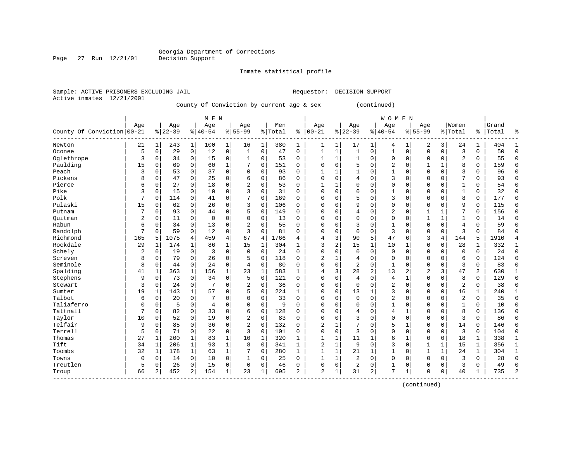Inmate statistical profile

Sample: ACTIVE PRISONERS EXCLUDING JAIL Requestor: DECISION SUPPORT Active inmates 12/21/2001

County Of Conviction by current age & sex (continued)

|                            |                |               |           |              | M E N       |                |                |              |         |              |              |              |                |                | <b>WOMEN</b> |                |                |              |                |               |       |                |
|----------------------------|----------------|---------------|-----------|--------------|-------------|----------------|----------------|--------------|---------|--------------|--------------|--------------|----------------|----------------|--------------|----------------|----------------|--------------|----------------|---------------|-------|----------------|
|                            | Age            |               | Age       |              | Age         |                | Age            |              | Men     |              | Age          |              | Age            |                | Age          |                | Age            |              | Women          |               | Grand |                |
| County Of Conviction 00-21 |                |               | $8 22-39$ |              | $8 40-54$   |                | $8155 - 99$    |              | % Total | ి            | $00 - 21$    | %            | $22 - 39$      |                | $ 40-54$     |                | $8155 - 99$    |              | % Total        | $\frac{1}{6}$ | Total | ႜ              |
| Newton                     | 21             | $\rightarrow$ | 243       | $\mathbf 1$  | 100         | 1              | 16             | 1            | 380     | 1            | 1            | 1            | 17             | 1              | 4            | 1              | 2              | 3            | 24             | 1             | 404   | $\mathbf{1}$   |
| Oconee                     | 5              | $\mathbf 0$   | 29        | $\mathbf 0$  | 12          | $\mathbf 0$    | 1              | $\mathbf 0$  | 47      | 0            | $\mathbf{1}$ | 1            | $\mathbf{1}$   | 0              | $\mathbf{1}$ | $\mathbf 0$    | $\Omega$       | 0            | 3              | 0             | 50    | $\Omega$       |
| Oglethrope                 | 3              | $\Omega$      | 34        | 0            | 15          | $\mathbf 0$    | 1              | 0            | 53      | $\Omega$     |              | 1            |                | $\Omega$       | 0            | $\mathbf 0$    | $\Omega$       | $\Omega$     | $\overline{2}$ | 0             | 55    | $\Omega$       |
| Paulding                   | 15             | $\Omega$      | 69        | $\mathbf 0$  | 60          | $\mathbf 1$    |                | $\mathbf 0$  | 151     | 0            | 0            | 0            | 5              | $\Omega$       | 2            | $\mathbf 0$    |                |              | 8              | 0             | 159   | $\Omega$       |
| Peach                      | 3              | 0             | 53        | 0            | 37          | $\mathbf 0$    | $\Omega$       | $\mathbf 0$  | 93      | 0            |              | 1            |                | $\Omega$       |              | $\Omega$       | $\Omega$       | $\Omega$     | 3              | 0             | 96    | $\Omega$       |
| Pickens                    | 8              | $\Omega$      | 47        | $\mathbf 0$  | 25          | 0              | 6              | 0            | 86      | $\Omega$     | O            | 0            | 4              | $\Omega$       | 3            | $\Omega$       | $\Omega$       | $\Omega$     | 7              | $\Omega$      | 93    | $\Omega$       |
| Pierce                     | 6              | 0             | 27        | $\mathbf 0$  | 18          | 0              | 2              | 0            | 53      | $\Omega$     | $\mathbf{1}$ | 1            | $\Omega$       | $\Omega$       | 0            | $\Omega$       | $\Omega$       | $\Omega$     | $\mathbf{1}$   | 0             | 54    | $\Omega$       |
| Pike                       | 3              | 0             | 15        | 0            | 10          | 0              | 3              | $\mathbf 0$  | 31      | $\Omega$     | $\Omega$     | 0            | $\Omega$       | $\Omega$       |              | $\Omega$       | $\Omega$       | $\Omega$     | $\mathbf{1}$   | 0             | 32    | $\Omega$       |
| Polk                       | 7              | 0             | 114       | 0            | 41          | $\mathsf 0$    |                | $\mathbf 0$  | 169     | 0            | 0            | 0            | 5              | $\Omega$       | 3            | $\Omega$       | $\Omega$       | 0            | 8              | 0             | 177   | $\Omega$       |
| Pulaski                    | 15             | 0             | 62        | 0            | 26          | $\mathbf 0$    | 3              | $\mathbf 0$  | 106     | 0            | <sup>0</sup> | O            | 9              | $\Omega$       | $\Omega$     | $\Omega$       | $\Omega$       | $\Omega$     | 9              | 0             | 115   | $\Omega$       |
| Putnam                     | 7              | 0             | 93        | $\mathbf 0$  | 44          | $\mathbf 0$    | 5              | $\mathbf 0$  | 149     | $\Omega$     | <sup>0</sup> | 0            | 4              | $\Omega$       | 2            | $\Omega$       | 1              | 1            | 7              | 0             | 156   | ∩              |
| Ouitman                    | $\overline{2}$ | 0             | 11        | $\mathbf 0$  | $\mathbf 0$ | $\mathbf 0$    | $\Omega$       | $\mathbf 0$  | 13      | 0            | 0            | 0            | $\Omega$       | 0              | 0            | $\Omega$       | $\mathbf{1}$   | 1            | $\mathbf{1}$   | 0             | 14    | ∩              |
| Rabun                      | 6              | $\Omega$      | 34        | $\mathbf 0$  | 13          | $\mathbf 0$    | $\overline{2}$ | $\mathbf 0$  | 55      | 0            | 0            | 0            | 3              | $\Omega$       | 1            | $\Omega$       | $\Omega$       | $\Omega$     | $\overline{4}$ | 0             | 59    | $\Omega$       |
| Randolph                   | 7              | $\Omega$      | 59        | $\mathbf 0$  | 12          | $\mathbf 0$    | 3              | $\mathbf 0$  | 81      | 0            | 0            | 0            | $\Omega$       | $\Omega$       | 3            | $\Omega$       | $\Omega$       | 0            | 3              | $\Omega$      | 84    | ∩              |
| Richmond                   | 165            | 5             | 1075      | 4            | 459         | $\overline{4}$ | 67             | 4            | 1766    | 4            | 4            | 3            | 90             | 5              | 47           | 6              | 3              | 4            | 144            | 5             | 1910  | $\overline{4}$ |
| Rockdale                   | 29             | 1             | 174       | 1            | 86          | $\mathbf 1$    | 15             | 1            | 304     | $\mathbf{1}$ | 3            | 2            | 15             | 1              | 10           | 1              | $\Omega$       | 0            | 28             | 1             | 332   | $\mathbf{1}$   |
| Schely                     | $\overline{2}$ | $\mathbf 0$   | 19        | $\mathbf 0$  | 3           | 0              | $\mathbf 0$    | $\mathbf 0$  | 24      | $\Omega$     | O            | 0            | $\Omega$       | 0              | $\mathbf{0}$ | $\mathbf 0$    | $\Omega$       | $\Omega$     | $\mathbf 0$    | $\mathbf 0$   | 24    | $\Omega$       |
| Screven                    | 8              | 0             | 79        | 0            | 26          | 0              | 5              | $\mathbf 0$  | 118     | O            | 2            | 1            | 4              | 0              | $\Omega$     | $\Omega$       | $\Omega$       | 0            | 6              | 0             | 124   | $\Omega$       |
| Seminole                   | 8              | 0             | 44        | $\mathbf 0$  | 24          | $\mathbf 0$    | $\overline{4}$ | $\mathbf 0$  | 80      | 0            | $\Omega$     | 0            | $\overline{2}$ | $\Omega$       | $\mathbf{1}$ | $\Omega$       | $\Omega$       | $\Omega$     | 3              | 0             | 83    | $\Omega$       |
| Spalding                   | 41             | $\mathbf{1}$  | 363       | $\mathbf 1$  | 156         | $\mathbf 1$    | 23             | $\mathbf{1}$ | 583     | $\mathbf{1}$ | 4            | 3            | 28             | $\overline{2}$ | 13           | $\overline{c}$ | $\overline{2}$ | 3            | 47             | 2             | 630   | 1              |
| Stephens                   | 9              | $\mathbf 0$   | 73        | $\mathbf 0$  | 34          | $\mathbf 0$    | 5              | $\mathbf 0$  | 121     | $\Omega$     | 0            | 0            | 4              | 0              | 4            | $\mathbf{1}$   | $\Omega$       | 0            | 8              | 0             | 129   | $\Omega$       |
| Stewart                    | 3              | $\Omega$      | 24        | $\Omega$     | 7           | $\mathbf 0$    | $\overline{2}$ | $\mathbf 0$  | 36      | $\Omega$     | $\Omega$     | 0            | $\Omega$       | $\Omega$       | 2            | $\Omega$       | $\Omega$       | $\Omega$     | $\overline{2}$ | 0             | 38    | $\Omega$       |
| Sumter                     | 19             | $\mathbf{1}$  | 143       | $\mathbf{1}$ | 57          | $\mathbf 0$    | 5              | $\mathbf 0$  | 224     | $\mathbf{1}$ | 0            | 0            | 13             | 1              | 3            | $\Omega$       | $\Omega$       | 0            | 16             | 1             | 240   |                |
| Talbot                     | 6              | 0             | 20        | $\mathbf 0$  | 7           | 0              | 0              | $\mathbf 0$  | 33      | $\Omega$     | $\Omega$     | 0            | $\Omega$       | $\Omega$       | 2            | $\Omega$       | $\Omega$       | $\Omega$     | $\overline{a}$ | $\Omega$      | 35    | $\Omega$       |
| Taliaferro                 | $\Omega$       | 0             | 5         | $\mathbf 0$  | 4           | 0              | $\Omega$       | 0            | 9       | $\Omega$     | $\Omega$     | 0            | $\Omega$       | $\Omega$       | $\mathbf{1}$ | $\Omega$       | $\Omega$       | $\Omega$     | $\mathbf{1}$   | 0             | 10    | $\Omega$       |
| Tattnall                   | 7              | $\Omega$      | 82        | $\mathbf 0$  | 33          | 0              | б              | 0            | 128     | 0            | $\Omega$     | 0            | 4              | $\Omega$       | 4            |                | $\Omega$       | $\Omega$     | 8              | 0             | 136   | $\Omega$       |
| Taylor                     | 10             | 0             | 52        | 0            | 19          | $\mathsf 0$    | $\overline{2}$ | 0            | 83      | 0            | O            | 0            | 3              | $\Omega$       | 0            | $\Omega$       | $\Omega$       | $\Omega$     | 3              | 0             | 86    | $\Omega$       |
| Telfair                    | 9              | 0             | 85        | 0            | 36          | $\mathbf 0$    | $\overline{2}$ | $\mathbf 0$  | 132     | O            | 2            | 1            |                | $\Omega$       | 5            | $\mathbf{1}$   | $\Omega$       | 0            | 14             | 0             | 146   | $\Omega$       |
| Terrell                    | 5              | $\Omega$      | 71        | 0            | 22          | $\mathbf 0$    | 3              | $\mathbf 0$  | 101     | 0            | $\Omega$     | 0            | 3              | $\Omega$       | $\Omega$     | $\Omega$       | $\Omega$       | $\Omega$     | $\overline{3}$ | 0             | 104   | $\Omega$       |
| Thomas                     | 27             | 1             | 200       | 1            | 83          | $\mathbf{1}$   | 10             | 1            | 320     | $\mathbf{1}$ | 1            | 1            | 11             | 1              | б            | 1              | $\Omega$       | 0            | 18             | 1             | 338   | 1              |
| Tift                       | 34             | 1             | 206       | $\mathbf 1$  | 93          | $\mathbf 1$    | 8              | $\mathbf 0$  | 341     | 1            | 2            | 1            | 9              | 0              | 3            | $\mathbf 0$    | 1              | 1            | 15             | 1             | 356   | 1              |
| Toombs                     | 32             | 1             | 178       | $\mathbf 1$  | 63          | $\mathbf 1$    |                | $\mathbf 0$  | 280     | $\mathbf{1}$ | $\mathbf{1}$ | $\mathbf{1}$ | 21             | 1              | 1            | 0              | $\mathbf{1}$   | $\mathbf{1}$ | 24             | $\mathbf{1}$  | 304   | $\mathbf{1}$   |
| Towns                      | 0              | 0             | 14        | $\mathbf 0$  | 10          | 0              | $\mathbf{1}$   | 0            | 25      | $\Omega$     | $\mathbf{1}$ | 1            | $\overline{2}$ | $\Omega$       | 0            | $\Omega$       | $\Omega$       | $\Omega$     | 3              | 0             | 28    | $\Omega$       |
| Treutlen                   | 5              | $\Omega$      | 26        | $\mathbf 0$  | 15          | 0              | 0              | $\mathbf 0$  | 46      | $\Omega$     | 0            | 0            | 2              | 0              | 1            | 0              | $\Omega$       | $\Omega$     | 3              | 0             | 49    | $\Omega$       |
| Troup                      | 66             | 2             | 452       | 2            | 154         | 1              | 23             | 1            | 695     | 2            | 2            | 1            | 31             | 2              | 7            | 1              | $\Omega$       | 0            | 40             | 1             | 735   | 2              |

(continued)

Page 27 Run 12/21/01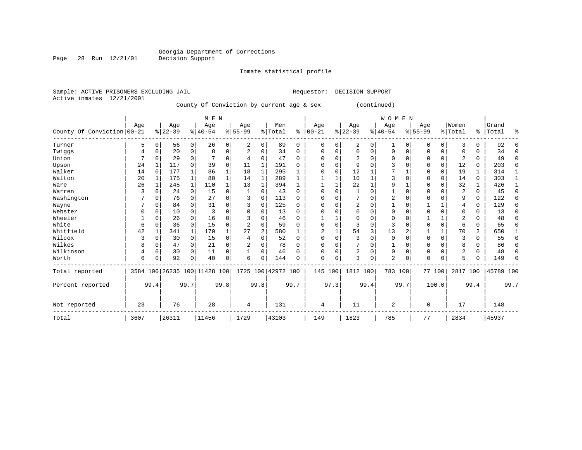Inmate statistical profile

Sample: ACTIVE PRISONERS EXCLUDING JAIL **Requestor: DECISION SUPPORT** Active inmates 12/21/2001

Page 28 Run 12/21/01

County Of Conviction by current age & sex (continued)

|                            |      |          |           |              | M E N                        |          |           |                |                    |          |           |          |                |              | <b>WOMEN</b>   |          |             |             |                |          |           |          |
|----------------------------|------|----------|-----------|--------------|------------------------------|----------|-----------|----------------|--------------------|----------|-----------|----------|----------------|--------------|----------------|----------|-------------|-------------|----------------|----------|-----------|----------|
|                            | Age  |          | Age       |              | Age                          |          | Age       |                | Men                |          | Age       |          | Age            |              | Age            |          | Age         |             | Women          |          | Grand     |          |
| County Of Conviction 00-21 |      |          | $8 22-39$ |              | $ 40-54$                     |          | $8 55-99$ |                | % Total            | ៖        | $00 - 21$ |          | $ 22-39 $      |              | $ 40-54$       |          | $8155 - 99$ |             | % Total        | ိ        | Total     | ៖        |
| Turner                     | 5    | 0        | 56        | $\mathbf{0}$ | 26                           | 0        | 2         | $\Omega$       | 89                 | $\Omega$ | 0         | 0        | 2              | 0            | 1              | 0        | 0           | 0           | 3              | $\Omega$ | 92        | $\Omega$ |
| Twiggs                     | 4    |          | 20        | 0            | 8                            | $\Omega$ | 2         | 0              | 34                 | $\Omega$ | 0         | 0        | $\Omega$       | 0            | 0              | 0        | 0           | 0           | $\Omega$       | 0        | 34        | $\Omega$ |
| Union                      |      |          | 29        | 0            |                              | 0        |           | $\Omega$       | 47                 | 0        | $\Omega$  | 0        | 2              | 0            | $\Omega$       | $\Omega$ | O           | 0           | $\overline{2}$ | 0        | 49        | $\Omega$ |
| Upson                      | 24   |          | 117       | $\Omega$     | 39                           | 0        | 11        |                | 191                | 0        | $\Omega$  | 0        | 9              | O            |                | $\Omega$ | U           | $\mathbf 0$ | 12             | $\Omega$ | 203       | $\Omega$ |
| Walker                     | 14   |          | 177       |              | 86                           | 1        | 18        |                | 295                |          | $\Omega$  | $\Omega$ | 12             |              |                |          | $\Omega$    | $\mathbf 0$ | 19             |          | 314       |          |
| Walton                     | 20   |          | 175       | $\mathbf{1}$ | 80                           |          | 14        |                | 289                |          |           |          | 10             | 1            | ζ              | $\Omega$ | O           | $\Omega$    | 14             | $\Omega$ | 303       | 1        |
| Ware                       | 26   |          | 245       | $\mathbf 1$  | 110                          |          | 13        |                | 394                |          |           |          | 22             | $\mathbf{1}$ | 9              |          | 0           | $\Omega$    | 32             |          | 426       |          |
| Warren                     | 3    |          | 24        | $\Omega$     | 15                           | $\Omega$ |           | $\Omega$       | 43                 | 0        | $\Omega$  | 0        |                | O            |                | $\Omega$ | O           | 0           | $\overline{2}$ | $\Omega$ | 45        | $\Omega$ |
| Washington                 |      |          | 76        | 0            | 27                           | $\Omega$ | 3         | $\Omega$       | 113                | $\Omega$ | $\Omega$  | O        |                | O            | $\overline{2}$ | $\Omega$ | 0           | U           | q              | $\Omega$ | 122       | $\Omega$ |
| Wayne                      |      | N        | 84        |              | 31                           | $\Omega$ |           | $\Omega$       | 125                | U        | $\Omega$  | $\Omega$ | $\overline{2}$ | O            |                | $\Omega$ |             | 1           | 4              | $\Omega$ | 129       | $\Omega$ |
| Webster                    |      |          | 10        | $\Omega$     | 3                            | $\Omega$ |           | $\Omega$       | 13                 | $\Omega$ | $\Omega$  | O        | 0              | 0            | $\Omega$       | $\Omega$ |             | 0           | $\Omega$       | 0        | 13        | $\Omega$ |
| Wheeler                    |      |          | 26        | $\Omega$     | 16                           | 0        |           | $\Omega$       | 46                 | $\Omega$ |           |          | $\Omega$       | O            | $\Omega$       | $\Omega$ |             |             | $\overline{2}$ | 0        | 48        | $\Omega$ |
| White                      | 6    |          | 36        | $\Omega$     | 15                           | $\Omega$ |           | $\Omega$       | 59                 | 0        | $\Omega$  | $\Omega$ | 3              | 0            | 3              | $\Omega$ | 0           | $\mathbf 0$ | 6              | 0        | 65        | $\Omega$ |
| Whitfield                  | 42   |          | 341       |              | 170                          |          | 27        | $\overline{2}$ | 580                |          | 2         |          | 54             | 3            | 13             | 2        |             | 1           | 70             | 2        | 650       |          |
| Wilcox                     | 3    | 0        | 30        | 0            | 15                           | 0        |           | $\Omega$       | 52                 | 0        | $\Omega$  | $\Omega$ | 3              | 0            | $\mathbf 0$    | $\Omega$ | $\Omega$    | $\mathbf 0$ | 3              | $\Omega$ | 55        | 0        |
| Wilkes                     | 8    | 0        | 47        | 0            | 21                           | 0        | 2         | 0              | 78                 | $\Omega$ | $\Omega$  | $\Omega$ |                | 0            |                | 0        | $\Omega$    | 0           | 8              | $\Omega$ | 86        | $\Omega$ |
| Wilkinson                  | 4    | $\Omega$ | 30        | $\Omega$     | 11                           | 0        |           | $\Omega$       | 46                 | 0        | $\Omega$  | $\Omega$ | 2              | 0            | $\Omega$       | 0        | $\Omega$    | $\Omega$    | $\overline{2}$ | $\Omega$ | 48        | $\Omega$ |
| Worth                      | 6    |          | 92        | 0            | 40                           | 0        | 6         | $\Omega$       | 144                | U        | 0         | 0        | 3              | 0            | $\overline{2}$ | 0        | $\Omega$    | 0           | 5              | U        | 149       | $\Omega$ |
| Total reported             |      |          |           |              | 3584 100 26235 100 11428 100 |          |           |                | 1725 100 42972 100 |          | 145 100   |          | 1812 100       |              | 783 100        |          |             | 77 100      | 2817 100       |          | 45789 100 |          |
| Percent reported           |      | 99.4     |           | 99.7         |                              | 99.8     |           | 99.8           |                    | 99.7     |           | 97.3     |                | 99.4         |                | 99.7     |             | 100.0       |                | 99.4     |           | 99.7     |
| Not reported               | 23   |          | 76        |              | 28                           |          | 4         |                | 131                |          | 4         |          | 11             |              | 2              |          | 0           |             | 17             |          | 148       |          |
| Total                      | 3607 |          | 26311     |              | 11456                        |          | 1729      |                | 43103              |          | 149       |          | 1823           |              | 785            |          | 77          |             | 2834           |          | 45937     |          |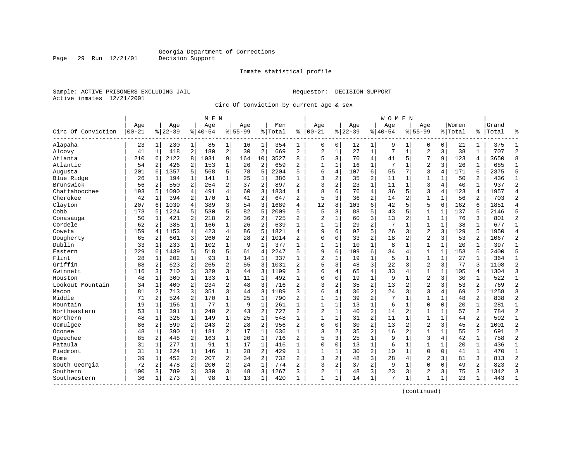Inmate statistical profile

Sample: ACTIVE PRISONERS EXCLUDING JAIL Requestor: DECISION SUPPORT Active inmates 12/21/2001

Page 29 Run 12/21/01

Circ Of Conviction by current age & sex

| $00 - 21$<br>Circ Of Conviction<br>Alapaha | Age<br>23<br>41<br>$\mathbf{1}$<br>210 | Age<br>$ 22-39$<br>230<br>1 <sup>1</sup><br>418 | 1              | Age<br>$ 40-54$ |                | Aqe<br>$8 55-99$ |                | Men<br>% Total | နွ             | Age<br>$ 00-21$ |                | Age      |                | Age         |                | Age            |              | Women   |                | Grand |                |
|--------------------------------------------|----------------------------------------|-------------------------------------------------|----------------|-----------------|----------------|------------------|----------------|----------------|----------------|-----------------|----------------|----------|----------------|-------------|----------------|----------------|--------------|---------|----------------|-------|----------------|
|                                            |                                        |                                                 |                |                 |                |                  |                |                |                |                 |                |          |                |             |                |                |              |         |                |       |                |
|                                            |                                        |                                                 |                |                 |                |                  |                |                |                |                 |                | $ 22-39$ |                | $8140 - 54$ |                | $8155 - 99$    |              | % Total | %              | Total | န္             |
|                                            |                                        |                                                 |                | 85              | 1              | 16               | 1              | 354            | 1              | 0               | 0              | 12       | 1              | 9           | 1              | 0              | 0            | 21      | 1              | 375   | $\mathbf{1}$   |
| Alcovy                                     |                                        |                                                 | 2              | 180             | $\overline{a}$ | 30               | $\overline{2}$ | 669            | 2              | $\overline{a}$  | $\mathbf{1}$   | 27       | $1\,$          | 7           | $\mathbf{1}$   | $\overline{2}$ | 3            | 38      | $\mathbf{1}$   | 707   | $\overline{c}$ |
| Atlanta                                    |                                        | 2122<br>6                                       | 8              | 1031            | 9              | 164              | 10             | 3527           | 8              | 5               | 3              | 70       | 4              | 41          | 5              | 7              | 9            | 123     | 4              | 3650  | 8              |
| Atlantic                                   | 54                                     | $\overline{a}$<br>426                           | 2              | 153             | 1              | 26               | $\overline{2}$ | 659            | 2              | $\mathbf{1}$    | $\mathbf{1}$   | 16       | 1              | 7           | 1              | $\overline{2}$ | 3            | 26      | 1              | 685   | $\mathbf{1}$   |
| Augusta                                    | 201                                    | 1357<br>6                                       | 5              | 568             | 5              | 78               | 5              | 2204           | 5              | 6               | 4              | 107      | 6              | 55          | 7              | 3              | 4            | 171     | 6              | 2375  | 5              |
| Blue Ridge                                 | 26<br>1                                | 194                                             | 1              | 141             | $\mathbf{1}$   | 25               | $\mathbf{1}$   | 386            | 1              | 3               | 2              | 35       | 2              | 11          | 1              | $\mathbf{1}$   | $\mathbf{1}$ | 50      | $\overline{a}$ | 436   | -1             |
| Brunswick                                  | 56                                     | 2<br>550                                        | 2              | 254             | 2              | 37               | $\overline{2}$ | 897            | $\overline{2}$ | 3               | $\overline{c}$ | 23       | $\mathbf 1$    | 11          | $\mathbf 1$    | 3              | 4            | 40      | $\mathbf{1}$   | 937   | $\overline{2}$ |
| Chattahoochee                              | 193                                    | 5<br>1090                                       | 4              | 491             | 4              | 60               | 3              | 1834           | 4              | 8               | б              | 76       | 4              | 36          | 5              | 3              | 4            | 123     | 4              | 1957  | $\overline{4}$ |
| Cherokee                                   | 42<br>$\mathbf{1}$                     | 394                                             | 2              | 170             | $\mathbf{1}$   | 41               | $\overline{2}$ | 647            | $\overline{a}$ | 5               | 3              | 36       | $\overline{a}$ | 14          | $\overline{2}$ | $\mathbf{1}$   | $\mathbf{1}$ | 56      | $\overline{a}$ | 703   | $\overline{2}$ |
| Clayton                                    | 207<br>6                               | 1039                                            | $\overline{4}$ | 389             | 3              | 54               | 3              | 1689           | 4              | 12              | 8              | 103      | 6              | 42          | 5              | 5              | 6            | 162     | 6              | 1851  | $\overline{4}$ |
| Cobb                                       | 173<br>5                               | 1224                                            | 5              | 530             | 5              | 82               | 5              | 2009           | 5              | 5               | 3              | 88       | 5              | 43          | 5              | $\mathbf{1}$   | $\mathbf 1$  | 137     | 5              | 2146  |                |
| Conasauga                                  | 50<br>1                                | 421                                             | 2              | 218             | $\overline{2}$ | 36               | $\overline{2}$ | 725            | $\overline{a}$ | $\overline{c}$  | 1              | 60       | 3              | 13          | 2              | $\mathbf{1}$   | 1            | 76      | 3              | 801   | $\overline{2}$ |
| Cordele                                    | 62                                     | 2<br>385                                        | 1              | 166             | $\mathbf 1$    | 26               | $\overline{2}$ | 639            | 1              | 1               | $\mathbf 1$    | 29       | $\overline{c}$ | 7           | 1              | $\mathbf{1}$   | $\mathbf 1$  | 38      | 1              | 677   | $\mathbf{1}$   |
| Coweta                                     | 159                                    | 1153<br>4                                       | 4              | 423             | 4              | 86               | 5              | 1821           | 4              | 9               | 6              | 92       | 5              | 26          | 3              | $\overline{2}$ | 3            | 129     | 5              | 1950  | $\overline{4}$ |
| Dougherty                                  | 65                                     | 661<br>2                                        | 3              | 260             | 2              | 28               | $\overline{2}$ | 1014           | $\overline{a}$ | $\Omega$        | 0              | 33       | $\overline{2}$ | 18          | $\overline{2}$ | $\overline{2}$ | 3            | 53      | 2              | 1067  | $\overline{2}$ |
| Dublin                                     | 33<br>1                                | 233                                             | 1              | 102             | $\mathbf 1$    | 9                | 1              | 377            | 1              | $\mathbf{1}$    | 1              | 10       | 1              | 8           | 1              | 1              | 1            | 20      | 1              | 397   | 1              |
| Eastern                                    | 229<br>6                               | 1439                                            | 5              | 518             | 5              | 61               | $\overline{4}$ | 2247           | 5              | 9               | 6              | 109      | 6              | 34          | 4              | $\mathbf{1}$   | $\mathbf{1}$ | 153     | 5              | 2400  | 5              |
| Flint                                      | 28<br>$\mathbf{1}$                     | 202                                             | $\mathbf{1}$   | 93              | $\mathbf{1}$   | 14               | $\mathbf{1}$   | 337            | $\mathbf{1}$   | $\overline{c}$  | $\mathbf{1}$   | 19       | $\mathbf 1$    | 5           | 1              | $\mathbf{1}$   | $\mathbf{1}$ | 27      | $\mathbf{1}$   | 364   | $\mathbf{1}$   |
| Griffin                                    | 88                                     | $\overline{2}$<br>623                           | 2              | 265             | 2              | 55               | 3              | 1031           | $\overline{2}$ | 5               | 3              | 48       | 3              | 22          | $\overline{3}$ | $\overline{2}$ | 3            | 77      | ς              | 1108  | $\overline{2}$ |
| Gwinnett                                   | 116                                    | 3<br>710                                        | 3              | 329             | 3              | 44               | 3              | 1199           | 3              | 6               | 4              | 65       | $\overline{4}$ | 33          | 4              | $\mathbf 1$    | $\mathbf{1}$ | 105     | 4              | 1304  | $\overline{3}$ |
| Houston                                    | 48<br>1                                | 300                                             | 1              | 133             | $\mathbf{1}$   | 11               | $\mathbf{1}$   | 492            | $\mathbf{1}$   | $\Omega$        | 0              | 19       | $\mathbf{1}$   | 9           | 1              | $\overline{2}$ | 3            | 30      | 1              | 522   | $\mathbf{1}$   |
| Lookout Mountain                           | 34<br>$\mathbf{1}$                     | 400                                             | 2              | 234             | 2              | 48               | 3              | 716            | $\overline{a}$ | 3               | 2              | 35       | $\overline{c}$ | 13          | 2              | $\overline{2}$ | 3            | 53      | $\overline{a}$ | 769   | $\overline{2}$ |
| Macon                                      | 81                                     | 2<br>713                                        | 3              | 351             | 3              | 44               | 3              | 1189           | 3              | 6               | 4              | 36       | $\overline{c}$ | 24          | 3              | 3              | 4            | 69      | 2              | 1258  | 3              |
| Middle                                     | 71                                     | $\overline{a}$<br>524                           | $\overline{a}$ | 170             | $\mathbf{1}$   | 25               | $\mathbf{1}$   | 790            | $\overline{a}$ | $\mathbf{1}$    | 1              | 39       | $\overline{a}$ | 7           | 1              | $\mathbf{1}$   | $\mathbf{1}$ | 48      | $\overline{a}$ | 838   | $\overline{2}$ |
| Mountain                                   | 19                                     | 1<br>156                                        | 1              | 77              | $\mathbf 1$    | 9                | $\mathbf{1}$   | 261            | 1              | 1               | $\mathbf{1}$   | 13       | $\mathbf 1$    | 6           | $\mathbf{1}$   | $\mathbf 0$    | $\mathbf 0$  | 20      | 1              | 281   | $\mathbf{1}$   |
| Northeastern                               | 53                                     | 391<br>1                                        | $\mathbf 1$    | 240             | $\overline{a}$ | 43               | $\overline{2}$ | 727            | $\overline{a}$ | $\overline{c}$  | $\mathbf 1$    | 40       | $\overline{c}$ | 14          | 2              | 1              | $\mathbf 1$  | 57      | 2              | 784   | $\overline{2}$ |
| Northern                                   | 48<br>1                                | 326                                             | $\mathbf{1}$   | 149             | $\mathbf{1}$   | 25               | $\mathbf{1}$   | 548            | $\mathbf{1}$   | $\mathbf{1}$    | 1              | 31       | $\overline{2}$ | 11          | 1              | $\mathbf{1}$   | 1            | 44      | 2              | 592   | $\mathbf{1}$   |
| Ocmulgee                                   | 86                                     | 2<br>599                                        | 2              | 243             | 2              | 28               | $\overline{2}$ | 956            | 2              | $\Omega$        | $\Omega$       | 30       | $\overline{c}$ | 13          | $\overline{2}$ | $\overline{2}$ | 3            | 45      | 2              | 1001  | $\overline{c}$ |
| Oconee                                     | 48                                     | 390<br>1                                        | 1              | 181             | 2              | 17               | $\mathbf{1}$   | 636            | $\mathbf{1}$   | 3               | 2              | 35       | $\overline{c}$ | 16          | $\overline{2}$ | $\mathbf{1}$   | $\mathbf{1}$ | 55      | 2              | 691   | $\overline{2}$ |
| Ogeechee                                   | 85                                     | 2<br>448                                        | 2              | 163             | $\mathbf 1$    | 20               | 1              | 716            | $\overline{a}$ | 5               | 3              | 25       | $\mathbf{1}$   | 9           | 1              | 3              | 4            | 42      | 1              | 758   | $\overline{2}$ |
| Pataula                                    | 31                                     | 1<br>277                                        | 1              | 91              | $\mathbf{1}$   | 17               | $\mathbf{1}$   | 416            | 1              | 0               | 0              | 13       | $\mathbf 1$    | 6           | 1              | $\mathbf{1}$   | 1            | 20      | 1              | 436   | 1              |
| Piedmont                                   | 31                                     | $\mathbf{1}$<br>224                             | $\mathbf{1}$   | 146             | $\mathbf{1}$   | 28               | $\overline{2}$ | 429            | $\mathbf{1}$   | $\mathbf{1}$    | $\mathbf 1$    | 30       | $\overline{c}$ | 10          | $\mathbf{1}$   | $\Omega$       | $\mathbf 0$  | 41      | $\mathbf{1}$   | 470   | $\mathbf{1}$   |
| Rome                                       | 39                                     | $\mathbf{1}$<br>452                             | 2              | 207             | $\overline{a}$ | 34               | $\overline{2}$ | 732            | $\overline{2}$ | $\mathbf{z}$    | $\overline{c}$ | 48       | 3              | 28          | 4              | $\overline{2}$ | 3            | 81      | 3              | 813   | $\overline{c}$ |
| South Georgia                              | 72                                     | 478<br>2                                        | 2              | 200             | 2              | 24               | $\mathbf{1}$   | 774            | 2              | 3               | 2              | 37       | $\overline{c}$ | 9           | 1              | $\mathbf{0}$   | $\Omega$     | 49      | 2              | 823   | $\overline{2}$ |
| Southern                                   | 100                                    | 3<br>789                                        | 3              | 330             | 3              | 48               | 3              | 1267           | 3              | $\overline{2}$  | 1              | 48       | 3              | 23          | 3              | 2              | 3            | 75      | 3              | 1342  | 3              |
| Southwestern                               | 36<br>$\mathbf{1}$                     | 273                                             | 1              | 98              | 1              | 13               | 1              | 420            | $\mathbf{1}$   | $\mathbf{1}$    | 1              | 14       | $\mathbf{1}$   | 7           | 1              | 1              | 1            | 23      | 1              | 443   | $\mathbf{1}$   |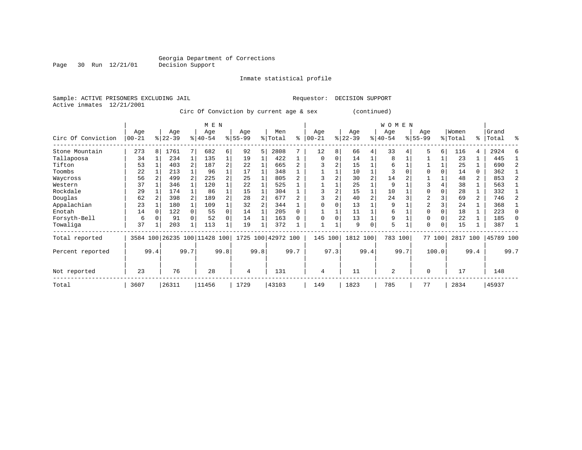Page 30 Run 12/21/01

#### Inmate statistical profile

Sample: ACTIVE PRISONERS EXCLUDING JAIL Requestor: DECISION SUPPORT Active inmates 12/21/2001

Circ Of Conviction by current age & sex (continued)

|                    |                  |      |                  |              | M E N                        |      |                  |      |                    |      |                   |      |                  |      | W O M E N        |      |                    |          |                  |                |                    |      |
|--------------------|------------------|------|------------------|--------------|------------------------------|------|------------------|------|--------------------|------|-------------------|------|------------------|------|------------------|------|--------------------|----------|------------------|----------------|--------------------|------|
| Circ Of Conviction | Age<br>$00 - 21$ |      | Age<br>$ 22-39 $ |              | Age<br>$8140 - 54$           |      | Age<br>$8 55-99$ |      | Men<br>% Total     | ⊱    | Age<br>$ 00 - 21$ |      | Age<br>$ 22-39 $ |      | Age<br>$ 40-54 $ |      | Age<br>$8155 - 99$ |          | Women<br>% Total |                | Grand<br>%   Total | ႜ    |
| Stone Mountain     | 273              | 8    | 1761             |              | 682                          | 6    | 92               | 5    | 2808               |      | 12                | 8    | 66               | 4    | 33               |      | 5                  | 6        | 116              | 4              | 2924               |      |
| Tallapoosa         | 34               |      | 234              | 1            | 135                          |      | 19               |      | 422                |      | $\mathbf 0$       | 0    | 14               |      | 8                |      |                    |          | 23               |                | 445                |      |
| Tifton             | 53               |      | 403              |              | 187                          | 2    | 22               |      | 665                |      |                   | 2    | 15               |      | 6                |      |                    |          | 25               |                | 690                | 2    |
| Toombs             | 22               |      | 213              |              | 96                           |      | 17               |      | 348                |      |                   |      | 10               |      | 3                |      |                    |          | 14               | 0              | 362                |      |
| Waycross           | 56               |      | 499              |              | 225                          | 2    | 25               |      | 805                |      |                   |      | 30               | 2    | 14               |      |                    |          | 48               | 2              | 853                |      |
| Western            | 37               |      | 346              |              | 120                          |      | 22               |      | 525                |      |                   |      | 25               |      | 9                |      |                    |          | 38               |                | 563                |      |
| Rockdale           | 29               |      | 174              |              | 86                           |      | 15               |      | 304                |      | 3                 |      | 15               |      | 10               |      | 0                  |          | 28               |                | 332                |      |
| Douglas            | 62               |      | 398              |              | 189                          | 2    | 28               |      | 677                |      |                   |      | 40               | 2    | 24               |      | $\overline{a}$     |          | 69               | $\overline{2}$ | 746                | 2    |
| Appalachian        | 23               |      | 180              |              | 109                          |      | 32               |      | 344                |      |                   |      | 13               |      | 9                |      | 2                  |          | 24               |                | 368                |      |
| Enotah             | 14               |      | 122              |              | 55                           | 0    | 14               |      | 205                | 0    |                   |      | 11               |      | 6                |      | $\Omega$           | $\Omega$ | 18               |                | 223                |      |
| Forsyth-Bell       | 6                |      | 91               |              | 52                           | 0    | 14               |      | 163                |      |                   |      | 13               |      | 9                |      | 0                  |          | 22               |                | 185                |      |
| Towaliga           | 37               |      | 203              | $\mathbf{1}$ | 113                          |      | 19               |      | 372                |      |                   |      | 9                | 0    | 5                |      | $\Omega$           | 0        | 15               |                | 387                |      |
| Total reported     |                  |      |                  |              | 3584 100 26235 100 11428 100 |      |                  |      | 1725 100 42972 100 |      | 145               | 100  | 1812 100         |      | 783 100          |      |                    | 77 100   | 2817             | 100            | 45789 100          |      |
| Percent reported   |                  | 99.4 |                  | 99.7         |                              | 99.8 |                  | 99.8 |                    | 99.7 |                   | 97.3 |                  | 99.4 |                  | 99.7 |                    | 100.0    |                  | 99.4           |                    | 99.7 |
| Not reported       | 23               |      | 76               |              | 28                           |      | 4                |      | 131                |      | 4                 |      | 11               |      | 2                |      | $\Omega$           |          | 17               |                | 148                |      |
| Total              | 3607             |      | 26311            |              | 11456                        |      | 1729             |      | 43103              |      | 149               |      | 1823             |      | 785              |      | 77                 |          | 2834             |                | 45937              |      |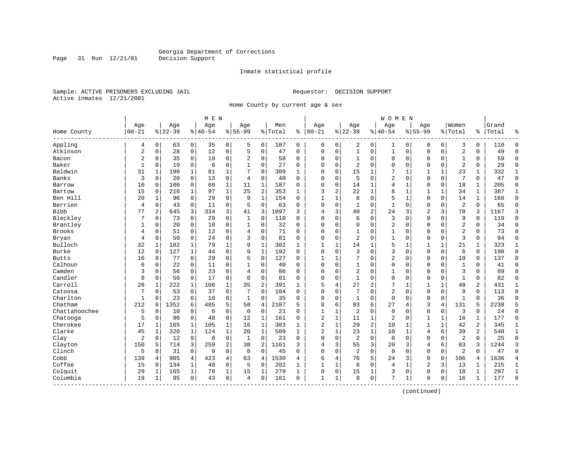Inmate statistical profile

Sample: ACTIVE PRISONERS EXCLUDING JAIL Requestor: DECISION SUPPORT Active inmates 12/21/2001

Home County by current age & sex

|                         |                |                |           |              | M E N     |                |                |                |         |              |                |              |                |                | <b>WOMEN</b>   |              |                |              |                |              |       |                |
|-------------------------|----------------|----------------|-----------|--------------|-----------|----------------|----------------|----------------|---------|--------------|----------------|--------------|----------------|----------------|----------------|--------------|----------------|--------------|----------------|--------------|-------|----------------|
|                         | Age            |                | Age       |              | Age       |                | Age            |                | Men     |              | Age            |              | Age            |                | Age            |              | Age            |              | Women          |              | Grand |                |
| Home County<br>-------- | $00 - 21$      |                | $8 22-39$ |              | $8 40-54$ |                | $8155 - 99$    |                | % Total | ి            | $ 00-21$       |              | $8 22-39$      |                | $8140 - 54$    |              | $8155 - 99$    |              | % Total        | °ຮ ∣         | Total | န္             |
| Appling                 | 4              | 0              | 63        | 0            | 35        | 0              | 5              | 0              | 107     | 0            | 0              | 0            | 2              | 0              | 1              | 0            | 0              | $\mathbf 0$  | 3              | 0            | 110   | $\Omega$       |
| Atkinson                | $\overline{2}$ | $\mathbf 0$    | 28        | $\mathsf{O}$ | 12        | $\mathsf 0$    | 5              | $\mathbf 0$    | 47      | 0            | $\Omega$       | 0            | $\mathbf{1}$   | 0              | $\mathbf{1}$   | 0            | $\Omega$       | 0            | $\overline{2}$ | 0            | 49    | $\Omega$       |
| Bacon                   | $\overline{2}$ | 0              | 35        | $\mathbf 0$  | 19        | $\mathbf 0$    | 2              | 0              | 58      | $\Omega$     | $\Omega$       | 0            | 1              | 0              | 0              | 0            | $\Omega$       | 0            | $\mathbf{1}$   | 0            | 59    | $\Omega$       |
| Baker                   | $\mathbf{1}$   | 0              | 19        | $\mathbf 0$  | 6         | 0              | 1              | 0              | 27      | 0            | $\Omega$       | 0            | $\overline{2}$ | $\Omega$       | 0              | $\mathbf 0$  | $\Omega$       | 0            | $\overline{2}$ | 0            | 29    | $\Omega$       |
| Baldwin                 | 31             | $\mathbf{1}$   | 190       | 1            | 81        | 1              | 7              | $\mathbf 0$    | 309     | $\mathbf{1}$ | $\Omega$       | 0            | 15             | 1              |                | 1            | $\mathbf{1}$   | $\mathbf{1}$ | 23             | 1            | 332   | 1              |
| Banks                   | 3              | $\Omega$       | 20        | $\mathbf 0$  | 13        | $\mathbf 0$    | 4              | 0              | 40      | $\Omega$     | $\Omega$       | 0            | 5              | $\Omega$       | $\overline{2}$ | $\Omega$     | $\Omega$       | 0            | 7              | $\Omega$     | 47    | $\Omega$       |
| Barrow                  | 10             | 0              | 106       | 0            | 60        | $\mathbf{1}$   | 11             | 1              | 187     | 0            | 0              | 0            | 14             | 1              | $\overline{4}$ | $\mathbf{1}$ | 0              | $\mathbf 0$  | 18             | 1            | 205   | $\mathbf{0}$   |
| Bartow                  | 15             | $\mathbf 0$    | 216       | $\mathbf{1}$ | 97        | $\mathbf{1}$   | 25             | 2              | 353     | $\mathbf{1}$ | 3              | 2            | 22             | 1              | 8              | $\mathbf{1}$ | $\mathbf{1}$   | $\mathbf{1}$ | 34             | $\mathbf{1}$ | 387   | $\mathbf{1}$   |
| Ben Hill                | 20             | $\mathbf{1}$   | 96        | $\mathbf 0$  | 29        | $\mathbf 0$    | 9              | $\mathbf{1}$   | 154     | $\Omega$     | $\mathbf{1}$   | $\mathbf{1}$ | 8              | $\Omega$       | 5              | $\mathbf{1}$ | $\Omega$       | $\Omega$     | 14             | $\mathbf{1}$ | 168   | $\Omega$       |
| Berrien                 | $\overline{4}$ | $\mathbf 0$    | 43        | $\mathbf 0$  | 11        | $\mathbf 0$    | 5              | $\mathbf 0$    | 63      | $\Omega$     | $\Omega$       | 0            | $\mathbf{1}$   | $\Omega$       | $\mathbf{1}$   | $\mathbf 0$  | $\Omega$       | 0            | $\overline{2}$ | 0            | 65    | $\Omega$       |
| <b>Bibb</b>             | 77             | $\overline{2}$ | 645       | 3            | 334       | 3              | 41             | 3              | 1097    | 3            | $\overline{4}$ | 3            | 40             | $\overline{c}$ | 24             | 3            | $\overline{2}$ | 3            | 70             | 3            | 1167  | 3              |
| Bleckley                | 7              | $\Omega$       | 73        | $\mathbf 0$  | 29        | $\mathbf 0$    | 1              | $\mathbf 0$    | 110     | $\Omega$     | $\Omega$       | 0            | 6              | $\Omega$       | 3              | $\Omega$     | $\Omega$       | $\Omega$     | 9              | $\Omega$     | 119   | $\Omega$       |
| Brantley                | 1              | 0              | 20        | $\mathbf 0$  | 10        | $\mathsf 0$    | 1              | $\mathbf 0$    | 32      | 0            | 0              | 0            | $\Omega$       | 0              | 2              | $\mathbf 0$  | 0              | $\Omega$     | 2              | 0            | 34    | $\Omega$       |
| <b>Brooks</b>           | 4              | $\mathbf 0$    | 51        | $\mathbf 0$  | 12        | 0              | 4              | $\mathbf 0$    | 71      | $\Omega$     | $\Omega$       | 0            | 1              | 0              | $\mathbf{1}$   | $\Omega$     | $\Omega$       | $\Omega$     | $\overline{2}$ | 0            | 73    | $\Omega$       |
| Bryan                   | 4              | 0              | 50        | $\mathbf 0$  | 24        | 0              | 3              | $\mathbf 0$    | 81      | 0            | $\Omega$       | 0            | $\overline{2}$ | $\Omega$       | $\mathbf{1}$   | $\mathbf 0$  | $\Omega$       | 0            | 3              | 0            | 84    | $\Omega$       |
| Bulloch                 | 32             | 1              | 182       | 1            | 79        | $\mathbf{1}$   | 9              | 1              | 302     | 1            | $\mathbf{1}$   | 1            | 14             | 1              | 5              | 1            | 1              |              | 21             | 1            | 323   | 1              |
| Burke                   | 12             | 0              | 127       | 1            | 44        | $\mathbf 0$    | 9              | $\mathbf{1}$   | 192     | 0            | $\Omega$       | 0            | 3              | $\Omega$       | 3              | $\Omega$     | $\Omega$       | 0            | 6              | 0            | 198   | $\Omega$       |
| <b>Butts</b>            | 16             | 0              | 77        | 0            | 29        | $\mathbf 0$    | 5              | 0              | 127     | 0            | $\mathbf{1}$   | 1            | 7              | 0              | 2              | $\mathbf 0$  | $\Omega$       | 0            | 10             | 0            | 137   | $\Omega$       |
| Calhoun                 | 6              | $\mathbf 0$    | 22        | $\mathbf 0$  | 11        | 0              | 1              | $\mathbf 0$    | 40      | 0            | 0              | 0            | $\mathbf{1}$   | 0              | 0              | $\mathbf 0$  | $\mathbf 0$    | 0            | $\mathbf{1}$   | 0            | 41    | $\Omega$       |
| Camden                  | 3              | $\Omega$       | 56        | $\mathbf 0$  | 23        | $\mathbf 0$    | 4              | $\mathbf 0$    | 86      | $\Omega$     | $\Omega$       | 0            | $\overline{2}$ | $\Omega$       | $\mathbf{1}$   | $\Omega$     | $\Omega$       | $\Omega$     | 3              | $\Omega$     | 89    | $\Omega$       |
| Candler                 | 8              | $\Omega$       | 56        | $\mathbf 0$  | 17        | $\mathbf 0$    | $\Omega$       | $\mathbf 0$    | 81      | $\Omega$     | $\Omega$       | 0            | $\mathbf{1}$   | $\Omega$       | $\mathbf 0$    | $\mathbf 0$  | $\Omega$       | $\Omega$     | $\mathbf{1}$   | 0            | 82    | $\Omega$       |
| Carroll                 | 28             | 1              | 222       | 1            | 106       | $\mathbf{1}$   | 35             | $\overline{c}$ | 391     | $\mathbf{1}$ | 5              | 4            | 27             | 2              | 7              | 1            | 1              |              | 40             | 2            | 431   | 1              |
| Catoosa                 | 7              | 0              | 53        | 0            | 37        | $\mathbf 0$    | 7              | $\mathbf 0$    | 104     | O            | $\Omega$       | 0            | 7              | $\Omega$       | 2              | $\Omega$     | $\Omega$       | $\Omega$     | 9              | $\Omega$     | 113   | $\Omega$       |
| Charlton                | 1              | $\Omega$       | 23        | $\mathbf 0$  | 10        | $\mathbf 0$    | 1              | 0              | 35      | 0            | $\Omega$       | 0            | 1              | 0              | $\mathbf 0$    | $\Omega$     | $\Omega$       | 0            | $\mathbf{1}$   | 0            | 36    | $\Omega$       |
| Chatham                 | 212            | 6              | 1352      | 6            | 485       | 5              | 58             | 4              | 2107    | 5            | 8              | 6            | 93             | 6              | 27             | 4            | 3              | 4            | 131            | 5            | 2238  | 5              |
| Chattahoochee           | 5              | 0              | 10        | $\mathbf 0$  | 6         | 0              | $\mathbf 0$    | $\mathbf 0$    | 21      | 0            | $\mathbf{1}$   | 1            | $\overline{2}$ | 0              | $\mathbf{0}$   | $\Omega$     | $\Omega$       | 0            | 3              | $\Omega$     | 24    | $\Omega$       |
| Chatooga                | 5              | 0              | 96        | $\mathbf 0$  | 48        | 0              | 12             | 1              | 161     | 0            | 2              | 1            | 11             | 1              | 2              | $\mathbf 0$  | 1              | 1            | 16             | 1            | 177   | $\mathbf 0$    |
| Cherokee                | 17             | 1              | 165       | 1            | 105       | $\mathbf 1$    | 16             | $\mathbf{1}$   | 303     | 1            | $\overline{2}$ | 1            | 29             | 2              | 10             | 1            | $\mathbf{1}$   | 1            | 42             | 2            | 345   | 1              |
| Clarke                  | 45             | 1              | 320       | $\mathbf{1}$ | 124       | $\mathbf{1}$   | 20             | $\mathbf{1}$   | 509     | $\mathbf{1}$ | $\overline{2}$ | $\mathbf{1}$ | 23             | $\mathbf{1}$   | 10             | $\mathbf{1}$ | $\overline{4}$ | 6            | 39             | 2            | 548   | $\mathbf 1$    |
| Clay                    | $\overline{2}$ | $\Omega$       | 12        | 0            | 8         | $\mathbf 0$    | $\mathbf{1}$   | $\mathbf 0$    | 23      | $\Omega$     | $\Omega$       | 0            | $\overline{2}$ | $\Omega$       | $\mathbf 0$    | $\Omega$     | $\Omega$       | $\Omega$     | 2              | $\Omega$     | 25    | $\Omega$       |
| Clayton                 | 150            | 5              | 714       | 3            | 259       | $\sqrt{2}$     | 38             | 2              | 1161    | 3            | 4              | 3            | 55             | 3              | 20             | 3            | $\overline{4}$ | 6            | 83             | 3            | 1244  | 3              |
| Clinch                  | 5              | $\Omega$       | 31        | $\mathbf 0$  | 9         | $\mathbf 0$    | $\Omega$       | $\mathbf 0$    | 45      | 0            | $\Omega$       | 0            | $\overline{2}$ | $\Omega$       | $\mathbf{0}$   | $\Omega$     | $\Omega$       | 0            | $\overline{2}$ | $\Omega$     | 47    | $\Omega$       |
| Cobb                    | 139            | 4              | 905       | 4            | 423       | $\overline{4}$ | 63             | 4              | 1530    | 4            | 6              | 4            | 76             | 5              | 24             | 3            | $\Omega$       | 0            | 106            | 4            | 1636  | $\overline{4}$ |
| Coffee                  | 15             | 0              | 134       | 1            | 48        | $\mathsf 0$    | 5              | 0              | 202     | 1            | $\mathbf{1}$   | 1            | 6              | 0              | 4              | 1            | $\overline{2}$ | 3            | 13             | 1            | 215   | 1              |
| Colquit                 | 29             | 1              | 165       | 1            | 70        | $\mathbf 1$    | 15             | 1              | 279     | 1            | $\Omega$       | 0            | 15             | 1              | 3              | 0            | $\Omega$       | 0            | 18             | 1            | 297   | $\mathbf{1}$   |
| Columbia<br>----------- | 19             | 1              | 95        | 0            | 43        | $\mathsf 0$    | $\overline{4}$ | 0              | 161     | 0            | $\mathbf{1}$   | 1            | 8              | 0              | 7              | 1            | $\Omega$       | 0            | 16             | 1            | 177   | $\Omega$       |

(continued)

Page 31 Run 12/21/01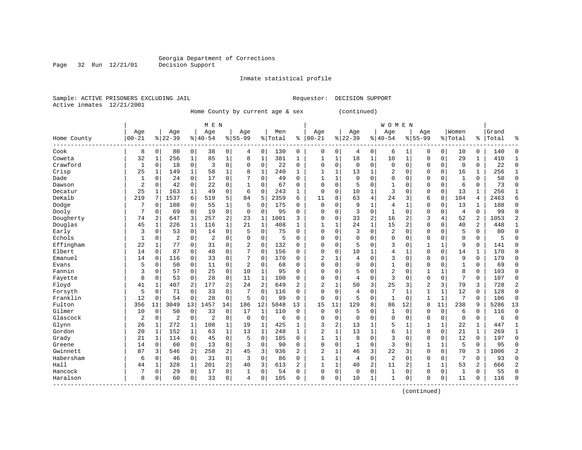Page 32 Run 12/21/01

#### Inmate statistical profile

Sample: ACTIVE PRISONERS EXCLUDING JAIL Requestor: DECISION SUPPORT Active inmates 12/21/2001

Home County by current age & sex (continued)

|             |                |             |             |              | M E N          |                |                |              |         |              |                |              |             |                | W O M E N      |                |              |              |                |                |       |                |
|-------------|----------------|-------------|-------------|--------------|----------------|----------------|----------------|--------------|---------|--------------|----------------|--------------|-------------|----------------|----------------|----------------|--------------|--------------|----------------|----------------|-------|----------------|
|             | Age            |             | Age         |              | Age            |                | Age            |              | Men     |              | Age            |              | Age         |                | Age            |                | Age          |              | Women          |                | Grand |                |
| Home County | $00 - 21$      |             | $8$   22-39 |              | $ 40-54$       |                | $8155 - 99$    |              | % Total | ి            | $ 00 - 21$     |              | $8 22-39$   |                | $8 40-54$      |                | $8155 - 99$  |              | % Total        | ိ              | Total | ៖              |
| Cook        | 8              | 0           | 80          | 0            | 38             | 0              | 4              | 0            | 130     | 0            | 0              | 0            | 4           | 0              | 6              | 1              | $\Omega$     | 0            | 10             | 0              | 140   | $\Omega$       |
| Coweta      | 32             | 1           | 256         | 1            | 85             | $\mathbf 1$    | 8              | 1            | 381     | 1            | 1              | $\mathbf{1}$ | 18          | 1              | 10             | 1              | $\Omega$     | $\mathbf 0$  | 29             | 1              | 410   | 1              |
| Crawford    | 1              | 0           | 18          | $\mathbf 0$  | 3              | $\mathbf 0$    | $\mathbf 0$    | $\mathbf 0$  | 22      | 0            | $\Omega$       | 0            | $\mathbf 0$ | $\mathbf 0$    | $\mathbf 0$    | $\mathbf 0$    | $\mathbf 0$  | $\mathbf 0$  | $\mathbf 0$    | $\mathbf 0$    | 22    | $\mathbf 0$    |
| Crisp       | 25             | 1           | 149         | 1            | 58             | $\mathbf{1}$   | 8              | $\mathbf{1}$ | 240     | $\mathbf{1}$ | $\mathbf{1}$   | 1            | 13          | 1              | $\overline{a}$ | $\mathbf 0$    | $\Omega$     | $\mathbf 0$  | 16             | 1              | 256   | 1              |
| Dade        | $\mathbf{1}$   | $\Omega$    | 24          | $\Omega$     | 17             | $\mathbf 0$    | 7              | $\mathbf 0$  | 49      | $\Omega$     | $\mathbf{1}$   | 1            | $\Omega$    | $\Omega$       | $\Omega$       | $\mathbf 0$    | $\Omega$     | $\Omega$     | $\mathbf{1}$   | $\Omega$       | 50    | $\Omega$       |
| Dawson      | $\overline{2}$ | 0           | 42          | $\mathbf 0$  | 22             | $\mathbf 0$    | 1              | $\mathbf 0$  | 67      | 0            | $\Omega$       | 0            | 5           | $\Omega$       | 1              | $\mathbf 0$    | 0            | $\mathbf 0$  | 6              | 0              | 73    | $\mathbf 0$    |
| Decatur     | 25             |             | 163         | 1            | 49             | $\mathsf 0$    | 6              | $\mathbf 0$  | 243     | 1            | 0              | 0            | 10          | $\mathbf{1}$   | 3              | 0              | 0            | $\mathbf 0$  | 13             | 1              | 256   | $\mathbf{1}$   |
| DeKalb      | 219            |             | 1537        | 6            | 519            | 5              | 84             | 5            | 2359    | 6            | 11             | 8            | 63          | 4              | 24             | 3              | 6            | 8            | 104            | 4              | 2463  | 6              |
| Dodge       | 7              | $\Omega$    | 108         | 0            | 55             | $\mathbf{1}$   | 5              | $\mathbf 0$  | 175     | 0            | $\Omega$       | $\Omega$     | 9           | 1              | $\overline{4}$ | $\mathbf{1}$   | $\mathbf 0$  | $\Omega$     | 13             | $\mathbf{1}$   | 188   | $\Omega$       |
| Dooly       | 7              | $\Omega$    | 69          | 0            | 19             | $\mathbf 0$    | $\Omega$       | $\mathbf 0$  | 95      | $\Omega$     | $\Omega$       | 0            | 3           | $\Omega$       | 1              | $\Omega$       | 0            | $\Omega$     | $\overline{4}$ | $\Omega$       | 99    | $\Omega$       |
| Dougherty   | 74             | 2           | 647         | 3            | 257            | $\overline{c}$ | 23             | 1            | 1001    | 3            | 0              | 0            | 33          | $\overline{c}$ | 16             | $\overline{c}$ | 3            | 4            | 52             | 2              | 1053  | 2              |
| Douglas     | 45             | $\mathbf 1$ | 226         | $\mathbf{1}$ | 116            | $\mathbf 1$    | 21             | $\mathbf{1}$ | 408     | 1            | 1              | 1            | 24          | $\mathbf 1$    | 15             | $\overline{2}$ | $\mathbf 0$  | $\mathbf 0$  | 40             | $\overline{2}$ | 448   | $\mathbf{1}$   |
| Early       | 3              | 0           | 53          | $\mathbf 0$  | 14             | 0              | 5              | $\mathbf 0$  | 75      | $\Omega$     | $\Omega$       | 0            | 3           | $\mathbf 0$    | $\overline{2}$ | $\mathbf 0$    | $\mathbf 0$  | $\mathbf 0$  | 5              | $\Omega$       | 80    | $\mathbf{0}$   |
| Echols      | 1              | 0           | 2           | 0            | 2              | 0              | 0              | 0            | 5       | $\Omega$     | $\Omega$       | 0            | $\Omega$    | $\Omega$       | $\mathbf 0$    | $\mathbf 0$    | 0            | 0            | $\mathbf 0$    | 0              | 5     | $\mathbf 0$    |
| Effingham   | 22             | 1           | 77          | $\mathbf 0$  | 31             | 0              | $\overline{2}$ | $\mathbf 0$  | 132     | $\Omega$     | $\Omega$       | 0            | 5           | 0              | 3              | $\mathbf 0$    | 1            | $\mathbf{1}$ | 9              | $\mathbf 0$    | 141   | $\mathbf 0$    |
| Elbert      | 14             | $\Omega$    | 87          | 0            | 48             | $\mathbf 0$    | 7              | $\mathbf 0$  | 156     | 0            | $\Omega$       | 0            | 10          | 1              | 4              | 1              | $\mathbf 0$  | $\Omega$     | 14             | 1              | 170   | $\Omega$       |
| Emanuel     | 14             | 0           | 116         | 0            | 33             | $\mathbf 0$    | 7              | $\mathbf 0$  | 170     | 0            | 2              | 1            | 4           | 0              | 3              | $\mathbf 0$    | $\mathbf 0$  | $\Omega$     | 9              | 0              | 179   | $\Omega$       |
| Evans       | 5              | 0           | 50          | 0            | 11             | 0              | $\overline{2}$ | 0            | 68      | 0            | $\mathbf 0$    | 0            | $\mathbf 0$ | $\Omega$       | $\mathbf 1$    | $\mathbf 0$    | $\mathbf 0$  | 0            | $\overline{1}$ | 0              | 69    | $\Omega$       |
| Fannin      | 3              | 0           | 57          | $\mathbf 0$  | 25             | 0              | 10             | $\mathbf{1}$ | 95      | $\Omega$     | $\Omega$       | 0            | 5           | 0              | 2              | $\mathbf 0$    | $\mathbf{1}$ | $\mathbf 1$  | 8              | $\mathbf 0$    | 103   | $\Omega$       |
| Fayette     | 8              | 0           | 53          | 0            | 28             | 0              | 11             | $\mathbf{1}$ | 100     | 0            | $\Omega$       | 0            | 4           | 0              | 3              | 0              | $\mathbf 0$  | $\mathbf 0$  | 7              | $\mathbf 0$    | 107   | $\Omega$       |
| Floyd       | 41             | 1           | 407         | 2            | 177            | 2              | 24             | 2            | 649     | 2            | 2              | 1            | 50          | 3              | 25             | 3              | 2            | 3            | 79             | 3              | 728   | $\overline{2}$ |
| Forsyth     | 5              | 0           | 71          | 0            | 33             | $\mathbf 0$    | 7              | 0            | 116     | $\Omega$     | $\Omega$       | 0            | 4           | $\mathbf 0$    | 7              | 1              | $\mathbf{1}$ | $\mathbf{1}$ | 12             | 0              | 128   | $\mathbf 0$    |
| Franklin    | 12             | 0           | 54          | 0            | 28             | $\mathbf 0$    | 5              | $\mathbf 0$  | 99      | 0            | 0              | 0            | 5           | 0              | 1              | $\mathbf 0$    | 1            | 1            | 7              | $\mathbf 0$    | 106   | $\mathbf 0$    |
| Fulton      | 356            | 11          | 3049        | 13           | 1457           | 14             | 186            | 12           | 5048    | 13           | 15             | 11           | 129         | 8              | 86             | 12             | 8            | 11           | 238            | 9              | 5286  | 13             |
| Gilmer      | 10             | 0           | 50          | $\mathbf 0$  | 33             | $\mathbf 0$    | 17             | 1            | 110     | $\Omega$     | $\Omega$       | $\Omega$     | 5           | $\Omega$       | 1              | $\Omega$       | $\Omega$     | $\mathbf 0$  | 6              | $\Omega$       | 116   | $\Omega$       |
| Glascock    | $\overline{2}$ | $\Omega$    | 2           | $\mathbf 0$  | $\overline{2}$ | $\mathbf 0$    | 0              | $\mathbf 0$  | 6       | $\Omega$     | $\Omega$       | 0            | $\Omega$    | $\Omega$       | $\mathbf 0$    | $\mathbf 0$    | 0            | 0            | $\mathbf 0$    | $\mathbf 0$    | 6     | $\Omega$       |
| Glynn       | 26             | 1           | 272         | 1            | 108            | 1              | 19             | 1            | 425     | $\mathbf{1}$ | 3              | 2            | 13          | 1              | 5              | 1              | 1            | 1            | 22             | 1              | 447   | 1              |
| Gordon      | 20             | 1           | 152         | 1            | 63             | $\mathbf{1}$   | 13             | $1\,$        | 248     | $\mathbf{1}$ | $\overline{2}$ | 1            | 13          | $\mathbf{1}$   | 6              | $\mathbf{1}$   | $\mathbf 0$  | $\mathbf 0$  | 21             | $\mathbf{1}$   | 269   | $\mathbf{1}$   |
| Grady       | 21             | 1           | 114         | $\mathbf 0$  | 45             | $\mathbf 0$    | 5              | $\mathbf 0$  | 185     | $\Omega$     | $\mathbf{1}$   | 1            | 8           | 0              | 3              | $\mathbf 0$    | $\mathbf 0$  | $\mathbf 0$  | 12             | $\mathbf 0$    | 197   | $\mathbf 0$    |
| Greene      | 14             | 0           | 60          | $\mathbf 0$  | 13             | $\mathbf 0$    | 3              | $\mathbf 0$  | 90      | $\Omega$     | $\Omega$       | 0            | 1           | 0              | 3              | $\mathbf 0$    | $\mathbf{1}$ | $\mathbf{1}$ | 5              | $\mathbf 0$    | 95    | $\mathbf 0$    |
| Gwinnett    | 87             | 3           | 546         | 2            | 258            | 2              | 45             | 3            | 936     | 2            | $\overline{2}$ | 1            | 46          | 3              | 22             | 3              | $\mathbf 0$  | $\mathbf 0$  | 70             | 3              | 1006  | 2              |
| Habersham   | 6              | 0           | 46          | $\mathbf 0$  | 31             | 0              | 3              | $\mathbf 0$  | 86      | O            | $\mathbf{1}$   | 1            | 4           | 0              | $\overline{2}$ | 0              | $\mathsf 0$  | $\mathbf 0$  | 7              | 0              | 93    | $\mathbf 0$    |
| Hall        | 44             | 1           | 328         | 1            | 201            | $\overline{a}$ | 40             | 3            | 613     | 2            | $\mathbf{1}$   | 1            | 40          | 2              | 11             | 2              | 1            | $\mathbf{1}$ | 53             | 2              | 666   | $\overline{2}$ |
| Hancock     |                | 0           | 29          | 0            | 17             | $\mathbf 0$    | 1              | 0            | 54      | 0            | $\Omega$       | 0            | $\mathbf 0$ | $\mathbf 0$    | 1              | 0              | 0            | 0            | 1              | 0              | 55    | $\Omega$       |
| Haralson    | 8              | 0           | 60          | 0            | 33             | $\mathbf 0$    | $\overline{4}$ | 0            | 105     | 0            | $\Omega$       | 0            | 10          | 1              | $\mathbf{1}$   | $\mathbf 0$    | $\Omega$     | $\mathbf 0$  | 11             | $\mathbf 0$    | 116   | $\Omega$       |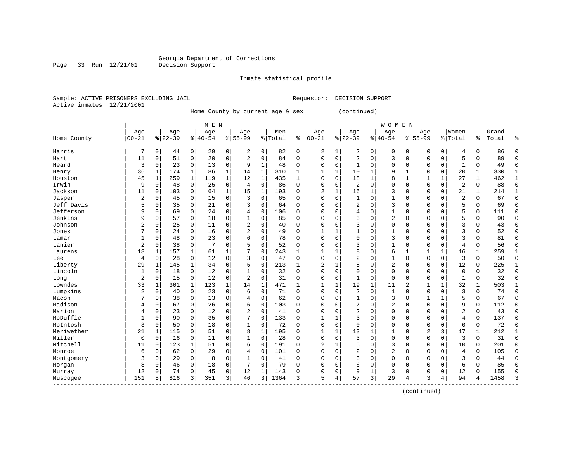Page 33 Run 12/21/01

#### Inmate statistical profile

Sample: ACTIVE PRISONERS EXCLUDING JAIL Requestor: DECISION SUPPORT Active inmates 12/21/2001

Home County by current age & sex (continued)

|                        |                |              |           |             | M E N     |              |                |              |         |              |                |              |                |              | <b>WOMEN</b> |              |                |              |                |              |       |              |
|------------------------|----------------|--------------|-----------|-------------|-----------|--------------|----------------|--------------|---------|--------------|----------------|--------------|----------------|--------------|--------------|--------------|----------------|--------------|----------------|--------------|-------|--------------|
|                        | Age            |              | Age       |             | Age       |              | Age            |              | Men     |              | Age            |              | Age            |              | Age          |              | Age            |              | Women          |              | Grand |              |
| Home County            | $00 - 21$      |              | $8 22-39$ |             | $8 40-54$ |              | $8 55-99$      |              | % Total | နွ           | $00 - 21$      | %            | $22 - 39$      |              | $8 40-54$    |              | $8155 - 99$    |              | % Total        | %            | Total | နွ           |
| Harris                 | 7              | $\Omega$     | 44        | 0           | 29        | 0            | 2              | $\mathbf 0$  | 82      | $\Omega$     | 2              | 1            | 2              | 0            | 0            | $\Omega$     | $\Omega$       | 0            | 4              | 0            | 86    | $\Omega$     |
| Hart                   | 11             | 0            | 51        | $\mathbf 0$ | 20        | $\mathbf 0$  | 2              | $\Omega$     | 84      | $\Omega$     | $\Omega$       | $\Omega$     | 2              | $\Omega$     | 3            | $\Omega$     | $\Omega$       | $\Omega$     | 5              | 0            | 89    | $\Omega$     |
| Heard                  | 3              | $\mathbf 0$  | 23        | $\mathbf 0$ | 13        | $\mathbf 0$  | 9              | $\mathbf{1}$ | 48      | 0            | 0              | 0            | 1              | $\mathbf 0$  | 0            | $\mathbf 0$  | $\Omega$       | 0            | $\mathbf{1}$   | 0            | 49    | $\Omega$     |
| Henry                  | 36             | 1            | 174       | 1           | 86        | $\mathbf{1}$ | 14             | $\mathbf{1}$ | 310     | $\mathbf{1}$ | -1             | $\mathbf{1}$ | 10             | 1            | 9            | $\mathbf{1}$ | $\Omega$       | 0            | 20             | 1            | 330   | 1            |
| Houston                | 45             | $\mathbf{1}$ | 259       | $\mathbf 1$ | 119       | $\mathbf 1$  | 12             | $\mathbf{1}$ | 435     | $\mathbf{1}$ | $\Omega$       | 0            | 18             | $\mathbf{1}$ | 8            | $\mathbf{1}$ | $\mathbf{1}$   | $\mathbf{1}$ | 27             | $\mathbf{1}$ | 462   | $\mathbf{1}$ |
| Irwin                  | 9              | $\Omega$     | 48        | $\mathbf 0$ | 25        | $\mathbf 0$  | $\overline{4}$ | $\mathbf 0$  | 86      | $\Omega$     | $\Omega$       | 0            | 2              | $\Omega$     | $\Omega$     | $\mathbf 0$  | $\Omega$       | 0            | 2              | $\Omega$     | 88    | $\mathbf{0}$ |
| Jackson                | 11             | $\Omega$     | 103       | 0           | 64        | $\mathbf 1$  | 15             | 1            | 193     | $\Omega$     | 2              | 1            | 16             | 1            | 3            | $\Omega$     | $\Omega$       | $\Omega$     | 21             | 1            | 214   | 1            |
| Jasper                 | $\overline{c}$ | 0            | 45        | 0           | 15        | $\mathbf 0$  | 3              | $\mathbf 0$  | 65      | 0            | $\Omega$       | 0            |                | $\Omega$     | 1            | 0            | $\Omega$       | $\Omega$     | 2              | 0            | 67    | $\mathbf{0}$ |
| Jeff Davis             | 5              | $\Omega$     | 35        | 0           | 21        | $\mathbf 0$  | 3              | $\mathbf 0$  | 64      | $\Omega$     | $\Omega$       | $\Omega$     | 2              | $\Omega$     | 3            | $\Omega$     | $\Omega$       | $\Omega$     | 5              | O            | 69    | $\Omega$     |
| Jefferson              | 9              | $\Omega$     | 69        | $\Omega$    | 2.4       | $\Omega$     | 4              | $\Omega$     | 106     | $\Omega$     | 0              | $\Omega$     | 4              | $\Omega$     | $\mathbf{1}$ | $\Omega$     | $\Omega$       | $\Omega$     | 5              | $\Omega$     | 111   | $\Omega$     |
| Jenkins                | 9              | 0            | 57        | $\mathbf 0$ | 18        | $\mathbf 0$  | 1              | $\mathbf 0$  | 85      | $\mathbf 0$  | 0              | 0            | 3              | $\mathbf 0$  | 2            | $\Omega$     | $\Omega$       | $\Omega$     | 5              | 0            | 90    | $\Omega$     |
| Johnson                | $\overline{c}$ | 0            | 25        | $\mathbf 0$ | 11        | $\mathbf 0$  | $\overline{2}$ | $\mathbf 0$  | 40      | $\Omega$     | $\Omega$       | 0            | 3              | $\mathbf 0$  | $\Omega$     | 0            | $\Omega$       | 0            | 3              | 0            | 43    | $\Omega$     |
| Jones                  | 7              | $\Omega$     | 24        | 0           | 16        | 0            | 2              | $\mathbf 0$  | 49      | $\Omega$     |                | $\mathbf{1}$ |                | $\Omega$     |              | 0            | $\Omega$       | $\Omega$     | 3              | 0            | 52    | $\Omega$     |
| Lamar                  | 1              | $\Omega$     | 48        | $\mathbf 0$ | 23        | $\mathbf 0$  | 6              | $\mathbf 0$  | 78      | $\Omega$     | $\Omega$       | 0            | $\Omega$       | $\Omega$     | 3            | $\mathbf 0$  | $\Omega$       | $\Omega$     | 3              | 0            | 81    | $\Omega$     |
| Lanier                 | $\overline{2}$ | $\Omega$     | 38        | 0           | 7         | $\mathbf 0$  | 5              | $\mathbf 0$  | 52      | $\mathbf 0$  | $\Omega$       | 0            | २              | $\Omega$     | $\mathbf{1}$ | $\mathbf 0$  | $\Omega$       | $\Omega$     | $\overline{4}$ | 0            | 56    | $\Omega$     |
| Laurens                | 18             |              | 157       | 1           | 61        | 1            |                | 0            | 243     | $\mathbf{1}$ |                |              | 8              | $\Omega$     | б            | 1            | $\mathbf{1}$   | 1            | 16             | 1            | 259   | $\mathbf{1}$ |
| Lee                    | 4              | 0            | 28        | 0           | 12        | $\mathbf 0$  | 3              | $\mathbf 0$  | 47      | $\Omega$     | $\Omega$       | $\Omega$     | 2              | $\Omega$     | 1            | $\Omega$     | $\Omega$       | $\Omega$     | 3              | O            | 50    | $\Omega$     |
| Liberty                | 29             | 1            | 145       | 1           | 34        | $\Omega$     | 5              | $\Omega$     | 213     | $\mathbf{1}$ | $\overline{2}$ | 1            | 8              | $\Omega$     | 2            | $\Omega$     | $\Omega$       | $\Omega$     | 12             | $\Omega$     | 225   | 1            |
| Lincoln                | 1              | 0            | 18        | $\mathbf 0$ | 12        | $\mathbf 0$  | $\mathbf{1}$   | $\mathbf 0$  | 32      | 0            | 0              | 0            | $\Omega$       | $\mathbf 0$  | 0            | $\Omega$     | $\Omega$       | 0            | $\mathbf 0$    | 0            | 32    | $\Omega$     |
| Long                   | $\overline{2}$ | 0            | 15        | $\mathbf 0$ | 12        | $\mathbf 0$  | 2              | $\mathbf 0$  | 31      | $\mathbf 0$  | 0              | 0            |                | $\mathbf 0$  | 0            | $\Omega$     | 0              | 0            | $\mathbf{1}$   | 0            | 32    | $\Omega$     |
| Lowndes                | 33             | 1            | 301       | $\mathbf 1$ | 123       | $\mathbf 1$  | 14             | $\mathbf 1$  | 471     | $\mathbf{1}$ | 1              | $\mathbf{1}$ | 19             | $\mathbf{1}$ | 11           | 2            | 1              | $\mathbf 1$  | 32             | $\mathbf{1}$ | 503   | $\mathbf{1}$ |
| Lumpkins               | $\overline{2}$ | 0            | 40        | 0           | 23        | $\mathbf 0$  | 6              | $\mathbf 0$  | 71      | $\Omega$     | $\Omega$       | 0            | $\overline{2}$ | $\mathbf 0$  | $\mathbf{1}$ | $\Omega$     | $\Omega$       | 0            | $\overline{3}$ | 0            | 74    | $\Omega$     |
| Macon                  | 7              | $\mathbf 0$  | 38        | 0           | 13        | 0            | 4              | $\mathbf 0$  | 62      | 0            | $\Omega$       | 0            | $\mathbf{1}$   | $\mathbf 0$  | 3            | $\Omega$     | $\mathbf{1}$   | 1            | 5              | 0            | 67    | $\Omega$     |
| Madison                | 4              | $\Omega$     | 67        | 0           | 26        | 0            | 6              | 0            | 103     | $\Omega$     | $\Omega$       | $\Omega$     |                | $\Omega$     | 2            | $\Omega$     | $\Omega$       | $\Omega$     | 9              | 0            | 112   | $\Omega$     |
| Marion                 | 4              | $\Omega$     | 23        | 0           | 12        | $\mathbf 0$  | $\overline{2}$ | $\mathbf 0$  | 41      | $\Omega$     | $\Omega$       | $\Omega$     | 2              | $\Omega$     | 0            | $\Omega$     | $\Omega$       | $\Omega$     | $\overline{2}$ | 0            | 43    | $\Omega$     |
| McDuffie               | 1              | $\Omega$     | 90        | $\Omega$    | 35        | $\Omega$     | 7              | $\Omega$     | 133     | $\Omega$     | -1             | 1            | 3              | $\Omega$     | 0            | 0            | $\Omega$       | $\Omega$     | 4              | $\Omega$     | 137   | $\Omega$     |
| McIntosh               | 3              | $\Omega$     | 50        | $\Omega$    | 18        | $\mathbf 0$  | 1              | $\mathbf 0$  | 72      | $\Omega$     | $\Omega$       | $\Omega$     | $\Omega$       | $\Omega$     | 0            | $\Omega$     | $\Omega$       | $\Omega$     | $\Omega$       | $\Omega$     | 72    | $\Omega$     |
| Meriwether             | 21             | 1            | 115       | 0           | 51        | $\mathbf 0$  | 8              | $\mathbf 1$  | 195     | $\Omega$     | 1              | $\mathbf{1}$ | 13             | 1            | 1            | $\mathbf 0$  | $\overline{2}$ | 3            | 17             | 1            | 212   | $\mathbf{1}$ |
| Miller                 | $\mathbf 0$    | 0            | 16        | 0           | 11        | $\mathbf 0$  | 1              | $\mathbf 0$  | 28      | $\mathbf 0$  | $\Omega$       | 0            | 3              | $\mathbf 0$  | 0            | 0            | $\Omega$       | 0            | $\overline{3}$ | 0            | 31    | $\Omega$     |
| Mitchell               | 11             | 0            | 123       | $\mathbf 1$ | 51        | 0            | 6              | $\mathbf 0$  | 191     | $\Omega$     | $\overline{2}$ | 1            | 5              | $\Omega$     | 3            | 0            | $\Omega$       | 0            | 10             | 0            | 201   | $\Omega$     |
| Monroe                 | 6              | 0            | 62        | 0           | 29        | 0            | 4              | 0            | 101     | $\Omega$     | $\Omega$       | 0            | $\overline{2}$ | 0            | 2            | $\mathbf 0$  | $\Omega$       | 0            | $\overline{4}$ | 0            | 105   | $\Omega$     |
| Montgomery             | 3              | 0            | 29        | 0           | 8         | 0            | 1              | 0            | 41      | 0            | $\Omega$       | 0            | 3              | $\mathbf 0$  | 0            | $\Omega$     | $\Omega$       | $\Omega$     | 3              | 0            | 44    | $\Omega$     |
| Morgan                 | 8              | $\Omega$     | 46        | 0           | 18        | 0            |                | $\mathbf 0$  | 79      | $\Omega$     | $\Omega$       | 0            | 6              | $\Omega$     | $\Omega$     | $\Omega$     | $\Omega$       | $\Omega$     | 6              | 0            | 85    | $\Omega$     |
| Murray                 | 12             | $\Omega$     | 74        | 0           | 45        | $\mathbf 0$  | 12             | 1            | 143     | $\Omega$     | $\Omega$       | 0            | 9              | 1            | 3            | $\Omega$     | $\Omega$       | $\Omega$     | 12             | 0            | 155   | $\Omega$     |
| Muscogee<br>---------- | 151            | 5            | 816       | 3           | 351       | 3            | 46             | 3            | 1364    | 3            | 5              | 4            | 57             | 3            | 29           | 4            | 3              | 4            | 94             | 4            | 1458  | 3            |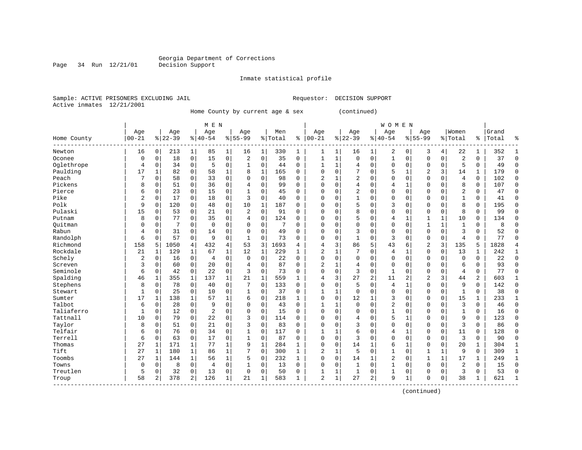Page 34 Run 12/21/01

#### Inmate statistical profile

Sample: ACTIVE PRISONERS EXCLUDING JAIL Requestor: DECISION SUPPORT Active inmates 12/21/2001

Home County by current age & sex (continued)

|             |                |                |           |              | M E N          |                |              |              |         |             |                |              |                |                | <b>WOMEN</b> |              |                |              |                |                |       |              |
|-------------|----------------|----------------|-----------|--------------|----------------|----------------|--------------|--------------|---------|-------------|----------------|--------------|----------------|----------------|--------------|--------------|----------------|--------------|----------------|----------------|-------|--------------|
|             | Age            |                | Age       |              | Age            |                | Age          |              | Men     |             | Age            |              | Age            |                | Age          |              | Age            |              | Women          |                | Grand |              |
| Home County | $00 - 21$      |                | $8 22-39$ |              | $8 40-54$      |                | $8 55-99$    |              | % Total | ి           | $ 00-21$       |              | $ 22-39$       |                | $8140 - 54$  |              | $8155 - 99$    |              | % Total        | ႜ              | Total | န္           |
| Newton      | 16             | $\overline{0}$ | 213       | $\mathbf 1$  | 85             | 1              | 16           | 1            | 330     | 1           | 1              | 1            | 16             | 1              | 2            | 0            | 3              | 4            | 22             | 1              | 352   | 1            |
| Oconee      | $\mathbf 0$    | $\mathbf 0$    | 18        | $\mathbf 0$  | 15             | $\mathbf 0$    | 2            | $\mathbf 0$  | 35      | $\mathbf 0$ | 1              | $\mathbf 1$  | $\Omega$       | $\mathbf 0$    | $\mathbf{1}$ | $\mathbf 0$  | $\mathbf{0}$   | $\mathbf 0$  | $\overline{c}$ | $\mathbf 0$    | 37    | $\mathbf 0$  |
| Oglethrope  | $\overline{4}$ | $\mathbf 0$    | 34        | $\mathbf 0$  | 5              | $\mathbf 0$    | $\mathbf{1}$ | $\mathbf 0$  | 44      | $\Omega$    | $\mathbf{1}$   | $\mathbf{1}$ | 4              | $\mathbf 0$    | 0            | $\mathbf 0$  | $\Omega$       | $\mathbf 0$  | 5              | $\Omega$       | 49    | $\Omega$     |
| Paulding    | 17             | $\mathbf{1}$   | 82        | 0            | 58             | $\mathbf{1}$   | 8            | $\mathbf{1}$ | 165     | $\Omega$    | $\Omega$       | $\Omega$     | 7              | $\Omega$       | 5            | $\mathbf{1}$ | $\overline{2}$ | 3            | 14             | $\mathbf{1}$   | 179   | $\mathbf 0$  |
| Peach       | 7              | $\mathbf 0$    | 58        | 0            | 33             | $\mathbf 0$    | 0            | $\mathbf 0$  | 98      | 0           | $\overline{2}$ | 1            | 2              | $\mathbf 0$    | $\Omega$     | $\mathbf 0$  | $\mathbf 0$    | $\mathbf 0$  | $\overline{4}$ | $\mathbf 0$    | 102   | $\mathbf 0$  |
| Pickens     | 8              | $\Omega$       | 51        | 0            | 36             | $\mathbf 0$    | 4            | 0            | 99      | $\Omega$    | $\Omega$       | 0            | 4              | $\mathbf 0$    | 4            |              | 0              | $\Omega$     | 8              | 0              | 107   | $\mathbf 0$  |
| Pierce      | 6              | $\mathbf 0$    | 23        | 0            | 15             | $\mathbf 0$    | 1            | $\mathbf 0$  | 45      | 0           | $\Omega$       | $\Omega$     | $\overline{2}$ | $\Omega$       | 0            | $\Omega$     | $\Omega$       | $\Omega$     | $\overline{2}$ | 0              | 47    | $\mathbf 0$  |
| Pike        | $\overline{2}$ | $\Omega$       | 17        | 0            | 18             | $\mathbf 0$    | 3            | $\mathbf 0$  | 40      | $\Omega$    | $\Omega$       | $\Omega$     | $\mathbf{1}$   | $\Omega$       | 0            | $\Omega$     | $\Omega$       | $\Omega$     | $\mathbf{1}$   | $\Omega$       | 41    | $\Omega$     |
| Polk        | 9              | $\Omega$       | 120       | $\Omega$     | 48             | $\Omega$       | 10           | $\mathbf{1}$ | 187     | $\Omega$    | 0              | $\Omega$     | 5              | $\Omega$       | 3            | $\Omega$     | $\Omega$       | $\Omega$     | 8              | $\Omega$       | 195   | $\Omega$     |
| Pulaski     | 15             | $\Omega$       | 53        | 0            | 21             | $\Omega$       | 2            | $\Omega$     | 91      | $\Omega$    | 0              | $\Omega$     | 8              | $\Omega$       | $\Omega$     | $\Omega$     | $\Omega$       | $\Omega$     | 8              | $\Omega$       | 99    | $\Omega$     |
| Putnam      | 8              | $\Omega$       | 77        | $\Omega$     | 35             | $\Omega$       | 4            | $\mathbf 0$  | 124     | $\Omega$    | 0              | $\Omega$     | 5              | $\Omega$       | 4            | $\mathbf{1}$ | $\mathbf{1}$   | $\mathbf 1$  | 10             | $\Omega$       | 134   | $\mathbf 0$  |
| Ouitman     | $\Omega$       | $\Omega$       | 7         | $\Omega$     | $\Omega$       | $\Omega$       | 0            | $\mathbf 0$  | 7       | $\Omega$    | $\Omega$       | $\Omega$     | $\Omega$       | $\Omega$       | $\Omega$     | $\mathbf 0$  | $\mathbf{1}$   | $\mathbf{1}$ | $\mathbf{1}$   | $\Omega$       | 8     | $\Omega$     |
| Rabun       | 4              | $\mathbf 0$    | 31        | 0            | 14             | $\mathbf 0$    | 0            | $\mathbf 0$  | 49      | 0           | $\Omega$       | 0            | 3              | $\mathbf 0$    | 0            | $\Omega$     | $\mathbf{0}$   | $\mathbf 0$  | $\overline{3}$ | $\mathbf 0$    | 52    | $\mathbf 0$  |
| Randolph    | 6              | $\mathbf 0$    | 57        | 0            | 9              | $\mathbf 0$    | $\mathbf{1}$ | $\mathbf 0$  | 73      | 0           | $\Omega$       | 0            | 1              | $\mathbf 0$    | 3            | $\mathbf 0$  | $\mathbf{0}$   | $\mathbf 0$  | $\overline{4}$ | $\mathbf 0$    | 77    | $\mathbf 0$  |
| Richmond    | 158            | 5              | 1050      | 4            | 432            | $\overline{4}$ | 53           | $\mathbf{3}$ | 1693    | 4           | 4              | 3            | 86             | 5              | 43           | 6            | $\overline{2}$ | 3            | 135            | 5              | 1828  | 4            |
| Rockdale    | 21             | 1              | 129       | 1            | 67             | 1              | 12           | 1            | 229     | 1           | 2              | $\mathbf{1}$ |                | $\Omega$       | 4            | 1            | $\Omega$       | $\Omega$     | 13             | 1              | 242   | $\mathbf{1}$ |
| Schely      | $\overline{2}$ | $\Omega$       | 16        | 0            | $\overline{4}$ | $\Omega$       | $\Omega$     | $\Omega$     | 22      | $\Omega$    | $\Omega$       | $\Omega$     | $\Omega$       | $\Omega$       | $\Omega$     | $\Omega$     | $\Omega$       | $\Omega$     | $\Omega$       | $\Omega$       | 22    | $\Omega$     |
| Screven     | 3              | $\Omega$       | 60        | $\Omega$     | 20             | $\Omega$       | 4            | $\Omega$     | 87      | $\Omega$    | $\overline{a}$ | $\mathbf{1}$ | 4              | $\Omega$       | $\Omega$     | $\Omega$     | $\Omega$       | $\Omega$     | 6              | $\Omega$       | 93    | $\Omega$     |
| Seminole    | 6              | $\Omega$       | 42        | $\mathbf 0$  | 22             | $\Omega$       | 3            | $\Omega$     | 73      | $\Omega$    | $\Omega$       | $\Omega$     | 3              | $\mathbf 0$    | $\mathbf{1}$ | $\Omega$     | $\Omega$       | $\Omega$     | $\overline{4}$ | $\mathbf 0$    | 77    | $\mathbf 0$  |
| Spalding    | 46             | 1              | 355       | $\mathbf{1}$ | 137            | $\mathbf 1$    | 21           | $\mathbf{1}$ | 559     | $\mathbf 1$ | 4              | 3            | 27             | $\overline{2}$ | 11           | 2            | $\overline{2}$ | 3            | 44             | $\overline{a}$ | 603   | $\mathbf{1}$ |
| Stephens    | 8              | $\mathbf 0$    | 78        | $\mathbf 0$  | 40             | $\mathbf 0$    | 7            | $\mathbf 0$  | 133     | $\Omega$    | $\Omega$       | $\Omega$     | 5              | $\Omega$       | 4            | $\mathbf{1}$ | $\Omega$       | $\Omega$     | 9              | $\Omega$       | 142   | $\Omega$     |
| Stewart     | $\mathbf{1}$   | $\Omega$       | 25        | $\Omega$     | 10             | $\Omega$       | 1            | $\Omega$     | 37      | $\Omega$    | $\mathbf{1}$   | 1            | $\Omega$       | $\Omega$       | 0            | $\mathbf 0$  | $\Omega$       | $\Omega$     | $\mathbf{1}$   | $\Omega$       | 38    | $\mathbf{0}$ |
| Sumter      | 17             |                | 138       | 1            | 57             | 1              | 6            | $\Omega$     | 218     | 1           | $\Omega$       | $\Omega$     | 12             | 1              | 3            | $\Omega$     | $\Omega$       | $\Omega$     | 15             | 1              | 233   | $\mathbf{1}$ |
| Talbot      | 6              | $\Omega$       | 28        | 0            | 9              | $\Omega$       | 0            | $\mathbf 0$  | 43      | $\Omega$    |                | 1            | $\Omega$       | $\Omega$       | 2            | $\Omega$     | $\Omega$       | $\Omega$     | $\overline{3}$ | $\mathbf 0$    | 46    | $\mathbf 0$  |
| Taliaferro  | -1             | $\Omega$       | 12        | 0            | $\overline{c}$ | $\Omega$       | 0            | $\Omega$     | 15      | $\Omega$    | $\Omega$       | $\Omega$     | $\Omega$       | $\Omega$       | $\mathbf{1}$ | $\Omega$     | $\Omega$       | $\Omega$     | $\mathbf{1}$   | $\Omega$       | 16    | $\mathbf 0$  |
| Tattnall    | 10             | $\Omega$       | 79        | $\Omega$     | 22             | $\Omega$       | 3            | $\Omega$     | 114     | $\Omega$    | $\Omega$       | $\Omega$     | 4              | $\Omega$       | 5            | $\mathbf{1}$ | $\Omega$       | $\Omega$     | 9              | $\Omega$       | 123   | $\Omega$     |
| Taylor      | 8              | $\Omega$       | 51        | $\Omega$     | 21             | $\Omega$       | 3            | $\Omega$     | 83      | $\Omega$    | $\Omega$       | $\Omega$     | 3              | $\Omega$       | O            | $\Omega$     | $\Omega$       | $\Omega$     | 3              | $\Omega$       | 86    | $\Omega$     |
| Telfair     | 6              | $\Omega$       | 76        | 0            | 34             | $\mathbf 0$    | 1            | $\mathbf 0$  | 117     | $\Omega$    | $\mathbf{1}$   | $\mathbf{1}$ | 6              | $\Omega$       | 4            | $\mathbf{1}$ | $\Omega$       | $\Omega$     | 11             | $\Omega$       | 128   | $\mathbf 0$  |
| Terrell     | 6              | $\mathbf 0$    | 63        | 0            | 17             | $\mathbf 0$    | 1            | $\mathbf 0$  | 87      | $\Omega$    | $\Omega$       | 0            | 3              | $\mathbf 0$    | $\Omega$     | $\mathbf 0$  | $\Omega$       | $\mathbf 0$  | $\overline{3}$ | $\Omega$       | 90    | $\mathbf 0$  |
| Thomas      | 27             | 1              | 171       | 1            | 77             | 1              | 9            | $\mathbf{1}$ | 284     | 1           | $\Omega$       | $\Omega$     | 14             | 1              | 6            | $\mathbf{1}$ | $\mathbf{0}$   | $\mathbf 0$  | 20             | $\mathbf{1}$   | 304   | $\mathbf{1}$ |
| Tift        | 27             | $\mathbf{1}$   | 180       | $\mathbf{1}$ | 86             | $\mathbf{1}$   | 7            | 0            | 300     | 1           | 2              | 1            | 5              | $\Omega$       | $\mathbf{1}$ | $\mathbf 0$  | 1              | $\mathbf{1}$ | 9              | $\Omega$       | 309   | $\mathbf 1$  |
| Toombs      | 27             | 1              | 144       | 1            | 56             | 1              | 5            | $\mathbf 0$  | 232     | 1           | $\Omega$       | 0            | 14             | 1              | 2            | $\mathbf 0$  | 1              | 1            | 17             | 1              | 249   | $\mathbf 1$  |
| Towns       | 0              | $\mathbf 0$    | 8         | 0            | $\overline{4}$ | $\mathbf 0$    |              | $\mathbf 0$  | 13      | $\Omega$    | $\Omega$       | 0            |                | $\Omega$       | 1            | $\mathbf 0$  | $\Omega$       | $\Omega$     | $\overline{2}$ | 0              | 15    | $\mathbf 0$  |
| Treutlen    | 5              | $\mathbf 0$    | 32        | 0            | 13             | 0              | 0            | $\Omega$     | 50      | 0           | $\mathbf{1}$   | 1            | $\mathbf{1}$   | $\Omega$       |              | $\Omega$     | $\Omega$       | 0            | 3              | 0              | 53    | $\Omega$     |
| Troup       | 58             | 2 <sup>1</sup> | 378       | 2            | 126            | 1              | 21           | 1            | 583     | 1           | $\overline{2}$ | $\mathbf 1$  | 27             | $\overline{a}$ | 9            | 1            | $\Omega$       | $\Omega$     | 38             | $\mathbf 1$    | 621   | $\mathbf{1}$ |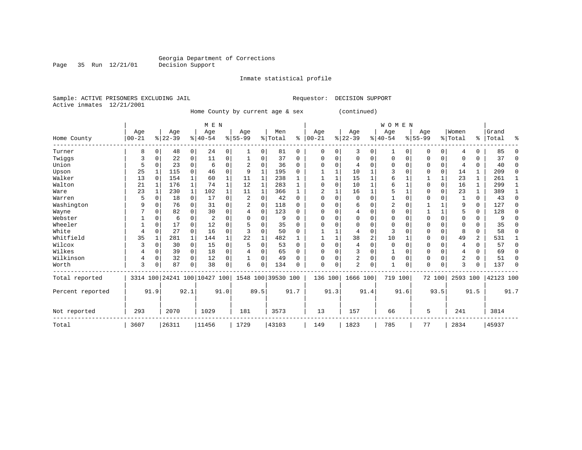Page 35 Run 12/21/01 Decision Support

#### Inmate statistical profile

Sample: ACTIVE PRISONERS EXCLUDING JAIL Requestor: DECISION SUPPORT Active inmates 12/21/2001

Home County by current age & sex (c

| continued) |  |  |
|------------|--|--|
|            |  |  |

|                  |           |      |                              |             | M E N     |          |                |             |                    |          |           |          |           |                | <b>WOMEN</b> |          |           |          |                |               |           |          |
|------------------|-----------|------|------------------------------|-------------|-----------|----------|----------------|-------------|--------------------|----------|-----------|----------|-----------|----------------|--------------|----------|-----------|----------|----------------|---------------|-----------|----------|
|                  | Age       |      | Age                          |             | Age       |          | Age            |             | Men                |          | Age       |          | Age       |                | Age          |          | Age       |          | Women          |               | Grand     |          |
| Home County      | $00 - 21$ |      | $ 22-39 $                    |             | $8 40-54$ |          | $8 55-99$      |             | % Total            | နွ       | $00 - 21$ | %        | $22 - 39$ |                | $ 40-54$     |          | $8 55-99$ |          | % Total        | $\frac{1}{6}$ | Total     | ႜ        |
| Turner           | 8         | 0    | 48                           | 0           | 24        | 0        | 1              | 0           | 81                 | 0        | 0         | 0        | 3         | 0              | $\mathbf{1}$ | 0        | 0         | 0        | $\overline{4}$ | 0             | 85        | O        |
| Twiggs           | 3         | 0    | 22                           | 0           | 11        | 0        |                | 0           | 37                 | $\Omega$ | $\Omega$  | 0        | $\Omega$  | $\Omega$       | 0            | $\Omega$ | $\Omega$  | 0        | $\Omega$       | 0             | 37        | $\Omega$ |
| Union            | 5         | 0    | 23                           | 0           | 6         | 0        | $\overline{2}$ | $\mathbf 0$ | 36                 | $\Omega$ | $\Omega$  | $\Omega$ |           | $\Omega$       | 0            | $\Omega$ | $\Omega$  | 0        | 4              | 0             | 40        | $\Omega$ |
| Upson            | 25        |      | 115                          | $\Omega$    | 46        | 0        | 9              |             | 195                | $\Omega$ |           |          | 10        |                | 3            | $\Omega$ | $\Omega$  | $\Omega$ | 14             | 1             | 209       | $\Omega$ |
| Walker           | 13        |      | 154                          |             | 60        | 1        | 11             |             | 238                |          |           |          | 15        |                | 6            |          |           |          | 23             | 1             | 261       |          |
| Walton           | 21        |      | 176                          | 1           | 74        | 1        | 12             |             | 283                |          |           | $\Omega$ | 10        |                | 6            |          | $\Omega$  | 0        | 16             | 1             | 299       |          |
| Ware             | 23        |      | 230                          | $\mathbf 1$ | 102       | 1        | 11             | 1           | 366                |          |           |          | 16        |                | 5            |          | $\Omega$  | 0        | 23             | 1             | 389       |          |
| Warren           | 5         | 0    | 18                           | 0           | 17        | 0        | 2              | $\mathbf 0$ | 42                 | $\Omega$ | U         | $\Omega$ | 0         | 0              |              | $\Omega$ | $\Omega$  |          | 1              | 0             | 43        | $\Omega$ |
| Washington       | 9         | O    | 76                           | $\Omega$    | 31        | 0        | 2              | $\Omega$    | 118                | $\Omega$ | O         | $\Omega$ | 6         | $\Omega$       | 2            | $\Omega$ |           |          | 9              | 0             | 127       | $\Omega$ |
| Wayne            |           |      | 82                           | 0           | 30        | 0        | 4              | $\Omega$    | 123                | 0        | ∩         | 0        |           | $\Omega$       | 0            | 0        |           |          | 5              | 0             | 128       | ∩        |
| Webster          |           |      | 6                            | U           | 2         | $\Omega$ |                | $\Omega$    | 9                  | 0        |           | N        |           | $\Omega$       | 0            | n        | $\Omega$  | 0        | 0              | 0             | 9         |          |
| Wheeler          |           | O    | 17                           | $\Omega$    | 12        | $\Omega$ |                | $\Omega$    | 35                 | 0        |           | $\Omega$ |           | $\Omega$       | $\Omega$     | n        | $\Omega$  | $\Omega$ | $\Omega$       | 0             | 35        | n        |
| White            |           | 0    | 27                           | 0           | 16        | 0        | 3              | 0           | 50                 | 0        |           |          |           | $\mathbf 0$    | 3            | 0        | $\Omega$  | 0        | 8              | 0             | 58        | $\Omega$ |
| Whitfield        | 35        |      | 281                          | 1           | 144       | 1        | 22             | 1           | 482                | 1        |           |          | 38        | $\overline{2}$ | 10           |          | $\Omega$  | 0        | 49             | 2             | 531       |          |
| Wilcox           |           | 0    | 30                           | 0           | 15        | 0        | 5              | $\mathbf 0$ | 53                 | $\Omega$ | $\Omega$  | $\Omega$ | 4         | 0              | 0            | n        | $\Omega$  | 0        | 4              | 0             | 57        | $\Omega$ |
| Wilkes           | 4         | O    | 39                           | 0           | 18        | 0        |                | $\Omega$    | 65                 | 0        | O         | $\Omega$ | 3         | $\Omega$       |              | 0        | $\Omega$  | $\Omega$ | 4              | 0             | 69        | ∩        |
| Wilkinson        | 4         | 0    | 32                           | 0           | 12        | 0        |                | 0           | 49                 | 0        |           | 0        | 2         | $\Omega$       | $\Omega$     | $\Omega$ | $\Omega$  | 0        | 2              | 0             | 51        | $\Omega$ |
| Worth            | 3         | 0    | 87                           | 0           | 38        | 0        | 6              | $\Omega$    | 134                | 0        | $\Omega$  | 0        | 2         | $\Omega$       |              | 0        | $\Omega$  | $\Omega$ | 3              | 0             | 137       | $\Omega$ |
| Total reported   |           |      | 3314 100 24241 100 10427 100 |             |           |          |                |             | 1548 100 39530 100 |          | 136 100   |          | 1666 100  |                | 719 100      |          | 72 100    |          | 2593 100       |               | 42123 100 |          |
| Percent reported |           | 91.9 |                              | 92.1        |           | 91.0     |                | 89.5        |                    | 91.7     |           | 91.3     |           | 91.4           |              | 91.6     |           | 93.5     |                | 91.5          |           | 91.7     |
| Not reported     | 293       |      | 2070                         |             | 1029      |          | 181            |             | 3573               |          | 13        |          | 157       |                | 66           |          | 5         |          | 241            |               | 3814      |          |
| Total            | 3607      |      | 26311                        |             | 11456     |          | 1729           |             | 43103              |          | 149       |          | 1823      |                | 785          |          | 77        |          | 2834           |               | 45937     |          |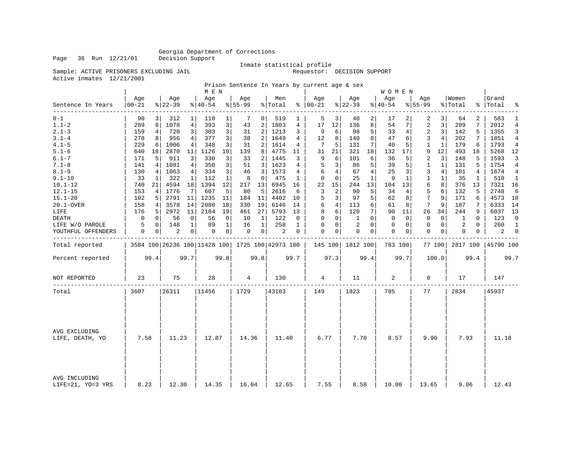Page 36 Run 12/21/01 Decision Support

#### Inmate statistical profile

Sample: ACTIVE PRISONERS EXCLUDING JAIL Requestor: DECISION SUPPORT

Active inmates 12/21/2001

Prison Sentence In Years by current age & sex

|                                    |                |                |                 |                | M E N            |                 |                  |                |                                                 |      |                      |                |                 |              | W O M E N       |              |                  |              |                    |              |                |                |
|------------------------------------|----------------|----------------|-----------------|----------------|------------------|-----------------|------------------|----------------|-------------------------------------------------|------|----------------------|----------------|-----------------|--------------|-----------------|--------------|------------------|--------------|--------------------|--------------|----------------|----------------|
| Sentence In Years<br>--------      | Age<br>  00-21 |                | Age<br>$ 22-39$ |                | Aqe<br>$ 40-54 $ |                 | Aqe<br>$8 55-99$ |                | Men<br>% Total                                  |      | Aqe<br>$8   00 - 21$ |                | Age<br>$ 22-39$ |              | Aqe<br>$ 40-54$ |              | Aqe<br>$8 55-99$ |              | Women<br>%   Total | ႜ            | Grand<br>Total | ႜ              |
| $0 - 1$                            | 90             | $\overline{3}$ | 312             | $\mathbf{1}$   | 110              | $\mathbf{1}$    | 7                | 0 <sup>1</sup> | 519                                             | 1    | 5                    | 3              | 40              | 2            | 17              | 2            | 2                | 3            | 64                 | 2            | 583            | 1              |
| $1.1 - 2$                          | 289            | 8              | 1078            | $\overline{4}$ | 393              | 3               | 43               | 2              | 1803                                            | 4    | 17                   | 12             | 136             | 8            | 54              | 7            | 2                | 3            | 209                | 7            | 2012           | 4              |
| $2.1 - 3$                          | 159            | 4              | 720             | 3 <sup>1</sup> | 303              | 3               | 31               | 2              | 1213                                            | 3    | 9                    | 6              | 98              | 5            | 33              | 4            | 2                | 3            | 142                | 5            | 1355           | 3              |
| $3.1 - 4$                          | 278            | 8              | 956             | 4              | 377              | 3               | 38               | 2              | 1649                                            | 4    | 12                   | 8              | 140             | 8            | 47              | 6            | 3                | 4            | 202                | 7            | 1851           |                |
| $4.1 - 5$                          | 229            | 6              | 1006            | 4              | 348              | 3               | 31               | 2              | 1614                                            | 4    | 7                    | 5              | 131             | 7            | 40              | 5            | 1                | $\mathbf{1}$ | 179                | 6            | 1793           | 4              |
| $5.1 - 6$                          | 640            | 18             | 2870            | 11             | 1126             | 10 <sup>1</sup> | 139              | 8              | 4775                                            | 11   | 31                   | 21             | 321             | 18           | 132             | 17           | 9                | 12           | 493                | 18           | 5268           | 12             |
| $6.1 - 7$                          | 171            | 5              | 911             | 3              | 330              | 3               | 33               | 2              | 1445                                            | 3    | 9                    | 6              | 101             | 6            | 36              | 5            | 2                | 3            | 148                | 5            | 1593           | 3              |
| $7.1 - 8$                          | 141            | 4              | 1081            | 4              | 350              | 3               | 51               | 3              | 1623                                            | 4    | 5                    | 3              | 86              | 5            | 39              | 5            | $\mathbf{1}$     | $\mathbf{1}$ | 131                | 5            | 1754           | 4              |
| $8.1 - 9$                          | 130            | 4              | 1063            | 4              | 334              | 3               | 46               | 3              | 1573                                            | 4    |                      | $\overline{4}$ | 67              | 4            | 25              | 3            | 3                | 4            | 101                | 4            | 1674           | 4              |
| $9.1 - 10$                         | 33             | 1              | 322             | 1              | 112              | 1               | 8                | $\mathbf 0$    | 475                                             | 1    | $\mathbf 0$          | $\Omega$       | 25              | $\mathbf{1}$ | 9               | $\mathbf{1}$ | 1                | $\mathbf{1}$ | 35                 | $\mathbf{1}$ | 510            | $\mathbf{1}$   |
| $10.1 - 12$                        | 740            | 21             | 4594            | 18             | 1394             | 12              | 217              | 13             | 6945                                            | 16   | 22                   | 15             | 244             | 13           | 104             | 13           | 6                | 8            | 376                | 13           | 7321           | 16             |
| $12.1 - 15$                        | 153            | $\overline{4}$ | 1776            | 7              | 607              | 5               | 80               | 5              | 2616                                            | 6    | 3                    | $\overline{2}$ | 90              | 5            | 34              | 4            | 5                | 6            | 132                | 5            | 2748           | 6              |
| $15.1 - 20$                        | 192            | 5              | 2791            | 11             | 1235             | 11              | 184              | 11             | 4402                                            | 10   | 5                    | 3              | 97              | 5            | 62              | 8            | 7                | 9            | 171                | 6            | 4573           | 10             |
| 20.1-OVER                          | 158            | 4              | 3578            | 14             | 2080             | 18              | 330              | 19             | 6146                                            | 14   | 6                    | $\overline{4}$ | 113             | 6            | 61              | 8            | 7                | 9            | 187                | 7            | 6333           | 14             |
| LIFE                               | 176            | 5              | 2972            | 11             | 2184             | 19              | 461              | 27             | 5793                                            | 13   | 8                    | 6              | 120             | 7            | 90              | 11           | 26               | 34           | 244                | 9            | 6037           | 13             |
| <b>DEATH</b>                       | 0              | 0              | 56              | 0              | 56               | 0               | 10               | 1              | 122                                             | 0    | $\mathbf 0$          | $\mathbf 0$    | 1               | $\Omega$     | $\mathbf 0$     | $\Omega$     | 0                | $\mathbf 0$  | 1                  | $\Omega$     | 123            | $\mathbf 0$    |
| LIFE W/O PAROLE                    | 5              | $\Omega$       | 148             | $\mathbf{1}$   | 89               | $\mathbf{1}$    | 16               | $\mathbf{1}$   | 258                                             | 1    | $\Omega$             | $\Omega$       | 2               | $\Omega$     | $\mathbf{0}$    | $\Omega$     | $\Omega$         | $\mathbf 0$  | 2                  | $\Omega$     | 260            | <sup>1</sup>   |
| YOUTHFUL OFFENDERS                 | 0              | 0              | 2               | 0              | 0                | $\overline{0}$  | 0                | $\circ$        | 2                                               | 0    | $\mathbf 0$          | 0              | 0               | 0            | $\mathbf 0$     | 0            | 0                | 0            | 0                  | 0            | 2              | $\overline{0}$ |
| Total reported                     |                |                |                 |                |                  |                 |                  |                | 3584 100 26236 100 11428 100 1725 100 42973 100 |      | 145 100              |                | 1812 100        |              | 783 100         |              |                  | 77 100       | 2817 100           |              | 45790 100      |                |
| Percent reported                   |                | 99.4           |                 | 99.7           |                  | 99.8            |                  | 99.8           |                                                 | 99.7 |                      | 97.3           |                 | 99.4         |                 | 99.7         |                  | 100.0        |                    | 99.4         |                | 99.7           |
| NOT REPORTED                       | 23             |                | 75              |                | 28               |                 | 4                |                | 130                                             |      | 4                    |                | 11              |              | 2               |              | 0                |              | 17                 |              | 147            |                |
| Total                              | 3607           |                | 26311           |                | 11456            |                 | 1729             |                | 43103                                           |      | 149                  |                | 1823            |              | 785             |              | 77               |              | 2834               |              | 45937          |                |
|                                    |                |                |                 |                |                  |                 |                  |                |                                                 |      |                      |                |                 |              |                 |              |                  |              |                    |              |                |                |
| AVG EXCLUDING<br>LIFE, DEATH, YO   | 7.58           |                | 11.23           |                | 12.87            |                 | 14.36            |                | 11.40                                           |      | 6.77                 |                | 7.70            |              | 8.57            |              | 9.90             |              | 7.93               |              | 11.18          |                |
| AVG INCLUDING<br>LIFE=21, YO=3 YRS | 8.23           |                | 12.30           |                | 14.35            |                 | 16.04            |                | 12.65                                           |      | 7.55                 |                | 8.58            |              | 10.00           |              | 13.65            |              | 9.06               |              | 12.43          |                |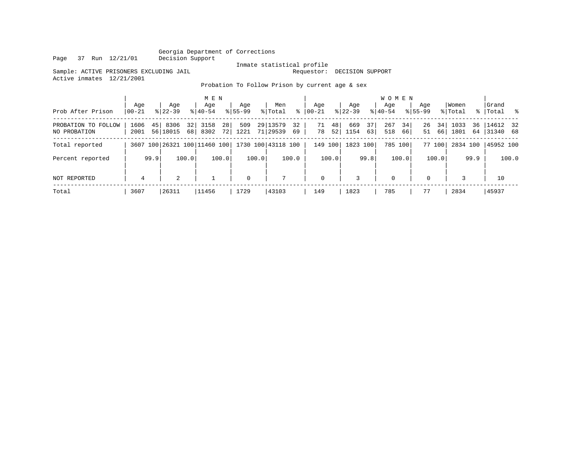Page 37 Run 12/21/01

# Inmate statistical profile<br>Requestor: DECISION SUPPORT

Sample: ACTIVE PRISONERS EXCLUDING JAIL Active inmates 12/21/2001

#### Probation To Follow Prison by current age & sex

|                                     |              |      |                    |          | M E N            |          |                    |       |                                                 |          |                 |          |                  |          | <b>WOMEN</b>     |          |                    |          |                  |           |                      |       |
|-------------------------------------|--------------|------|--------------------|----------|------------------|----------|--------------------|-------|-------------------------------------------------|----------|-----------------|----------|------------------|----------|------------------|----------|--------------------|----------|------------------|-----------|----------------------|-------|
| Prob After Prison                   | Age<br>00-21 |      | Age<br>$8122 - 39$ |          | Age<br>$8 40-54$ |          | Age<br>$8155 - 99$ |       | Men<br>% Total                                  | ႜ        | Aqe<br>$ 00-21$ |          | Aqe<br>$ 22-39 $ |          | Aqe<br>$ 40-54 $ |          | Aqe<br>$8155 - 99$ |          | Women<br>% Total | $\approx$ | Grand<br>Total %     |       |
| PROBATION TO FOLLOW<br>NO PROBATION | 1606<br>2001 | 45   | 8306<br>56 18015   | 32<br>68 | 3158<br>8302     | 28<br>72 | 509<br>1221        |       | 29 13579<br>71 29539                            | 32<br>69 | 71<br>78        | 48<br>52 | 669<br>1154      | 37<br>63 | 267<br>518       | 34<br>66 | 26<br>51           | 34<br>66 | 1033<br>1801     | 36<br>64  | 14612 32<br>31340 68 |       |
| Total reported                      |              |      |                    |          |                  |          |                    |       | 3607 100 26321 100 11460 100 1730 100 43118 100 |          |                 | 149 100  | 1823 100         |          | 785 100          |          |                    | 77 100   | 2834 100         |           | 45952 100            |       |
| Percent reported                    |              | 99.9 |                    | 100.0    |                  | 100.0    |                    | 100.0 |                                                 | 100.0    |                 | 100.0    |                  | 99.8     |                  | 100.0    |                    | 100.0    |                  | 99.9      |                      | 100.0 |
| NOT REPORTED                        | 4            |      | 2                  |          |                  |          | $\mathbf 0$        |       | 7                                               |          | $\mathbf 0$     |          | 3                |          | $\mathbf 0$      |          | $\mathbf{0}$       |          |                  |           | 10                   |       |
| Total                               | 3607         |      | 26311              |          | 11456            |          | 1729               |       | 43103                                           |          | 149             |          | 1823             |          | 785              |          |                    |          | 2834             |           | 45937                |       |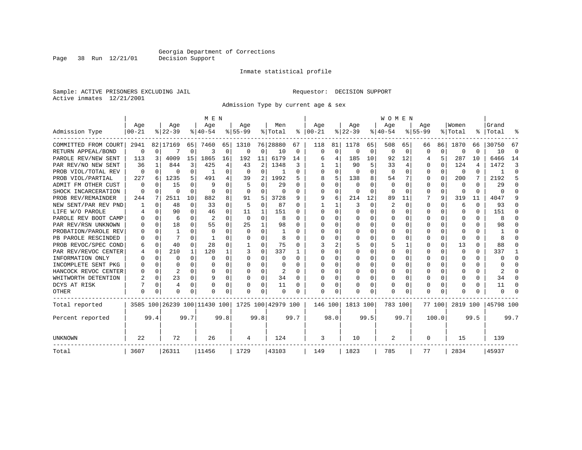#### Inmate statistical profile

Sample: ACTIVE PRISONERS EXCLUDING JAIL Requestor: DECISION SUPPORT Active inmates 12/21/2001

Page 38 Run 12/21/01

Admission Type by current age & sex

|                      |                  |          |                  |          | M E N                        |          |                  |                |                    |      |                      |             |                  |          | <b>WOMEN</b>    |              |                 |          |                  |          |                    |          |
|----------------------|------------------|----------|------------------|----------|------------------------------|----------|------------------|----------------|--------------------|------|----------------------|-------------|------------------|----------|-----------------|--------------|-----------------|----------|------------------|----------|--------------------|----------|
| Admission Type       | Age<br>$00 - 21$ |          | Age<br>$ 22-39 $ |          | Age<br>$8 40-54$             |          | Aqe<br>$8 55-99$ |                | Men<br>% Total     |      | Aqe<br>$8   00 - 21$ |             | Aqe<br>$ 22-39 $ |          | Aqe<br>$ 40-54$ |              | Aqe<br>$ 55-99$ |          | Women<br>% Total |          | Grand<br>%   Total | °        |
|                      |                  |          |                  |          |                              |          |                  |                |                    |      |                      |             |                  |          |                 |              |                 |          |                  |          |                    |          |
| COMMITTED FROM COURT | 2941             |          | 82 17169         | 65       | 7460                         | 65       | 1310             |                | 76 28880           | 67   | 118                  | 81          | 1178             | 65       | 508             | 65           | 66              | 86       | 1870             | 66       | 30750              | 67       |
| RETURN APPEAL/BOND   | 0                | 0        |                  | 0        | 3                            | 0        | 0                | 0              | 10                 | 0    | 0                    | $\mathbf 0$ | $\Omega$         | 0        | 0               | 0            | $\Omega$        | 0        | $\cap$           | U        | 10                 | $\Omega$ |
| PAROLE REV/NEW SENT  | 113              | 3        | 4009             | 15       | 1865                         | 16       | 192              | 11             | 6179               | 14   |                      | 4           | 185              | 10       | 92              | 12           | 4               | 5        | 287              | 10       | 6466               | 14       |
| PAR REV/NO NEW SENT  | 36               |          | 844              | 3        | 425                          | 4        | 43               | 2              | 1348               | 3    |                      |             | 90               | 5        | 33              | 4            | 0               | $\Omega$ | 124              | 4        | 1472               | 3        |
| PROB VIOL/TOTAL REV  | 0                | $\Omega$ | O                | 0        |                              | 0        | $\Omega$         | 0              |                    | 0    | $\Omega$             | 0           | $\Omega$         | $\Omega$ | 0               | $\Omega$     | O               | $\Omega$ | 0                | 0        |                    | $\Omega$ |
| PROB VIOL/PARTIAL    | 227              | 6        | 1235             | 5        | 491                          | 4        | 39               | $\overline{2}$ | 1992               | 5    | 8                    | 5           | 138              | 8        | 54              |              | O               | $\Omega$ | 200              | 7        | 2192               | 5        |
| ADMIT FM OTHER CUST  | 0                | $\Omega$ | 15               | 0        | q                            | 0        | 5                | 0              | 29                 | O    | $\Omega$             | 0           | $\Omega$         | O        | 0               | $\Omega$     | $\Omega$        | $\Omega$ | $\Omega$         | 0        | 29                 | $\Omega$ |
| SHOCK INCARCERATION  | $\Omega$         | $\Omega$ | O                | $\Omega$ | $\Omega$                     | 0        | $\Omega$         | 0              | 0                  | O    | <sup>0</sup>         | $\Omega$    | $\Omega$         | $\Omega$ | $\Omega$        | $\Omega$     | $\Omega$        | $\Omega$ | <sup>0</sup>     | $\Omega$ | U                  | ſ        |
| PROB REV/REMAINDER   | 244              | 7        | 2511             | 10       | 882                          | 8        | 91               | 5              | 3728               | 9    | 9                    | 6           | 214              | 12       | 89              | 11           |                 | 9        | 319              | 11       | 4047               |          |
| NEW SENT/PAR REV PND |                  | $\Omega$ | 48               | $\Omega$ | 33                           | $\Omega$ | 5                | $\Omega$       | 87                 | 0    |                      |             | 3                | $\Omega$ | 2               | $\Omega$     | $\Omega$        | $\Omega$ | 6                | $\Omega$ | 93                 |          |
| LIFE W/O PAROLE      |                  | $\Omega$ | 90               | 0        | 46                           | 0        | 11               | 1              | 151                | O    | O                    | $\Omega$    | <sup>0</sup>     | $\cap$   | U               | O            | O               | $\Omega$ | <sup>0</sup>     | 0        | 151                | n        |
| PAROLE REV BOOT CAMP |                  | $\Omega$ | 6                | 0        | $\overline{a}$               | $\Omega$ | $\Omega$         | $\Omega$       | 8                  | U    | O                    | $\Omega$    | <sup>0</sup>     | O        | U               | O            | O               | $\Omega$ | O                | 0        | 8                  |          |
| PAR REV/RSN UNKNOWN  |                  | $\Omega$ | 18               | 0        | 55                           | 0        | 25               | $\mathbf{1}$   | 98                 | O    | ∩                    | 0           | O                | O        | U               | O            | $\Omega$        | U        | U                | U        | 98                 |          |
| PROBATION/PAROLE REV |                  | $\Omega$ |                  | U        | $\Omega$                     | U        | $\Omega$         | $\Omega$       |                    | O    | <sup>0</sup>         | 0           | O                | O        | U               | O            | ∩               | $\Omega$ |                  | U        |                    |          |
| PB PAROLE RESCINDED  |                  | $\Omega$ |                  | U        |                              | 0        | O                | 0              | 8                  | O    | <sup>0</sup>         | 0           | O                | O        | O               | O            | ∩               | $\Omega$ | ∩                | U        |                    |          |
| PROB REVOC/SPEC COND | 6                | 0        | 40               | 0        | 28                           | 0        |                  | $\Omega$       | 75                 | 0    |                      | 2           |                  | O        | 5               |              | O               | $\Omega$ | 13               | 0        | 88                 | n        |
| PAR REV/REVOC CENTER |                  | 0        | 210              | 1        | 120                          | 1        |                  | 0              | 337                |      | <sup>0</sup>         | 0           | O                | O        | U               | O            | O               | $\Omega$ | O                | 0        | 337                |          |
| INFORMATION ONLY     |                  | $\Omega$ | O                | 0        | $\Omega$                     | 0        | O                | $\Omega$       | O                  | U    | n                    | $\Omega$    | O                | O        | U               | <sup>0</sup> | O               | $\Omega$ | O                | 0        | U                  | ∩        |
| INCOMPLETE SENT PKG  |                  | $\Omega$ |                  | 0        | O                            | 0        |                  | $\Omega$       | O                  | O    | ∩                    | $\Omega$    | O                | O        | U               | $\Omega$     | $\Omega$        | $\Omega$ |                  | 0        |                    | ∩        |
| HANCOCK REVOC CENTER |                  | $\Omega$ | 2                | 0        | O                            | 0        |                  | 0              | 2                  | O    | <sup>0</sup>         | $\Omega$    | O                | O        | Ω               | $\Omega$     | $\Omega$        | $\Omega$ |                  | 0        |                    | ſ        |
| WHITWORTH DETENTION  |                  | $\Omega$ | 23               | 0        | q                            | 0        | O                | 0              | 34                 | O    |                      | 0           | O                | O        | Ω               | O            | $\Omega$        | $\Omega$ |                  | 0        | 34                 | ∩        |
| DCYS AT RISK         |                  | $\Omega$ | 4                | 0        | O                            | 0        | O                | $\Omega$       | 11                 | 0    |                      | 0           |                  | $\Omega$ | 0               | $\Omega$     | $\Omega$        | $\Omega$ |                  | 0        | 11                 | n        |
| OTHER                | $\Omega$         | O        | U                | U        | O                            | 0        | O                | $\Omega$       | O                  | 0    | $\Omega$             | O           | O                | $\Omega$ | U               | O            | $\Omega$        | $\Omega$ |                  | U        | U                  |          |
| Total reported       |                  |          |                  |          | 3585 100 26239 100 11430 100 |          |                  |                | 1725 100 42979 100 |      | 146 100              |             | 1813 100         |          | 783 100         |              |                 | 77 100   | 2819 100         |          | 45798 100          |          |
| Percent reported     |                  | 99.4     |                  | 99.7     |                              | 99.8     |                  | 99.8           |                    | 99.7 |                      | 98.0        |                  | 99.5     |                 | 99.7         |                 | 100.0    |                  | 99.5     |                    | 99.7     |
| UNKNOWN              | 22               |          | 72               |          | 26                           |          | 4                |                | 124                |      | 3                    |             | 10               |          | 2               |              | 0               |          | 15               |          | 139                |          |
| Total                | 3607             |          | 26311            |          | 11456                        |          | 1729             |                | 43103              |      | 149                  |             | 1823             |          | 785             |              | 77              |          | 2834             |          | 45937              |          |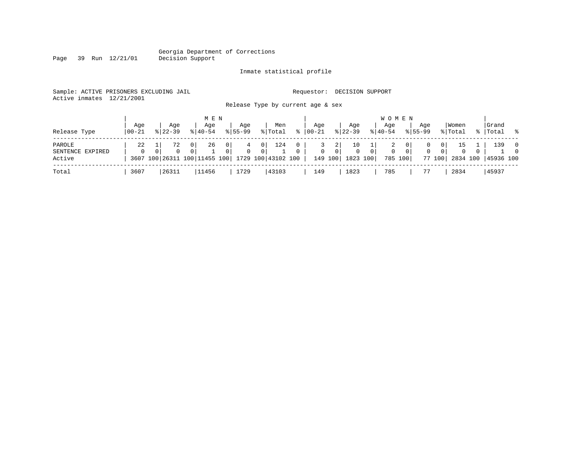Page 39 Run 12/21/01

### Inmate statistical profile

|  |                           | Sample: ACTIVE PRISONERS EXCLUDING JAIL |  |  |                                   |  | Requestor: DECISION SUPPORT |  |
|--|---------------------------|-----------------------------------------|--|--|-----------------------------------|--|-----------------------------|--|
|  | Active inmates 12/21/2001 |                                         |  |  |                                   |  |                             |  |
|  |                           |                                         |  |  | Release Type by current age & sex |  |                             |  |

| Release Type                         | Age<br>  00-21 | Aqe<br>$8122 - 39$ |                            | M E N<br>Age<br>$8140 - 54$        |                   | Aqe<br>$8155 - 99$ |              | Men<br>% Total            | ႜႂ | Aqe<br>00-21      |                                 | Aqe<br>$ 22-39 $           |                | <b>WOMEN</b><br>Aqe<br>$8 40-54$ |          | Aqe<br>$8155 - 99$ |                           | Women<br>% Total |          | Grand<br>%   Total %      |                            |
|--------------------------------------|----------------|--------------------|----------------------------|------------------------------------|-------------------|--------------------|--------------|---------------------------|----|-------------------|---------------------------------|----------------------------|----------------|----------------------------------|----------|--------------------|---------------------------|------------------|----------|---------------------------|----------------------------|
| PAROLE<br>SENTENCE EXPIRED<br>Active | 22<br>$\Omega$ | 72<br>$\Omega$     | 0 <sup>1</sup><br>$\Omega$ | 26<br>3607 100 26311 100 11455 100 | $\mathbf{0}$<br>0 | 4<br>$\Omega$      | - 0 I<br>0 I | 124<br>1729 100 43102 100 |    | 3<br>$\mathbf{0}$ | 2 <br>$\overline{0}$<br>149 100 | 10<br>$\Omega$<br>1823 100 | $\overline{0}$ | 2<br>0<br>785 100                | $\Omega$ | 0                  | 0 I<br>$\Omega$<br>77 100 | 15<br>$\Omega$   | $\Omega$ | 139<br>2834 100 45936 100 | $\overline{0}$<br>$\Omega$ |
| Total                                | 3607           | 26311              |                            | 11456                              |                   | 1729               |              | 43103                     |    | 149               |                                 | 1823                       |                | 785                              |          |                    |                           | 2834             |          | 45937                     |                            |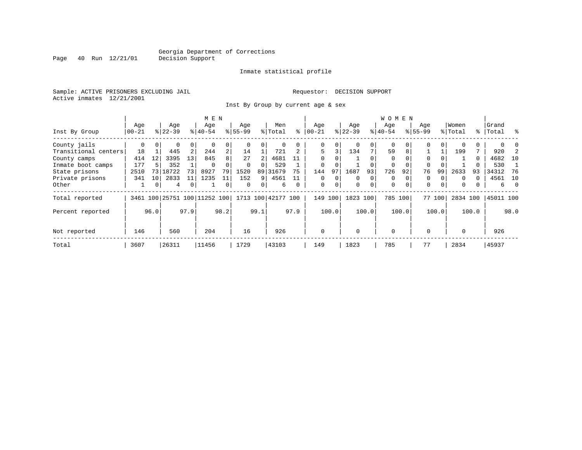Inmate statistical profile

Sample: ACTIVE PRISONERS EXCLUDING JAIL **Requestor: DECISION SUPPORT** Active inmates 12/21/2001

Page 40 Run 12/21/01

Inst By Group by current age & sex

|                      |           |          |           | M E N          |                              |                |             |          |                    |          |              |          |             | <b>WOMEN</b> |             |          |             |                |          |       |           |                |
|----------------------|-----------|----------|-----------|----------------|------------------------------|----------------|-------------|----------|--------------------|----------|--------------|----------|-------------|--------------|-------------|----------|-------------|----------------|----------|-------|-----------|----------------|
|                      | Age       |          | Age       |                | Age                          |                | Age         |          | Men                |          | Aqe          |          | Age         |              | Aqe         |          | Age         |                | Women    |       | Grand     |                |
| Inst By Group        | $00 - 21$ |          | $8 22-39$ |                | $8140 - 54$                  |                | $8155 - 99$ |          | % Total            | ႜ        | $ 00 - 21 $  |          | $ 22-39$    |              | $8 40-54$   |          | $8155 - 99$ |                | % Total  |       | %   Total | ္က             |
| County jails         | 0         | $\Omega$ | 0         | 0              |                              | 0              |             |          |                    |          | 0            | 0        |             | $\Omega$     | $\Omega$    |          | 0           |                |          |       |           |                |
| Transitional centers | 18        |          | 445       | 2              | 244                          | $\overline{a}$ | 14          |          | 721                |          | 5            | 3        | 134         | 7            | 59          | 8        |             |                | 199      |       | 920       |                |
| County camps         | 414       | 12       | 3395      | 13             | 845                          | 8              | 27          |          | 4681               |          | $\Omega$     |          |             |              | $\Omega$    |          | $\Omega$    |                |          | 0     | 4682      | 10             |
| Inmate boot camps    | 177       |          | 352       |                | $\Omega$                     |                | $\Omega$    | $\Omega$ | 529                |          | $\Omega$     |          |             |              | $\Omega$    |          | $\Omega$    |                |          |       | 530       |                |
| State prisons        | 2510      | 731      | 18722     | 73             | 8927                         | 79             | 1520        | 89       | 31679              | 75       | 144          | 97       | 1687        | 93           | 726         | 92       | 76          | 99             | 2633     | 93    | 34312     | -76            |
| Private prisons      | 341       | 10       | 2833      | 11             | 1235                         | 11             | 152         | 9        | 4561               |          | $\Omega$     | $\Omega$ | $\Omega$    | $\mathbf 0$  | $\mathbf 0$ |          | 0           |                | $\Omega$ | 0     | 4561      | 10             |
| Other                |           | 0        | 4         | $\overline{0}$ |                              | 0              | $\Omega$    | 0        | 6                  | $\Omega$ | $\mathbf{0}$ | 0        | $\mathbf 0$ | 0            | $\mathbf 0$ | $\Omega$ | $\mathbf 0$ | $\overline{0}$ | $\Omega$ | 0     | б.        | $\overline{0}$ |
| Total reported       |           |          |           |                | 3461 100 25751 100 11252 100 |                |             |          | 1713 100 42177 100 |          | 149          | 100      | 1823        | 100          | 785 100     |          |             | 77 100         | 2834 100 |       | 45011 100 |                |
| Percent reported     |           | 96.0     |           | 97.9           |                              | 98.2           |             | 99.1     |                    | 97.9     |              | 100.0    |             | 100.0        |             | 100.0    |             | 100.0          |          | 100.0 |           | 98.0           |
| Not reported         | 146       |          | 560       |                | 204                          |                | 16          |          | 926                |          | $\mathbf 0$  |          | $\Omega$    |              | $\mathbf 0$ |          | $\Omega$    |                | $\Omega$ |       | 926       |                |
| Total                | 3607      |          | 26311     |                | 11456                        |                | 1729        |          | 43103              |          | 149          |          | 1823        |              | 785         |          | 77          |                | 2834     |       | 45937     |                |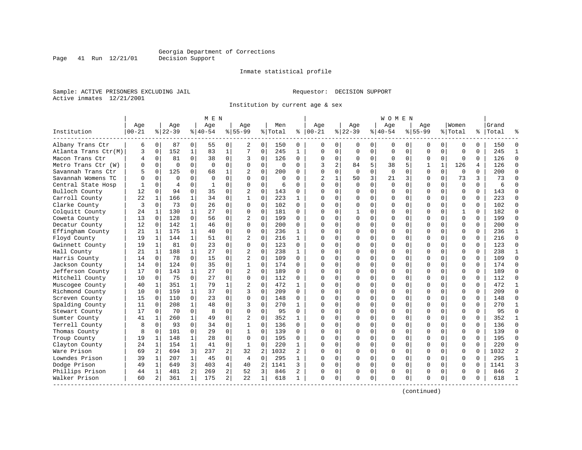Inmate statistical profile

Sample: ACTIVE PRISONERS EXCLUDING JAIL **Requestor: DECISION SUPPORT** Active inmates 12/21/2001

Institution by current age & sex

| Age<br>Age<br>Women<br>Grand<br>Age<br>Age<br>Aqe<br>Men<br>Aqe<br>Aqe<br>Age<br>$8 22-39$<br>$8155 - 99$<br>Institution<br>$00 - 21$<br>$8 22-39$<br>$8 40-54$<br>$8155 - 99$<br>% Total<br>ႜ<br>$ 00-21$<br>$8 40-54$<br>% Total<br>%   Total<br>Albany Trans Ctr<br>6<br>0<br>87<br>0<br>55<br>150<br>0<br>2<br>0<br>0<br>0<br>0<br>0<br>0<br>0<br>0<br>0<br>0<br>0<br>0<br>150<br>$\mathbf{1}$<br>152<br>$\mathbf 1$<br>83<br>7<br>$\mathbf 0$<br>245<br>$\mathbf{1}$<br>$\mathbf 0$<br>$\Omega$<br>$\mathbf 0$<br>$\mathbf 0$<br>$\mathbf 0$<br>$\mathbf{0}$<br>$\mathbf 0$<br>$\mathbf 0$<br>$\Omega$<br>245<br>Atlanta Trans Ctr(M)<br>3<br>0<br>0<br>$\mathbf 0$<br>38<br>126<br>$\mathbf 0$<br>126<br>Macon Trans Ctr<br>0<br>81<br>0<br>0<br>$\Omega$<br>$\Omega$<br>0<br>0<br>$\mathbf 0$<br>$\Omega$<br>$\mathbf 0$<br>$\Omega$<br>4<br>3<br>$\mathbf 0$<br>0<br>2<br>5<br>126<br>Metro Trans Ctr (W)<br>$\Omega$<br>$\Omega$<br>$\Omega$<br>$\Omega$<br>3<br>84<br>38<br>5<br>$\mathbf{1}$<br>$\Omega$<br>$\Omega$<br>$\Omega$<br>$\Omega$<br>$\Omega$<br>$\Omega$<br>1<br>126<br>4<br>$\Omega$<br>Savannah Trans Ctr<br>125<br>68<br>$\mathbf{1}$<br>$\Omega$<br>200<br>$\Omega$<br>$\Omega$<br>$\Omega$<br>$\Omega$<br>$\Omega$<br>$\Omega$<br>$\Omega$<br>200<br>5<br>$\Omega$<br>$\Omega$<br>$\Omega$<br>$\Omega$<br>$\Omega$<br>3<br>0<br>$\Omega$<br>50<br>21<br>$\Omega$<br>73<br>3<br>73<br>Savannah Womens TC<br>$\Omega$<br>$\Omega$<br>$\Omega$<br>$\Omega$<br>$\Omega$<br>2<br>$\mathbf{1}$<br>3<br>$\Omega$<br>O<br>$\Omega$<br>0<br>$\mathbf 0$<br>$\mathbf 0$<br>$\Omega$<br>$\Omega$<br>$\mathbf 0$<br>$\Omega$<br>0<br>$\Omega$<br>Central State Hosp<br>$\Omega$<br>$\overline{4}$<br>0<br>$\Omega$<br>6<br>$\Omega$<br>$\Omega$<br>0<br>$\mathbf 0$<br>$\mathbf 0$<br>1<br>6<br>$\Omega$<br>Bulloch County<br>12<br>94<br>$\Omega$<br>35<br>$\Omega$<br>$\overline{a}$<br>143<br>$\Omega$<br>$\Omega$<br>$\Omega$<br>$\Omega$<br>$\Omega$<br>$\Omega$<br>143<br>$\Omega$<br>$\Omega$<br>$\Omega$<br>$\Omega$<br>$\Omega$<br>$\Omega$<br>34<br>223<br>223<br>22<br>166<br>0<br>$\Omega$<br>$\Omega$<br>$\Omega$<br>$\Omega$<br>$\Omega$<br>$\Omega$<br>Carroll County<br>$\mathbf{1}$<br>$\mathbf{1}$<br>$\mathbf{1}$<br>$\Omega$<br>$\Omega$<br>$\Omega$<br>$\Omega$<br>$\Omega$<br>1<br>73<br>26<br>$\mathbf 0$<br>$\Omega$<br>102<br>$\Omega$<br>102<br>Clarke County<br>3<br>$\Omega$<br>$\Omega$<br>$\Omega$<br>$\Omega$<br>$\Omega$<br>$\Omega$<br>$\Omega$<br>$\mathbf 0$<br>$\Omega$<br>$\Omega$<br>$\Omega$<br>$\Omega$<br>0<br>130<br>27<br>0<br>$\Omega$<br>181<br>$\Omega$<br>182<br>Colquitt County<br>1<br>$\Omega$<br>$\Omega$<br>$\Omega$<br>$\Omega$<br>1<br>$\Omega$<br>$\Omega$<br>$\Omega$<br>$\mathbf{1}$<br>$\Omega$<br>24<br>O<br>128<br>56<br>$\mathbf 0$<br>$\Omega$<br>199<br>199<br>Coweta County<br>$\Omega$<br>2<br>$\Omega$<br>$\Omega$<br>0<br>$\Omega$<br>$\Omega$<br>$\mathbf 0$<br>$\Omega$<br>13<br>$\Omega$<br>$\Omega$<br><sup>0</sup><br>0<br>$\Omega$<br>$\mathbf 0$<br>$\mathbf 0$<br>$\mathbf 0$<br>142<br>46<br>200<br>0<br>0<br>$\mathbf 0$<br>$\Omega$<br>$\Omega$<br>$\mathbf 0$<br>0<br>200<br>Decatur County<br>12<br>0<br>0<br>$\Omega$<br>$\Omega$<br>0<br>Effingham County<br>$\mathbf{1}$<br>175<br>$\mathbf{1}$<br>40<br>$\Omega$<br>$\Omega$<br>$\Omega$<br>236<br>$\mathbf{1}$<br>$\Omega$<br>$\Omega$<br>$\Omega$<br>$\Omega$<br>236<br>21<br>$\Omega$<br>$\Omega$<br>$\Omega$<br>$\Omega$<br>$\Omega$<br>$\Omega$<br>144<br>$\Omega$<br>216<br>216<br>Floyd County<br>19<br>1<br>$\mathbf{1}$<br>51<br>0<br>2<br>$\mathbf{1}$<br>$\Omega$<br>$\Omega$<br>$\Omega$<br>$\Omega$<br>$\Omega$<br>$\mathbf 0$<br>$\Omega$<br>$\Omega$<br>$\Omega$<br>$\Omega$<br>123<br>Gwinnett County<br>19<br>81<br>$\Omega$<br>23<br>0<br>$\Omega$<br>$\Omega$<br>123<br>$\Omega$<br>$\Omega$<br>$\Omega$<br>$\Omega$<br>1<br>$\Omega$<br><sup>0</sup><br>$\Omega$<br>0<br>0<br>$\Omega$<br>0<br>$\Omega$<br>238<br>238<br>Hall County<br>188<br>$\mathbf{1}$<br>27<br>0<br>2<br>$\Omega$<br>$\Omega$<br>$\Omega$<br>$\Omega$<br>$\Omega$<br>21<br>1<br>$\mathbf{1}$<br>$\Omega$<br>$\Omega$<br>$\Omega$<br>$\Omega$<br>$\Omega$<br>78<br>$\Omega$<br>15<br>0<br>$\overline{c}$<br>$\Omega$<br>109<br>$\Omega$<br>$\Omega$<br>$\Omega$<br>109<br>Harris County<br>14<br>$\Omega$<br>$\Omega$<br>$\Omega$<br>$\Omega$<br>$\Omega$<br>$\Omega$<br>$\Omega$<br>$\Omega$<br>$\Omega$<br>$\mathbf 0$<br>124<br>$\Omega$<br>35<br>$\Omega$<br>174<br>$\Omega$<br>$\Omega$<br>$\Omega$<br>174<br>Jackson County<br>14<br>$\Omega$<br>$\Omega$<br>$\Omega$<br>$\Omega$<br>$\Omega$<br>$\mathbf 0$<br>$\Omega$<br><sup>0</sup><br>0<br>143<br>27<br>0<br>$\overline{2}$<br>$\mathbf 0$<br>189<br>0<br>$\Omega$<br>$\Omega$<br>189<br>Jefferson County<br>$\mathbf{1}$<br>$\Omega$<br>$\Omega$<br>$\Omega$<br>$\Omega$<br>$\Omega$<br>$\Omega$<br>$\Omega$<br>17<br>$\Omega$<br>O<br>Mitchell County<br>75<br>$\Omega$<br>27<br>112<br>112<br>10<br>0<br>$\Omega$<br>$\Omega$<br>$\Omega$<br>$\cap$<br>$\Omega$<br>0<br>$\mathbf 0$<br>$\Omega$<br>$\Omega$<br>$\Omega$<br>0<br>$\Omega$<br>$\Omega$<br>O<br>472<br>472<br>Muscogee County<br>40<br>351<br>79<br>1<br>2<br>$\Omega$<br>$\Omega$<br>$\Omega$<br>$\mathbf{1}$<br>$\mathbf{1}$<br>$\Omega$<br>$\Omega$<br>$\Omega$<br>$\Omega$<br>$\Omega$<br>$\Omega$<br>$\Omega$<br>$\Omega$<br>1<br>Richmond County<br>159<br>37<br>0<br>3<br>$\Omega$<br>209<br>$\Omega$<br>$\Omega$<br>$\Omega$<br>209<br>10<br>$\mathbf{1}$<br>$\Omega$<br>$\Omega$<br>$\Omega$<br>$\Omega$<br>$\Omega$<br>$\Omega$<br>$\Omega$<br>$\Omega$<br>$\Omega$<br>110<br>23<br>0<br>$\Omega$<br>$\Omega$<br>$\Omega$<br>$\Omega$<br>148<br>Screven County<br>15<br>$\Omega$<br>148<br>$\Omega$<br>$\Omega$<br>$\Omega$<br>$\Omega$<br>$\Omega$<br>$\Omega$<br>$\Omega$<br>$\Omega$<br>$\Omega$<br>O<br>$\mathbf 0$<br>0<br>Spalding County<br>208<br>48<br>0<br>3<br>270<br>$\Omega$<br>$\Omega$<br>$\mathbf 0$<br>$\Omega$<br>$\Omega$<br>$\mathbf 0$<br>0<br>270<br>11<br>$\Omega$<br>$\mathbf{1}$<br>0<br>0<br>$\Omega$<br>8<br>$\mathbf 0$<br>0<br>Stewart County<br>70<br>$\Omega$<br>$\Omega$<br>95<br>$\Omega$<br>$\Omega$<br>$\Omega$<br>$\Omega$<br>$\mathbf 0$<br>$\Omega$<br>$\Omega$<br>$\Omega$<br>$\Omega$<br>95<br>17<br>$\Omega$<br>Ω<br>352<br>352<br>Sumter County<br>260<br>$\mathbf{1}$<br>49<br>0<br>2<br>0<br>$\Omega$<br>$\Omega$<br>0<br>$\Omega$<br>0<br>$\Omega$<br>0<br>41<br>$\mathbf{1}$<br>0<br>$\Omega$<br>$\mathbf 0$<br>1<br>Terrell County<br>93<br>$\Omega$<br>34<br>$\Omega$<br>136<br>$\Omega$<br>136<br>8<br>$\Omega$<br>0<br>$\Omega$<br>$\Omega$<br>$\Omega$<br>$\Omega$<br>$\Omega$<br>$\Omega$<br>$\Omega$<br>$\Omega$<br>$\Omega$<br>0<br>101<br>$\Omega$<br>$\Omega$<br>139<br>Thomas County<br>8<br>$\Omega$<br>29<br>0<br>139<br>$\Omega$<br>$\Omega$<br>$\Omega$<br>$\Omega$<br>$\Omega$<br>$\Omega$<br>0<br><sup>0</sup><br>0<br>0<br>0<br>148<br>28<br>0<br>$\Omega$<br>$\Omega$<br>195<br>$\Omega$<br>$\Omega$<br>$\Omega$<br>$\Omega$<br>$\Omega$<br>$\Omega$<br>195<br>Troup County<br>19<br>1<br>1<br>0<br><sup>0</sup><br>$\Omega$<br>$\Omega$<br>0<br>$\mathbf 0$<br>Clayton County<br>154<br>1<br>41<br>0<br>220<br>$\Omega$<br>0<br>$\Omega$<br>$\Omega$<br>$\mathbf 0$<br>0<br>220<br>24<br>1<br>1<br>$\mathbf{1}$<br>$\Omega$<br>0<br>$\Omega$<br>$\mathbf 0$ |                |
|------------------------------------------------------------------------------------------------------------------------------------------------------------------------------------------------------------------------------------------------------------------------------------------------------------------------------------------------------------------------------------------------------------------------------------------------------------------------------------------------------------------------------------------------------------------------------------------------------------------------------------------------------------------------------------------------------------------------------------------------------------------------------------------------------------------------------------------------------------------------------------------------------------------------------------------------------------------------------------------------------------------------------------------------------------------------------------------------------------------------------------------------------------------------------------------------------------------------------------------------------------------------------------------------------------------------------------------------------------------------------------------------------------------------------------------------------------------------------------------------------------------------------------------------------------------------------------------------------------------------------------------------------------------------------------------------------------------------------------------------------------------------------------------------------------------------------------------------------------------------------------------------------------------------------------------------------------------------------------------------------------------------------------------------------------------------------------------------------------------------------------------------------------------------------------------------------------------------------------------------------------------------------------------------------------------------------------------------------------------------------------------------------------------------------------------------------------------------------------------------------------------------------------------------------------------------------------------------------------------------------------------------------------------------------------------------------------------------------------------------------------------------------------------------------------------------------------------------------------------------------------------------------------------------------------------------------------------------------------------------------------------------------------------------------------------------------------------------------------------------------------------------------------------------------------------------------------------------------------------------------------------------------------------------------------------------------------------------------------------------------------------------------------------------------------------------------------------------------------------------------------------------------------------------------------------------------------------------------------------------------------------------------------------------------------------------------------------------------------------------------------------------------------------------------------------------------------------------------------------------------------------------------------------------------------------------------------------------------------------------------------------------------------------------------------------------------------------------------------------------------------------------------------------------------------------------------------------------------------------------------------------------------------------------------------------------------------------------------------------------------------------------------------------------------------------------------------------------------------------------------------------------------------------------------------------------------------------------------------------------------------------------------------------------------------------------------------------------------------------------------------------------------------------------------------------------------------------------------------------------------------------------------------------------------------------------------------------------------------------------------------------------------------------------------------------------------------------------------------------------------------------------------------------------------------------------------------------------------------------------------------------------------------------------------------------------------------------------------------------------------------------------------------------------------------------------------------------------------------------------------------------------------------------------------------------------------------------------------------------------------------------------------------------------------------------------------------------------------------------------------------------------------------------------------------------------------------------------------------------------------------------------------------------------------------------------------------------------------------------------------------------------------------------------------------------------------------------------------------------------------------------------------------------------------------------------------------------------------------------------------------------------------------------------------------------------------------------------------------------------------------------------------------------------------------------------------------------------------------------------------------------------------------------------------------------------------------------------------------------------------------------------------------------------------------------------------------------------------------------------------------------------------------------------------------------------------------------------------------------------------------------------------------------------------------------------------------------------------------------------------------------------------------------------------------------------------------------------------------------------------------------------------------------------------------------------------------------------------------------------------------------------------------------------------------------------------------------------------------------------------------------------------------------|----------------|
|                                                                                                                                                                                                                                                                                                                                                                                                                                                                                                                                                                                                                                                                                                                                                                                                                                                                                                                                                                                                                                                                                                                                                                                                                                                                                                                                                                                                                                                                                                                                                                                                                                                                                                                                                                                                                                                                                                                                                                                                                                                                                                                                                                                                                                                                                                                                                                                                                                                                                                                                                                                                                                                                                                                                                                                                                                                                                                                                                                                                                                                                                                                                                                                                                                                                                                                                                                                                                                                                                                                                                                                                                                                                                                                                                                                                                                                                                                                                                                                                                                                                                                                                                                                                                                                                                                                                                                                                                                                                                                                                                                                                                                                                                                                                                                                                                                                                                                                                                                                                                                                                                                                                                                                                                                                                                                                                                                                                                                                                                                                                                                                                                                                                                                                                                                                                                                                                                                                                                                                                                                                                                                                                                                                                                                                                                                                                                                                                                                                                                                                                                                                                                                                                                                                                                                                                                                                                                                                                                                                                                                                                                                                                                                                                                                                                                                                                                                                                                  |                |
|                                                                                                                                                                                                                                                                                                                                                                                                                                                                                                                                                                                                                                                                                                                                                                                                                                                                                                                                                                                                                                                                                                                                                                                                                                                                                                                                                                                                                                                                                                                                                                                                                                                                                                                                                                                                                                                                                                                                                                                                                                                                                                                                                                                                                                                                                                                                                                                                                                                                                                                                                                                                                                                                                                                                                                                                                                                                                                                                                                                                                                                                                                                                                                                                                                                                                                                                                                                                                                                                                                                                                                                                                                                                                                                                                                                                                                                                                                                                                                                                                                                                                                                                                                                                                                                                                                                                                                                                                                                                                                                                                                                                                                                                                                                                                                                                                                                                                                                                                                                                                                                                                                                                                                                                                                                                                                                                                                                                                                                                                                                                                                                                                                                                                                                                                                                                                                                                                                                                                                                                                                                                                                                                                                                                                                                                                                                                                                                                                                                                                                                                                                                                                                                                                                                                                                                                                                                                                                                                                                                                                                                                                                                                                                                                                                                                                                                                                                                                                  |                |
|                                                                                                                                                                                                                                                                                                                                                                                                                                                                                                                                                                                                                                                                                                                                                                                                                                                                                                                                                                                                                                                                                                                                                                                                                                                                                                                                                                                                                                                                                                                                                                                                                                                                                                                                                                                                                                                                                                                                                                                                                                                                                                                                                                                                                                                                                                                                                                                                                                                                                                                                                                                                                                                                                                                                                                                                                                                                                                                                                                                                                                                                                                                                                                                                                                                                                                                                                                                                                                                                                                                                                                                                                                                                                                                                                                                                                                                                                                                                                                                                                                                                                                                                                                                                                                                                                                                                                                                                                                                                                                                                                                                                                                                                                                                                                                                                                                                                                                                                                                                                                                                                                                                                                                                                                                                                                                                                                                                                                                                                                                                                                                                                                                                                                                                                                                                                                                                                                                                                                                                                                                                                                                                                                                                                                                                                                                                                                                                                                                                                                                                                                                                                                                                                                                                                                                                                                                                                                                                                                                                                                                                                                                                                                                                                                                                                                                                                                                                                                  | $\Omega$       |
|                                                                                                                                                                                                                                                                                                                                                                                                                                                                                                                                                                                                                                                                                                                                                                                                                                                                                                                                                                                                                                                                                                                                                                                                                                                                                                                                                                                                                                                                                                                                                                                                                                                                                                                                                                                                                                                                                                                                                                                                                                                                                                                                                                                                                                                                                                                                                                                                                                                                                                                                                                                                                                                                                                                                                                                                                                                                                                                                                                                                                                                                                                                                                                                                                                                                                                                                                                                                                                                                                                                                                                                                                                                                                                                                                                                                                                                                                                                                                                                                                                                                                                                                                                                                                                                                                                                                                                                                                                                                                                                                                                                                                                                                                                                                                                                                                                                                                                                                                                                                                                                                                                                                                                                                                                                                                                                                                                                                                                                                                                                                                                                                                                                                                                                                                                                                                                                                                                                                                                                                                                                                                                                                                                                                                                                                                                                                                                                                                                                                                                                                                                                                                                                                                                                                                                                                                                                                                                                                                                                                                                                                                                                                                                                                                                                                                                                                                                                                                  | $\mathbf{1}$   |
|                                                                                                                                                                                                                                                                                                                                                                                                                                                                                                                                                                                                                                                                                                                                                                                                                                                                                                                                                                                                                                                                                                                                                                                                                                                                                                                                                                                                                                                                                                                                                                                                                                                                                                                                                                                                                                                                                                                                                                                                                                                                                                                                                                                                                                                                                                                                                                                                                                                                                                                                                                                                                                                                                                                                                                                                                                                                                                                                                                                                                                                                                                                                                                                                                                                                                                                                                                                                                                                                                                                                                                                                                                                                                                                                                                                                                                                                                                                                                                                                                                                                                                                                                                                                                                                                                                                                                                                                                                                                                                                                                                                                                                                                                                                                                                                                                                                                                                                                                                                                                                                                                                                                                                                                                                                                                                                                                                                                                                                                                                                                                                                                                                                                                                                                                                                                                                                                                                                                                                                                                                                                                                                                                                                                                                                                                                                                                                                                                                                                                                                                                                                                                                                                                                                                                                                                                                                                                                                                                                                                                                                                                                                                                                                                                                                                                                                                                                                                                  | $\Omega$       |
|                                                                                                                                                                                                                                                                                                                                                                                                                                                                                                                                                                                                                                                                                                                                                                                                                                                                                                                                                                                                                                                                                                                                                                                                                                                                                                                                                                                                                                                                                                                                                                                                                                                                                                                                                                                                                                                                                                                                                                                                                                                                                                                                                                                                                                                                                                                                                                                                                                                                                                                                                                                                                                                                                                                                                                                                                                                                                                                                                                                                                                                                                                                                                                                                                                                                                                                                                                                                                                                                                                                                                                                                                                                                                                                                                                                                                                                                                                                                                                                                                                                                                                                                                                                                                                                                                                                                                                                                                                                                                                                                                                                                                                                                                                                                                                                                                                                                                                                                                                                                                                                                                                                                                                                                                                                                                                                                                                                                                                                                                                                                                                                                                                                                                                                                                                                                                                                                                                                                                                                                                                                                                                                                                                                                                                                                                                                                                                                                                                                                                                                                                                                                                                                                                                                                                                                                                                                                                                                                                                                                                                                                                                                                                                                                                                                                                                                                                                                                                  | $\Omega$       |
|                                                                                                                                                                                                                                                                                                                                                                                                                                                                                                                                                                                                                                                                                                                                                                                                                                                                                                                                                                                                                                                                                                                                                                                                                                                                                                                                                                                                                                                                                                                                                                                                                                                                                                                                                                                                                                                                                                                                                                                                                                                                                                                                                                                                                                                                                                                                                                                                                                                                                                                                                                                                                                                                                                                                                                                                                                                                                                                                                                                                                                                                                                                                                                                                                                                                                                                                                                                                                                                                                                                                                                                                                                                                                                                                                                                                                                                                                                                                                                                                                                                                                                                                                                                                                                                                                                                                                                                                                                                                                                                                                                                                                                                                                                                                                                                                                                                                                                                                                                                                                                                                                                                                                                                                                                                                                                                                                                                                                                                                                                                                                                                                                                                                                                                                                                                                                                                                                                                                                                                                                                                                                                                                                                                                                                                                                                                                                                                                                                                                                                                                                                                                                                                                                                                                                                                                                                                                                                                                                                                                                                                                                                                                                                                                                                                                                                                                                                                                                  | $\Omega$       |
|                                                                                                                                                                                                                                                                                                                                                                                                                                                                                                                                                                                                                                                                                                                                                                                                                                                                                                                                                                                                                                                                                                                                                                                                                                                                                                                                                                                                                                                                                                                                                                                                                                                                                                                                                                                                                                                                                                                                                                                                                                                                                                                                                                                                                                                                                                                                                                                                                                                                                                                                                                                                                                                                                                                                                                                                                                                                                                                                                                                                                                                                                                                                                                                                                                                                                                                                                                                                                                                                                                                                                                                                                                                                                                                                                                                                                                                                                                                                                                                                                                                                                                                                                                                                                                                                                                                                                                                                                                                                                                                                                                                                                                                                                                                                                                                                                                                                                                                                                                                                                                                                                                                                                                                                                                                                                                                                                                                                                                                                                                                                                                                                                                                                                                                                                                                                                                                                                                                                                                                                                                                                                                                                                                                                                                                                                                                                                                                                                                                                                                                                                                                                                                                                                                                                                                                                                                                                                                                                                                                                                                                                                                                                                                                                                                                                                                                                                                                                                  | $\Omega$       |
|                                                                                                                                                                                                                                                                                                                                                                                                                                                                                                                                                                                                                                                                                                                                                                                                                                                                                                                                                                                                                                                                                                                                                                                                                                                                                                                                                                                                                                                                                                                                                                                                                                                                                                                                                                                                                                                                                                                                                                                                                                                                                                                                                                                                                                                                                                                                                                                                                                                                                                                                                                                                                                                                                                                                                                                                                                                                                                                                                                                                                                                                                                                                                                                                                                                                                                                                                                                                                                                                                                                                                                                                                                                                                                                                                                                                                                                                                                                                                                                                                                                                                                                                                                                                                                                                                                                                                                                                                                                                                                                                                                                                                                                                                                                                                                                                                                                                                                                                                                                                                                                                                                                                                                                                                                                                                                                                                                                                                                                                                                                                                                                                                                                                                                                                                                                                                                                                                                                                                                                                                                                                                                                                                                                                                                                                                                                                                                                                                                                                                                                                                                                                                                                                                                                                                                                                                                                                                                                                                                                                                                                                                                                                                                                                                                                                                                                                                                                                                  | $\Omega$       |
|                                                                                                                                                                                                                                                                                                                                                                                                                                                                                                                                                                                                                                                                                                                                                                                                                                                                                                                                                                                                                                                                                                                                                                                                                                                                                                                                                                                                                                                                                                                                                                                                                                                                                                                                                                                                                                                                                                                                                                                                                                                                                                                                                                                                                                                                                                                                                                                                                                                                                                                                                                                                                                                                                                                                                                                                                                                                                                                                                                                                                                                                                                                                                                                                                                                                                                                                                                                                                                                                                                                                                                                                                                                                                                                                                                                                                                                                                                                                                                                                                                                                                                                                                                                                                                                                                                                                                                                                                                                                                                                                                                                                                                                                                                                                                                                                                                                                                                                                                                                                                                                                                                                                                                                                                                                                                                                                                                                                                                                                                                                                                                                                                                                                                                                                                                                                                                                                                                                                                                                                                                                                                                                                                                                                                                                                                                                                                                                                                                                                                                                                                                                                                                                                                                                                                                                                                                                                                                                                                                                                                                                                                                                                                                                                                                                                                                                                                                                                                  | $\Omega$       |
|                                                                                                                                                                                                                                                                                                                                                                                                                                                                                                                                                                                                                                                                                                                                                                                                                                                                                                                                                                                                                                                                                                                                                                                                                                                                                                                                                                                                                                                                                                                                                                                                                                                                                                                                                                                                                                                                                                                                                                                                                                                                                                                                                                                                                                                                                                                                                                                                                                                                                                                                                                                                                                                                                                                                                                                                                                                                                                                                                                                                                                                                                                                                                                                                                                                                                                                                                                                                                                                                                                                                                                                                                                                                                                                                                                                                                                                                                                                                                                                                                                                                                                                                                                                                                                                                                                                                                                                                                                                                                                                                                                                                                                                                                                                                                                                                                                                                                                                                                                                                                                                                                                                                                                                                                                                                                                                                                                                                                                                                                                                                                                                                                                                                                                                                                                                                                                                                                                                                                                                                                                                                                                                                                                                                                                                                                                                                                                                                                                                                                                                                                                                                                                                                                                                                                                                                                                                                                                                                                                                                                                                                                                                                                                                                                                                                                                                                                                                                                  | $\Omega$       |
|                                                                                                                                                                                                                                                                                                                                                                                                                                                                                                                                                                                                                                                                                                                                                                                                                                                                                                                                                                                                                                                                                                                                                                                                                                                                                                                                                                                                                                                                                                                                                                                                                                                                                                                                                                                                                                                                                                                                                                                                                                                                                                                                                                                                                                                                                                                                                                                                                                                                                                                                                                                                                                                                                                                                                                                                                                                                                                                                                                                                                                                                                                                                                                                                                                                                                                                                                                                                                                                                                                                                                                                                                                                                                                                                                                                                                                                                                                                                                                                                                                                                                                                                                                                                                                                                                                                                                                                                                                                                                                                                                                                                                                                                                                                                                                                                                                                                                                                                                                                                                                                                                                                                                                                                                                                                                                                                                                                                                                                                                                                                                                                                                                                                                                                                                                                                                                                                                                                                                                                                                                                                                                                                                                                                                                                                                                                                                                                                                                                                                                                                                                                                                                                                                                                                                                                                                                                                                                                                                                                                                                                                                                                                                                                                                                                                                                                                                                                                                  | $\Omega$       |
|                                                                                                                                                                                                                                                                                                                                                                                                                                                                                                                                                                                                                                                                                                                                                                                                                                                                                                                                                                                                                                                                                                                                                                                                                                                                                                                                                                                                                                                                                                                                                                                                                                                                                                                                                                                                                                                                                                                                                                                                                                                                                                                                                                                                                                                                                                                                                                                                                                                                                                                                                                                                                                                                                                                                                                                                                                                                                                                                                                                                                                                                                                                                                                                                                                                                                                                                                                                                                                                                                                                                                                                                                                                                                                                                                                                                                                                                                                                                                                                                                                                                                                                                                                                                                                                                                                                                                                                                                                                                                                                                                                                                                                                                                                                                                                                                                                                                                                                                                                                                                                                                                                                                                                                                                                                                                                                                                                                                                                                                                                                                                                                                                                                                                                                                                                                                                                                                                                                                                                                                                                                                                                                                                                                                                                                                                                                                                                                                                                                                                                                                                                                                                                                                                                                                                                                                                                                                                                                                                                                                                                                                                                                                                                                                                                                                                                                                                                                                                  | $\Omega$       |
|                                                                                                                                                                                                                                                                                                                                                                                                                                                                                                                                                                                                                                                                                                                                                                                                                                                                                                                                                                                                                                                                                                                                                                                                                                                                                                                                                                                                                                                                                                                                                                                                                                                                                                                                                                                                                                                                                                                                                                                                                                                                                                                                                                                                                                                                                                                                                                                                                                                                                                                                                                                                                                                                                                                                                                                                                                                                                                                                                                                                                                                                                                                                                                                                                                                                                                                                                                                                                                                                                                                                                                                                                                                                                                                                                                                                                                                                                                                                                                                                                                                                                                                                                                                                                                                                                                                                                                                                                                                                                                                                                                                                                                                                                                                                                                                                                                                                                                                                                                                                                                                                                                                                                                                                                                                                                                                                                                                                                                                                                                                                                                                                                                                                                                                                                                                                                                                                                                                                                                                                                                                                                                                                                                                                                                                                                                                                                                                                                                                                                                                                                                                                                                                                                                                                                                                                                                                                                                                                                                                                                                                                                                                                                                                                                                                                                                                                                                                                                  | $\Omega$       |
|                                                                                                                                                                                                                                                                                                                                                                                                                                                                                                                                                                                                                                                                                                                                                                                                                                                                                                                                                                                                                                                                                                                                                                                                                                                                                                                                                                                                                                                                                                                                                                                                                                                                                                                                                                                                                                                                                                                                                                                                                                                                                                                                                                                                                                                                                                                                                                                                                                                                                                                                                                                                                                                                                                                                                                                                                                                                                                                                                                                                                                                                                                                                                                                                                                                                                                                                                                                                                                                                                                                                                                                                                                                                                                                                                                                                                                                                                                                                                                                                                                                                                                                                                                                                                                                                                                                                                                                                                                                                                                                                                                                                                                                                                                                                                                                                                                                                                                                                                                                                                                                                                                                                                                                                                                                                                                                                                                                                                                                                                                                                                                                                                                                                                                                                                                                                                                                                                                                                                                                                                                                                                                                                                                                                                                                                                                                                                                                                                                                                                                                                                                                                                                                                                                                                                                                                                                                                                                                                                                                                                                                                                                                                                                                                                                                                                                                                                                                                                  | $\Omega$       |
|                                                                                                                                                                                                                                                                                                                                                                                                                                                                                                                                                                                                                                                                                                                                                                                                                                                                                                                                                                                                                                                                                                                                                                                                                                                                                                                                                                                                                                                                                                                                                                                                                                                                                                                                                                                                                                                                                                                                                                                                                                                                                                                                                                                                                                                                                                                                                                                                                                                                                                                                                                                                                                                                                                                                                                                                                                                                                                                                                                                                                                                                                                                                                                                                                                                                                                                                                                                                                                                                                                                                                                                                                                                                                                                                                                                                                                                                                                                                                                                                                                                                                                                                                                                                                                                                                                                                                                                                                                                                                                                                                                                                                                                                                                                                                                                                                                                                                                                                                                                                                                                                                                                                                                                                                                                                                                                                                                                                                                                                                                                                                                                                                                                                                                                                                                                                                                                                                                                                                                                                                                                                                                                                                                                                                                                                                                                                                                                                                                                                                                                                                                                                                                                                                                                                                                                                                                                                                                                                                                                                                                                                                                                                                                                                                                                                                                                                                                                                                  | $\mathbf{1}$   |
|                                                                                                                                                                                                                                                                                                                                                                                                                                                                                                                                                                                                                                                                                                                                                                                                                                                                                                                                                                                                                                                                                                                                                                                                                                                                                                                                                                                                                                                                                                                                                                                                                                                                                                                                                                                                                                                                                                                                                                                                                                                                                                                                                                                                                                                                                                                                                                                                                                                                                                                                                                                                                                                                                                                                                                                                                                                                                                                                                                                                                                                                                                                                                                                                                                                                                                                                                                                                                                                                                                                                                                                                                                                                                                                                                                                                                                                                                                                                                                                                                                                                                                                                                                                                                                                                                                                                                                                                                                                                                                                                                                                                                                                                                                                                                                                                                                                                                                                                                                                                                                                                                                                                                                                                                                                                                                                                                                                                                                                                                                                                                                                                                                                                                                                                                                                                                                                                                                                                                                                                                                                                                                                                                                                                                                                                                                                                                                                                                                                                                                                                                                                                                                                                                                                                                                                                                                                                                                                                                                                                                                                                                                                                                                                                                                                                                                                                                                                                                  | $\Omega$       |
|                                                                                                                                                                                                                                                                                                                                                                                                                                                                                                                                                                                                                                                                                                                                                                                                                                                                                                                                                                                                                                                                                                                                                                                                                                                                                                                                                                                                                                                                                                                                                                                                                                                                                                                                                                                                                                                                                                                                                                                                                                                                                                                                                                                                                                                                                                                                                                                                                                                                                                                                                                                                                                                                                                                                                                                                                                                                                                                                                                                                                                                                                                                                                                                                                                                                                                                                                                                                                                                                                                                                                                                                                                                                                                                                                                                                                                                                                                                                                                                                                                                                                                                                                                                                                                                                                                                                                                                                                                                                                                                                                                                                                                                                                                                                                                                                                                                                                                                                                                                                                                                                                                                                                                                                                                                                                                                                                                                                                                                                                                                                                                                                                                                                                                                                                                                                                                                                                                                                                                                                                                                                                                                                                                                                                                                                                                                                                                                                                                                                                                                                                                                                                                                                                                                                                                                                                                                                                                                                                                                                                                                                                                                                                                                                                                                                                                                                                                                                                  | $\Omega$       |
|                                                                                                                                                                                                                                                                                                                                                                                                                                                                                                                                                                                                                                                                                                                                                                                                                                                                                                                                                                                                                                                                                                                                                                                                                                                                                                                                                                                                                                                                                                                                                                                                                                                                                                                                                                                                                                                                                                                                                                                                                                                                                                                                                                                                                                                                                                                                                                                                                                                                                                                                                                                                                                                                                                                                                                                                                                                                                                                                                                                                                                                                                                                                                                                                                                                                                                                                                                                                                                                                                                                                                                                                                                                                                                                                                                                                                                                                                                                                                                                                                                                                                                                                                                                                                                                                                                                                                                                                                                                                                                                                                                                                                                                                                                                                                                                                                                                                                                                                                                                                                                                                                                                                                                                                                                                                                                                                                                                                                                                                                                                                                                                                                                                                                                                                                                                                                                                                                                                                                                                                                                                                                                                                                                                                                                                                                                                                                                                                                                                                                                                                                                                                                                                                                                                                                                                                                                                                                                                                                                                                                                                                                                                                                                                                                                                                                                                                                                                                                  | $\mathbf{1}$   |
|                                                                                                                                                                                                                                                                                                                                                                                                                                                                                                                                                                                                                                                                                                                                                                                                                                                                                                                                                                                                                                                                                                                                                                                                                                                                                                                                                                                                                                                                                                                                                                                                                                                                                                                                                                                                                                                                                                                                                                                                                                                                                                                                                                                                                                                                                                                                                                                                                                                                                                                                                                                                                                                                                                                                                                                                                                                                                                                                                                                                                                                                                                                                                                                                                                                                                                                                                                                                                                                                                                                                                                                                                                                                                                                                                                                                                                                                                                                                                                                                                                                                                                                                                                                                                                                                                                                                                                                                                                                                                                                                                                                                                                                                                                                                                                                                                                                                                                                                                                                                                                                                                                                                                                                                                                                                                                                                                                                                                                                                                                                                                                                                                                                                                                                                                                                                                                                                                                                                                                                                                                                                                                                                                                                                                                                                                                                                                                                                                                                                                                                                                                                                                                                                                                                                                                                                                                                                                                                                                                                                                                                                                                                                                                                                                                                                                                                                                                                                                  | $\Omega$       |
|                                                                                                                                                                                                                                                                                                                                                                                                                                                                                                                                                                                                                                                                                                                                                                                                                                                                                                                                                                                                                                                                                                                                                                                                                                                                                                                                                                                                                                                                                                                                                                                                                                                                                                                                                                                                                                                                                                                                                                                                                                                                                                                                                                                                                                                                                                                                                                                                                                                                                                                                                                                                                                                                                                                                                                                                                                                                                                                                                                                                                                                                                                                                                                                                                                                                                                                                                                                                                                                                                                                                                                                                                                                                                                                                                                                                                                                                                                                                                                                                                                                                                                                                                                                                                                                                                                                                                                                                                                                                                                                                                                                                                                                                                                                                                                                                                                                                                                                                                                                                                                                                                                                                                                                                                                                                                                                                                                                                                                                                                                                                                                                                                                                                                                                                                                                                                                                                                                                                                                                                                                                                                                                                                                                                                                                                                                                                                                                                                                                                                                                                                                                                                                                                                                                                                                                                                                                                                                                                                                                                                                                                                                                                                                                                                                                                                                                                                                                                                  | $\Omega$       |
|                                                                                                                                                                                                                                                                                                                                                                                                                                                                                                                                                                                                                                                                                                                                                                                                                                                                                                                                                                                                                                                                                                                                                                                                                                                                                                                                                                                                                                                                                                                                                                                                                                                                                                                                                                                                                                                                                                                                                                                                                                                                                                                                                                                                                                                                                                                                                                                                                                                                                                                                                                                                                                                                                                                                                                                                                                                                                                                                                                                                                                                                                                                                                                                                                                                                                                                                                                                                                                                                                                                                                                                                                                                                                                                                                                                                                                                                                                                                                                                                                                                                                                                                                                                                                                                                                                                                                                                                                                                                                                                                                                                                                                                                                                                                                                                                                                                                                                                                                                                                                                                                                                                                                                                                                                                                                                                                                                                                                                                                                                                                                                                                                                                                                                                                                                                                                                                                                                                                                                                                                                                                                                                                                                                                                                                                                                                                                                                                                                                                                                                                                                                                                                                                                                                                                                                                                                                                                                                                                                                                                                                                                                                                                                                                                                                                                                                                                                                                                  | $\Omega$       |
|                                                                                                                                                                                                                                                                                                                                                                                                                                                                                                                                                                                                                                                                                                                                                                                                                                                                                                                                                                                                                                                                                                                                                                                                                                                                                                                                                                                                                                                                                                                                                                                                                                                                                                                                                                                                                                                                                                                                                                                                                                                                                                                                                                                                                                                                                                                                                                                                                                                                                                                                                                                                                                                                                                                                                                                                                                                                                                                                                                                                                                                                                                                                                                                                                                                                                                                                                                                                                                                                                                                                                                                                                                                                                                                                                                                                                                                                                                                                                                                                                                                                                                                                                                                                                                                                                                                                                                                                                                                                                                                                                                                                                                                                                                                                                                                                                                                                                                                                                                                                                                                                                                                                                                                                                                                                                                                                                                                                                                                                                                                                                                                                                                                                                                                                                                                                                                                                                                                                                                                                                                                                                                                                                                                                                                                                                                                                                                                                                                                                                                                                                                                                                                                                                                                                                                                                                                                                                                                                                                                                                                                                                                                                                                                                                                                                                                                                                                                                                  | $\Omega$       |
|                                                                                                                                                                                                                                                                                                                                                                                                                                                                                                                                                                                                                                                                                                                                                                                                                                                                                                                                                                                                                                                                                                                                                                                                                                                                                                                                                                                                                                                                                                                                                                                                                                                                                                                                                                                                                                                                                                                                                                                                                                                                                                                                                                                                                                                                                                                                                                                                                                                                                                                                                                                                                                                                                                                                                                                                                                                                                                                                                                                                                                                                                                                                                                                                                                                                                                                                                                                                                                                                                                                                                                                                                                                                                                                                                                                                                                                                                                                                                                                                                                                                                                                                                                                                                                                                                                                                                                                                                                                                                                                                                                                                                                                                                                                                                                                                                                                                                                                                                                                                                                                                                                                                                                                                                                                                                                                                                                                                                                                                                                                                                                                                                                                                                                                                                                                                                                                                                                                                                                                                                                                                                                                                                                                                                                                                                                                                                                                                                                                                                                                                                                                                                                                                                                                                                                                                                                                                                                                                                                                                                                                                                                                                                                                                                                                                                                                                                                                                                  | $\mathbf{1}$   |
|                                                                                                                                                                                                                                                                                                                                                                                                                                                                                                                                                                                                                                                                                                                                                                                                                                                                                                                                                                                                                                                                                                                                                                                                                                                                                                                                                                                                                                                                                                                                                                                                                                                                                                                                                                                                                                                                                                                                                                                                                                                                                                                                                                                                                                                                                                                                                                                                                                                                                                                                                                                                                                                                                                                                                                                                                                                                                                                                                                                                                                                                                                                                                                                                                                                                                                                                                                                                                                                                                                                                                                                                                                                                                                                                                                                                                                                                                                                                                                                                                                                                                                                                                                                                                                                                                                                                                                                                                                                                                                                                                                                                                                                                                                                                                                                                                                                                                                                                                                                                                                                                                                                                                                                                                                                                                                                                                                                                                                                                                                                                                                                                                                                                                                                                                                                                                                                                                                                                                                                                                                                                                                                                                                                                                                                                                                                                                                                                                                                                                                                                                                                                                                                                                                                                                                                                                                                                                                                                                                                                                                                                                                                                                                                                                                                                                                                                                                                                                  | $\Omega$       |
|                                                                                                                                                                                                                                                                                                                                                                                                                                                                                                                                                                                                                                                                                                                                                                                                                                                                                                                                                                                                                                                                                                                                                                                                                                                                                                                                                                                                                                                                                                                                                                                                                                                                                                                                                                                                                                                                                                                                                                                                                                                                                                                                                                                                                                                                                                                                                                                                                                                                                                                                                                                                                                                                                                                                                                                                                                                                                                                                                                                                                                                                                                                                                                                                                                                                                                                                                                                                                                                                                                                                                                                                                                                                                                                                                                                                                                                                                                                                                                                                                                                                                                                                                                                                                                                                                                                                                                                                                                                                                                                                                                                                                                                                                                                                                                                                                                                                                                                                                                                                                                                                                                                                                                                                                                                                                                                                                                                                                                                                                                                                                                                                                                                                                                                                                                                                                                                                                                                                                                                                                                                                                                                                                                                                                                                                                                                                                                                                                                                                                                                                                                                                                                                                                                                                                                                                                                                                                                                                                                                                                                                                                                                                                                                                                                                                                                                                                                                                                  | $\Omega$       |
|                                                                                                                                                                                                                                                                                                                                                                                                                                                                                                                                                                                                                                                                                                                                                                                                                                                                                                                                                                                                                                                                                                                                                                                                                                                                                                                                                                                                                                                                                                                                                                                                                                                                                                                                                                                                                                                                                                                                                                                                                                                                                                                                                                                                                                                                                                                                                                                                                                                                                                                                                                                                                                                                                                                                                                                                                                                                                                                                                                                                                                                                                                                                                                                                                                                                                                                                                                                                                                                                                                                                                                                                                                                                                                                                                                                                                                                                                                                                                                                                                                                                                                                                                                                                                                                                                                                                                                                                                                                                                                                                                                                                                                                                                                                                                                                                                                                                                                                                                                                                                                                                                                                                                                                                                                                                                                                                                                                                                                                                                                                                                                                                                                                                                                                                                                                                                                                                                                                                                                                                                                                                                                                                                                                                                                                                                                                                                                                                                                                                                                                                                                                                                                                                                                                                                                                                                                                                                                                                                                                                                                                                                                                                                                                                                                                                                                                                                                                                                  | -1             |
|                                                                                                                                                                                                                                                                                                                                                                                                                                                                                                                                                                                                                                                                                                                                                                                                                                                                                                                                                                                                                                                                                                                                                                                                                                                                                                                                                                                                                                                                                                                                                                                                                                                                                                                                                                                                                                                                                                                                                                                                                                                                                                                                                                                                                                                                                                                                                                                                                                                                                                                                                                                                                                                                                                                                                                                                                                                                                                                                                                                                                                                                                                                                                                                                                                                                                                                                                                                                                                                                                                                                                                                                                                                                                                                                                                                                                                                                                                                                                                                                                                                                                                                                                                                                                                                                                                                                                                                                                                                                                                                                                                                                                                                                                                                                                                                                                                                                                                                                                                                                                                                                                                                                                                                                                                                                                                                                                                                                                                                                                                                                                                                                                                                                                                                                                                                                                                                                                                                                                                                                                                                                                                                                                                                                                                                                                                                                                                                                                                                                                                                                                                                                                                                                                                                                                                                                                                                                                                                                                                                                                                                                                                                                                                                                                                                                                                                                                                                                                  | $\Omega$       |
|                                                                                                                                                                                                                                                                                                                                                                                                                                                                                                                                                                                                                                                                                                                                                                                                                                                                                                                                                                                                                                                                                                                                                                                                                                                                                                                                                                                                                                                                                                                                                                                                                                                                                                                                                                                                                                                                                                                                                                                                                                                                                                                                                                                                                                                                                                                                                                                                                                                                                                                                                                                                                                                                                                                                                                                                                                                                                                                                                                                                                                                                                                                                                                                                                                                                                                                                                                                                                                                                                                                                                                                                                                                                                                                                                                                                                                                                                                                                                                                                                                                                                                                                                                                                                                                                                                                                                                                                                                                                                                                                                                                                                                                                                                                                                                                                                                                                                                                                                                                                                                                                                                                                                                                                                                                                                                                                                                                                                                                                                                                                                                                                                                                                                                                                                                                                                                                                                                                                                                                                                                                                                                                                                                                                                                                                                                                                                                                                                                                                                                                                                                                                                                                                                                                                                                                                                                                                                                                                                                                                                                                                                                                                                                                                                                                                                                                                                                                                                  | $\mathbf{1}$   |
|                                                                                                                                                                                                                                                                                                                                                                                                                                                                                                                                                                                                                                                                                                                                                                                                                                                                                                                                                                                                                                                                                                                                                                                                                                                                                                                                                                                                                                                                                                                                                                                                                                                                                                                                                                                                                                                                                                                                                                                                                                                                                                                                                                                                                                                                                                                                                                                                                                                                                                                                                                                                                                                                                                                                                                                                                                                                                                                                                                                                                                                                                                                                                                                                                                                                                                                                                                                                                                                                                                                                                                                                                                                                                                                                                                                                                                                                                                                                                                                                                                                                                                                                                                                                                                                                                                                                                                                                                                                                                                                                                                                                                                                                                                                                                                                                                                                                                                                                                                                                                                                                                                                                                                                                                                                                                                                                                                                                                                                                                                                                                                                                                                                                                                                                                                                                                                                                                                                                                                                                                                                                                                                                                                                                                                                                                                                                                                                                                                                                                                                                                                                                                                                                                                                                                                                                                                                                                                                                                                                                                                                                                                                                                                                                                                                                                                                                                                                                                  | $\Omega$       |
|                                                                                                                                                                                                                                                                                                                                                                                                                                                                                                                                                                                                                                                                                                                                                                                                                                                                                                                                                                                                                                                                                                                                                                                                                                                                                                                                                                                                                                                                                                                                                                                                                                                                                                                                                                                                                                                                                                                                                                                                                                                                                                                                                                                                                                                                                                                                                                                                                                                                                                                                                                                                                                                                                                                                                                                                                                                                                                                                                                                                                                                                                                                                                                                                                                                                                                                                                                                                                                                                                                                                                                                                                                                                                                                                                                                                                                                                                                                                                                                                                                                                                                                                                                                                                                                                                                                                                                                                                                                                                                                                                                                                                                                                                                                                                                                                                                                                                                                                                                                                                                                                                                                                                                                                                                                                                                                                                                                                                                                                                                                                                                                                                                                                                                                                                                                                                                                                                                                                                                                                                                                                                                                                                                                                                                                                                                                                                                                                                                                                                                                                                                                                                                                                                                                                                                                                                                                                                                                                                                                                                                                                                                                                                                                                                                                                                                                                                                                                                  | $\Omega$       |
|                                                                                                                                                                                                                                                                                                                                                                                                                                                                                                                                                                                                                                                                                                                                                                                                                                                                                                                                                                                                                                                                                                                                                                                                                                                                                                                                                                                                                                                                                                                                                                                                                                                                                                                                                                                                                                                                                                                                                                                                                                                                                                                                                                                                                                                                                                                                                                                                                                                                                                                                                                                                                                                                                                                                                                                                                                                                                                                                                                                                                                                                                                                                                                                                                                                                                                                                                                                                                                                                                                                                                                                                                                                                                                                                                                                                                                                                                                                                                                                                                                                                                                                                                                                                                                                                                                                                                                                                                                                                                                                                                                                                                                                                                                                                                                                                                                                                                                                                                                                                                                                                                                                                                                                                                                                                                                                                                                                                                                                                                                                                                                                                                                                                                                                                                                                                                                                                                                                                                                                                                                                                                                                                                                                                                                                                                                                                                                                                                                                                                                                                                                                                                                                                                                                                                                                                                                                                                                                                                                                                                                                                                                                                                                                                                                                                                                                                                                                                                  | $\Omega$       |
|                                                                                                                                                                                                                                                                                                                                                                                                                                                                                                                                                                                                                                                                                                                                                                                                                                                                                                                                                                                                                                                                                                                                                                                                                                                                                                                                                                                                                                                                                                                                                                                                                                                                                                                                                                                                                                                                                                                                                                                                                                                                                                                                                                                                                                                                                                                                                                                                                                                                                                                                                                                                                                                                                                                                                                                                                                                                                                                                                                                                                                                                                                                                                                                                                                                                                                                                                                                                                                                                                                                                                                                                                                                                                                                                                                                                                                                                                                                                                                                                                                                                                                                                                                                                                                                                                                                                                                                                                                                                                                                                                                                                                                                                                                                                                                                                                                                                                                                                                                                                                                                                                                                                                                                                                                                                                                                                                                                                                                                                                                                                                                                                                                                                                                                                                                                                                                                                                                                                                                                                                                                                                                                                                                                                                                                                                                                                                                                                                                                                                                                                                                                                                                                                                                                                                                                                                                                                                                                                                                                                                                                                                                                                                                                                                                                                                                                                                                                                                  | $\Omega$       |
| 3<br>2<br>2<br>1032<br>Ware Prison<br>69<br>2<br>694<br>237<br>32<br>$\overline{a}$<br>$\Omega$<br>$\Omega$<br>$\Omega$<br>$\Omega$<br>$\Omega$<br>$\mathbf 0$<br>$\Omega$<br>1032<br>$\Omega$<br>$\Omega$<br>$\Omega$                                                                                                                                                                                                                                                                                                                                                                                                                                                                                                                                                                                                                                                                                                                                                                                                                                                                                                                                                                                                                                                                                                                                                                                                                                                                                                                                                                                                                                                                                                                                                                                                                                                                                                                                                                                                                                                                                                                                                                                                                                                                                                                                                                                                                                                                                                                                                                                                                                                                                                                                                                                                                                                                                                                                                                                                                                                                                                                                                                                                                                                                                                                                                                                                                                                                                                                                                                                                                                                                                                                                                                                                                                                                                                                                                                                                                                                                                                                                                                                                                                                                                                                                                                                                                                                                                                                                                                                                                                                                                                                                                                                                                                                                                                                                                                                                                                                                                                                                                                                                                                                                                                                                                                                                                                                                                                                                                                                                                                                                                                                                                                                                                                                                                                                                                                                                                                                                                                                                                                                                                                                                                                                                                                                                                                                                                                                                                                                                                                                                                                                                                                                                                                                                                                                                                                                                                                                                                                                                                                                                                                                                                                                                                                                           | $\overline{2}$ |
| Lowndes Prison<br>207<br>$\mathbf{1}$<br>45<br>$\Omega$<br>$\overline{4}$<br>$\Omega$<br>295<br>$\mathbf{1}$<br>$\Omega$<br>295<br>39<br>1<br>$\Omega$<br>$\Omega$<br>$\Omega$<br>$\Omega$<br>$\Omega$<br>$\mathbf 0$<br>$\Omega$<br>$\Omega$<br>$\Omega$                                                                                                                                                                                                                                                                                                                                                                                                                                                                                                                                                                                                                                                                                                                                                                                                                                                                                                                                                                                                                                                                                                                                                                                                                                                                                                                                                                                                                                                                                                                                                                                                                                                                                                                                                                                                                                                                                                                                                                                                                                                                                                                                                                                                                                                                                                                                                                                                                                                                                                                                                                                                                                                                                                                                                                                                                                                                                                                                                                                                                                                                                                                                                                                                                                                                                                                                                                                                                                                                                                                                                                                                                                                                                                                                                                                                                                                                                                                                                                                                                                                                                                                                                                                                                                                                                                                                                                                                                                                                                                                                                                                                                                                                                                                                                                                                                                                                                                                                                                                                                                                                                                                                                                                                                                                                                                                                                                                                                                                                                                                                                                                                                                                                                                                                                                                                                                                                                                                                                                                                                                                                                                                                                                                                                                                                                                                                                                                                                                                                                                                                                                                                                                                                                                                                                                                                                                                                                                                                                                                                                                                                                                                                                        | $\mathbf{1}$   |
| Dodge Prison<br>3<br>403<br>4<br>$\overline{2}$<br>1141<br>49<br>649<br>40<br>1141<br>3<br>$\Omega$<br>0<br>0<br>$\mathbf 0$<br>$\Omega$<br>$\Omega$<br>$\mathbf 0$<br>1<br>0<br>0<br>$\Omega$                                                                                                                                                                                                                                                                                                                                                                                                                                                                                                                                                                                                                                                                                                                                                                                                                                                                                                                                                                                                                                                                                                                                                                                                                                                                                                                                                                                                                                                                                                                                                                                                                                                                                                                                                                                                                                                                                                                                                                                                                                                                                                                                                                                                                                                                                                                                                                                                                                                                                                                                                                                                                                                                                                                                                                                                                                                                                                                                                                                                                                                                                                                                                                                                                                                                                                                                                                                                                                                                                                                                                                                                                                                                                                                                                                                                                                                                                                                                                                                                                                                                                                                                                                                                                                                                                                                                                                                                                                                                                                                                                                                                                                                                                                                                                                                                                                                                                                                                                                                                                                                                                                                                                                                                                                                                                                                                                                                                                                                                                                                                                                                                                                                                                                                                                                                                                                                                                                                                                                                                                                                                                                                                                                                                                                                                                                                                                                                                                                                                                                                                                                                                                                                                                                                                                                                                                                                                                                                                                                                                                                                                                                                                                                                                                   | 3              |
| Phillips Prison<br>$\overline{a}$<br>3<br>846<br>481<br>2<br>269<br>52<br>846<br>2<br>0<br>$\Omega$<br>$\Omega$<br>44<br>0<br>0<br>0<br>0<br>0<br>$\Omega$<br>1<br>0                                                                                                                                                                                                                                                                                                                                                                                                                                                                                                                                                                                                                                                                                                                                                                                                                                                                                                                                                                                                                                                                                                                                                                                                                                                                                                                                                                                                                                                                                                                                                                                                                                                                                                                                                                                                                                                                                                                                                                                                                                                                                                                                                                                                                                                                                                                                                                                                                                                                                                                                                                                                                                                                                                                                                                                                                                                                                                                                                                                                                                                                                                                                                                                                                                                                                                                                                                                                                                                                                                                                                                                                                                                                                                                                                                                                                                                                                                                                                                                                                                                                                                                                                                                                                                                                                                                                                                                                                                                                                                                                                                                                                                                                                                                                                                                                                                                                                                                                                                                                                                                                                                                                                                                                                                                                                                                                                                                                                                                                                                                                                                                                                                                                                                                                                                                                                                                                                                                                                                                                                                                                                                                                                                                                                                                                                                                                                                                                                                                                                                                                                                                                                                                                                                                                                                                                                                                                                                                                                                                                                                                                                                                                                                                                                                             | $\overline{2}$ |
| $\overline{a}$<br>Walker Prison<br>175<br>22<br>0<br>0<br>$\cap$<br>618<br>60<br>2<br>361<br>1<br>1<br>618<br>$\mathbf{1}$<br>$\Omega$<br>$\Omega$<br>$\cap$<br>$\mathbf 0$<br>0<br>$\Omega$<br>0                                                                                                                                                                                                                                                                                                                                                                                                                                                                                                                                                                                                                                                                                                                                                                                                                                                                                                                                                                                                                                                                                                                                                                                                                                                                                                                                                                                                                                                                                                                                                                                                                                                                                                                                                                                                                                                                                                                                                                                                                                                                                                                                                                                                                                                                                                                                                                                                                                                                                                                                                                                                                                                                                                                                                                                                                                                                                                                                                                                                                                                                                                                                                                                                                                                                                                                                                                                                                                                                                                                                                                                                                                                                                                                                                                                                                                                                                                                                                                                                                                                                                                                                                                                                                                                                                                                                                                                                                                                                                                                                                                                                                                                                                                                                                                                                                                                                                                                                                                                                                                                                                                                                                                                                                                                                                                                                                                                                                                                                                                                                                                                                                                                                                                                                                                                                                                                                                                                                                                                                                                                                                                                                                                                                                                                                                                                                                                                                                                                                                                                                                                                                                                                                                                                                                                                                                                                                                                                                                                                                                                                                                                                                                                                                                |                |

(continued)

Page 41 Run 12/21/01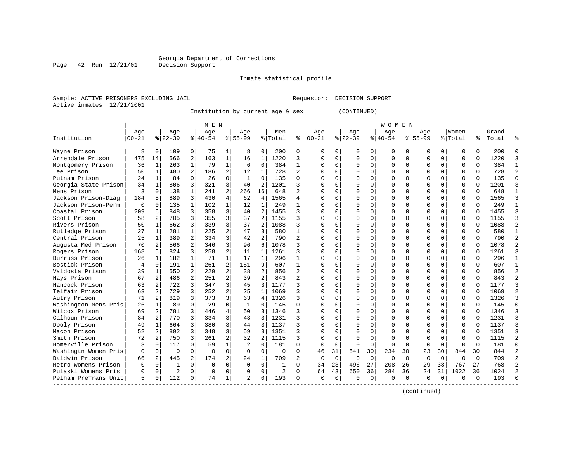Page 42 Run 12/21/01

#### Inmate statistical profile

Sample: ACTIVE PRISONERS EXCLUDING JAIL Requestor: DECISION SUPPORT Active inmates 12/21/2001

Institution by current age & sex (CONTINUED)

|                      |            |                |          |                | M E N     |                |              |                |          |                |          |             |             |             | W O M E N |             |             |                |              |              |       |                |
|----------------------|------------|----------------|----------|----------------|-----------|----------------|--------------|----------------|----------|----------------|----------|-------------|-------------|-------------|-----------|-------------|-------------|----------------|--------------|--------------|-------|----------------|
|                      | Age        |                | Age      |                | Age       |                | Age          |                | Men      |                | Age      |             | Age         |             | Age       |             | Age         |                | Women        |              | Grand |                |
| Institution          | $ 00 - 21$ |                | $ 22-39$ |                | $8 40-54$ |                | $8 55-99$    |                | % Total  | ႜ              | $ 00-21$ |             | $ 22-39$    |             | $ 40-54$  |             | $8155 - 99$ |                | % Total      | %            | Total |                |
| Wayne Prison         | 8          | 0              | 109      | 0              | 75        | 1              | 8            | 0              | 200      | 0              | $\Omega$ | 0           | 0           | 0           | 0         | 0           | 0           | 0              | 0            | 0            | 200   | $\Omega$       |
| Arrendale Prison     | 475        | 14             | 566      | 2              | 163       | $\mathbf{1}$   | 16           | 1              | 1220     | 3              | $\Omega$ | $\Omega$    | $\Omega$    | $\Omega$    | O         | $\Omega$    | 0           | $\Omega$       | $\Omega$     | 0            | 1220  | 3              |
| Montgomery Prison    | 36         | 1              | 263      | $\mathbf{1}$   | 79        | $\mathbf{1}$   | 6            | $\mathbf 0$    | 384      | $\mathbf{1}$   |          | $\Omega$    | $\Omega$    | $\Omega$    |           | $\Omega$    | 0           | $\Omega$       | $\Omega$     | $\Omega$     | 384   | 1              |
| Lee Prison           | 50         | $\mathbf{1}$   | 480      | $\overline{a}$ | 186       | $\overline{a}$ | 12           | $\mathbf{1}$   | 728      | $\overline{a}$ | $\cap$   | $\Omega$    | $\Omega$    | $\Omega$    |           | $\Omega$    | 0           | $\Omega$       | $\Omega$     | $\Omega$     | 728   | $\overline{a}$ |
| Putnam Prison        | 24         | 1              | 84       | $\Omega$       | 26        | $\Omega$       | $\mathbf{1}$ | $\Omega$       | 135      | $\Omega$       | $\cap$   | $\Omega$    | $\Omega$    | O           |           | $\Omega$    | U           | 0              | $\Omega$     | $\Omega$     | 135   | $\Omega$       |
| Georgia State Prison | 34         | 1              | 806      | 3              | 321       | 3              | 40           | $\overline{2}$ | 1201     | 3              | $\cap$   | $\Omega$    | U           | 0           | O         | $\Omega$    | O           | 0              | $\mathbf 0$  | <sup>0</sup> | 1201  | 3              |
| Mens Prison          | 3          | $\Omega$       | 138      | $\mathbf{1}$   | 241       | $\overline{2}$ | 266          | 16             | 648      |                |          | 0           | U           | $\Omega$    | O         | $\Omega$    | U           | 0              | $\mathbf 0$  |              | 648   | $\mathbf{1}$   |
| Jackson Prison-Diag  | 184        | 5              | 889      | 3              | 430       | 4              | 62           | 4              | 1565     | 4              | n        | $\Omega$    | $\Omega$    | 0           | $\Omega$  | $\Omega$    | O           | 0              | $\Omega$     | $\cap$       | 1565  | 3              |
| Jackson Prison-Perm  | $\Omega$   | $\Omega$       | 135      | $\mathbf{1}$   | 102       | 1              | 12           | 1              | 249      | 1              |          | $\Omega$    | $\cap$      | O           | U         | $\Omega$    | U           | 0              | $\Omega$     | $\cap$       | 249   | $\mathbf{1}$   |
| Coastal Prison       | 209        | 6              | 848      | 3              | 358       | 3              | 40           | 2              | 1455     | ζ              |          | $\Omega$    | $\cap$      | 0           | O         | $\Omega$    | O           | $\Omega$       | $\mathbf{0}$ | $\Omega$     | 1455  | 3              |
| Scott Prison         | 58         | 2              | 705      | 3              | 355       | 3              | 37           | $\overline{2}$ | 1155     | ς              |          | $\Omega$    | $\Omega$    | 0           |           | $\Omega$    | O           | $\Omega$       | $\mathbf{0}$ | $\Omega$     | 1155  | 3              |
| Rivers Prison        | 50         | $\mathbf{1}$   | 662      | 3              | 339       | 3              | 37           | $\overline{2}$ | 1088     | 3              |          | $\Omega$    | $\Omega$    | 0           |           | $\mathbf 0$ | O           | $\Omega$       | $\mathbf{0}$ | $\Omega$     | 1088  | $\overline{c}$ |
| Rutledge Prison      | 27         | 1              | 281      | $\mathbf{1}$   | 225       | 2              | 47           | 3              | 580      | $\mathbf{1}$   | $\cap$   | $\Omega$    | $\Omega$    | O           |           | $\Omega$    | U           | $\Omega$       | $\Omega$     | $\Omega$     | 580   | $\mathbf{1}$   |
| Central Prison       | 25         | 1              | 389      | 2              | 334       | 3              | 42           | 2              | 790      | $\overline{2}$ | $\cap$   | $\Omega$    | $\Omega$    | 0           | $\cap$    | $\Omega$    | O           | 0 <sup>1</sup> | $\Omega$     | $\Omega$     | 790   | $\overline{2}$ |
| Augusta Med Prison   | 70         | 2              | 566      | $\overline{a}$ | 346       | 3              | 96           | 6              | 1078     | 3              | n        | 0           | U           | 0           | U         | $\Omega$    | U           | $\Omega$       | $\mathbf 0$  | $\Omega$     | 1078  | $\overline{a}$ |
| Rogers Prison        | 168        | 5              | 824      | 3              | 258       | $\overline{a}$ | 11           | 1              | 1261     |                |          | 0           | $\Omega$    | 0           |           | $\Omega$    | O           | 0              | $\Omega$     |              | 1261  | 3              |
| Burruss Prison       | 26         | 1              | 182      | $\mathbf{1}$   | 71        | $\mathbf{1}$   | 17           | $\mathbf{1}$   | 296      | $\mathbf{1}$   | U        | $\cap$      | $\cap$      | 0           | $\cap$    | $\Omega$    | U           | $\Omega$       | $\Omega$     | $\cap$       | 296   | 1              |
| Bostick Prison       | 4          | $\Omega$       | 191      | $\mathbf{1}$   | 261       | 2              | 151          | 9              | 607      | $\mathbf{1}$   | U        | $\Omega$    | $\cap$      | 0           | U         | $\Omega$    | O           | $\Omega$       | $\Omega$     | $\cap$       | 607   | 1              |
| Valdosta Prison      | 39         | 1              | 550      | 2              | 229       | 2              | 38           | 2              | 856      | $\overline{2}$ | U        | $\Omega$    | $\Omega$    | 0           |           | $\Omega$    | O           | $\Omega$       | $\Omega$     | $\Omega$     | 856   | $\overline{a}$ |
| Hays Prison          | 67         | 2              | 486      | 2              | 251       | 2              | 39           | $\overline{2}$ | 843      |                |          | $\Omega$    | $\Omega$    | 0           |           | $\mathbf 0$ | O           | $\Omega$       | $\mathbf{0}$ | $\Omega$     | 843   | $\overline{a}$ |
| Hancock Prison       | 63         | 2              | 722      | 3              | 347       | 3              | 45           | 3              | 1177     | ς              |          | $\Omega$    | 0           | 0           |           | 0           | O           | 0              | $\mathbf{0}$ | $\Omega$     | 1177  | 3              |
| Telfair Prison       | 63         | 2              | 729      | 3              | 252       | $\overline{2}$ | 25           | $\mathbf{1}$   | 1069     |                | $\cap$   | $\Omega$    | $\Omega$    | O           |           | $\Omega$    | O           | $\Omega$       | $\Omega$     | $\cap$       | 1069  | $\overline{a}$ |
| Autry Prison         | 71         | $\overline{2}$ | 819      | 3              | 373       | 3              | 63           | 4              | 1326     | ς              | $\cap$   | $\Omega$    | $\Omega$    | 0           | $\cap$    | $\Omega$    | O           | 0              | $\Omega$     | $\Omega$     | 1326  | 3              |
| Washington Mens Pris | 26         | 1              | 89       | $\Omega$       | 29        | $\Omega$       | $\mathbf{1}$ | $\mathbf 0$    | 145      | $\Omega$       |          | U           | $\Omega$    | $\Omega$    |           | $\Omega$    | O           | $\Omega$       | $\Omega$     | $\Omega$     | 145   | $\Omega$       |
| Wilcox Prison        | 69         | 2              | 781      | 3              | 446       | 4              | 50           | 3              | 1346     | 3              |          | U           | $\Omega$    | O           |           | $\Omega$    | O           | 0              | $\mathbf 0$  |              | 1346  | 3              |
| Calhoun Prison       | 84         | 2              | 770      | 3              | 334       | 3              | 43           | 3              | 1231     | ς              | n        | $\Omega$    | $\Omega$    | 0           | O         | $\Omega$    | O           | 0              | $\Omega$     | $\Omega$     | 1231  | 3              |
| Dooly Prison         | 49         | 1              | 664      | 3              | 380       | 3              | 44           | 3              | 1137     | ς              |          | $\Omega$    | $\cap$      | 0           | U         | $\Omega$    | U           | $\Omega$       | $\Omega$     | $\cap$       | 1137  | ζ              |
| Macon Prison         | 52         | 2              | 892      | 3              | 348       | 3              | 59           | 3              | 1351     | 3              |          | $\cap$      | $\cap$      | $\Omega$    |           | $\Omega$    | U           | $\Omega$       | $\Omega$     | U            | 1351  | 3              |
| Smith Prison         | 72         | 2              | 750      | 3              | 261       | $\overline{a}$ | 32           | $\overline{a}$ | 1115     | ς              |          | $\Omega$    | $\Omega$    | O           |           | $\Omega$    | O           | $\Omega$       | $\Omega$     |              | 1115  | $\overline{a}$ |
| Homerville Prison    | 3          | $\Omega$       | 117      | $\Omega$       | 59        | $\mathbf{1}$   | 2            | $\Omega$       | 181      | $\Omega$       | $\Omega$ | $\Omega$    | $\Omega$    | $\Omega$    | $\cap$    | $\Omega$    | $\Omega$    | $\Omega$       | $\Omega$     | $\cap$       | 181   | $\Omega$       |
| Washingtn Women Pris | $\Omega$   | $\Omega$       | $\Omega$ | $\Omega$       | $\Omega$  | $\Omega$       | $\Omega$     | $\Omega$       | $\Omega$ | $\Omega$       | 46       | 31          | 541         | 30          | 234       | 30          | 23          | 30             | 844          | 30           | 844   | $\mathfrak{D}$ |
| Baldwin Prison       | 66         | 2              | 445      | 2              | 174       | 2              | 24           | $\mathbf 1$    | 709      | $\overline{a}$ | $\Omega$ | $\mathbf 0$ | $\mathbf 0$ | $\mathbf 0$ | $\Omega$  | $\mathbf 0$ | 0           | $\mathbf{0}$   | $\Omega$     | $\Omega$     | 709   | $\overline{a}$ |
| Metro Womens Prison  | O          | $\mathbf 0$    | 1        | $\Omega$       | $\Omega$  | $\Omega$       | $\Omega$     | $\Omega$       | 1        | 0              | 34       | 23          | 496         | 27          | 208       | 26          | 29          | 38             | 767          | 27           | 768   | $\overline{2}$ |
| Pulaski Womens Pris  | O          | $\mathbf 0$    | 2        | $\Omega$       | $\Omega$  | 0              | $\Omega$     | 0              | 2        | $\Omega$       | 64       | 43          | 650         | 36          | 284       | 36          | 24          | 31             | 1022         | 36           | 1024  | $\overline{2}$ |
| Pelham PreTrans Unit | 5          | $\Omega$       | 112      | $\Omega$       | 74        | 1              | $\mathbf{2}$ | $\Omega$       | 193      | $\Omega$       | $\Omega$ | $\Omega$    | $\Omega$    | $\Omega$    |           | $\Omega$    | O           | $\Omega$       | ∩            | $\Omega$     | 193   | $\cap$         |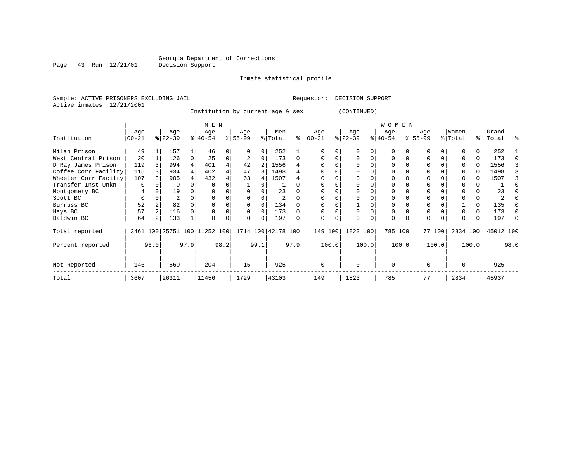Page 43 Run 12/21/01

#### Inmate statistical profile

Sample: ACTIVE PRISONERS EXCLUDING JAIL Requestor: DECISION SUPPORT Active inmates 12/21/2001

Institution by current age & sex (CONTINUED)

|                      |                 |                | M E N            |      |                                                     |      |                  |          |                |          |                   |       | W O M E N        |          |                  |          |                 |        |                  |          |                    |      |
|----------------------|-----------------|----------------|------------------|------|-----------------------------------------------------|------|------------------|----------|----------------|----------|-------------------|-------|------------------|----------|------------------|----------|-----------------|--------|------------------|----------|--------------------|------|
| Institution          | Age<br>$ 00-21$ |                | Age<br>$ 22-39 $ |      | Age<br>$ 40-54$                                     |      | Age<br>$8 55-99$ |          | Men<br>% Total | ⊱        | Age<br>$ 00 - 21$ |       | Age<br>$ 22-39 $ |          | Age<br>$ 40-54 $ |          | Age<br>$ 55-99$ |        | Women<br>% Total |          | Grand<br>%   Total | ႜ    |
| Milan Prison         | 49              |                | 157              |      | 46                                                  |      | 0                |          | 252            |          |                   |       |                  |          | $\Omega$         |          |                 |        |                  |          | 252                |      |
| West Central Prison  | 20              |                | 126              |      | 25                                                  |      |                  |          | 173            | 0        |                   |       |                  |          | $\Omega$         |          | $\Omega$        |        |                  |          | 173                |      |
| D Ray James Prison   | 119             |                | 994              |      | 401                                                 |      | 42               | 2        | 1556           |          |                   |       |                  |          |                  |          |                 |        |                  | U        | 1556               |      |
| Coffee Corr Facility | 115             |                | 934              |      | 402                                                 |      | 47               | 3        | 1498           |          |                   |       |                  |          |                  |          | $\Omega$        |        |                  |          | 1498               |      |
| Wheeler Corr Facilty | 107             |                | 905              |      | 432                                                 |      | 63               |          | 1507           |          |                   |       |                  |          |                  |          |                 |        |                  | U        | 1507               |      |
| Transfer Inst Unkn   | 0               |                | 0                |      |                                                     |      |                  |          |                |          |                   |       |                  |          | 0                |          | $\Omega$        |        |                  |          |                    |      |
| Montgomery BC        | 4               |                | 19               |      |                                                     |      |                  |          | 23             |          |                   |       |                  |          |                  |          |                 |        |                  |          | 23                 |      |
| Scott BC             | 0               |                | 2                |      |                                                     |      |                  |          | $\overline{2}$ |          |                   |       |                  |          | 0                |          | $\Omega$        |        |                  |          |                    |      |
| Burruss BC           | 52              |                | 82               |      |                                                     |      | 0                | 0        | 134            |          |                   |       |                  |          |                  |          | $\Omega$        |        |                  | $\Omega$ | 135                |      |
| Hays BC              | 57              |                | 116              |      |                                                     |      | $\Omega$         | $\Omega$ | 173            | $\Omega$ |                   |       | $\Omega$         | $\Omega$ | 0                | $\Omega$ | $\Omega$        |        |                  | 0        | 173                |      |
| Baldwin BC           | 64              | $\overline{2}$ | 133              |      |                                                     |      | 0                | 0        | 197            |          | $\Omega$          |       |                  |          | 0                | $\Omega$ | $\Omega$        |        |                  | 0        | 197                |      |
| Total reported       |                 |                |                  |      | 3461 100 25751 100 11252 100   1714 100   42178 100 |      |                  |          |                |          | 149 100           |       | 1823 100         |          | 785 100          |          |                 | 77 100 | 2834 100         |          | 45012 100          |      |
| Percent reported     |                 | 96.0           |                  | 97.9 |                                                     | 98.2 |                  | 99.1     |                | 97.9     |                   | 100.0 |                  | 100.0    |                  | 100.0    |                 | 100.0  |                  | 100.0    |                    | 98.0 |
| Not Reported         | 146             |                | 560              |      | 204                                                 |      | 15               |          | 925            |          | $\Omega$          |       | $\Omega$         |          | $\mathbf 0$      |          | $\Omega$        |        | $\Omega$         |          | 925                |      |
| Total                | 3607            |                | 26311            |      | 11456                                               |      | 1729             |          | 43103          |          | 149               |       | 1823             |          | 785              |          | 77              |        | 2834             |          | 45937              |      |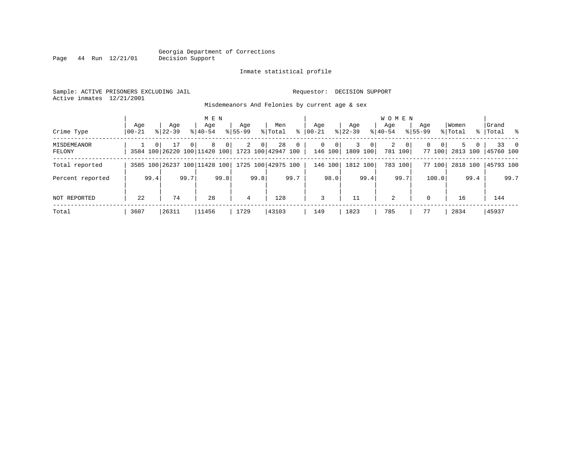#### Inmate statistical profile

Sample: ACTIVE PRISONERS EXCLUDING JAIL Requestor: DECISION SUPPORT Active inmates 12/21/2001

Page 44 Run 12/21/01

Misdemeanors And Felonies by current age & sex

| Crime Type            | Age<br>  00-21 |      | Aqe<br>$8122 - 39$                                    |          | M E N<br>Aqe<br>$8140 - 54$ |                | Aqe<br>$8155 - 99$ |                | Men<br>% Total | ွေ           | Aqe<br>$00 - 21$ |              | Aqe<br>$ 22-39 $ |                | <b>WOMEN</b><br>Aqe<br>$8 40-54$ |                         | Age<br>$8155 - 99$ |                    | Women<br>% Total |                     | Grand<br>%   Total % |           |
|-----------------------|----------------|------|-------------------------------------------------------|----------|-----------------------------|----------------|--------------------|----------------|----------------|--------------|------------------|--------------|------------------|----------------|----------------------------------|-------------------------|--------------------|--------------------|------------------|---------------------|----------------------|-----------|
| MISDEMEANOR<br>FELONY |                |      | 17<br>3584 100 26220 100 11420 100 1723 100 42947 100 | $\Omega$ | 8                           | $\overline{0}$ | 2                  | 0 <sup>1</sup> | 28             | $\mathbf{0}$ | $\mathbf{0}$     | 0<br>146 100 | 3<br>1809 100    | 0 <sup>1</sup> | 2                                | $\mathbf{0}$<br>781 100 | $\Omega$           | $\Omega$<br>77 100 |                  | 5.<br>0<br>2813 100 | 145760 100           | $33 \t 0$ |
| Total reported        |                |      | 3585 100 26237 100 11428 100 1725 100 42975 100       |          |                             |                |                    |                |                |              |                  | 146 100      | 1812 100         |                |                                  | 783 100                 |                    | 77 100             | 2818 100         |                     | 45793 100            |           |
| Percent reported      |                | 99.4 |                                                       | 99.7     |                             | 99.8           |                    | 99.8           |                | 99.7         |                  | 98.0         |                  | 99.4           |                                  | 99.7                    |                    | 100.0              |                  | 99.4                |                      | 99.7      |
| NOT REPORTED          | 22             |      | 74                                                    |          | 28                          |                | 4                  |                | 128            |              | 3                |              | 11               |                | 2                                |                         | $\Omega$           |                    | 16               |                     | 144                  |           |
| Total                 | 3607           |      | 26311                                                 |          | 11456                       |                | 1729               |                | 43103          |              | 149              |              | 1823             |                | 785                              |                         | 77                 |                    | 2834             |                     | 45937                |           |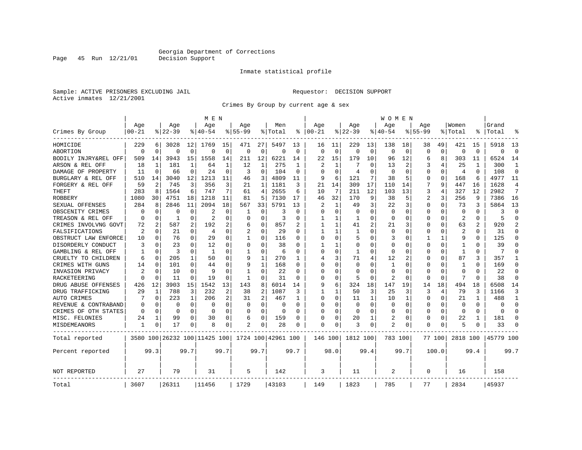Page 45 Run 12/21/01

#### Inmate statistical profile

Sample: ACTIVE PRISONERS EXCLUDING JAIL Requestor: DECISION SUPPORT Active inmates 12/21/2001

Crimes By Group by current age & sex

|                      |                |             |           |              | M E N                        |             |              |                |                    |             |          |              |              |              | W O M E N      |             |             |          |                |          |           |                |
|----------------------|----------------|-------------|-----------|--------------|------------------------------|-------------|--------------|----------------|--------------------|-------------|----------|--------------|--------------|--------------|----------------|-------------|-------------|----------|----------------|----------|-----------|----------------|
|                      | Age            |             | Age       |              | Age                          |             | Aqe          |                | Men                |             | Aqe      |              | Aqe          |              | Aqe            |             | Aqe         |          | Women          |          | Grand     |                |
| Crimes By Group      | $00 - 21$      |             | $8 22-39$ |              | % 40-54                      |             | $8155 - 99$  |                | % Total            | ႜ           | $ 00-21$ |              | $ 22-39$     |              | $8140 - 54$    |             | $8155 - 99$ |          | % Total        | ႜ        | Total     |                |
| HOMICIDE             | 229            | 6           | 3028      | 12           | 1769                         | 15          | 471          | 27             | 5497               | 13          | 16       | 11           | 229          | 13           | 138            | 18          | 38          | 49       | 421            | 15       | 5918      | 13             |
| ABORTION             | $\Omega$       | $\mathbf 0$ | $\Omega$  | $\Omega$     | $\Omega$                     | $\mathbf 0$ | $\Omega$     | $\mathbf 0$    | $\Omega$           | $\mathbf 0$ | $\Omega$ | $\mathbf 0$  | $\Omega$     | $\mathbf 0$  | $\Omega$       | $\mathbf 0$ | $\Omega$    | $\Omega$ | $\mathbf 0$    | $\Omega$ | $\Omega$  | $\Omega$       |
| BODILY INJRY&REL OFF | 509            | 14          | 3943      | 15           | 1558                         | 14          | 211          | 12             | 6221               | 14          | 22       | 15           | 179          | 10           | 96             | 12          | 6           | 8        | 303            | 11       | 6524      | 14             |
| ARSON & REL OFF      | 18             | 1           | 181       | 1            | 64                           | 1           | 12           | 1              | 275                | 1           | 2        | 1            | 7            | 0            | 13             | 2           | 3           | 4        | 25             |          | 300       | 1              |
| DAMAGE OF PROPERTY   | 11             | $\mathbf 0$ | 66        | 0            | 24                           | $\mathbf 0$ | 3            | 0              | 104                | $\Omega$    | $\Omega$ | $\Omega$     | 4            | O            | $\Omega$       | 0           | $\Omega$    | $\Omega$ | 4              | $\Omega$ | 108       | $\Omega$       |
| BURGLARY & REL OFF   | 510            | 14          | 3040      | 12           | 1213                         | 11          | 46           | 3              | 4809               | 11          | 9        | 6            | 121          | 7            | 38             | 5           | 0           | 0        | 168            | 6        | 4977      | 11             |
| FORGERY & REL OFF    | 59             | 2           | 745       | 3            | 356                          | 3           | 21           | $\mathbf{1}$   | 1181               | 3           | 21       | 14           | 309          | 17           | 110            | 14          | 7           | 9        | 447            | 16       | 1628      | $\overline{4}$ |
| THEFT                | 283            | 8           | 1564      | 6            | 747                          | 7           | 61           | 4              | 2655               | 6           | 10       | 7            | 211          | 12           | 103            | 13          | 3           | 4        | 327            | 12       | 2982      | 7              |
| ROBBERY              | 1080           | 30          | 4751      | 18           | 1218                         | 11          | 81           | 5              | 7130               | 17          | 46       | 32           | 170          | 9            | 38             | 5           | 2           | 3        | 256            | 9        | 7386      | 16             |
| SEXUAL OFFENSES      | 284            | 8           | 2846      | 11           | 2094                         | 18          | 567          | 33             | 5791               | 13          | 2        | 1            | 49           | 3            | 22             | 3           | $\Omega$    | $\Omega$ | 73             | 3        | 5864      | 13             |
| OBSCENITY CRIMES     | $\Omega$       | 0           | $\Omega$  | 0            | 2                            | $\Omega$    | 1            | 0              | 3                  | $\Omega$    | $\Omega$ | $\Omega$     | $\Omega$     | O            | 0              | 0           | $\Omega$    | $\Omega$ | $\Omega$       | $\Omega$ | ζ         | $\Omega$       |
| TREASON & REL OFF    | 0              | 0           | 1         | $\Omega$     | $\overline{2}$               | $\Omega$    | 0            | $\Omega$       | 3                  | $\Omega$    | -1       | 1            | 1            | 0            | $\Omega$       | $\Omega$    | $\Omega$    | $\Omega$ | 2              | $\Omega$ | 5         | $\Omega$       |
| CRIMES INVOLVNG GOVT | 72             | 2           | 587       | 2            | 192                          | 2           | 6            | $\mathbf 0$    | 857                |             | 1        | $\mathbf{1}$ | 41           | 2            | 21             | 3           | $\Omega$    | $\Omega$ | 63             | 2        | 920       | $\mathcal{D}$  |
| FALSIFICATIONS       | $\overline{2}$ | 0           | 21        | $\Omega$     | $\overline{4}$               | $\Omega$    | 2            | 0              | 29                 | 0           | -1       | 1            | 1            | O            | $\Omega$       | 0           | $\Omega$    | $\Omega$ | $\overline{2}$ | 0        | 31        | ∩              |
| OBSTRUCT LAW ENFORCE | 10             | 0           | 76        | $\Omega$     | 29                           | 0           | 1            | 0              | 116                | 0           | $\cap$   | $\Omega$     | 5            | U            | 3              | 0           | 1           | 1        | 9              | 0        | 125       | ∩              |
| DISORDERLY CONDUCT   | 3              | 0           | 23        | O            | 12                           | 0           | 0            | $\Omega$       | 38                 | O           |          |              | $\Omega$     | 0            | $\Omega$       | 0           | $\Omega$    | $\Omega$ |                |          | 39        |                |
| GAMBLING & REL OFF   |                | $\Omega$    | 3         | U            | $\mathbf{1}$                 | $\Omega$    | 1            | $\Omega$       | 6                  | $\Omega$    | $\Omega$ | $\Omega$     | $\mathbf{1}$ | O            | $\Omega$       | $\Omega$    | $\Omega$    | O        | $\mathbf{1}$   | $\Omega$ | 7         | ∩              |
| CRUELTY TO CHILDREN  | 6              | 0           | 205       | $\mathbf{1}$ | 50                           | $\Omega$    | 9            | 1              | 270                | 1           | 4        | 3            | 71           | 4            | 12             | 2           | $\Omega$    | $\Omega$ | 87             | 3        | 357       |                |
| CRIMES WITH GUNS     | 14             | 0           | 101       | 0            | 44                           | 0           | 9            | $\mathbf{1}$   | 168                | O           | $\Omega$ | $\Omega$     | $\Omega$     | O            | 1              | $\mathbf 0$ | 0           | 0        | -1             | 0        | 169       | $\Omega$       |
| INVASION PRIVACY     | 2              | 0           | 10        | $\Omega$     | 9                            | $\Omega$    | $\mathbf{1}$ | 0              | 22                 | $\Omega$    | $\Omega$ | 0            | $\Omega$     | U            | $\Omega$       | 0           | 0           | $\Omega$ | $\Omega$       | $\Omega$ | 22        | $\Omega$       |
| RACKETEERING         | $\Omega$       | 0           | 11        | 0            | 19                           | $\Omega$    | 1            | 0              | 31                 | $\Omega$    | ∩        | 0            | 5            | 0            | 2              | 0           | $\Omega$    | $\Omega$ | 7              | $\Omega$ | 38        | ∩              |
| DRUG ABUSE OFFENSES  | 426            | 12          | 3903      | 15           | 1542                         | 13          | 143          | 8              | 6014               | 14          | 9        | 6            | 324          | 18           | 147            | 19          | 14          | 18       | 494            | 18       | 6508      | 14             |
| DRUG TRAFFICKING     | 29             | 1           | 788       | 3            | 232                          | 2           | 38           | $\overline{2}$ | 1087               | 3           |          | 1            | 50           | 3            | 25             | 3           | 3           | 4        | 79             | ζ        | 1166      | 3              |
| AUTO CRIMES          |                | 0           | 223       | 1            | 206                          | 2           | 31           | $\overline{2}$ | 467                | 1           | $\Omega$ | $\Omega$     | 11           | $\mathbf{1}$ | 10             | 1           | $\Omega$    | $\Omega$ | 21             | 1        | 488       | -1             |
| REVENUE & CONTRABAND | 0              | 0           | 0         | 0            | 0                            | 0           | 0            | $\mathbf 0$    | 0                  | $\Omega$    | 0        | $\Omega$     | 0            | $\mathbf 0$  | 0              | 0           | $\Omega$    | 0        | $\mathbf 0$    | $\Omega$ | $\Omega$  | $\Omega$       |
| CRIMES OF OTH STATES | 0              | 0           | 0         | $\Omega$     | $\Omega$                     | 0           | $\Omega$     | 0              | $\Omega$           | $\Omega$    | ∩        | 0            | 0            | $\Omega$     | 0              | 0           | 0           | $\Omega$ | $\Omega$       | $\Omega$ | $\Omega$  | ∩              |
| MISC. FELONIES       | 24             | 1           | 99        | 0            | 30                           | 0           | 6            | 0              | 159                | O           | ∩        | 0            | 20           | 1            | 2              | 0           | 0           | 0        | 22             | 1        | 181       | ∩              |
| <b>MISDEMEANORS</b>  | 1              | 0           | 17        | 0            | 8                            | 0           | 2            | 0              | 28                 | 0           | $\Omega$ | 0            | 3            | 0            | $\overline{a}$ | 0           | $\Omega$    | 0        | 5              | 0        | 33        |                |
| Total reported       |                |             |           |              | 3580 100 26232 100 11425 100 |             |              |                | 1724 100 42961 100 |             | 146 100  |              | 1812 100     |              | 783 100        |             |             | 77 100   | 2818 100       |          | 45779 100 |                |
| Percent reported     |                | 99.3        |           | 99.7         |                              | 99.7        |              | 99.7           |                    | 99.7        |          | 98.0         |              | 99.4         |                | 99.7        |             | 100.0    |                | 99.4     |           | 99.7           |
| NOT REPORTED         | 27             |             | 79        |              | 31                           |             | 5            |                | 142                |             | 3        |              | 11           |              | 2              |             | $\Omega$    |          | 16             |          | 158       |                |
| Total                | 3607           |             | 26311     |              | 11456                        |             | 1729         |                | 43103              |             | 149      |              | 1823         |              | 785            |             | 77          |          | 2834           |          | 45937     |                |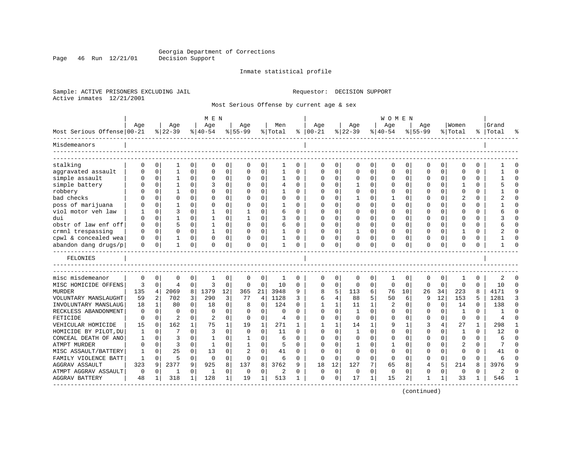Page 46 Run 12/21/01

#### Inmate statistical profile

Sample: ACTIVE PRISONERS EXCLUDING JAIL Requestor: DECISION SUPPORT Active inmates 12/21/2001

Most Serious Offense by current age & sex

| Age<br>Age<br>Men<br>Age<br>Women<br>Grand<br>Age<br>Age<br>Age<br>Age<br>Aqe<br>Most Serious Offense 00-21<br>$ 22-39$<br>$ 40-54 $<br>% Total<br>$ 00-21$<br>$ 22-39$<br>$ 40-54$<br>$8155 - 99$<br>$8 55-99$<br>⊱<br>% Total<br>%   Total<br>0<br>$\Omega$<br>$\mathbf 0$<br>0<br>0<br>0<br>0<br>0<br>$\Omega$<br>0<br>$\Omega$<br>0<br>0<br>0<br>0<br>0<br>0<br>0<br>1<br>0<br>$\mathbf 0$<br>$\cap$<br>0<br>$\mathbf{1}$<br>0<br>$\mathbf 0$<br>0<br>1<br>0<br>$\Omega$<br>0<br>$\Omega$<br>$\Omega$<br>0<br>$\Omega$<br>0<br>$\mathbf 0$<br>0<br>$\Omega$<br>O<br>$\mathbf 0$<br>$\mathbf{1}$<br>$\Omega$<br>0<br>0<br>1<br>$\Omega$<br>$\Omega$<br>$\Omega$<br>$\Omega$<br>$\Omega$<br>$\cap$<br>$\Omega$<br>$\Omega$<br><sup>0</sup><br>0<br>$\Omega$<br>0<br>$\Omega$<br>O<br>simple battery<br>0<br>0<br>$\Omega$<br>$\Omega$<br>0<br>$\mathbf{1}$<br>$\Omega$<br>3<br>0<br>4<br>$\Omega$<br>$\mathbf{1}$<br>0<br>$\Omega$<br>$\Omega$<br>O<br><sup>0</sup><br>$\Omega$<br>-1<br>$\Omega$<br>$\Omega$<br>0<br>$\mathbf 0$<br>$\mathbf{1}$<br>$\Omega$<br>$\Omega$<br>$\Omega$<br>$\Omega$<br>0<br>$\Omega$<br>$\Omega$<br>$\Omega$<br>$\Omega$<br>0<br>$\Omega$<br>$\overline{c}$<br>$\Omega$<br>$\Omega$<br>$\Omega$<br>$\Omega$<br>$\Omega$<br>$\Omega$<br>$\Omega$<br>$\Omega$<br>$\mathbf{1}$<br>0<br>$\Omega$<br>$\Omega$<br>$\Omega$<br>$\Omega$<br>$\cap$<br>U<br>$\Omega$<br>∩<br>$\mathbf 0$<br>$\Omega$<br>$\Omega$<br>$\Omega$<br>$\Omega$<br>1<br>0<br>$\Omega$<br>U<br><sup>0</sup><br>0<br>$\Omega$<br>$\Omega$<br>0<br>O<br><sup>0</sup><br>$\Omega$<br>∩<br>O<br>viol motor veh law<br>$\mathbf 0$<br>3<br>$\Omega$<br>O<br>U<br>$\Omega$<br>6<br><sup>0</sup><br>U<br>$\Omega$<br>0<br>U<br>0<br>$\Omega$<br>O<br>0<br>O<br>1<br>$\Omega$<br>3<br>$\Omega$<br>$\Omega$<br>0<br>-1<br>$\Omega$<br>$\Omega$<br>0<br>$\Omega$<br>$\Omega$<br>0<br>O<br>0<br>$\Omega$<br>$\Omega$<br>O<br>O<br>$\Omega$<br>0<br>5<br>$\Omega$<br>0<br>0<br>0<br>$\Omega$<br>$\Omega$<br>1<br>O<br>6<br>$\Omega$<br><sup>0</sup><br>$\Omega$<br>0<br>O<br>0<br>$\Omega$<br>O<br>∩<br>$\mathbf 0$<br>$\mathbf 0$<br>$\Omega$<br>$\Omega$<br>$\Omega$<br>1<br>0<br>1<br>0<br>1<br>$\Omega$<br>$\mathbf 0$<br>$\Omega$<br>$\Omega$<br>1<br>U<br>$\Omega$<br><sup>0</sup><br>$\Omega$<br>$\Omega$<br>∩<br>0<br>$\cap$<br>0<br>$\Omega$<br>$\Omega$<br>0<br>1<br>$\Omega$<br>$\Omega$<br>0<br>U<br>-1<br>$\Omega$<br>$\Omega$<br>$\Omega$<br>0<br>O<br>$\Omega$<br>$\Omega$<br>0<br>∩<br>0<br>0<br>$\Omega$<br>0<br>$\mathbf 0$<br>0<br>0<br>$\Omega$<br>0<br>0<br>0<br>1<br>0<br>0<br>1<br>0<br>0<br>0<br>0<br>0<br>FELONIES<br>misc misdemeanor<br>$\mathbf 0$<br>$\mathbf 0$<br>$\mathbf 0$<br>0<br>0<br>$\mathbf 0$<br>$\mathbf 0$<br>$\mathbf 0$<br>$\mathbf 0$<br>2<br>0<br>0<br>$\Omega$<br>1<br>0<br>$\Omega$<br>1<br>0<br>0<br>1<br>1<br>∩<br>3<br>$\mathbf 0$<br>3<br>0<br>4<br>0<br>$\Omega$<br>10<br>$\Omega$<br>0<br>$\mathbf 0$<br>0<br>$\Omega$<br>$\Omega$<br>$\Omega$<br>10<br>$\Omega$<br>$\Omega$<br>0<br><sup>0</sup><br>$\Omega$<br>$\Omega$<br>135<br>2069<br>8<br>1379<br>12<br>365<br>21<br>6<br>$\mathsf{R}$<br>4171<br><b>MURDER</b><br>4<br>3948<br>9<br>5<br>113<br>76<br>10<br>26<br>34<br>223<br>q<br>59<br>702<br>290<br>1128<br>88<br>5<br>12<br>5<br>1281<br>VOLUNTARY MANSLAUGHT<br>2<br>3<br>3<br>77<br>4<br>3<br>6<br>4<br>50<br>6<br>9<br>153<br>२<br>$\mathbf 0$<br>$\mathbf{1}$<br>$\mathbf 0$<br>$\Omega$<br>138<br>$\Omega$<br>INVOLUNTARY MANSLAUG<br>18<br>1<br>80<br>$\Omega$<br>18<br>0<br>124<br>1<br>11<br>$\Omega$<br>14<br>8<br>0<br>2<br>0<br>RECKLESS ABANDONMENT<br>0<br>$\Omega$<br>0<br>$\Omega$<br>0<br>$\Omega$<br>0<br>1<br>0<br>$\Omega$<br>1<br>$\Omega$<br>$\Omega$<br>0<br>$\Omega$<br>U<br>O<br>$\Omega$<br>$\Omega$<br>0<br>O<br>-1<br>FETICIDE<br>2<br>$\Omega$<br>2<br>0<br>$\Omega$<br>0<br>$\cap$<br>0<br>0<br>0<br>$\Omega$<br>$\overline{4}$<br>∩<br>0<br>0<br>$\Omega$<br>0<br>0<br>0<br>0<br>$\Omega$<br>4<br>162<br>VEHICULAR HOMICIDE<br>15<br>$\mathbf 0$<br>$\mathbf{1}$<br>75<br>1<br>19<br>1<br>271<br>14<br>1<br>3<br>4<br>27<br>298<br>1<br>9<br>1<br>1<br>-1<br>HOMICIDE BY PILOT, DU<br>$\Omega$<br>7<br>3<br>$\Omega$<br>11<br>$\Omega$<br>12<br>1<br>U<br>$\Omega$<br>$\Omega$<br>$\Omega$<br>$\Omega$<br>$\Omega$<br>$\mathbf{1}$<br>$\Omega$<br>$\Omega$<br>$\Omega$<br>$\Omega$<br>$\mathbf{1}$<br>$\Omega$<br>$\cap$<br>3<br>CONCEAL DEATH OF ANO<br>$\Omega$<br>0<br>$\Omega$<br>$\Omega$<br>$\Omega$<br>$\Omega$<br>$\Omega$<br>$\Omega$<br>1<br>$\Omega$<br>0<br>-1<br>$\Omega$<br>6<br>$\Omega$<br><sup>0</sup><br>$\Omega$<br>$\Omega$<br>$\cap$<br>1<br>6<br>3<br>$\mathbf 0$<br>$\mathbf{1}$<br>$\mathbf 0$<br>$\Omega$<br>0<br>$\overline{2}$<br>$\Omega$<br>$\Omega$<br>$\Omega$<br>$\mathbf{1}$<br>5<br>$\mathbf{1}$<br>0<br>$\Omega$<br>$\Omega$<br>$\Omega$<br>0<br>25<br>13<br>$\overline{c}$<br>MISC ASSAULT/BATTERY<br>1<br>$\Omega$<br>$\Omega$<br>$\Omega$<br>0<br>41<br>$\Omega$<br>$\Omega$<br>$\Omega$<br>$\mathbf 0$<br>$\Omega$<br>$\Omega$<br>$\Omega$<br>$\Omega$<br>41<br>$\Omega$<br>∩<br>$\Omega$<br>$\cap$<br>5<br>$\Omega$<br>$\mathbf 0$<br>$\Omega$<br>0<br>0<br>$\Omega$<br>$\Omega$<br>1<br>0<br>0<br>6<br>$\Omega$<br>$\Omega$<br>0<br>0<br>0<br>$\Omega$<br>0<br>$\Omega$<br>∩<br>6<br>2377<br>8<br>3762<br>12<br>7<br>AGGRAV ASSAULT<br>323<br>9<br>925<br>8<br>137<br>18<br>127<br>8<br>5<br>8<br>3976<br>9<br>9<br>65<br>4<br>214<br>9<br>$\Omega$<br>0<br>2<br>0<br>0<br>0<br>0<br>1<br>-1<br>$\Omega$<br>0<br>U<br><sup>0</sup><br>$\Omega$<br>0<br>0<br>0<br>0<br>0<br>2<br>0<br>318<br>48<br>128<br>19<br>1<br>513<br>$\Omega$<br>0<br>17<br>1<br>15<br>2<br>1<br>33<br>1<br>1<br>1<br>546<br>1<br>1<br>1 |                       |  |  | M E N |  |  |  |  | <b>WOMEN</b> |  |  |  |  |
|---------------------------------------------------------------------------------------------------------------------------------------------------------------------------------------------------------------------------------------------------------------------------------------------------------------------------------------------------------------------------------------------------------------------------------------------------------------------------------------------------------------------------------------------------------------------------------------------------------------------------------------------------------------------------------------------------------------------------------------------------------------------------------------------------------------------------------------------------------------------------------------------------------------------------------------------------------------------------------------------------------------------------------------------------------------------------------------------------------------------------------------------------------------------------------------------------------------------------------------------------------------------------------------------------------------------------------------------------------------------------------------------------------------------------------------------------------------------------------------------------------------------------------------------------------------------------------------------------------------------------------------------------------------------------------------------------------------------------------------------------------------------------------------------------------------------------------------------------------------------------------------------------------------------------------------------------------------------------------------------------------------------------------------------------------------------------------------------------------------------------------------------------------------------------------------------------------------------------------------------------------------------------------------------------------------------------------------------------------------------------------------------------------------------------------------------------------------------------------------------------------------------------------------------------------------------------------------------------------------------------------------------------------------------------------------------------------------------------------------------------------------------------------------------------------------------------------------------------------------------------------------------------------------------------------------------------------------------------------------------------------------------------------------------------------------------------------------------------------------------------------------------------------------------------------------------------------------------------------------------------------------------------------------------------------------------------------------------------------------------------------------------------------------------------------------------------------------------------------------------------------------------------------------------------------------------------------------------------------------------------------------------------------------------------------------------------------------------------------------------------------------------------------------------------------------------------------------------------------------------------------------------------------------------------------------------------------------------------------------------------------------------------------------------------------------------------------------------------------------------------------------------------------------------------------------------------------------------------------------------------------------------------------------------------------------------------------------------------------------------------------------------------------------------------------------------------------------------------------------------------------------------------------------------------------------------------------------------------------------------------------------------------------------------------------------------------------------------------------------------------------------------------------------------------------------------------------------------------------------------------------------------------------------------------------------------------------------------------------------------------------------------------------------------------------------------------------------------------------------------------------------------------------------------------------------------------------------------------------------------------------------------------------------------------------------------------------------------------------------------------------------------------------------------------------------------------------------------------------------------------------------------------------------------------------------------------------------------------------------------------------------------------------------------------------------------------------------------------------------------|-----------------------|--|--|-------|--|--|--|--|--------------|--|--|--|--|
|                                                                                                                                                                                                                                                                                                                                                                                                                                                                                                                                                                                                                                                                                                                                                                                                                                                                                                                                                                                                                                                                                                                                                                                                                                                                                                                                                                                                                                                                                                                                                                                                                                                                                                                                                                                                                                                                                                                                                                                                                                                                                                                                                                                                                                                                                                                                                                                                                                                                                                                                                                                                                                                                                                                                                                                                                                                                                                                                                                                                                                                                                                                                                                                                                                                                                                                                                                                                                                                                                                                                                                                                                                                                                                                                                                                                                                                                                                                                                                                                                                                                                                                                                                                                                                                                                                                                                                                                                                                                                                                                                                                                                                                                                                                                                                                                                                                                                                                                                                                                                                                                                                                                                                                                                                                                                                                                                                                                                                                                                                                                                                                                                                                                                                                                             |                       |  |  |       |  |  |  |  |              |  |  |  |  |
|                                                                                                                                                                                                                                                                                                                                                                                                                                                                                                                                                                                                                                                                                                                                                                                                                                                                                                                                                                                                                                                                                                                                                                                                                                                                                                                                                                                                                                                                                                                                                                                                                                                                                                                                                                                                                                                                                                                                                                                                                                                                                                                                                                                                                                                                                                                                                                                                                                                                                                                                                                                                                                                                                                                                                                                                                                                                                                                                                                                                                                                                                                                                                                                                                                                                                                                                                                                                                                                                                                                                                                                                                                                                                                                                                                                                                                                                                                                                                                                                                                                                                                                                                                                                                                                                                                                                                                                                                                                                                                                                                                                                                                                                                                                                                                                                                                                                                                                                                                                                                                                                                                                                                                                                                                                                                                                                                                                                                                                                                                                                                                                                                                                                                                                                             |                       |  |  |       |  |  |  |  |              |  |  |  |  |
|                                                                                                                                                                                                                                                                                                                                                                                                                                                                                                                                                                                                                                                                                                                                                                                                                                                                                                                                                                                                                                                                                                                                                                                                                                                                                                                                                                                                                                                                                                                                                                                                                                                                                                                                                                                                                                                                                                                                                                                                                                                                                                                                                                                                                                                                                                                                                                                                                                                                                                                                                                                                                                                                                                                                                                                                                                                                                                                                                                                                                                                                                                                                                                                                                                                                                                                                                                                                                                                                                                                                                                                                                                                                                                                                                                                                                                                                                                                                                                                                                                                                                                                                                                                                                                                                                                                                                                                                                                                                                                                                                                                                                                                                                                                                                                                                                                                                                                                                                                                                                                                                                                                                                                                                                                                                                                                                                                                                                                                                                                                                                                                                                                                                                                                                             | Misdemeanors          |  |  |       |  |  |  |  |              |  |  |  |  |
|                                                                                                                                                                                                                                                                                                                                                                                                                                                                                                                                                                                                                                                                                                                                                                                                                                                                                                                                                                                                                                                                                                                                                                                                                                                                                                                                                                                                                                                                                                                                                                                                                                                                                                                                                                                                                                                                                                                                                                                                                                                                                                                                                                                                                                                                                                                                                                                                                                                                                                                                                                                                                                                                                                                                                                                                                                                                                                                                                                                                                                                                                                                                                                                                                                                                                                                                                                                                                                                                                                                                                                                                                                                                                                                                                                                                                                                                                                                                                                                                                                                                                                                                                                                                                                                                                                                                                                                                                                                                                                                                                                                                                                                                                                                                                                                                                                                                                                                                                                                                                                                                                                                                                                                                                                                                                                                                                                                                                                                                                                                                                                                                                                                                                                                                             | stalking              |  |  |       |  |  |  |  |              |  |  |  |  |
|                                                                                                                                                                                                                                                                                                                                                                                                                                                                                                                                                                                                                                                                                                                                                                                                                                                                                                                                                                                                                                                                                                                                                                                                                                                                                                                                                                                                                                                                                                                                                                                                                                                                                                                                                                                                                                                                                                                                                                                                                                                                                                                                                                                                                                                                                                                                                                                                                                                                                                                                                                                                                                                                                                                                                                                                                                                                                                                                                                                                                                                                                                                                                                                                                                                                                                                                                                                                                                                                                                                                                                                                                                                                                                                                                                                                                                                                                                                                                                                                                                                                                                                                                                                                                                                                                                                                                                                                                                                                                                                                                                                                                                                                                                                                                                                                                                                                                                                                                                                                                                                                                                                                                                                                                                                                                                                                                                                                                                                                                                                                                                                                                                                                                                                                             | aggravated assault    |  |  |       |  |  |  |  |              |  |  |  |  |
|                                                                                                                                                                                                                                                                                                                                                                                                                                                                                                                                                                                                                                                                                                                                                                                                                                                                                                                                                                                                                                                                                                                                                                                                                                                                                                                                                                                                                                                                                                                                                                                                                                                                                                                                                                                                                                                                                                                                                                                                                                                                                                                                                                                                                                                                                                                                                                                                                                                                                                                                                                                                                                                                                                                                                                                                                                                                                                                                                                                                                                                                                                                                                                                                                                                                                                                                                                                                                                                                                                                                                                                                                                                                                                                                                                                                                                                                                                                                                                                                                                                                                                                                                                                                                                                                                                                                                                                                                                                                                                                                                                                                                                                                                                                                                                                                                                                                                                                                                                                                                                                                                                                                                                                                                                                                                                                                                                                                                                                                                                                                                                                                                                                                                                                                             | simple assault        |  |  |       |  |  |  |  |              |  |  |  |  |
|                                                                                                                                                                                                                                                                                                                                                                                                                                                                                                                                                                                                                                                                                                                                                                                                                                                                                                                                                                                                                                                                                                                                                                                                                                                                                                                                                                                                                                                                                                                                                                                                                                                                                                                                                                                                                                                                                                                                                                                                                                                                                                                                                                                                                                                                                                                                                                                                                                                                                                                                                                                                                                                                                                                                                                                                                                                                                                                                                                                                                                                                                                                                                                                                                                                                                                                                                                                                                                                                                                                                                                                                                                                                                                                                                                                                                                                                                                                                                                                                                                                                                                                                                                                                                                                                                                                                                                                                                                                                                                                                                                                                                                                                                                                                                                                                                                                                                                                                                                                                                                                                                                                                                                                                                                                                                                                                                                                                                                                                                                                                                                                                                                                                                                                                             |                       |  |  |       |  |  |  |  |              |  |  |  |  |
|                                                                                                                                                                                                                                                                                                                                                                                                                                                                                                                                                                                                                                                                                                                                                                                                                                                                                                                                                                                                                                                                                                                                                                                                                                                                                                                                                                                                                                                                                                                                                                                                                                                                                                                                                                                                                                                                                                                                                                                                                                                                                                                                                                                                                                                                                                                                                                                                                                                                                                                                                                                                                                                                                                                                                                                                                                                                                                                                                                                                                                                                                                                                                                                                                                                                                                                                                                                                                                                                                                                                                                                                                                                                                                                                                                                                                                                                                                                                                                                                                                                                                                                                                                                                                                                                                                                                                                                                                                                                                                                                                                                                                                                                                                                                                                                                                                                                                                                                                                                                                                                                                                                                                                                                                                                                                                                                                                                                                                                                                                                                                                                                                                                                                                                                             | robbery               |  |  |       |  |  |  |  |              |  |  |  |  |
|                                                                                                                                                                                                                                                                                                                                                                                                                                                                                                                                                                                                                                                                                                                                                                                                                                                                                                                                                                                                                                                                                                                                                                                                                                                                                                                                                                                                                                                                                                                                                                                                                                                                                                                                                                                                                                                                                                                                                                                                                                                                                                                                                                                                                                                                                                                                                                                                                                                                                                                                                                                                                                                                                                                                                                                                                                                                                                                                                                                                                                                                                                                                                                                                                                                                                                                                                                                                                                                                                                                                                                                                                                                                                                                                                                                                                                                                                                                                                                                                                                                                                                                                                                                                                                                                                                                                                                                                                                                                                                                                                                                                                                                                                                                                                                                                                                                                                                                                                                                                                                                                                                                                                                                                                                                                                                                                                                                                                                                                                                                                                                                                                                                                                                                                             | bad checks            |  |  |       |  |  |  |  |              |  |  |  |  |
|                                                                                                                                                                                                                                                                                                                                                                                                                                                                                                                                                                                                                                                                                                                                                                                                                                                                                                                                                                                                                                                                                                                                                                                                                                                                                                                                                                                                                                                                                                                                                                                                                                                                                                                                                                                                                                                                                                                                                                                                                                                                                                                                                                                                                                                                                                                                                                                                                                                                                                                                                                                                                                                                                                                                                                                                                                                                                                                                                                                                                                                                                                                                                                                                                                                                                                                                                                                                                                                                                                                                                                                                                                                                                                                                                                                                                                                                                                                                                                                                                                                                                                                                                                                                                                                                                                                                                                                                                                                                                                                                                                                                                                                                                                                                                                                                                                                                                                                                                                                                                                                                                                                                                                                                                                                                                                                                                                                                                                                                                                                                                                                                                                                                                                                                             | poss of marijuana     |  |  |       |  |  |  |  |              |  |  |  |  |
|                                                                                                                                                                                                                                                                                                                                                                                                                                                                                                                                                                                                                                                                                                                                                                                                                                                                                                                                                                                                                                                                                                                                                                                                                                                                                                                                                                                                                                                                                                                                                                                                                                                                                                                                                                                                                                                                                                                                                                                                                                                                                                                                                                                                                                                                                                                                                                                                                                                                                                                                                                                                                                                                                                                                                                                                                                                                                                                                                                                                                                                                                                                                                                                                                                                                                                                                                                                                                                                                                                                                                                                                                                                                                                                                                                                                                                                                                                                                                                                                                                                                                                                                                                                                                                                                                                                                                                                                                                                                                                                                                                                                                                                                                                                                                                                                                                                                                                                                                                                                                                                                                                                                                                                                                                                                                                                                                                                                                                                                                                                                                                                                                                                                                                                                             |                       |  |  |       |  |  |  |  |              |  |  |  |  |
|                                                                                                                                                                                                                                                                                                                                                                                                                                                                                                                                                                                                                                                                                                                                                                                                                                                                                                                                                                                                                                                                                                                                                                                                                                                                                                                                                                                                                                                                                                                                                                                                                                                                                                                                                                                                                                                                                                                                                                                                                                                                                                                                                                                                                                                                                                                                                                                                                                                                                                                                                                                                                                                                                                                                                                                                                                                                                                                                                                                                                                                                                                                                                                                                                                                                                                                                                                                                                                                                                                                                                                                                                                                                                                                                                                                                                                                                                                                                                                                                                                                                                                                                                                                                                                                                                                                                                                                                                                                                                                                                                                                                                                                                                                                                                                                                                                                                                                                                                                                                                                                                                                                                                                                                                                                                                                                                                                                                                                                                                                                                                                                                                                                                                                                                             | dui                   |  |  |       |  |  |  |  |              |  |  |  |  |
|                                                                                                                                                                                                                                                                                                                                                                                                                                                                                                                                                                                                                                                                                                                                                                                                                                                                                                                                                                                                                                                                                                                                                                                                                                                                                                                                                                                                                                                                                                                                                                                                                                                                                                                                                                                                                                                                                                                                                                                                                                                                                                                                                                                                                                                                                                                                                                                                                                                                                                                                                                                                                                                                                                                                                                                                                                                                                                                                                                                                                                                                                                                                                                                                                                                                                                                                                                                                                                                                                                                                                                                                                                                                                                                                                                                                                                                                                                                                                                                                                                                                                                                                                                                                                                                                                                                                                                                                                                                                                                                                                                                                                                                                                                                                                                                                                                                                                                                                                                                                                                                                                                                                                                                                                                                                                                                                                                                                                                                                                                                                                                                                                                                                                                                                             | obstr of law enf off  |  |  |       |  |  |  |  |              |  |  |  |  |
|                                                                                                                                                                                                                                                                                                                                                                                                                                                                                                                                                                                                                                                                                                                                                                                                                                                                                                                                                                                                                                                                                                                                                                                                                                                                                                                                                                                                                                                                                                                                                                                                                                                                                                                                                                                                                                                                                                                                                                                                                                                                                                                                                                                                                                                                                                                                                                                                                                                                                                                                                                                                                                                                                                                                                                                                                                                                                                                                                                                                                                                                                                                                                                                                                                                                                                                                                                                                                                                                                                                                                                                                                                                                                                                                                                                                                                                                                                                                                                                                                                                                                                                                                                                                                                                                                                                                                                                                                                                                                                                                                                                                                                                                                                                                                                                                                                                                                                                                                                                                                                                                                                                                                                                                                                                                                                                                                                                                                                                                                                                                                                                                                                                                                                                                             | crmnl trespassing     |  |  |       |  |  |  |  |              |  |  |  |  |
|                                                                                                                                                                                                                                                                                                                                                                                                                                                                                                                                                                                                                                                                                                                                                                                                                                                                                                                                                                                                                                                                                                                                                                                                                                                                                                                                                                                                                                                                                                                                                                                                                                                                                                                                                                                                                                                                                                                                                                                                                                                                                                                                                                                                                                                                                                                                                                                                                                                                                                                                                                                                                                                                                                                                                                                                                                                                                                                                                                                                                                                                                                                                                                                                                                                                                                                                                                                                                                                                                                                                                                                                                                                                                                                                                                                                                                                                                                                                                                                                                                                                                                                                                                                                                                                                                                                                                                                                                                                                                                                                                                                                                                                                                                                                                                                                                                                                                                                                                                                                                                                                                                                                                                                                                                                                                                                                                                                                                                                                                                                                                                                                                                                                                                                                             | cpwl & concealed wea  |  |  |       |  |  |  |  |              |  |  |  |  |
|                                                                                                                                                                                                                                                                                                                                                                                                                                                                                                                                                                                                                                                                                                                                                                                                                                                                                                                                                                                                                                                                                                                                                                                                                                                                                                                                                                                                                                                                                                                                                                                                                                                                                                                                                                                                                                                                                                                                                                                                                                                                                                                                                                                                                                                                                                                                                                                                                                                                                                                                                                                                                                                                                                                                                                                                                                                                                                                                                                                                                                                                                                                                                                                                                                                                                                                                                                                                                                                                                                                                                                                                                                                                                                                                                                                                                                                                                                                                                                                                                                                                                                                                                                                                                                                                                                                                                                                                                                                                                                                                                                                                                                                                                                                                                                                                                                                                                                                                                                                                                                                                                                                                                                                                                                                                                                                                                                                                                                                                                                                                                                                                                                                                                                                                             | abandon dang drugs/p  |  |  |       |  |  |  |  |              |  |  |  |  |
|                                                                                                                                                                                                                                                                                                                                                                                                                                                                                                                                                                                                                                                                                                                                                                                                                                                                                                                                                                                                                                                                                                                                                                                                                                                                                                                                                                                                                                                                                                                                                                                                                                                                                                                                                                                                                                                                                                                                                                                                                                                                                                                                                                                                                                                                                                                                                                                                                                                                                                                                                                                                                                                                                                                                                                                                                                                                                                                                                                                                                                                                                                                                                                                                                                                                                                                                                                                                                                                                                                                                                                                                                                                                                                                                                                                                                                                                                                                                                                                                                                                                                                                                                                                                                                                                                                                                                                                                                                                                                                                                                                                                                                                                                                                                                                                                                                                                                                                                                                                                                                                                                                                                                                                                                                                                                                                                                                                                                                                                                                                                                                                                                                                                                                                                             |                       |  |  |       |  |  |  |  |              |  |  |  |  |
|                                                                                                                                                                                                                                                                                                                                                                                                                                                                                                                                                                                                                                                                                                                                                                                                                                                                                                                                                                                                                                                                                                                                                                                                                                                                                                                                                                                                                                                                                                                                                                                                                                                                                                                                                                                                                                                                                                                                                                                                                                                                                                                                                                                                                                                                                                                                                                                                                                                                                                                                                                                                                                                                                                                                                                                                                                                                                                                                                                                                                                                                                                                                                                                                                                                                                                                                                                                                                                                                                                                                                                                                                                                                                                                                                                                                                                                                                                                                                                                                                                                                                                                                                                                                                                                                                                                                                                                                                                                                                                                                                                                                                                                                                                                                                                                                                                                                                                                                                                                                                                                                                                                                                                                                                                                                                                                                                                                                                                                                                                                                                                                                                                                                                                                                             |                       |  |  |       |  |  |  |  |              |  |  |  |  |
|                                                                                                                                                                                                                                                                                                                                                                                                                                                                                                                                                                                                                                                                                                                                                                                                                                                                                                                                                                                                                                                                                                                                                                                                                                                                                                                                                                                                                                                                                                                                                                                                                                                                                                                                                                                                                                                                                                                                                                                                                                                                                                                                                                                                                                                                                                                                                                                                                                                                                                                                                                                                                                                                                                                                                                                                                                                                                                                                                                                                                                                                                                                                                                                                                                                                                                                                                                                                                                                                                                                                                                                                                                                                                                                                                                                                                                                                                                                                                                                                                                                                                                                                                                                                                                                                                                                                                                                                                                                                                                                                                                                                                                                                                                                                                                                                                                                                                                                                                                                                                                                                                                                                                                                                                                                                                                                                                                                                                                                                                                                                                                                                                                                                                                                                             |                       |  |  |       |  |  |  |  |              |  |  |  |  |
|                                                                                                                                                                                                                                                                                                                                                                                                                                                                                                                                                                                                                                                                                                                                                                                                                                                                                                                                                                                                                                                                                                                                                                                                                                                                                                                                                                                                                                                                                                                                                                                                                                                                                                                                                                                                                                                                                                                                                                                                                                                                                                                                                                                                                                                                                                                                                                                                                                                                                                                                                                                                                                                                                                                                                                                                                                                                                                                                                                                                                                                                                                                                                                                                                                                                                                                                                                                                                                                                                                                                                                                                                                                                                                                                                                                                                                                                                                                                                                                                                                                                                                                                                                                                                                                                                                                                                                                                                                                                                                                                                                                                                                                                                                                                                                                                                                                                                                                                                                                                                                                                                                                                                                                                                                                                                                                                                                                                                                                                                                                                                                                                                                                                                                                                             | MISC HOMICIDE OFFENS  |  |  |       |  |  |  |  |              |  |  |  |  |
|                                                                                                                                                                                                                                                                                                                                                                                                                                                                                                                                                                                                                                                                                                                                                                                                                                                                                                                                                                                                                                                                                                                                                                                                                                                                                                                                                                                                                                                                                                                                                                                                                                                                                                                                                                                                                                                                                                                                                                                                                                                                                                                                                                                                                                                                                                                                                                                                                                                                                                                                                                                                                                                                                                                                                                                                                                                                                                                                                                                                                                                                                                                                                                                                                                                                                                                                                                                                                                                                                                                                                                                                                                                                                                                                                                                                                                                                                                                                                                                                                                                                                                                                                                                                                                                                                                                                                                                                                                                                                                                                                                                                                                                                                                                                                                                                                                                                                                                                                                                                                                                                                                                                                                                                                                                                                                                                                                                                                                                                                                                                                                                                                                                                                                                                             |                       |  |  |       |  |  |  |  |              |  |  |  |  |
|                                                                                                                                                                                                                                                                                                                                                                                                                                                                                                                                                                                                                                                                                                                                                                                                                                                                                                                                                                                                                                                                                                                                                                                                                                                                                                                                                                                                                                                                                                                                                                                                                                                                                                                                                                                                                                                                                                                                                                                                                                                                                                                                                                                                                                                                                                                                                                                                                                                                                                                                                                                                                                                                                                                                                                                                                                                                                                                                                                                                                                                                                                                                                                                                                                                                                                                                                                                                                                                                                                                                                                                                                                                                                                                                                                                                                                                                                                                                                                                                                                                                                                                                                                                                                                                                                                                                                                                                                                                                                                                                                                                                                                                                                                                                                                                                                                                                                                                                                                                                                                                                                                                                                                                                                                                                                                                                                                                                                                                                                                                                                                                                                                                                                                                                             |                       |  |  |       |  |  |  |  |              |  |  |  |  |
|                                                                                                                                                                                                                                                                                                                                                                                                                                                                                                                                                                                                                                                                                                                                                                                                                                                                                                                                                                                                                                                                                                                                                                                                                                                                                                                                                                                                                                                                                                                                                                                                                                                                                                                                                                                                                                                                                                                                                                                                                                                                                                                                                                                                                                                                                                                                                                                                                                                                                                                                                                                                                                                                                                                                                                                                                                                                                                                                                                                                                                                                                                                                                                                                                                                                                                                                                                                                                                                                                                                                                                                                                                                                                                                                                                                                                                                                                                                                                                                                                                                                                                                                                                                                                                                                                                                                                                                                                                                                                                                                                                                                                                                                                                                                                                                                                                                                                                                                                                                                                                                                                                                                                                                                                                                                                                                                                                                                                                                                                                                                                                                                                                                                                                                                             |                       |  |  |       |  |  |  |  |              |  |  |  |  |
|                                                                                                                                                                                                                                                                                                                                                                                                                                                                                                                                                                                                                                                                                                                                                                                                                                                                                                                                                                                                                                                                                                                                                                                                                                                                                                                                                                                                                                                                                                                                                                                                                                                                                                                                                                                                                                                                                                                                                                                                                                                                                                                                                                                                                                                                                                                                                                                                                                                                                                                                                                                                                                                                                                                                                                                                                                                                                                                                                                                                                                                                                                                                                                                                                                                                                                                                                                                                                                                                                                                                                                                                                                                                                                                                                                                                                                                                                                                                                                                                                                                                                                                                                                                                                                                                                                                                                                                                                                                                                                                                                                                                                                                                                                                                                                                                                                                                                                                                                                                                                                                                                                                                                                                                                                                                                                                                                                                                                                                                                                                                                                                                                                                                                                                                             |                       |  |  |       |  |  |  |  |              |  |  |  |  |
|                                                                                                                                                                                                                                                                                                                                                                                                                                                                                                                                                                                                                                                                                                                                                                                                                                                                                                                                                                                                                                                                                                                                                                                                                                                                                                                                                                                                                                                                                                                                                                                                                                                                                                                                                                                                                                                                                                                                                                                                                                                                                                                                                                                                                                                                                                                                                                                                                                                                                                                                                                                                                                                                                                                                                                                                                                                                                                                                                                                                                                                                                                                                                                                                                                                                                                                                                                                                                                                                                                                                                                                                                                                                                                                                                                                                                                                                                                                                                                                                                                                                                                                                                                                                                                                                                                                                                                                                                                                                                                                                                                                                                                                                                                                                                                                                                                                                                                                                                                                                                                                                                                                                                                                                                                                                                                                                                                                                                                                                                                                                                                                                                                                                                                                                             |                       |  |  |       |  |  |  |  |              |  |  |  |  |
|                                                                                                                                                                                                                                                                                                                                                                                                                                                                                                                                                                                                                                                                                                                                                                                                                                                                                                                                                                                                                                                                                                                                                                                                                                                                                                                                                                                                                                                                                                                                                                                                                                                                                                                                                                                                                                                                                                                                                                                                                                                                                                                                                                                                                                                                                                                                                                                                                                                                                                                                                                                                                                                                                                                                                                                                                                                                                                                                                                                                                                                                                                                                                                                                                                                                                                                                                                                                                                                                                                                                                                                                                                                                                                                                                                                                                                                                                                                                                                                                                                                                                                                                                                                                                                                                                                                                                                                                                                                                                                                                                                                                                                                                                                                                                                                                                                                                                                                                                                                                                                                                                                                                                                                                                                                                                                                                                                                                                                                                                                                                                                                                                                                                                                                                             |                       |  |  |       |  |  |  |  |              |  |  |  |  |
|                                                                                                                                                                                                                                                                                                                                                                                                                                                                                                                                                                                                                                                                                                                                                                                                                                                                                                                                                                                                                                                                                                                                                                                                                                                                                                                                                                                                                                                                                                                                                                                                                                                                                                                                                                                                                                                                                                                                                                                                                                                                                                                                                                                                                                                                                                                                                                                                                                                                                                                                                                                                                                                                                                                                                                                                                                                                                                                                                                                                                                                                                                                                                                                                                                                                                                                                                                                                                                                                                                                                                                                                                                                                                                                                                                                                                                                                                                                                                                                                                                                                                                                                                                                                                                                                                                                                                                                                                                                                                                                                                                                                                                                                                                                                                                                                                                                                                                                                                                                                                                                                                                                                                                                                                                                                                                                                                                                                                                                                                                                                                                                                                                                                                                                                             |                       |  |  |       |  |  |  |  |              |  |  |  |  |
|                                                                                                                                                                                                                                                                                                                                                                                                                                                                                                                                                                                                                                                                                                                                                                                                                                                                                                                                                                                                                                                                                                                                                                                                                                                                                                                                                                                                                                                                                                                                                                                                                                                                                                                                                                                                                                                                                                                                                                                                                                                                                                                                                                                                                                                                                                                                                                                                                                                                                                                                                                                                                                                                                                                                                                                                                                                                                                                                                                                                                                                                                                                                                                                                                                                                                                                                                                                                                                                                                                                                                                                                                                                                                                                                                                                                                                                                                                                                                                                                                                                                                                                                                                                                                                                                                                                                                                                                                                                                                                                                                                                                                                                                                                                                                                                                                                                                                                                                                                                                                                                                                                                                                                                                                                                                                                                                                                                                                                                                                                                                                                                                                                                                                                                                             |                       |  |  |       |  |  |  |  |              |  |  |  |  |
|                                                                                                                                                                                                                                                                                                                                                                                                                                                                                                                                                                                                                                                                                                                                                                                                                                                                                                                                                                                                                                                                                                                                                                                                                                                                                                                                                                                                                                                                                                                                                                                                                                                                                                                                                                                                                                                                                                                                                                                                                                                                                                                                                                                                                                                                                                                                                                                                                                                                                                                                                                                                                                                                                                                                                                                                                                                                                                                                                                                                                                                                                                                                                                                                                                                                                                                                                                                                                                                                                                                                                                                                                                                                                                                                                                                                                                                                                                                                                                                                                                                                                                                                                                                                                                                                                                                                                                                                                                                                                                                                                                                                                                                                                                                                                                                                                                                                                                                                                                                                                                                                                                                                                                                                                                                                                                                                                                                                                                                                                                                                                                                                                                                                                                                                             | <b>ATMPT MURDER</b>   |  |  |       |  |  |  |  |              |  |  |  |  |
|                                                                                                                                                                                                                                                                                                                                                                                                                                                                                                                                                                                                                                                                                                                                                                                                                                                                                                                                                                                                                                                                                                                                                                                                                                                                                                                                                                                                                                                                                                                                                                                                                                                                                                                                                                                                                                                                                                                                                                                                                                                                                                                                                                                                                                                                                                                                                                                                                                                                                                                                                                                                                                                                                                                                                                                                                                                                                                                                                                                                                                                                                                                                                                                                                                                                                                                                                                                                                                                                                                                                                                                                                                                                                                                                                                                                                                                                                                                                                                                                                                                                                                                                                                                                                                                                                                                                                                                                                                                                                                                                                                                                                                                                                                                                                                                                                                                                                                                                                                                                                                                                                                                                                                                                                                                                                                                                                                                                                                                                                                                                                                                                                                                                                                                                             |                       |  |  |       |  |  |  |  |              |  |  |  |  |
|                                                                                                                                                                                                                                                                                                                                                                                                                                                                                                                                                                                                                                                                                                                                                                                                                                                                                                                                                                                                                                                                                                                                                                                                                                                                                                                                                                                                                                                                                                                                                                                                                                                                                                                                                                                                                                                                                                                                                                                                                                                                                                                                                                                                                                                                                                                                                                                                                                                                                                                                                                                                                                                                                                                                                                                                                                                                                                                                                                                                                                                                                                                                                                                                                                                                                                                                                                                                                                                                                                                                                                                                                                                                                                                                                                                                                                                                                                                                                                                                                                                                                                                                                                                                                                                                                                                                                                                                                                                                                                                                                                                                                                                                                                                                                                                                                                                                                                                                                                                                                                                                                                                                                                                                                                                                                                                                                                                                                                                                                                                                                                                                                                                                                                                                             | FAMILY VIOLENCE BATT  |  |  |       |  |  |  |  |              |  |  |  |  |
|                                                                                                                                                                                                                                                                                                                                                                                                                                                                                                                                                                                                                                                                                                                                                                                                                                                                                                                                                                                                                                                                                                                                                                                                                                                                                                                                                                                                                                                                                                                                                                                                                                                                                                                                                                                                                                                                                                                                                                                                                                                                                                                                                                                                                                                                                                                                                                                                                                                                                                                                                                                                                                                                                                                                                                                                                                                                                                                                                                                                                                                                                                                                                                                                                                                                                                                                                                                                                                                                                                                                                                                                                                                                                                                                                                                                                                                                                                                                                                                                                                                                                                                                                                                                                                                                                                                                                                                                                                                                                                                                                                                                                                                                                                                                                                                                                                                                                                                                                                                                                                                                                                                                                                                                                                                                                                                                                                                                                                                                                                                                                                                                                                                                                                                                             |                       |  |  |       |  |  |  |  |              |  |  |  |  |
|                                                                                                                                                                                                                                                                                                                                                                                                                                                                                                                                                                                                                                                                                                                                                                                                                                                                                                                                                                                                                                                                                                                                                                                                                                                                                                                                                                                                                                                                                                                                                                                                                                                                                                                                                                                                                                                                                                                                                                                                                                                                                                                                                                                                                                                                                                                                                                                                                                                                                                                                                                                                                                                                                                                                                                                                                                                                                                                                                                                                                                                                                                                                                                                                                                                                                                                                                                                                                                                                                                                                                                                                                                                                                                                                                                                                                                                                                                                                                                                                                                                                                                                                                                                                                                                                                                                                                                                                                                                                                                                                                                                                                                                                                                                                                                                                                                                                                                                                                                                                                                                                                                                                                                                                                                                                                                                                                                                                                                                                                                                                                                                                                                                                                                                                             | ATMPT AGGRAV ASSAULT  |  |  |       |  |  |  |  |              |  |  |  |  |
|                                                                                                                                                                                                                                                                                                                                                                                                                                                                                                                                                                                                                                                                                                                                                                                                                                                                                                                                                                                                                                                                                                                                                                                                                                                                                                                                                                                                                                                                                                                                                                                                                                                                                                                                                                                                                                                                                                                                                                                                                                                                                                                                                                                                                                                                                                                                                                                                                                                                                                                                                                                                                                                                                                                                                                                                                                                                                                                                                                                                                                                                                                                                                                                                                                                                                                                                                                                                                                                                                                                                                                                                                                                                                                                                                                                                                                                                                                                                                                                                                                                                                                                                                                                                                                                                                                                                                                                                                                                                                                                                                                                                                                                                                                                                                                                                                                                                                                                                                                                                                                                                                                                                                                                                                                                                                                                                                                                                                                                                                                                                                                                                                                                                                                                                             | <b>AGGRAV BATTERY</b> |  |  |       |  |  |  |  |              |  |  |  |  |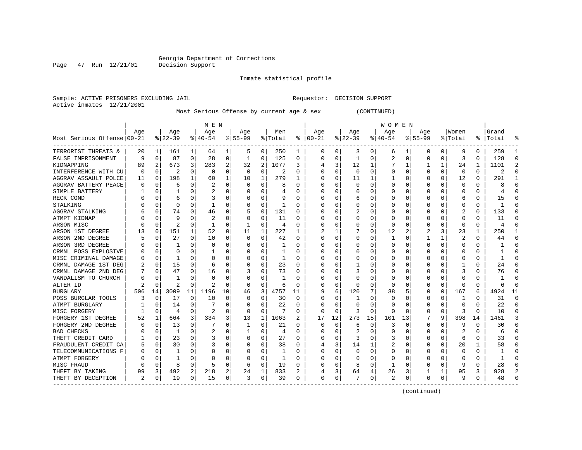Page 47 Run 12/21/01

#### Inmate statistical profile

Sample: ACTIVE PRISONERS EXCLUDING JAIL Requestor: DECISION SUPPORT Active inmates 12/21/2001

Most Serious Offense by current age & sex (CONTINUED)

|                                       | M E N |             |          |          |                |          |           |          |         |              | <b>WOMEN</b> |              |              |          |          |          |           |          |          |          |           |                |
|---------------------------------------|-------|-------------|----------|----------|----------------|----------|-----------|----------|---------|--------------|--------------|--------------|--------------|----------|----------|----------|-----------|----------|----------|----------|-----------|----------------|
|                                       | Age   |             | Age      |          | Age            |          | Age       |          | Men     |              | Age          |              | Age          |          | Age      |          | Age       |          | Women    |          | Grand     |                |
| Most Serious Offense 00-21            |       |             | $ 22-39$ |          | $8 40-54$      |          | $8 55-99$ |          | % Total | ႜ            | $ 00-21$     |              | $ 22-39$     |          | $ 40-54$ |          | $8 55-99$ |          | % Total  |          | %   Total |                |
| TERRORIST THREATS &                   | 20    | 1           | 161      | 1        | 64             | 1        | 5         | 0        | 250     | 1            | 0            | 0            | 3            | 0        | 6        | 1        | 0         | 0        | 9        | 0        | 259       |                |
| FALSE IMPRISONMENT                    | 9     | $\Omega$    | 87       | 0        | 28             | $\Omega$ | 1         | 0        | 125     | $\Omega$     | $\Omega$     | 0            | -1           | 0        | 2        | 0        | 0         | 0        | 3        | $\Omega$ | 128       | $\Omega$       |
| KIDNAPPING                            | 89    | 2           | 673      | 3        | 283            | 2        | 32        | 2        | 1077    | 3            | 4            | 3            | 12           | 1        |          | 1        |           | 1        | 24       | 1        | 1101      | $\overline{2}$ |
| INTERFERENCE WITH CU                  | 0     | 0           | 2        | 0        | 0              | $\Omega$ | 0         | 0        | 2       | $\Omega$     | 0            | 0            | 0            | 0        |          | 0        | 0         | 0        | $\Omega$ | $\Omega$ | 2         | $\Omega$       |
| AGGRAV ASSAULT POLCE                  | 11    | 0           | 198      | 1        | 60             |          | 10        | 1        | 279     |              | $\Omega$     | 0            | 11           |          |          | $\Omega$ | 0         | 0        | 12       | 0        | 291       | 1              |
| AGGRAV BATTERY PEACE                  | U     | 0           | 6        | $\Omega$ | 2              | $\Omega$ | O         | 0        | 8       | <sup>0</sup> | O            | O            | O            | U        |          | $\Omega$ | 0         | O        | $\Omega$ | 0        |           | $\Omega$       |
| SIMPLE BATTERY                        |       | O           |          | U        | 2              | O        |           | 0        |         |              | $\Omega$     | 0            | 0            | U        |          | $\Omega$ | 0         | 0        | n        | 0        |           | $\Omega$       |
| RECK COND                             |       | O           | 6        | O        |                |          |           | 0        |         |              | O            |              | 6            | $\Omega$ |          | $\Omega$ |           | N        | 6        | O        | 15        | $\Omega$       |
| STALKING                              |       | O           | O        | O        |                | O        |           | $\Omega$ | 1       | n            | O            |              | <sup>0</sup> | U        |          | $\Omega$ |           | O        | $\Omega$ | $\Omega$ |           | ∩              |
| AGGRAV STALKING                       |       | $\Omega$    | 74       | $\Omega$ | 46             | $\Omega$ | 5         | $\Omega$ | 131     | U            |              |              | 2            | U        |          | $\Omega$ | Ω         | 0        | 2        | $\Omega$ | 133       | ∩              |
| ATMPT KIDNAP                          |       | O           | 9        | U        | 2              | $\Omega$ | 0         | 0        | 11      | O            | <sup>0</sup> | 0            | 0            | 0        |          | $\Omega$ | 0         | 0        | $\Omega$ | O        | 11        | $\Omega$       |
| ARSON MISC                            |       | $\Omega$    | 2        | 0        |                | $\Omega$ | -1        | 0        | 4       | O            | 0            | 0            | 0            | 0        | $\Omega$ | $\Omega$ | 0         | 0        | $\Omega$ | 0        | 4         | $\Omega$       |
| ARSON 1ST DEGREE                      | 13    | 0           | 151      | 1        | 52             | $\Omega$ | 11        | 1        | 227     |              |              |              |              | 0        | 12       | 2        |           | 3        | 23       | 1        | 250       | 1              |
| ARSON 2ND DEGREE                      |       | 0           | 27       | 0        | 10             | 0        | O         | 0        | 42      | <sup>0</sup> | $\Omega$     | 0            | 0            | 0        |          | 0        |           | 1        | 2        | 0        | 44        | $\Omega$       |
| ARSON 3RD DEGREE                      |       | 0           |          | U        | 0              | O        |           | 0        | 1       | U            | O            | 0            | 0            | 0        |          | 0        | 0         | 0        | ∩        | O        |           | $\Omega$       |
| CRMNL POSS EXPLOSIVE                  |       | $\Omega$    | O        | U        |                | O        |           | 0        | 1       |              | O            |              | 0            | 0        |          | 0        | C         | U        |          | O        |           | $\Omega$       |
| MISC CRIMINAL DAMAGE                  |       | $\Omega$    |          | U        | ∩              | O        |           | 0        | 1       | n            | ∩            |              | O            | U        |          | $\Omega$ |           | U        |          | O        |           | $\Omega$       |
| CRMNL DAMAGE 1ST DEG                  |       | $\Omega$    | 15       | $\Omega$ | 6              | $\Omega$ | O         | 0        | 23      | U            | <sup>0</sup> | U            |              | U        |          | $\Omega$ | Ω         | 0        |          | 0        | 2.4       | ∩              |
| CRMNL DAMAGE 2ND DEG                  |       | $\Omega$    | 47       | $\Omega$ | 16             | $\Omega$ | 3         | 0        | 73      | O            | O            | <sup>0</sup> | 3            | 0        |          | $\Omega$ | 0         | 0        | 3        | O        | 76        | $\Omega$       |
| VANDALISM TO CHURCH                   |       | $\Omega$    |          | U        | $\Omega$       | $\Omega$ |           | $\Omega$ |         | O            | O            | O            | O            | U        |          | $\Omega$ |           | U        |          |          |           | $\Omega$       |
| ALTER ID                              |       | $\mathbf 0$ | 2        | $\Omega$ | $\overline{2}$ | $\Omega$ | O         | 0        | 6       | O            | O            | 0            | O            | U        | O        | $\Omega$ | O         | $\Omega$ | $\Omega$ | $\Omega$ | h         | $\Omega$       |
| <b>BURGLARY</b>                       | 506   | 14          | 3009     | 11       | 1196           | 10       | 46        | 3        | 4757    | 11           | 9            | 6            | 120          | 7        | 38       | 5        | Ω         | $\Omega$ | 167      | 6        | 4924      | 11             |
| POSS BURGLAR TOOLS                    |       | $\Omega$    | 17       | $\Omega$ | 10             | $\Omega$ | 0         | 0        | 30      | $\Omega$     | $\Omega$     |              |              | 0        | 0        | $\Omega$ | 0         | 0        | 1        | 0        | 31        | $\Omega$       |
| ATMPT BURGLARY                        |       | 0           | 14       | $\Omega$ |                | $\Omega$ | C         | 0        | 22      | O            | <sup>0</sup> | O            | $\Omega$     | 0        | 0        | $\Omega$ | 0         | 0        | $\Omega$ |          | 2.2       | $\Omega$       |
| MISC FORGERY                          |       | $\Omega$    | 4        | $\Omega$ |                | 0        |           | 0        |         | U            | $\Omega$     | O            | 3            | O        | 0        | $\Omega$ |           | O        |          | U        | 10        | $\Omega$       |
| FORGERY 1ST DEGREE                    | 52    | 1           | 664      | 3        | 334            | 3        | 13        | 1        | 1063    | 2            | 17           | 12           | 273          | 15       | 101      | 13       |           | 9        | 398      | 14       | 1461      | २              |
| FORGERY 2ND DEGREE                    |       | O           | 13       | O        |                | 0        |           | 0        | 21      | U            | 0            | 0            | 6            | 0        | 3        | O        | 0         | O        | q        | O        | 30        | ∩              |
| <b>BAD CHECKS</b>                     |       | 0           | 1        | $\Omega$ | 2              | 0        |           | 0        | 4       | U            | O            | 0            | 2            | 0        |          | $\Omega$ | 0         | 0        | 2        | O        | 6         | ∩              |
| THEFT CREDIT CARD                     |       | 0           | 23       | $\Omega$ | 3              | $\Omega$ |           | 0        | 27      | U            |              | O            | 3            | U        |          | $\Omega$ | 0         | 0        | 6        | 0        | 33        | ∩              |
| FRAUDULENT CREDIT CA                  |       | 0           | 30       | $\Omega$ | 3              | $\Omega$ |           | 0        | 38      | U            |              | 3            | 14           |          |          | $\Omega$ | Ω         | 0        | 20       | 1        | 58        | $\Omega$       |
| TELECOMMUNICATIONS F                  |       | 0           |          | U        | O              | O        | C         | 0        | 1       | O            | O            | O            | 0            | U        |          | 0        | Ω         | 0        | n        | O        |           | $\Omega$       |
| ATMPT FORGERY                         |       | 0           |          | U        | O              | O        | C         | 0        | 1       | U            | O            | U            | 0            | 0        | O        | 0        | 0         | 0        | ∩        | O        |           | $\Omega$       |
| MISC FRAUD                            |       | $\Omega$    | 8        | 0        | 5              | $\Omega$ | 6         | 0        | 19      |              |              |              | 8            | 0        |          | $\Omega$ | Ω         | 0        |          | 0        | 28        | $\Omega$       |
| THEFT BY TAKING                       | 99    | 3           | 492      | 2        | 218            | 2        | 24        | 1        | 833     |              |              | 3            | 64           | 4        | 26       | 3        |           | 1        | 95       | 3        | 928       | 2              |
| THEFT BY DECEPTION<br>--------------- | 2     | 0           | 19       | $\Omega$ | 15             | $\Omega$ | 3         | 0        | 39      | O            | $\Omega$     | 0            |              | 0        | 2        | 0        | 0         | 0        | 9        | 0        | 48        | ∩              |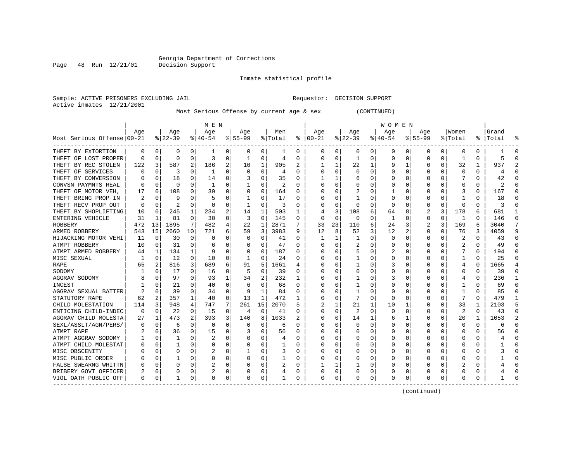Page 48 Run 12/21/01

#### Inmate statistical profile

Sample: ACTIVE PRISONERS EXCLUDING JAIL Requestor: DECISION SUPPORT Active inmates 12/21/2001

Most Serious Offense by current age & sex (CONTINUED)

|                                           |          | M E N          |                |              |                |          |             |              |         |          |          | W O M E N |          |          |           |          |             |          |                |              |       |                |
|-------------------------------------------|----------|----------------|----------------|--------------|----------------|----------|-------------|--------------|---------|----------|----------|-----------|----------|----------|-----------|----------|-------------|----------|----------------|--------------|-------|----------------|
|                                           | Age      |                | Age            |              | Age            |          | Age         |              | Men     |          | Age      |           | Age      |          | Age       |          | Aqe         |          | Women          |              | Grand |                |
| Most Serious Offense 00-21                |          |                | $8 22-39$      |              | $8 40-54$      |          | $8155 - 99$ |              | % Total | ៖        | $ 00-21$ |           | $ 22-39$ |          | $8 40-54$ |          | $8155 - 99$ |          | % Total        | ႜ            | Total |                |
| THEFT BY EXTORTION                        | 0        | 0              | 0              | 0            | 1              | 0        | 0           | 0            | ı       | 0        | 0        | 0         | 0        | 0        | 0         | 0        | 0           | 0        | 0              | 0            |       | 0              |
| THEFT OF LOST PROPER                      | $\Omega$ | 0              | 0              | $\Omega$     | 3              | 0        | 1           | 0            | 4       | $\Omega$ | $\Omega$ | $\Omega$  | -1       | 0        | 0         | 0        | 0           | $\Omega$ | 1              | $\Omega$     | 5     | $\Omega$       |
| THEFT BY REC STOLEN                       | 122      | 3              | 587            | 2            | 186            | 2        | 10          | 1            | 905     | 2        |          |           | 22       | 1        |           | 1        | 0           | $\Omega$ | 32             |              | 937   | $\overline{a}$ |
| THEFT OF SERVICES                         | O        | $\Omega$       | 3              | 0            | 1              | $\Omega$ | $\Omega$    | 0            | 4       | $\Omega$ | $\Omega$ | $\Omega$  | O        | 0        |           | $\Omega$ | 0           | $\Omega$ | $\Omega$       | $\Omega$     | 4     | $\cap$         |
| THEFT BY CONVERSION                       |          | 0              | 18             | $\Omega$     | 14             | 0        |             | 0            | 35      | 0        |          |           | 6        | 0        |           | 0        | 0           | 0        | 7              | 0            | 42    | $\Omega$       |
| CONVSN PAYMNTS REAL                       | O        | 0              | 0              | 0            | 1              | 0        |             | 0            | 2       | $\Omega$ | O        | $\Omega$  | 0        | 0        |           | $\Omega$ | C           | 0        | $\Omega$       | 0            |       | $\Omega$       |
| THEFT OF MOTOR VEH.                       | 17       | 0              | 108            |              | 39             | 0        | 0           | 0            | 164     | 0        |          |           | 2        | 0        |           | $\Omega$ |             | 0        | 3              | O            | 167   | $\Omega$       |
| THEFT BRING PROP IN                       |          | 0              | 9              | O            | 5              | 0        |             | 0            | 17      | ∩        |          | O         |          | O        | O         | $\Omega$ | C           | O        |                | <sup>0</sup> | 18    | U              |
| THEFT RECV PROP OUT                       | $\Omega$ | $\Omega$       | $\overline{c}$ | 0            | $\Omega$       | $\Omega$ | 1           | $\Omega$     | 3       | $\Omega$ | $\Omega$ | $\Omega$  | $\cap$   | 0        | $\Omega$  | $\Omega$ | 0           | $\Omega$ | $\Omega$       | $\Omega$     | 3     | $\Omega$       |
| THEFT BY SHOPLIFTING                      | 10       | $\Omega$       | 245            | 1            | 234            | 2        | 14          | 1            | 503     | 1        |          | 3         | 108      | 6        | 64        | 8        | 2           | 3        | 178            | 6            | 681   | 1              |
| ENTERING VEHICLE                          | 31       | 1              | 81             | $\Omega$     | 30             | $\Omega$ | 3           | $\Omega$     | 145     | $\Omega$ | $\Omega$ | $\Omega$  | $\Omega$ | $\Omega$ | 1         | $\Omega$ | 0           | $\Omega$ | 1              | $\Omega$     | 146   | $\Omega$       |
| ROBBERY                                   | 472      | 13             | 1895           | 7            | 482            | 4        | 22          | 1            | 2871    |          | 33       | 23        | 110      | 6        | 24        | 3        | 2           | 3        | 169            | 6            | 3040  | 7              |
| ARMED ROBBERY                             | 543      | 15             | 2660           | 10           | 721            | 6        | 59          | 3            | 3983    | 9        | 12       | 8         | 52       | 3        | 12        | 2        | 0           | $\Omega$ | 76             | 3            | 4059  | 9              |
| HIJACKING MOTOR VEHI                      | 11       | 0              | 30             | 0            | 0              | 0        | 0           | 0            | 41      | 0        |          |           |          | 0        | 0         | 0        | 0           | 0        | 2              | 0            | 43    | $\mathbf 0$    |
| ATMPT ROBBERY                             | 10       | 0              | 31             | $\Omega$     | 6              | 0        | 0           | 0            | 47      | $\Omega$ | 0        | $\Omega$  | 2        | 0        |           | 0        | 0           | 0        | 2              | $\Omega$     | 49    | $\Omega$       |
| ATMPT ARMED ROBBERY                       | 44       | 1              | 134            | $\mathbf{1}$ | g              | 0        | $\Omega$    | 0            | 187     | 0        |          |           | 5        | 0        | 2         | $\Omega$ | C           | 0        |                | $\Omega$     | 194   | $\Omega$       |
| MISC SEXUAL                               |          | $\Omega$       | 12             | $\Omega$     | 10             | $\Omega$ | 1           | 0            | 24      | $\Omega$ | $\Omega$ | O         | -1       | 0        |           | $\Omega$ | Ω           | O        | 1              | $\Omega$     | 25    | O              |
| RAPE                                      | 65       | 2              | 816            | 3            | 689            | 6        | 91          | 5            | 1661    | 4        |          | O         | -1       | 0        |           | $\Omega$ | ი           | O        | 4              | $\Omega$     | 1665  | 4              |
| SODOMY                                    |          | $\Omega$       | 17             | $\Omega$     | 16             | $\Omega$ | 5           | 0            | 39      | $\Omega$ |          | $\Omega$  | $\Omega$ | 0        |           | $\Omega$ | 0           | O        | $\Omega$       | $\Omega$     | 39    | $\Omega$       |
| AGGRAV SODOMY                             | 8        | 0              | 97             | 0            | 93             | 1        | 34          | 2            | 232     | 1        |          | $\Omega$  |          | 0        |           | 0        | C           | 0        | 4              | $\Omega$     | 236   | 1              |
| INCEST                                    |          | 0              | 21             | 0            | 40             | 0        | 6           | 0            | 68      | $\Omega$ |          | 0         |          | 0        |           | $\Omega$ | C           | 0        |                | $\Omega$     | 69    | $\Omega$       |
| AGGRAV SEXUAL BATTER                      |          | $\Omega$       | 39             | $\Omega$     | 34             | $\Omega$ | 9           | $\mathbf{1}$ | 84      | $\Omega$ | $\Omega$ | $\Omega$  | -1       | 0        |           | $\Omega$ | C           | $\Omega$ | 1              | $\Omega$     | 85    | $\Omega$       |
| STATUTORY RAPE                            | 62       | $\overline{2}$ | 357            | $\mathbf{1}$ | 40             | 0        | 13          | $\mathbf{1}$ | 472     | 1        |          | $\Omega$  | 7        | 0        | O         | $\Omega$ | C           | $\Omega$ | 7              | $\Omega$     | 479   | $\mathbf{1}$   |
| CHILD MOLESTATION                         | 114      | 3              | 948            | 4            | 747            | 7        | 261         | 15           | 2070    | 5        |          |           | 21       |          | 10        | 1        | C           | 0        | 33             |              | 2103  | 5              |
| ENTICING CHILD-INDEC                      | $\Omega$ | 0              | 22             | 0            | 15             | 0        | 4           | 0            | 41      | $\Omega$ | $\Omega$ | 0         | 2        | 0        | $\Omega$  | $\Omega$ | Ω           | 0        | $\overline{2}$ | $\Omega$     | 43    | $\Omega$       |
| AGGRAV CHILD MOLESTA                      | 27       | 1              | 473            | $\mathbf{2}$ | 393            | 3        | 140         | 8            | 1033    | 2        | $\Omega$ | $\Omega$  | 14       |          | b         | 1        | C           | $\Omega$ | 20             |              | 1053  | $\overline{a}$ |
| SEXL/ASSLT/AGN/PERS/                      | O        | $\Omega$       | 6              | O            | $\Omega$       | $\Omega$ | $\Omega$    | $\Omega$     | 6       | $\Omega$ | $\Omega$ | O         | $\Omega$ | O        |           | $\Omega$ | U           | O        | $\Omega$       | $\Omega$     | 6     | $\Omega$       |
| ATMPT RAPE                                |          | 0              | 36             | $\Omega$     | 15             | $\Omega$ | 3           | 0            | 56      | $\Omega$ |          | $\Omega$  | 0        | O        |           | $\Omega$ | O           | $\Omega$ | $\Omega$       | $\Omega$     | 56    | $\Omega$       |
| ATMPT AGGRAV SODOMY                       |          | 0              | 1              | $\Omega$     | $\overline{2}$ | 0        |             | 0            | 4       | $\Omega$ |          | $\Omega$  | 0        | 0        |           | $\Omega$ | C           | 0        | $\Omega$       | $\Omega$     |       | $\Omega$       |
| ATMPT CHILD MOLESTAT                      |          | $\Omega$       | 1              | 0            | $\Omega$       | $\Omega$ | O           | $\Omega$     |         | $\Omega$ |          | $\Omega$  | O        | 0        |           | $\Omega$ | Ω           | $\Omega$ | $\Omega$       | $\Omega$     |       | $\Omega$       |
| MISC OBSCENITY                            |          | $\Omega$       | 0              | $\Omega$     | 2              | 0        | 1           | 0            | 3       | $\Omega$ |          | $\Omega$  | C        | 0        |           | $\Omega$ | 0           | 0        | $\Omega$       | $\Omega$     |       | $\Omega$       |
| MISC PUBLIC ORDER                         |          | $\mathbf 0$    |                | $\Omega$     | $\Omega$       | 0        | $\Omega$    | 0            |         | 0        | O        | $\Omega$  | O        | O        |           | $\Omega$ | Ω           | $\Omega$ | O              | 0            |       | $\Omega$       |
| FALSE SWEARNG WRITTN                      | O        | $\mathbf 0$    | 0              | O            | 2              | 0        | O           | 0            | 2       | 0        |          |           |          | 0        |           | 0        | 0           | 0        | 2              | 0            |       | $\Omega$       |
| BRIBERY GOVT OFFICER                      |          | 0              | 0              | 0            | 2              | 0        |             | 0            | 4       | 0        |          | 0         | $\Box$   | 0        |           | 0        |             | 0        |                |              |       | $\Omega$       |
| VIOL OATH PUBLIC OFF<br>----------------- | O        | 0              | 1              | $\Omega$     | $\Omega$       | 0        | $\Omega$    | 0            | 1       | $\Omega$ | $\Omega$ | 0         | C        | 0        | $\Omega$  | 0        | ი           | $\Omega$ | $\Omega$       | $\Omega$     |       | $\cap$         |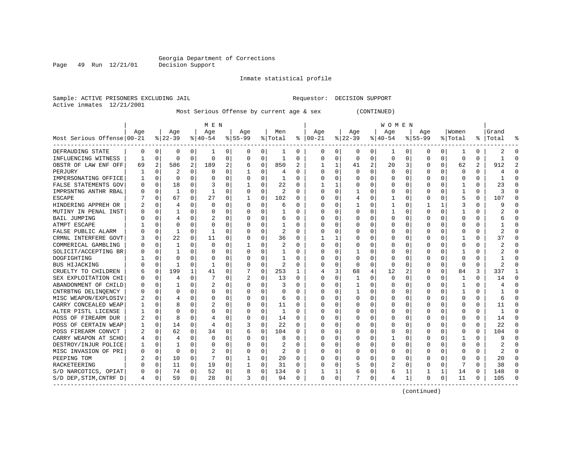Page 49 Run 12/21/01

#### Inmate statistical profile

Sample: ACTIVE PRISONERS EXCLUDING JAIL Requestor: DECISION SUPPORT Active inmates 12/21/2001

Most Serious Offense by current age & sex (CONTINUED)

|                            | M E N |                |              |             |                |              |           |             |                |          | W O M E N |          |                |                |          |          |             |             |              |          |                |                |
|----------------------------|-------|----------------|--------------|-------------|----------------|--------------|-----------|-------------|----------------|----------|-----------|----------|----------------|----------------|----------|----------|-------------|-------------|--------------|----------|----------------|----------------|
|                            | Age   |                | Age          |             | Age            |              | Age       |             | Men            |          | Age       |          | Age            |                | Age      |          | Age         |             | Women        |          | Grand          |                |
| Most Serious Offense 00-21 |       |                | $ 22-39$     |             | $ 40-54$       |              | $8 55-99$ |             | % Total        | ႜ        | $ 00-21$  |          | $8$   22-39    |                | $ 40-54$ |          | $8155 - 99$ |             | % Total      | ႜ        | Total          |                |
| DEFRAUDING STATE           | 0     | 0              | 0            | 0           | 1              | 0            | 0         | 0           | 1              | 0        | 0         | 0        | 0              | 0              | 1        | 0        | 0           | 0           | 1            | 0        | 2              | 0              |
| INFLUENCING WITNESS        | 1     | 0              | 0            | 0           | $\Omega$       | 0            | 0         | 0           | 1              | $\Omega$ | 0         | $\Omega$ | $\mathbf 0$    | 0              | 0        | 0        | 0           | 0           | $\mathbf 0$  | 0        | -1             | $\Omega$       |
| OBSTR OF LAW ENF OFF       | 69    | $\overline{a}$ | 586          | 2           | 189            | 2            | 6         | $\mathbf 0$ | 850            | 2        | 1         | 1        | 41             | $\overline{a}$ | 20       | 3        | 0           | $\mathbf 0$ | 62           | 2        | 912            | $\overline{a}$ |
| PERJURY                    |       | $\mathbf 0$    | 2            | $\mathbf 0$ | $\Omega$       | $\Omega$     |           | 0           | 4              | $\Omega$ | $\Omega$  | $\Omega$ | $\Omega$       | O              | U        | $\Omega$ | 0           | 0           | $\Omega$     | $\Omega$ | 4              | $\Omega$       |
| IMPERSONATING OFFICE       |       | 0              | 0            | $\Omega$    | $\Omega$       | 0            | $\Omega$  | 0           | 1              | $\Omega$ | O         | O        | $\Omega$       | U              | U        | 0        | 0           | $\Omega$    | $\Omega$     | $\Omega$ | $\mathbf{1}$   | $\Omega$       |
| FALSE STATEMENTS GOV       | U     | 0              | 18           | $\Omega$    | 3              | 0            | -1        | 0           | 22             | 0        |           | 1        | $\Omega$       | U              | ∩        | 0        | 0           | 0           | 1            | $\Omega$ | 23             | $\Omega$       |
| IMPRSNTNG ANTHR RBAL       |       | $\Omega$       | 1            | $\Omega$    | 1              | O            | $\Omega$  | 0           | 2              | ∩        | O         | 0        |                | U              | O        | 0        |             | 0           |              | $\Omega$ |                | $\Omega$       |
| <b>ESCAPE</b>              |       | $\Omega$       | 67           | $\Omega$    | 27             | 0            | -1        | 0           | 102            | $\Omega$ | $\Omega$  | O        | $\overline{4}$ | O              |          | $\Omega$ | Ω           | $\Omega$    | 5            | $\Omega$ | 107            | $\Omega$       |
| HINDERING APPREH OR        |       | $\Omega$       | 4            | $\Omega$    | $\Omega$       | <sup>0</sup> | $\Omega$  | U           | 6              | $\Omega$ | U         | U        | $\mathbf{1}$   | O              |          | 0        |             | 1           |              | $\Omega$ |                | U              |
| MUTINY IN PENAL INST       |       | $\Omega$       |              | $\Omega$    | $\Omega$       | $\Omega$     | $\Omega$  | 0           |                | $\Omega$ | O         | 0        | $\Omega$       | $\Omega$       | 1        | $\Omega$ | Ω           | $\Omega$    | 1            | $\Omega$ |                | $\Omega$       |
| BAIL JUMPING               |       | $\Omega$       | 4            | $\Omega$    | $\overline{2}$ | $\Omega$     | $\Omega$  | 0           | 6              | $\Omega$ | $\Omega$  | $\Omega$ | $\Omega$       | O              | U        | $\Omega$ | Ω           | 0           | $\Omega$     | $\Omega$ |                | $\Omega$       |
| <b>ATMPT ESCAPE</b>        |       | $\Omega$       | U            | $\Omega$    | $\Omega$       | $\Omega$     | U         | 0           |                | $\Omega$ | O         | $\Omega$ | $\Omega$       | O              |          | $\Omega$ | ი           | $\Omega$    | $\Omega$     | $\Omega$ |                | $\Omega$       |
| FALSE PUBLIC ALARM         |       | $\Omega$       | 1            | O           | 1              | O            | $\Omega$  | 0           | 2              | $\Omega$ | O         | O        | $\Omega$       | 0              | U        | 0        | Ω           | 0           | $\Omega$     | $\Omega$ | $\mathfrak{D}$ | $\Omega$       |
| CRMNL INTERFERE GOVT       |       | 0              | 22           | $\Omega$    | 11             | 0            | 0         | 0           | 36             | $\Omega$ |           | 1        | $\Omega$       | 0              | U        | 0        | 0           | 0           | 1            | $\Omega$ | 37             | $\Omega$       |
| COMMERICAL GAMBLING        |       | $\Omega$       | 1            | $\Omega$    | $\Omega$       | 0            |           | 0           | 2              | $\Omega$ | $\Omega$  | $\Omega$ | $\Omega$       | 0              | U        | 0        | 0           | $\Omega$    | $\Omega$     | $\Omega$ |                | $\Omega$       |
| SOLICIT/ACCEPTING BR       |       | $\Omega$       |              | 0           | $\Omega$       | 0            | U         | 0           |                | $\Omega$ | 0         | O        |                | 0              |          | 0        |             | 0           | 1            | $\Omega$ |                | $\Omega$       |
| DOGFIGHTING                |       | $\Omega$       | U            | O           | $\Omega$       | 0            | $\Omega$  | 0           |                | $\Omega$ | O         | U        | $\Omega$       | U              | U        | O        | Ω           | 0           | $\Omega$     | $\Omega$ |                | U              |
| BUS HIJACKING              |       | 0              |              | U           | -1             | 0            | $\Omega$  | 0           | 2              | $\Omega$ | O         | O        | $\Omega$       | U              | U        | 0        | Ω           | $\Omega$    | $\Omega$     | $\Omega$ |                | U              |
| CRUELTY TO CHILDREN        |       | $\mathbf 0$    | 199          | 1           | 41             | 0            |           | $\mathbf 0$ | 253            | 1        | 4         | 3        | 68             | 4              | 12       | 2        | 0           | 0           | 84           | 3        | 337            | 1              |
| SEX EXPLOITATION CHI       |       | $\mathbf 0$    | 4            | 0           |                | 0            | 2         | 0           | 13             | $\Omega$ | $\Omega$  | 0        |                | 0              | 0        | 0        | 0           | 0           | $\mathbf{1}$ | $\Omega$ | 14             | $\mathbf 0$    |
| ABANDONMENT OF CHILD       |       | 0              |              | O           | 2              | O            | 0         | 0           | 3              | ∩        | 0         | O        | 1              | 0              |          | 0        | 0           | 0           | 1            | 0        |                | $\mathbf 0$    |
| CNTRBTNG DELINOENCY        |       | $\Omega$       | 0            | 0           | $\Omega$       | 0            | $\Omega$  | 0           | O              | $\Omega$ | O         | 0        | 1              | 0              | U        | 0        | Ω           | 0           | 1            | $\Omega$ | -1             | $\Omega$       |
| MISC WEAPON/EXPLOSIV       |       | 0              | 4            | 0           | $\Omega$       | 0            | n         | 0           | 6              | 0        | O         | 0        | $\Omega$       | 0              | O        | 0        | 0           | 0           | $\Omega$     | 0        | 6              | $\Omega$       |
| CARRY CONCEALED WEAP       |       | $\Omega$       | 8            | 0           | $\overline{2}$ | O            | O         | 0           | 11             | O        | O         |          | $\Omega$       | U              | O        | 0        |             | 0           | $\Omega$     | $\Omega$ | 11             | $\Omega$       |
| ALTER PISTL LICENSE        |       | $\Omega$       | O            | $\cap$      | $\Omega$       | $\Omega$     | n         | O           | 1              | ∩        | U         | U        | $\Omega$       | U              | ∩        | $\Omega$ | Λ           | $\Omega$    | $\Omega$     | $\Omega$ | $\mathbf{1}$   | $\Omega$       |
| POSS OF FIREARM DUR        |       | $\Omega$       | 8            | $\Omega$    | 4              | 0            | $\Omega$  | 0           | 14             | $\Omega$ | O         | O        | $\Omega$       | O              | U        | $\Omega$ | Ω           | $\Omega$    | $\Omega$     | $\Omega$ | 14             | $\Omega$       |
| POSS OF CERTAIN WEAP       |       | 0              | 14           | $\Omega$    | 4              | 0            | 3         | 0           | 22             | $\Omega$ | O         | 0        | $\Omega$       | U              | O        | 0        | Ω           | $\Omega$    | $\Omega$     | $\Omega$ | 22             | $\Omega$       |
| POSS FIREARM CONVCT        | 2     | $\mathbf 0$    | 62           | $\Omega$    | 34             | $\Omega$     | 6         | $\mathbf 0$ | 104            | $\Omega$ | O         | $\Omega$ | $\Omega$       | O              | O        | $\Omega$ | Ω           | 0           | $\Omega$     | $\Omega$ | 104            | $\Omega$       |
| CARRY WEAPON AT SCHO       |       | 0              | 4            | $\Omega$    | $\Omega$       | 0            | U         | 0           | 8              | $\Omega$ | 0         | $\Omega$ | $\Omega$       | U              |          | 0        |             | 0           | $\mathbf{1}$ | 0        | 9              | $\Omega$       |
| DESTROY/INJUR POLICE       |       | 0              | $\mathbf{1}$ | $\Omega$    | $\Omega$       | 0            | n         | 0           | $\overline{2}$ | $\Omega$ | $\Omega$  | $\Omega$ | $\Omega$       | O              | $\Omega$ | $\Omega$ | Ω           | $\Omega$    | $\Omega$     | $\Omega$ |                | $\Omega$       |
| MISC INVASION OF PRI       | U     | 0              | 0            | $\Omega$    | $\overline{2}$ | 0            | n         | 0           | 2              | $\Omega$ | $\Omega$  | $\Omega$ | $\Omega$       | 0              | U        | 0        | 0           | $\Omega$    | $\Omega$     | $\Omega$ |                | $\Omega$       |
| PEEPING TOM                |       | 0              | 10           | $\Omega$    |                | 0            | -1        | 0           | 20             | 0        | O         | $\Omega$ | $\Omega$       | O              | U        | 0        | 0           | $\Omega$    | $\Omega$     | $\Omega$ | 20             | $\Omega$       |
| RACKETEERING               |       | 0              | 11           | $\Omega$    | 19             | 0            |           | 0           | 31             | $\Omega$ | O         | $\Omega$ | 5              | O              | 2        | 0        | Ω           | 0           |              | $\Omega$ | 38             | $\Omega$       |
| S/D NARCOTICS, OPIAT       |       | 0              | 74           | 0           | 52             | $\Omega$     | 8         | 0           | 134            | $\Omega$ |           | 1        | 6              | 0              | 6        | 1        |             | 1           | 14           | $\Omega$ | 148            | $\Omega$       |
| S/D DEP, STIM, CNTRF D     | 4     | 0              | 59           | 0           | 28             | 0            | 3         | 0           | 94             | $\Omega$ | 0         | 0        | 7              | 0              |          | 1        | 0           | 0           | 11           | $\Omega$ | 105            | ∩              |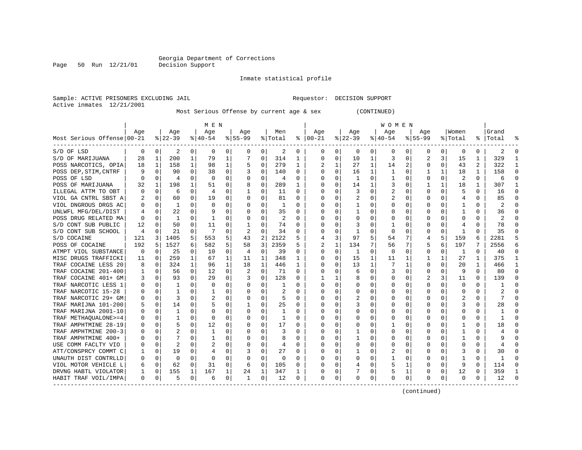Page 50 Run 12/21/01

#### Inmate statistical profile

Sample: ACTIVE PRISONERS EXCLUDING JAIL Requestor: DECISION SUPPORT Active inmates 12/21/2001

Most Serious Offense by current age & sex (CONTINUED)

| Age<br>Age<br>Age<br>Men<br>Age<br>Age<br>Age<br>Women<br>Grand<br>Aqe<br>Aqe<br>$8 22-39$<br>$8   00 - 21$<br>Most Serious Offense 00-21<br>$8 40-54$<br>$8155 - 99$<br>% Total<br>$ 22-39$<br>$ 40-54$<br>$8155 - 99$<br>% Total<br>Total<br>ႜ<br>2<br>0<br>0<br>0<br>0<br>0<br>0<br>2<br>0<br>0<br>0<br>0<br>0<br>$\Omega$<br>2<br>$\Omega$<br>0<br>0<br>0<br>0<br>0<br>0<br>3<br>329<br>1<br>200<br>1<br>79<br>0<br>314<br>0<br>10<br>1<br>0<br>15<br>28<br>1<br>7<br>0<br>3<br>2<br>1<br>1<br>1<br>1<br>0<br>279<br>1<br>2<br>2<br>322<br>$\mathbf{1}$<br>1<br>158<br>98<br>1<br>1<br>1<br>27<br>14<br>0<br>43<br>5<br>0<br>18<br>$\Omega$<br>$\Omega$<br>90<br>$\Omega$<br>38<br>$\Omega$<br>0<br>140<br>$\Omega$<br>$\Omega$<br>$\Omega$<br>16<br>1<br>$\mathbf{1}$<br>$\Omega$<br>$\mathbf{1}$<br>18<br>$\mathbf{1}$<br>158<br>$\Omega$<br>POSS OF LSD<br>$\Omega$<br>$\Omega$<br>0<br>0<br>$\Omega$<br>2<br>$\Omega$<br>O<br>$\Omega$<br>0<br>4<br>$\Omega$<br>U<br>0<br>-1<br>1<br>0<br>0<br>6<br>4<br>POSS OF MARIJUANA<br>198<br>0<br>289<br>0<br>0<br>18<br>307<br>1<br>32<br>1<br>1<br>51<br>$\Omega$<br>8<br>0<br>14<br>3<br>$\Omega$<br>ILLEGAL ATTM TO OBT<br>$\Omega$<br>6<br>O<br>0<br>11<br>$\Omega$<br>U<br>3<br>U<br>O<br>$\Omega$<br>16<br>Ω<br>5<br>0<br>4<br>$\overline{\mathbf{c}}$<br>85<br>$\Omega$<br>VIOL GA CNTRL SBST A<br>$\Omega$<br>60<br>0<br>19<br>$\Omega$<br>O<br>0<br>81<br>$\Omega$<br>U<br><sup>0</sup><br>0<br>0<br>Ω<br>$\Omega$<br>4<br>0<br>0<br>2<br>U<br>0<br>-1<br>0<br>∩<br>0<br>0<br>1<br><sup>0</sup><br>O<br>0<br>O<br>O<br>Λ<br>0<br>0<br>O<br>$\Omega$<br>$\Omega$<br>35<br>22<br>$\Omega$<br>9<br>$\Omega$<br>O<br>U<br><sup>0</sup><br>$\mathbf{1}$<br>U<br>0<br>$\Omega$<br>1<br>36<br>$\Omega$<br>O<br>Ω<br>0<br>O<br>$\overline{2}$<br>0<br>$\Omega$<br>0<br>2<br>$\Omega$<br>0<br>$\Omega$<br>$\cap$<br>1<br>1<br>$\Omega$<br>O<br>0<br>$\Omega$<br>U<br>$\Omega$<br>$\Omega$<br>74<br>12<br>50<br>$\Omega$<br>11<br>$\mathbf{1}$<br>$\Omega$<br>3<br>78<br>$\Omega$<br>$\Omega$<br>$\Omega$<br>$\Omega$<br>∩<br>0<br>U<br>0<br>Ω<br>$\Omega$<br>4<br>$\Omega$<br>21<br>35<br>S/D CONT SUB SCHOOL<br>0<br>$\Omega$<br>7<br>2<br>0<br>34<br>$\Omega$<br>$\Omega$<br>$\Omega$<br>U<br>0<br>-1<br>U<br>$\Omega$<br>0<br>$\Omega$<br>1<br>$\Omega$<br>4<br>Ω<br>5<br>5<br>5<br>121<br>3<br>1405<br>553<br>5<br>43<br>2<br>2122<br>3<br>97<br>5<br>7<br>159<br>2281<br>5<br>4<br>54<br>4<br>6<br>1527<br>2359<br>6<br>192<br>5<br>6<br>3<br>7<br>6<br>197<br>2556<br>POSS OF COCAINE<br>582<br>58<br>134<br>56<br>7<br>5<br>$\Omega$<br>ATMPT VIOL SUBSTANCE<br>$\Omega$<br>25<br>10<br>$\Omega$<br>$\Omega$<br>39<br>$\Omega$<br>$\Omega$<br>0<br>O<br>1<br>40<br>$\Omega$<br>$\Omega$<br>0<br>-1<br>$\Omega$<br>0<br>$\Omega$<br>$\Omega$<br>4<br>259<br>15<br>27<br>375<br>$\mathbf{1}$<br>MISC DRUGS TRAFFICKI<br>$\Omega$<br>$\mathbf{1}$<br>67<br>$\mathbf{1}$<br>348<br>0<br>1<br>11<br>11<br>1<br>U<br>11<br>1<br>1<br>1<br>324<br>$\mathbf{1}$<br>96<br>18<br>$\mathbf{1}$<br>446<br>13<br>1<br>$\Omega$<br>20<br>466<br>$\Omega$<br>0<br>0<br>1<br>1<br>1<br>1<br>0<br>8<br>0<br>$\mathbf 0$<br>0<br>56<br>$\Omega$<br>12<br>0<br>71<br>$\Omega$<br>0<br>0<br>9<br>$\Omega$<br>80<br>6<br>0<br>3<br>0<br>0<br>Ω<br>$\Omega$<br>$\Omega$<br>93<br>$\Omega$<br>29<br>0<br>128<br>3<br>11<br>139<br>3<br>$\Omega$<br>3<br>O<br>8<br>0<br>$\Omega$<br>0<br>$\Omega$<br>$\Omega$<br>$\Omega$<br>$\Omega$<br>$\Omega$<br>0<br>U<br>0<br>$\Omega$<br>0<br>0<br>0<br>$\Omega$<br>-1<br>0<br>O<br>1<br><sup>0</sup><br>0<br>O<br>0<br>1<br>$\Omega$<br>0<br>0<br>2<br>U<br>$\Omega$<br>0<br>0<br>$\Omega$<br>O<br>0<br>O<br><sup>0</sup><br>0<br>0<br>∩<br>0<br>0<br>-1<br>1<br>$\overline{2}$<br>$\overline{2}$<br>$\Omega$<br>$\Omega$<br>3<br>0<br>O<br>2<br>U<br>0<br>$\Omega$<br>0<br>0<br>5<br>O<br>O<br>$\Omega$<br>14<br>$\Omega$<br>25<br>3<br>$\Omega$<br>२<br>28<br>$\Omega$<br>U<br>$\Omega$<br>-1<br>U<br>∩<br>U<br>Λ<br>∩<br>$\Omega$<br>5<br>O<br>$\Omega$<br>$\Omega$<br>$\Omega$<br>O<br>$\Omega$<br>O<br>0<br>1<br>O<br>U<br>O<br>$\Omega$<br>U<br>O<br>ი<br>$\Omega$<br>$\Omega$<br>$\Omega$<br>-1<br>O<br>$\Omega$<br>$\Omega$<br>$\Omega$<br>$\Omega$<br>$\Omega$<br>$\Omega$<br>$\Omega$<br>$\Omega$<br>$\Omega$<br>O<br>U<br>$\Omega$<br>U<br>$\Omega$<br>$\Omega$<br>$\mathbf{1}$<br>O<br>0<br>-1<br>O<br>Ω<br>$\Omega$<br>$\Omega$<br>$\Omega$<br>$\Omega$<br>18<br>$\Omega$<br>5<br>$\Omega$<br>12<br>$\Omega$<br>17<br>O<br>U<br>U<br>0<br>$\Omega$<br>0<br>Ω<br>$\left($<br>$\left( \right)$<br>$\Omega$<br>$\Omega$<br>2<br>$\Omega$<br>$\Omega$<br>3<br>$\Omega$<br>$\Omega$<br>$\Omega$<br>$\Omega$<br>$\Omega$<br>1<br>$\Omega$<br>O<br>1<br>U<br>4<br>7<br>$\Omega$<br>$\Omega$<br>0<br>8<br>U<br>1<br>0<br>1<br>O<br>1<br>$\Omega$<br>$\Omega$<br>0<br>0<br>$\Omega$<br>Ω<br>$\Omega$<br>$\Omega$<br>9<br>2<br>USE COMM FACLTY VIO<br>$\Omega$<br>2<br>$\Omega$<br>0<br>$\Omega$<br>$\Omega$<br>O<br>$\Omega$<br>O<br>0<br>$\Omega$<br>U<br>0<br>0<br>$\Omega$<br>$\Omega$<br>$\Omega$<br>4<br>0<br>ATT/CONSPRCY COMMT C<br>0<br>19<br>3<br>0<br>27<br>0<br>0<br>0<br>3<br>30<br>0<br>0<br>4<br>0<br>0<br>2<br>0<br>0<br>0<br>$\Omega$<br>0<br>$\Omega$<br>$\Omega$<br>0<br>0<br>-1<br>$\Omega$<br>O<br>0<br>0<br>0<br>$\Omega$<br>0<br>0<br>$\Omega$<br>$\Omega$<br>0<br>0<br>62<br>31<br>0<br>114<br>$\Omega$<br>VIOL MOTOR VEHICLE L<br>$\Omega$<br>$\Omega$<br>6<br>105<br>O<br>∩<br>0<br>5<br>1<br>0<br>$\Omega$<br>9<br>$\Omega$<br>4<br>359<br>155<br>24<br>347<br>DRVNG HABTL VIOLATOR<br>0<br>1<br>167<br>1<br>0<br>1<br>0<br>12<br>1<br>O<br>0<br>0<br>0<br>1<br>1<br>$\Omega$<br>0<br>0<br>$\Omega$<br>0<br>0<br>0<br>12<br>HABIT TRAF VOIL/IMPA<br>0<br>$\Omega$<br>5<br>0<br>12<br>O<br>$\Omega$<br>0<br>$\Omega$<br>0<br>0<br>6<br>1<br>0 |                       | M E N |  |  |  |  |  |  |  |  |  |  | W O M E N |  |  |  |  |  |  |  |  |  |
|----------------------------------------------------------------------------------------------------------------------------------------------------------------------------------------------------------------------------------------------------------------------------------------------------------------------------------------------------------------------------------------------------------------------------------------------------------------------------------------------------------------------------------------------------------------------------------------------------------------------------------------------------------------------------------------------------------------------------------------------------------------------------------------------------------------------------------------------------------------------------------------------------------------------------------------------------------------------------------------------------------------------------------------------------------------------------------------------------------------------------------------------------------------------------------------------------------------------------------------------------------------------------------------------------------------------------------------------------------------------------------------------------------------------------------------------------------------------------------------------------------------------------------------------------------------------------------------------------------------------------------------------------------------------------------------------------------------------------------------------------------------------------------------------------------------------------------------------------------------------------------------------------------------------------------------------------------------------------------------------------------------------------------------------------------------------------------------------------------------------------------------------------------------------------------------------------------------------------------------------------------------------------------------------------------------------------------------------------------------------------------------------------------------------------------------------------------------------------------------------------------------------------------------------------------------------------------------------------------------------------------------------------------------------------------------------------------------------------------------------------------------------------------------------------------------------------------------------------------------------------------------------------------------------------------------------------------------------------------------------------------------------------------------------------------------------------------------------------------------------------------------------------------------------------------------------------------------------------------------------------------------------------------------------------------------------------------------------------------------------------------------------------------------------------------------------------------------------------------------------------------------------------------------------------------------------------------------------------------------------------------------------------------------------------------------------------------------------------------------------------------------------------------------------------------------------------------------------------------------------------------------------------------------------------------------------------------------------------------------------------------------------------------------------------------------------------------------------------------------------------------------------------------------------------------------------------------------------------------------------------------------------------------------------------------------------------------------------------------------------------------------------------------------------------------------------------------------------------------------------------------------------------------------------------------------------------------------------------------------------------------------------------------------------------------------------------------------------------------------------------------------------------------------------------------------------------------------------------------------------------------------------------------------------------------------------------------------------------------------------------------------------------------------------------------------------------------------------------------------------------------------------------------------------------------------------------------------------------------------------------------------------------------------------------------------------------------------------------------------------------------------------------------------------------------------------------------------------------------------------------------------------------------------------------------------------------------------------------------------------------------------------------------------------------------------------------------------------------------------------------------------------------------------------------------------------------------------------------|-----------------------|-------|--|--|--|--|--|--|--|--|--|--|-----------|--|--|--|--|--|--|--|--|--|
|                                                                                                                                                                                                                                                                                                                                                                                                                                                                                                                                                                                                                                                                                                                                                                                                                                                                                                                                                                                                                                                                                                                                                                                                                                                                                                                                                                                                                                                                                                                                                                                                                                                                                                                                                                                                                                                                                                                                                                                                                                                                                                                                                                                                                                                                                                                                                                                                                                                                                                                                                                                                                                                                                                                                                                                                                                                                                                                                                                                                                                                                                                                                                                                                                                                                                                                                                                                                                                                                                                                                                                                                                                                                                                                                                                                                                                                                                                                                                                                                                                                                                                                                                                                                                                                                                                                                                                                                                                                                                                                                                                                                                                                                                                                                                                                                                                                                                                                                                                                                                                                                                                                                                                                                                                                                                                                                                                                                                                                                                                                                                                                                                                                                                                                                                                                                                                                    |                       |       |  |  |  |  |  |  |  |  |  |  |           |  |  |  |  |  |  |  |  |  |
|                                                                                                                                                                                                                                                                                                                                                                                                                                                                                                                                                                                                                                                                                                                                                                                                                                                                                                                                                                                                                                                                                                                                                                                                                                                                                                                                                                                                                                                                                                                                                                                                                                                                                                                                                                                                                                                                                                                                                                                                                                                                                                                                                                                                                                                                                                                                                                                                                                                                                                                                                                                                                                                                                                                                                                                                                                                                                                                                                                                                                                                                                                                                                                                                                                                                                                                                                                                                                                                                                                                                                                                                                                                                                                                                                                                                                                                                                                                                                                                                                                                                                                                                                                                                                                                                                                                                                                                                                                                                                                                                                                                                                                                                                                                                                                                                                                                                                                                                                                                                                                                                                                                                                                                                                                                                                                                                                                                                                                                                                                                                                                                                                                                                                                                                                                                                                                                    |                       |       |  |  |  |  |  |  |  |  |  |  |           |  |  |  |  |  |  |  |  |  |
|                                                                                                                                                                                                                                                                                                                                                                                                                                                                                                                                                                                                                                                                                                                                                                                                                                                                                                                                                                                                                                                                                                                                                                                                                                                                                                                                                                                                                                                                                                                                                                                                                                                                                                                                                                                                                                                                                                                                                                                                                                                                                                                                                                                                                                                                                                                                                                                                                                                                                                                                                                                                                                                                                                                                                                                                                                                                                                                                                                                                                                                                                                                                                                                                                                                                                                                                                                                                                                                                                                                                                                                                                                                                                                                                                                                                                                                                                                                                                                                                                                                                                                                                                                                                                                                                                                                                                                                                                                                                                                                                                                                                                                                                                                                                                                                                                                                                                                                                                                                                                                                                                                                                                                                                                                                                                                                                                                                                                                                                                                                                                                                                                                                                                                                                                                                                                                                    | S/D OF LSD            |       |  |  |  |  |  |  |  |  |  |  |           |  |  |  |  |  |  |  |  |  |
|                                                                                                                                                                                                                                                                                                                                                                                                                                                                                                                                                                                                                                                                                                                                                                                                                                                                                                                                                                                                                                                                                                                                                                                                                                                                                                                                                                                                                                                                                                                                                                                                                                                                                                                                                                                                                                                                                                                                                                                                                                                                                                                                                                                                                                                                                                                                                                                                                                                                                                                                                                                                                                                                                                                                                                                                                                                                                                                                                                                                                                                                                                                                                                                                                                                                                                                                                                                                                                                                                                                                                                                                                                                                                                                                                                                                                                                                                                                                                                                                                                                                                                                                                                                                                                                                                                                                                                                                                                                                                                                                                                                                                                                                                                                                                                                                                                                                                                                                                                                                                                                                                                                                                                                                                                                                                                                                                                                                                                                                                                                                                                                                                                                                                                                                                                                                                                                    | S/D OF MARIJUANA      |       |  |  |  |  |  |  |  |  |  |  |           |  |  |  |  |  |  |  |  |  |
|                                                                                                                                                                                                                                                                                                                                                                                                                                                                                                                                                                                                                                                                                                                                                                                                                                                                                                                                                                                                                                                                                                                                                                                                                                                                                                                                                                                                                                                                                                                                                                                                                                                                                                                                                                                                                                                                                                                                                                                                                                                                                                                                                                                                                                                                                                                                                                                                                                                                                                                                                                                                                                                                                                                                                                                                                                                                                                                                                                                                                                                                                                                                                                                                                                                                                                                                                                                                                                                                                                                                                                                                                                                                                                                                                                                                                                                                                                                                                                                                                                                                                                                                                                                                                                                                                                                                                                                                                                                                                                                                                                                                                                                                                                                                                                                                                                                                                                                                                                                                                                                                                                                                                                                                                                                                                                                                                                                                                                                                                                                                                                                                                                                                                                                                                                                                                                                    | POSS NARCOTICS, OPIA  |       |  |  |  |  |  |  |  |  |  |  |           |  |  |  |  |  |  |  |  |  |
|                                                                                                                                                                                                                                                                                                                                                                                                                                                                                                                                                                                                                                                                                                                                                                                                                                                                                                                                                                                                                                                                                                                                                                                                                                                                                                                                                                                                                                                                                                                                                                                                                                                                                                                                                                                                                                                                                                                                                                                                                                                                                                                                                                                                                                                                                                                                                                                                                                                                                                                                                                                                                                                                                                                                                                                                                                                                                                                                                                                                                                                                                                                                                                                                                                                                                                                                                                                                                                                                                                                                                                                                                                                                                                                                                                                                                                                                                                                                                                                                                                                                                                                                                                                                                                                                                                                                                                                                                                                                                                                                                                                                                                                                                                                                                                                                                                                                                                                                                                                                                                                                                                                                                                                                                                                                                                                                                                                                                                                                                                                                                                                                                                                                                                                                                                                                                                                    | POSS DEP, STIM, CNTRF |       |  |  |  |  |  |  |  |  |  |  |           |  |  |  |  |  |  |  |  |  |
|                                                                                                                                                                                                                                                                                                                                                                                                                                                                                                                                                                                                                                                                                                                                                                                                                                                                                                                                                                                                                                                                                                                                                                                                                                                                                                                                                                                                                                                                                                                                                                                                                                                                                                                                                                                                                                                                                                                                                                                                                                                                                                                                                                                                                                                                                                                                                                                                                                                                                                                                                                                                                                                                                                                                                                                                                                                                                                                                                                                                                                                                                                                                                                                                                                                                                                                                                                                                                                                                                                                                                                                                                                                                                                                                                                                                                                                                                                                                                                                                                                                                                                                                                                                                                                                                                                                                                                                                                                                                                                                                                                                                                                                                                                                                                                                                                                                                                                                                                                                                                                                                                                                                                                                                                                                                                                                                                                                                                                                                                                                                                                                                                                                                                                                                                                                                                                                    |                       |       |  |  |  |  |  |  |  |  |  |  |           |  |  |  |  |  |  |  |  |  |
|                                                                                                                                                                                                                                                                                                                                                                                                                                                                                                                                                                                                                                                                                                                                                                                                                                                                                                                                                                                                                                                                                                                                                                                                                                                                                                                                                                                                                                                                                                                                                                                                                                                                                                                                                                                                                                                                                                                                                                                                                                                                                                                                                                                                                                                                                                                                                                                                                                                                                                                                                                                                                                                                                                                                                                                                                                                                                                                                                                                                                                                                                                                                                                                                                                                                                                                                                                                                                                                                                                                                                                                                                                                                                                                                                                                                                                                                                                                                                                                                                                                                                                                                                                                                                                                                                                                                                                                                                                                                                                                                                                                                                                                                                                                                                                                                                                                                                                                                                                                                                                                                                                                                                                                                                                                                                                                                                                                                                                                                                                                                                                                                                                                                                                                                                                                                                                                    |                       |       |  |  |  |  |  |  |  |  |  |  |           |  |  |  |  |  |  |  |  |  |
|                                                                                                                                                                                                                                                                                                                                                                                                                                                                                                                                                                                                                                                                                                                                                                                                                                                                                                                                                                                                                                                                                                                                                                                                                                                                                                                                                                                                                                                                                                                                                                                                                                                                                                                                                                                                                                                                                                                                                                                                                                                                                                                                                                                                                                                                                                                                                                                                                                                                                                                                                                                                                                                                                                                                                                                                                                                                                                                                                                                                                                                                                                                                                                                                                                                                                                                                                                                                                                                                                                                                                                                                                                                                                                                                                                                                                                                                                                                                                                                                                                                                                                                                                                                                                                                                                                                                                                                                                                                                                                                                                                                                                                                                                                                                                                                                                                                                                                                                                                                                                                                                                                                                                                                                                                                                                                                                                                                                                                                                                                                                                                                                                                                                                                                                                                                                                                                    |                       |       |  |  |  |  |  |  |  |  |  |  |           |  |  |  |  |  |  |  |  |  |
|                                                                                                                                                                                                                                                                                                                                                                                                                                                                                                                                                                                                                                                                                                                                                                                                                                                                                                                                                                                                                                                                                                                                                                                                                                                                                                                                                                                                                                                                                                                                                                                                                                                                                                                                                                                                                                                                                                                                                                                                                                                                                                                                                                                                                                                                                                                                                                                                                                                                                                                                                                                                                                                                                                                                                                                                                                                                                                                                                                                                                                                                                                                                                                                                                                                                                                                                                                                                                                                                                                                                                                                                                                                                                                                                                                                                                                                                                                                                                                                                                                                                                                                                                                                                                                                                                                                                                                                                                                                                                                                                                                                                                                                                                                                                                                                                                                                                                                                                                                                                                                                                                                                                                                                                                                                                                                                                                                                                                                                                                                                                                                                                                                                                                                                                                                                                                                                    |                       |       |  |  |  |  |  |  |  |  |  |  |           |  |  |  |  |  |  |  |  |  |
|                                                                                                                                                                                                                                                                                                                                                                                                                                                                                                                                                                                                                                                                                                                                                                                                                                                                                                                                                                                                                                                                                                                                                                                                                                                                                                                                                                                                                                                                                                                                                                                                                                                                                                                                                                                                                                                                                                                                                                                                                                                                                                                                                                                                                                                                                                                                                                                                                                                                                                                                                                                                                                                                                                                                                                                                                                                                                                                                                                                                                                                                                                                                                                                                                                                                                                                                                                                                                                                                                                                                                                                                                                                                                                                                                                                                                                                                                                                                                                                                                                                                                                                                                                                                                                                                                                                                                                                                                                                                                                                                                                                                                                                                                                                                                                                                                                                                                                                                                                                                                                                                                                                                                                                                                                                                                                                                                                                                                                                                                                                                                                                                                                                                                                                                                                                                                                                    | VIOL DNGROUS DRGS AC  |       |  |  |  |  |  |  |  |  |  |  |           |  |  |  |  |  |  |  |  |  |
|                                                                                                                                                                                                                                                                                                                                                                                                                                                                                                                                                                                                                                                                                                                                                                                                                                                                                                                                                                                                                                                                                                                                                                                                                                                                                                                                                                                                                                                                                                                                                                                                                                                                                                                                                                                                                                                                                                                                                                                                                                                                                                                                                                                                                                                                                                                                                                                                                                                                                                                                                                                                                                                                                                                                                                                                                                                                                                                                                                                                                                                                                                                                                                                                                                                                                                                                                                                                                                                                                                                                                                                                                                                                                                                                                                                                                                                                                                                                                                                                                                                                                                                                                                                                                                                                                                                                                                                                                                                                                                                                                                                                                                                                                                                                                                                                                                                                                                                                                                                                                                                                                                                                                                                                                                                                                                                                                                                                                                                                                                                                                                                                                                                                                                                                                                                                                                                    | UNLWFL MFG/DEL/DIST   |       |  |  |  |  |  |  |  |  |  |  |           |  |  |  |  |  |  |  |  |  |
|                                                                                                                                                                                                                                                                                                                                                                                                                                                                                                                                                                                                                                                                                                                                                                                                                                                                                                                                                                                                                                                                                                                                                                                                                                                                                                                                                                                                                                                                                                                                                                                                                                                                                                                                                                                                                                                                                                                                                                                                                                                                                                                                                                                                                                                                                                                                                                                                                                                                                                                                                                                                                                                                                                                                                                                                                                                                                                                                                                                                                                                                                                                                                                                                                                                                                                                                                                                                                                                                                                                                                                                                                                                                                                                                                                                                                                                                                                                                                                                                                                                                                                                                                                                                                                                                                                                                                                                                                                                                                                                                                                                                                                                                                                                                                                                                                                                                                                                                                                                                                                                                                                                                                                                                                                                                                                                                                                                                                                                                                                                                                                                                                                                                                                                                                                                                                                                    | POSS DRUG RELATED MA  |       |  |  |  |  |  |  |  |  |  |  |           |  |  |  |  |  |  |  |  |  |
|                                                                                                                                                                                                                                                                                                                                                                                                                                                                                                                                                                                                                                                                                                                                                                                                                                                                                                                                                                                                                                                                                                                                                                                                                                                                                                                                                                                                                                                                                                                                                                                                                                                                                                                                                                                                                                                                                                                                                                                                                                                                                                                                                                                                                                                                                                                                                                                                                                                                                                                                                                                                                                                                                                                                                                                                                                                                                                                                                                                                                                                                                                                                                                                                                                                                                                                                                                                                                                                                                                                                                                                                                                                                                                                                                                                                                                                                                                                                                                                                                                                                                                                                                                                                                                                                                                                                                                                                                                                                                                                                                                                                                                                                                                                                                                                                                                                                                                                                                                                                                                                                                                                                                                                                                                                                                                                                                                                                                                                                                                                                                                                                                                                                                                                                                                                                                                                    | S/D CONT SUB PUBLIC   |       |  |  |  |  |  |  |  |  |  |  |           |  |  |  |  |  |  |  |  |  |
|                                                                                                                                                                                                                                                                                                                                                                                                                                                                                                                                                                                                                                                                                                                                                                                                                                                                                                                                                                                                                                                                                                                                                                                                                                                                                                                                                                                                                                                                                                                                                                                                                                                                                                                                                                                                                                                                                                                                                                                                                                                                                                                                                                                                                                                                                                                                                                                                                                                                                                                                                                                                                                                                                                                                                                                                                                                                                                                                                                                                                                                                                                                                                                                                                                                                                                                                                                                                                                                                                                                                                                                                                                                                                                                                                                                                                                                                                                                                                                                                                                                                                                                                                                                                                                                                                                                                                                                                                                                                                                                                                                                                                                                                                                                                                                                                                                                                                                                                                                                                                                                                                                                                                                                                                                                                                                                                                                                                                                                                                                                                                                                                                                                                                                                                                                                                                                                    |                       |       |  |  |  |  |  |  |  |  |  |  |           |  |  |  |  |  |  |  |  |  |
|                                                                                                                                                                                                                                                                                                                                                                                                                                                                                                                                                                                                                                                                                                                                                                                                                                                                                                                                                                                                                                                                                                                                                                                                                                                                                                                                                                                                                                                                                                                                                                                                                                                                                                                                                                                                                                                                                                                                                                                                                                                                                                                                                                                                                                                                                                                                                                                                                                                                                                                                                                                                                                                                                                                                                                                                                                                                                                                                                                                                                                                                                                                                                                                                                                                                                                                                                                                                                                                                                                                                                                                                                                                                                                                                                                                                                                                                                                                                                                                                                                                                                                                                                                                                                                                                                                                                                                                                                                                                                                                                                                                                                                                                                                                                                                                                                                                                                                                                                                                                                                                                                                                                                                                                                                                                                                                                                                                                                                                                                                                                                                                                                                                                                                                                                                                                                                                    | S/D COCAINE           |       |  |  |  |  |  |  |  |  |  |  |           |  |  |  |  |  |  |  |  |  |
|                                                                                                                                                                                                                                                                                                                                                                                                                                                                                                                                                                                                                                                                                                                                                                                                                                                                                                                                                                                                                                                                                                                                                                                                                                                                                                                                                                                                                                                                                                                                                                                                                                                                                                                                                                                                                                                                                                                                                                                                                                                                                                                                                                                                                                                                                                                                                                                                                                                                                                                                                                                                                                                                                                                                                                                                                                                                                                                                                                                                                                                                                                                                                                                                                                                                                                                                                                                                                                                                                                                                                                                                                                                                                                                                                                                                                                                                                                                                                                                                                                                                                                                                                                                                                                                                                                                                                                                                                                                                                                                                                                                                                                                                                                                                                                                                                                                                                                                                                                                                                                                                                                                                                                                                                                                                                                                                                                                                                                                                                                                                                                                                                                                                                                                                                                                                                                                    |                       |       |  |  |  |  |  |  |  |  |  |  |           |  |  |  |  |  |  |  |  |  |
|                                                                                                                                                                                                                                                                                                                                                                                                                                                                                                                                                                                                                                                                                                                                                                                                                                                                                                                                                                                                                                                                                                                                                                                                                                                                                                                                                                                                                                                                                                                                                                                                                                                                                                                                                                                                                                                                                                                                                                                                                                                                                                                                                                                                                                                                                                                                                                                                                                                                                                                                                                                                                                                                                                                                                                                                                                                                                                                                                                                                                                                                                                                                                                                                                                                                                                                                                                                                                                                                                                                                                                                                                                                                                                                                                                                                                                                                                                                                                                                                                                                                                                                                                                                                                                                                                                                                                                                                                                                                                                                                                                                                                                                                                                                                                                                                                                                                                                                                                                                                                                                                                                                                                                                                                                                                                                                                                                                                                                                                                                                                                                                                                                                                                                                                                                                                                                                    |                       |       |  |  |  |  |  |  |  |  |  |  |           |  |  |  |  |  |  |  |  |  |
|                                                                                                                                                                                                                                                                                                                                                                                                                                                                                                                                                                                                                                                                                                                                                                                                                                                                                                                                                                                                                                                                                                                                                                                                                                                                                                                                                                                                                                                                                                                                                                                                                                                                                                                                                                                                                                                                                                                                                                                                                                                                                                                                                                                                                                                                                                                                                                                                                                                                                                                                                                                                                                                                                                                                                                                                                                                                                                                                                                                                                                                                                                                                                                                                                                                                                                                                                                                                                                                                                                                                                                                                                                                                                                                                                                                                                                                                                                                                                                                                                                                                                                                                                                                                                                                                                                                                                                                                                                                                                                                                                                                                                                                                                                                                                                                                                                                                                                                                                                                                                                                                                                                                                                                                                                                                                                                                                                                                                                                                                                                                                                                                                                                                                                                                                                                                                                                    |                       |       |  |  |  |  |  |  |  |  |  |  |           |  |  |  |  |  |  |  |  |  |
|                                                                                                                                                                                                                                                                                                                                                                                                                                                                                                                                                                                                                                                                                                                                                                                                                                                                                                                                                                                                                                                                                                                                                                                                                                                                                                                                                                                                                                                                                                                                                                                                                                                                                                                                                                                                                                                                                                                                                                                                                                                                                                                                                                                                                                                                                                                                                                                                                                                                                                                                                                                                                                                                                                                                                                                                                                                                                                                                                                                                                                                                                                                                                                                                                                                                                                                                                                                                                                                                                                                                                                                                                                                                                                                                                                                                                                                                                                                                                                                                                                                                                                                                                                                                                                                                                                                                                                                                                                                                                                                                                                                                                                                                                                                                                                                                                                                                                                                                                                                                                                                                                                                                                                                                                                                                                                                                                                                                                                                                                                                                                                                                                                                                                                                                                                                                                                                    | TRAF COCAINE LESS 20  |       |  |  |  |  |  |  |  |  |  |  |           |  |  |  |  |  |  |  |  |  |
|                                                                                                                                                                                                                                                                                                                                                                                                                                                                                                                                                                                                                                                                                                                                                                                                                                                                                                                                                                                                                                                                                                                                                                                                                                                                                                                                                                                                                                                                                                                                                                                                                                                                                                                                                                                                                                                                                                                                                                                                                                                                                                                                                                                                                                                                                                                                                                                                                                                                                                                                                                                                                                                                                                                                                                                                                                                                                                                                                                                                                                                                                                                                                                                                                                                                                                                                                                                                                                                                                                                                                                                                                                                                                                                                                                                                                                                                                                                                                                                                                                                                                                                                                                                                                                                                                                                                                                                                                                                                                                                                                                                                                                                                                                                                                                                                                                                                                                                                                                                                                                                                                                                                                                                                                                                                                                                                                                                                                                                                                                                                                                                                                                                                                                                                                                                                                                                    | TRAF COCAINE 201-400  |       |  |  |  |  |  |  |  |  |  |  |           |  |  |  |  |  |  |  |  |  |
|                                                                                                                                                                                                                                                                                                                                                                                                                                                                                                                                                                                                                                                                                                                                                                                                                                                                                                                                                                                                                                                                                                                                                                                                                                                                                                                                                                                                                                                                                                                                                                                                                                                                                                                                                                                                                                                                                                                                                                                                                                                                                                                                                                                                                                                                                                                                                                                                                                                                                                                                                                                                                                                                                                                                                                                                                                                                                                                                                                                                                                                                                                                                                                                                                                                                                                                                                                                                                                                                                                                                                                                                                                                                                                                                                                                                                                                                                                                                                                                                                                                                                                                                                                                                                                                                                                                                                                                                                                                                                                                                                                                                                                                                                                                                                                                                                                                                                                                                                                                                                                                                                                                                                                                                                                                                                                                                                                                                                                                                                                                                                                                                                                                                                                                                                                                                                                                    | TRAF COCAINE 401+ GM  |       |  |  |  |  |  |  |  |  |  |  |           |  |  |  |  |  |  |  |  |  |
|                                                                                                                                                                                                                                                                                                                                                                                                                                                                                                                                                                                                                                                                                                                                                                                                                                                                                                                                                                                                                                                                                                                                                                                                                                                                                                                                                                                                                                                                                                                                                                                                                                                                                                                                                                                                                                                                                                                                                                                                                                                                                                                                                                                                                                                                                                                                                                                                                                                                                                                                                                                                                                                                                                                                                                                                                                                                                                                                                                                                                                                                                                                                                                                                                                                                                                                                                                                                                                                                                                                                                                                                                                                                                                                                                                                                                                                                                                                                                                                                                                                                                                                                                                                                                                                                                                                                                                                                                                                                                                                                                                                                                                                                                                                                                                                                                                                                                                                                                                                                                                                                                                                                                                                                                                                                                                                                                                                                                                                                                                                                                                                                                                                                                                                                                                                                                                                    | TRAF NARCOTIC LESS 1  |       |  |  |  |  |  |  |  |  |  |  |           |  |  |  |  |  |  |  |  |  |
|                                                                                                                                                                                                                                                                                                                                                                                                                                                                                                                                                                                                                                                                                                                                                                                                                                                                                                                                                                                                                                                                                                                                                                                                                                                                                                                                                                                                                                                                                                                                                                                                                                                                                                                                                                                                                                                                                                                                                                                                                                                                                                                                                                                                                                                                                                                                                                                                                                                                                                                                                                                                                                                                                                                                                                                                                                                                                                                                                                                                                                                                                                                                                                                                                                                                                                                                                                                                                                                                                                                                                                                                                                                                                                                                                                                                                                                                                                                                                                                                                                                                                                                                                                                                                                                                                                                                                                                                                                                                                                                                                                                                                                                                                                                                                                                                                                                                                                                                                                                                                                                                                                                                                                                                                                                                                                                                                                                                                                                                                                                                                                                                                                                                                                                                                                                                                                                    | TRAF NARCOTIC 15-28   |       |  |  |  |  |  |  |  |  |  |  |           |  |  |  |  |  |  |  |  |  |
|                                                                                                                                                                                                                                                                                                                                                                                                                                                                                                                                                                                                                                                                                                                                                                                                                                                                                                                                                                                                                                                                                                                                                                                                                                                                                                                                                                                                                                                                                                                                                                                                                                                                                                                                                                                                                                                                                                                                                                                                                                                                                                                                                                                                                                                                                                                                                                                                                                                                                                                                                                                                                                                                                                                                                                                                                                                                                                                                                                                                                                                                                                                                                                                                                                                                                                                                                                                                                                                                                                                                                                                                                                                                                                                                                                                                                                                                                                                                                                                                                                                                                                                                                                                                                                                                                                                                                                                                                                                                                                                                                                                                                                                                                                                                                                                                                                                                                                                                                                                                                                                                                                                                                                                                                                                                                                                                                                                                                                                                                                                                                                                                                                                                                                                                                                                                                                                    | TRAF NARCOTIC 29+ GM  |       |  |  |  |  |  |  |  |  |  |  |           |  |  |  |  |  |  |  |  |  |
|                                                                                                                                                                                                                                                                                                                                                                                                                                                                                                                                                                                                                                                                                                                                                                                                                                                                                                                                                                                                                                                                                                                                                                                                                                                                                                                                                                                                                                                                                                                                                                                                                                                                                                                                                                                                                                                                                                                                                                                                                                                                                                                                                                                                                                                                                                                                                                                                                                                                                                                                                                                                                                                                                                                                                                                                                                                                                                                                                                                                                                                                                                                                                                                                                                                                                                                                                                                                                                                                                                                                                                                                                                                                                                                                                                                                                                                                                                                                                                                                                                                                                                                                                                                                                                                                                                                                                                                                                                                                                                                                                                                                                                                                                                                                                                                                                                                                                                                                                                                                                                                                                                                                                                                                                                                                                                                                                                                                                                                                                                                                                                                                                                                                                                                                                                                                                                                    | TRAF MARIJNA 101-200  |       |  |  |  |  |  |  |  |  |  |  |           |  |  |  |  |  |  |  |  |  |
|                                                                                                                                                                                                                                                                                                                                                                                                                                                                                                                                                                                                                                                                                                                                                                                                                                                                                                                                                                                                                                                                                                                                                                                                                                                                                                                                                                                                                                                                                                                                                                                                                                                                                                                                                                                                                                                                                                                                                                                                                                                                                                                                                                                                                                                                                                                                                                                                                                                                                                                                                                                                                                                                                                                                                                                                                                                                                                                                                                                                                                                                                                                                                                                                                                                                                                                                                                                                                                                                                                                                                                                                                                                                                                                                                                                                                                                                                                                                                                                                                                                                                                                                                                                                                                                                                                                                                                                                                                                                                                                                                                                                                                                                                                                                                                                                                                                                                                                                                                                                                                                                                                                                                                                                                                                                                                                                                                                                                                                                                                                                                                                                                                                                                                                                                                                                                                                    | TRAF MARIJNA 2001-10  |       |  |  |  |  |  |  |  |  |  |  |           |  |  |  |  |  |  |  |  |  |
|                                                                                                                                                                                                                                                                                                                                                                                                                                                                                                                                                                                                                                                                                                                                                                                                                                                                                                                                                                                                                                                                                                                                                                                                                                                                                                                                                                                                                                                                                                                                                                                                                                                                                                                                                                                                                                                                                                                                                                                                                                                                                                                                                                                                                                                                                                                                                                                                                                                                                                                                                                                                                                                                                                                                                                                                                                                                                                                                                                                                                                                                                                                                                                                                                                                                                                                                                                                                                                                                                                                                                                                                                                                                                                                                                                                                                                                                                                                                                                                                                                                                                                                                                                                                                                                                                                                                                                                                                                                                                                                                                                                                                                                                                                                                                                                                                                                                                                                                                                                                                                                                                                                                                                                                                                                                                                                                                                                                                                                                                                                                                                                                                                                                                                                                                                                                                                                    | TRAF METHAQUALONE>=4  |       |  |  |  |  |  |  |  |  |  |  |           |  |  |  |  |  |  |  |  |  |
|                                                                                                                                                                                                                                                                                                                                                                                                                                                                                                                                                                                                                                                                                                                                                                                                                                                                                                                                                                                                                                                                                                                                                                                                                                                                                                                                                                                                                                                                                                                                                                                                                                                                                                                                                                                                                                                                                                                                                                                                                                                                                                                                                                                                                                                                                                                                                                                                                                                                                                                                                                                                                                                                                                                                                                                                                                                                                                                                                                                                                                                                                                                                                                                                                                                                                                                                                                                                                                                                                                                                                                                                                                                                                                                                                                                                                                                                                                                                                                                                                                                                                                                                                                                                                                                                                                                                                                                                                                                                                                                                                                                                                                                                                                                                                                                                                                                                                                                                                                                                                                                                                                                                                                                                                                                                                                                                                                                                                                                                                                                                                                                                                                                                                                                                                                                                                                                    | TRAF AMPHTMINE 28-19  |       |  |  |  |  |  |  |  |  |  |  |           |  |  |  |  |  |  |  |  |  |
|                                                                                                                                                                                                                                                                                                                                                                                                                                                                                                                                                                                                                                                                                                                                                                                                                                                                                                                                                                                                                                                                                                                                                                                                                                                                                                                                                                                                                                                                                                                                                                                                                                                                                                                                                                                                                                                                                                                                                                                                                                                                                                                                                                                                                                                                                                                                                                                                                                                                                                                                                                                                                                                                                                                                                                                                                                                                                                                                                                                                                                                                                                                                                                                                                                                                                                                                                                                                                                                                                                                                                                                                                                                                                                                                                                                                                                                                                                                                                                                                                                                                                                                                                                                                                                                                                                                                                                                                                                                                                                                                                                                                                                                                                                                                                                                                                                                                                                                                                                                                                                                                                                                                                                                                                                                                                                                                                                                                                                                                                                                                                                                                                                                                                                                                                                                                                                                    | TRAF AMPHTMINE 200-3  |       |  |  |  |  |  |  |  |  |  |  |           |  |  |  |  |  |  |  |  |  |
|                                                                                                                                                                                                                                                                                                                                                                                                                                                                                                                                                                                                                                                                                                                                                                                                                                                                                                                                                                                                                                                                                                                                                                                                                                                                                                                                                                                                                                                                                                                                                                                                                                                                                                                                                                                                                                                                                                                                                                                                                                                                                                                                                                                                                                                                                                                                                                                                                                                                                                                                                                                                                                                                                                                                                                                                                                                                                                                                                                                                                                                                                                                                                                                                                                                                                                                                                                                                                                                                                                                                                                                                                                                                                                                                                                                                                                                                                                                                                                                                                                                                                                                                                                                                                                                                                                                                                                                                                                                                                                                                                                                                                                                                                                                                                                                                                                                                                                                                                                                                                                                                                                                                                                                                                                                                                                                                                                                                                                                                                                                                                                                                                                                                                                                                                                                                                                                    | TRAF AMPHTMINE 400+   |       |  |  |  |  |  |  |  |  |  |  |           |  |  |  |  |  |  |  |  |  |
|                                                                                                                                                                                                                                                                                                                                                                                                                                                                                                                                                                                                                                                                                                                                                                                                                                                                                                                                                                                                                                                                                                                                                                                                                                                                                                                                                                                                                                                                                                                                                                                                                                                                                                                                                                                                                                                                                                                                                                                                                                                                                                                                                                                                                                                                                                                                                                                                                                                                                                                                                                                                                                                                                                                                                                                                                                                                                                                                                                                                                                                                                                                                                                                                                                                                                                                                                                                                                                                                                                                                                                                                                                                                                                                                                                                                                                                                                                                                                                                                                                                                                                                                                                                                                                                                                                                                                                                                                                                                                                                                                                                                                                                                                                                                                                                                                                                                                                                                                                                                                                                                                                                                                                                                                                                                                                                                                                                                                                                                                                                                                                                                                                                                                                                                                                                                                                                    |                       |       |  |  |  |  |  |  |  |  |  |  |           |  |  |  |  |  |  |  |  |  |
|                                                                                                                                                                                                                                                                                                                                                                                                                                                                                                                                                                                                                                                                                                                                                                                                                                                                                                                                                                                                                                                                                                                                                                                                                                                                                                                                                                                                                                                                                                                                                                                                                                                                                                                                                                                                                                                                                                                                                                                                                                                                                                                                                                                                                                                                                                                                                                                                                                                                                                                                                                                                                                                                                                                                                                                                                                                                                                                                                                                                                                                                                                                                                                                                                                                                                                                                                                                                                                                                                                                                                                                                                                                                                                                                                                                                                                                                                                                                                                                                                                                                                                                                                                                                                                                                                                                                                                                                                                                                                                                                                                                                                                                                                                                                                                                                                                                                                                                                                                                                                                                                                                                                                                                                                                                                                                                                                                                                                                                                                                                                                                                                                                                                                                                                                                                                                                                    |                       |       |  |  |  |  |  |  |  |  |  |  |           |  |  |  |  |  |  |  |  |  |
|                                                                                                                                                                                                                                                                                                                                                                                                                                                                                                                                                                                                                                                                                                                                                                                                                                                                                                                                                                                                                                                                                                                                                                                                                                                                                                                                                                                                                                                                                                                                                                                                                                                                                                                                                                                                                                                                                                                                                                                                                                                                                                                                                                                                                                                                                                                                                                                                                                                                                                                                                                                                                                                                                                                                                                                                                                                                                                                                                                                                                                                                                                                                                                                                                                                                                                                                                                                                                                                                                                                                                                                                                                                                                                                                                                                                                                                                                                                                                                                                                                                                                                                                                                                                                                                                                                                                                                                                                                                                                                                                                                                                                                                                                                                                                                                                                                                                                                                                                                                                                                                                                                                                                                                                                                                                                                                                                                                                                                                                                                                                                                                                                                                                                                                                                                                                                                                    | UNAUTH DIST CONTRLLD  |       |  |  |  |  |  |  |  |  |  |  |           |  |  |  |  |  |  |  |  |  |
|                                                                                                                                                                                                                                                                                                                                                                                                                                                                                                                                                                                                                                                                                                                                                                                                                                                                                                                                                                                                                                                                                                                                                                                                                                                                                                                                                                                                                                                                                                                                                                                                                                                                                                                                                                                                                                                                                                                                                                                                                                                                                                                                                                                                                                                                                                                                                                                                                                                                                                                                                                                                                                                                                                                                                                                                                                                                                                                                                                                                                                                                                                                                                                                                                                                                                                                                                                                                                                                                                                                                                                                                                                                                                                                                                                                                                                                                                                                                                                                                                                                                                                                                                                                                                                                                                                                                                                                                                                                                                                                                                                                                                                                                                                                                                                                                                                                                                                                                                                                                                                                                                                                                                                                                                                                                                                                                                                                                                                                                                                                                                                                                                                                                                                                                                                                                                                                    |                       |       |  |  |  |  |  |  |  |  |  |  |           |  |  |  |  |  |  |  |  |  |
|                                                                                                                                                                                                                                                                                                                                                                                                                                                                                                                                                                                                                                                                                                                                                                                                                                                                                                                                                                                                                                                                                                                                                                                                                                                                                                                                                                                                                                                                                                                                                                                                                                                                                                                                                                                                                                                                                                                                                                                                                                                                                                                                                                                                                                                                                                                                                                                                                                                                                                                                                                                                                                                                                                                                                                                                                                                                                                                                                                                                                                                                                                                                                                                                                                                                                                                                                                                                                                                                                                                                                                                                                                                                                                                                                                                                                                                                                                                                                                                                                                                                                                                                                                                                                                                                                                                                                                                                                                                                                                                                                                                                                                                                                                                                                                                                                                                                                                                                                                                                                                                                                                                                                                                                                                                                                                                                                                                                                                                                                                                                                                                                                                                                                                                                                                                                                                                    |                       |       |  |  |  |  |  |  |  |  |  |  |           |  |  |  |  |  |  |  |  |  |
|                                                                                                                                                                                                                                                                                                                                                                                                                                                                                                                                                                                                                                                                                                                                                                                                                                                                                                                                                                                                                                                                                                                                                                                                                                                                                                                                                                                                                                                                                                                                                                                                                                                                                                                                                                                                                                                                                                                                                                                                                                                                                                                                                                                                                                                                                                                                                                                                                                                                                                                                                                                                                                                                                                                                                                                                                                                                                                                                                                                                                                                                                                                                                                                                                                                                                                                                                                                                                                                                                                                                                                                                                                                                                                                                                                                                                                                                                                                                                                                                                                                                                                                                                                                                                                                                                                                                                                                                                                                                                                                                                                                                                                                                                                                                                                                                                                                                                                                                                                                                                                                                                                                                                                                                                                                                                                                                                                                                                                                                                                                                                                                                                                                                                                                                                                                                                                                    |                       |       |  |  |  |  |  |  |  |  |  |  |           |  |  |  |  |  |  |  |  |  |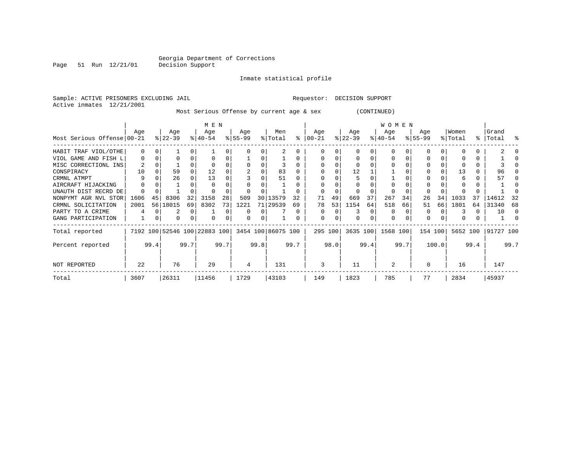Page 51 Run 12/21/01

#### Inmate statistical profile

Sample: ACTIVE PRISONERS EXCLUDING JAIL Requestor: DECISION SUPPORT Active inmates 12/21/2001

Most Serious Offense by current age & sex (CONTINUED)

|                            | M E N         |      |                        |      |                  |      |                  |                                  |                                                 |              |                      | <b>WOMEN</b> |                  |       |                  |      |                    |       |                  |      |                    |      |
|----------------------------|---------------|------|------------------------|------|------------------|------|------------------|----------------------------------|-------------------------------------------------|--------------|----------------------|--------------|------------------|-------|------------------|------|--------------------|-------|------------------|------|--------------------|------|
| Most Serious Offense 00-21 | Age           |      | Age<br>$ 22-39 $       |      | Age<br>$8 40-54$ |      | Age<br>$8 55-99$ |                                  | Men<br>% Total                                  |              | Age<br>$8   00 - 21$ |              | Age<br>$ 22-39 $ |       | Age<br>$ 40-54 $ |      | Age<br>$8155 - 99$ |       | Women<br>% Total |      | Grand<br>%   Total | ႜ    |
| HABIT TRAF VIOL/OTHE       | 0             |      |                        |      |                  |      |                  |                                  |                                                 |              |                      |              |                  |       |                  |      |                    |       |                  |      |                    |      |
| VIOL GAME AND FISH L       | <sup>0</sup>  |      |                        |      |                  |      |                  |                                  |                                                 |              |                      |              |                  |       | O                |      |                    |       |                  |      |                    |      |
| MISC CORRECTIONL INS       |               |      |                        |      |                  |      |                  |                                  |                                                 |              |                      |              |                  |       |                  |      |                    |       |                  |      |                    |      |
| CONSPIRACY                 | 10            |      | 59                     |      | 12               |      |                  |                                  | 83                                              |              |                      |              | 12               |       |                  |      |                    |       | 13               |      | 96                 |      |
| CRMNL ATMPT                | 9             |      | 26                     |      | 13               |      |                  |                                  | 51                                              |              |                      |              |                  |       |                  |      |                    |       |                  |      | 57                 |      |
| AIRCRAFT HIJACKING         |               |      |                        |      |                  |      |                  |                                  |                                                 |              |                      |              |                  |       |                  |      |                    |       |                  |      |                    |      |
| UNAUTH DIST RECRD DE       |               |      |                        |      |                  |      |                  |                                  |                                                 |              |                      |              |                  |       |                  |      |                    |       |                  |      |                    |      |
| NONPYMT AGR NVL STOR       | 1606          | 45   | 8306                   | 32   | 3158             | 28   | 509              | 30                               | 13579                                           | 32           | 71                   | 49           | 669              | 37    | 267              | 34   | 26                 | 34    | 1033             | 37   | 14612              | -32  |
| CRMNL SOLICITATION         | 2001          | 56   | 18015                  | 69   | 8302             | 73   | 1221             | 71                               | 29539                                           | 69           | 78                   | 53           | 1154             | 64    | 518              | 66   | 51                 | 66    | 1801             | 64   | 31340              | 68   |
| PARTY TO A CRIME           | 4             |      |                        | 0    |                  | U    |                  |                                  |                                                 | <sup>0</sup> | $\Omega$             |              |                  |       | 0                |      | 0                  |       |                  |      | 10                 | 0    |
| GANG PARTICIPATION         |               | 0    | 0                      | 0    | $\Omega$         | 0    |                  |                                  |                                                 |              | 0                    | U            | $\Omega$         |       | 0                |      | $\Omega$           |       |                  |      |                    |      |
| Total reported             |               |      |                        |      |                  |      |                  |                                  | 7192 100 52546 100 22883 100 3454 100 86075 100 |              | 295 100              |              | 3635 100         |       | 1568 100         |      | 154 100            |       | 5652 100         |      | 91727 100          |      |
| Percent reported           |               | 99.4 |                        | 99.7 |                  | 99.7 |                  | 99.8                             |                                                 | 99.7         |                      | 98.0         |                  | 99.4  |                  | 99.7 |                    | 100.0 |                  | 99.4 |                    | 99.7 |
| NOT REPORTED               | 22            |      | 76                     |      | 29               |      | 4                |                                  | 131                                             |              | 3                    |              | 11               |       | 2                |      |                    |       | 16               |      | 147                |      |
| Total                      | 26311<br>3607 |      | 11456<br>1729<br>43103 |      |                  |      |                  | 1823<br>785<br>77<br>2834<br>149 |                                                 |              |                      |              |                  | 45937 |                  |      |                    |       |                  |      |                    |      |